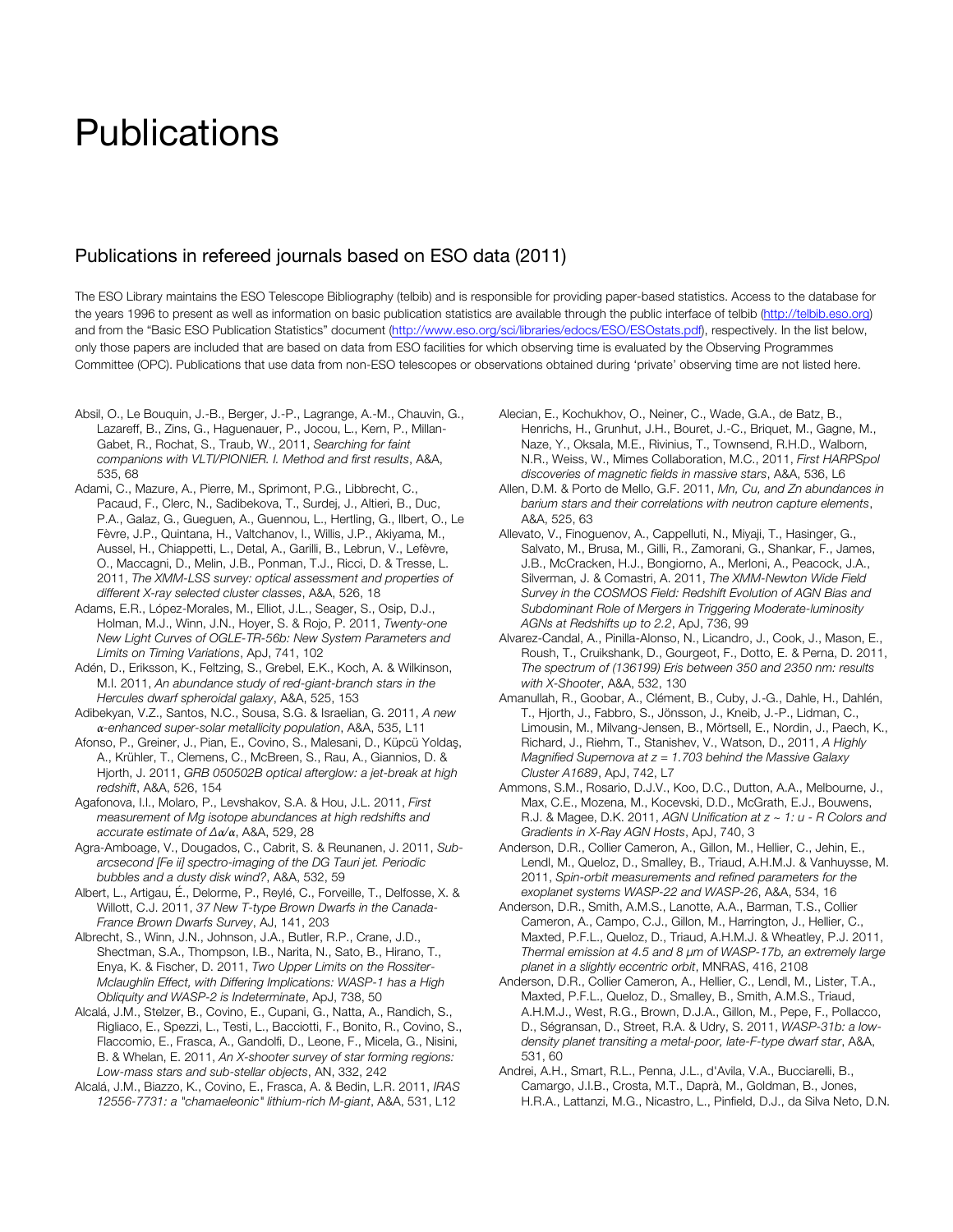## **Publications**

## Publications in refereed journals based on ESO data (2011)

The ESO Library maintains the ESO Telescope Bibliography (telbib) and is responsible for providing paper-based statistics. Access to the database for the years 1996 to present as well as information on basic publication statistics are available through the public interface of telbib (http://telbib.eso.org) and from the "Basic ESO Publication Statistics" document (http://www.eso.org/sci/libraries/edocs/ESO/ESOstats.pdf), respectively. In the list below, only those papers are included that are based on data from ESO facilities for which observing time is evaluated by the Observing Programmes Committee (OPC). Publications that use data from non-ESO telescopes or observations obtained during 'private' observing time are not listed here.

- Absil, O., Le Bouquin, J.-B., Berger, J.-P., Lagrange, A.-M., Chauvin, G., Lazareff, B., Zins, G., Haguenauer, P., Jocou, L., Kern, P., Millan-Gabet, R., Rochat, S., Traub, W., 2011, *Searching for faint companions with VLTI/PIONIER. I. Method and first results*, A&A, 535, 68
- Adami, C., Mazure, A., Pierre, M., Sprimont, P.G., Libbrecht, C., Pacaud, F., Clerc, N., Sadibekova, T., Surdej, J., Altieri, B., Duc, P.A., Galaz, G., Gueguen, A., Guennou, L., Hertling, G., Ilbert, O., Le Fèvre, J.P., Quintana, H., Valtchanov, I., Willis, J.P., Akiyama, M., Aussel, H., Chiappetti, L., Detal, A., Garilli, B., Lebrun, V., Lefèvre, O., Maccagni, D., Melin, J.B., Ponman, T.J., Ricci, D. & Tresse, L. 2011, *The XMM-LSS survey: optical assessment and properties of different X-ray selected cluster classes*, A&A, 526, 18
- Adams, E.R., López-Morales, M., Elliot, J.L., Seager, S., Osip, D.J., Holman, M.J., Winn, J.N., Hoyer, S. & Rojo, P. 2011, *Twenty-one New Light Curves of OGLE-TR-56b: New System Parameters and Limits on Timing Variations*, ApJ, 741, 102
- Adén, D., Eriksson, K., Feltzing, S., Grebel, E.K., Koch, A. & Wilkinson, M.I. 2011, *An abundance study of red-giant-branch stars in the Hercules dwarf spheroidal galaxy*, A&A, 525, 153
- Adibekyan, V.Z., Santos, N.C., Sousa, S.G. & Israelian, G. 2011, *A new*  α*-enhanced super-solar metallicity population*, A&A, 535, L11
- Afonso, P., Greiner, J., Pian, E., Covino, S., Malesani, D., Küpcü Yoldaş, A., Krühler, T., Clemens, C., McBreen, S., Rau, A., Giannios, D. & Hjorth, J. 2011, *GRB 050502B optical afterglow: a jet-break at high redshift*, A&A, 526, 154
- Agafonova, I.I., Molaro, P., Levshakov, S.A. & Hou, J.L. 2011, *First measurement of Mg isotope abundances at high redshifts and accurate estimate of* Δα*/*α, A&A, 529, 28
- Agra-Amboage, V., Dougados, C., Cabrit, S. & Reunanen, J. 2011, *Subarcsecond [Fe ii] spectro-imaging of the DG Tauri jet. Periodic bubbles and a dusty disk wind?*, A&A, 532, 59
- Albert, L., Artigau, É., Delorme, P., Reylé, C., Forveille, T., Delfosse, X. & Willott, C.J. 2011, *37 New T-type Brown Dwarfs in the Canada-France Brown Dwarfs Survey*, AJ, 141, 203
- Albrecht, S., Winn, J.N., Johnson, J.A., Butler, R.P., Crane, J.D., Shectman, S.A., Thompson, I.B., Narita, N., Sato, B., Hirano, T., Enya, K. & Fischer, D. 2011, *Two Upper Limits on the Rossiter-Mclaughlin Effect, with Differing Implications: WASP-1 has a High Obliquity and WASP-2 is Indeterminate*, ApJ, 738, 50
- Alcalá, J.M., Stelzer, B., Covino, E., Cupani, G., Natta, A., Randich, S., Rigliaco, E., Spezzi, L., Testi, L., Bacciotti, F., Bonito, R., Covino, S., Flaccomio, E., Frasca, A., Gandolfi, D., Leone, F., Micela, G., Nisini, B. & Whelan, E. 2011, *An X-shooter survey of star forming regions: Low-mass stars and sub-stellar objects*, AN, 332, 242
- Alcalá, J.M., Biazzo, K., Covino, E., Frasca, A. & Bedin, L.R. 2011, *IRAS 12556-7731: a "chamaeleonic" lithium-rich M-giant*, A&A, 531, L12
- Alecian, E., Kochukhov, O., Neiner, C., Wade, G.A., de Batz, B., Henrichs, H., Grunhut, J.H., Bouret, J.-C., Briquet, M., Gagne, M., Naze, Y., Oksala, M.E., Rivinius, T., Townsend, R.H.D., Walborn, N.R., Weiss, W., Mimes Collaboration, M.C., 2011, *First HARPSpol discoveries of magnetic fields in massive stars*, A&A, 536, L6
- Allen, D.M. & Porto de Mello, G.F. 2011, *Mn, Cu, and Zn abundances in barium stars and their correlations with neutron capture elements*, A&A, 525, 63
- Allevato, V., Finoguenov, A., Cappelluti, N., Miyaji, T., Hasinger, G., Salvato, M., Brusa, M., Gilli, R., Zamorani, G., Shankar, F., James, J.B., McCracken, H.J., Bongiorno, A., Merloni, A., Peacock, J.A., Silverman, J. & Comastri, A. 2011, *The XMM-Newton Wide Field Survey in the COSMOS Field: Redshift Evolution of AGN Bias and Subdominant Role of Mergers in Triggering Moderate-luminosity AGNs at Redshifts up to 2.2*, ApJ, 736, 99
- Alvarez-Candal, A., Pinilla-Alonso, N., Licandro, J., Cook, J., Mason, E., Roush, T., Cruikshank, D., Gourgeot, F., Dotto, E. & Perna, D. 2011, *The spectrum of (136199) Eris between 350 and 2350 nm: results with X-Shooter*, A&A, 532, 130
- Amanullah, R., Goobar, A., Clément, B., Cuby, J.-G., Dahle, H., Dahlén, T., Hjorth, J., Fabbro, S., Jönsson, J., Kneib, J.-P., Lidman, C., Limousin, M., Milvang-Jensen, B., Mörtsell, E., Nordin, J., Paech, K., Richard, J., Riehm, T., Stanishev, V., Watson, D., 2011, *A Highly Magnified Supernova at z = 1.703 behind the Massive Galaxy Cluster A1689*, ApJ, 742, L7
- Ammons, S.M., Rosario, D.J.V., Koo, D.C., Dutton, A.A., Melbourne, J., Max, C.E., Mozena, M., Kocevski, D.D., McGrath, E.J., Bouwens, R.J. & Magee, D.K. 2011, *AGN Unification at z ~ 1: u - R Colors and Gradients in X-Ray AGN Hosts*, ApJ, 740, 3
- Anderson, D.R., Collier Cameron, A., Gillon, M., Hellier, C., Jehin, E., Lendl, M., Queloz, D., Smalley, B., Triaud, A.H.M.J. & Vanhuysse, M. 2011, *Spin-orbit measurements and refined parameters for the exoplanet systems WASP-22 and WASP-26*, A&A, 534, 16
- Anderson, D.R., Smith, A.M.S., Lanotte, A.A., Barman, T.S., Collier Cameron, A., Campo, C.J., Gillon, M., Harrington, J., Hellier, C., Maxted, P.F.L., Queloz, D., Triaud, A.H.M.J. & Wheatley, P.J. 2011, *Thermal emission at 4.5 and 8* μ*m of WASP-17b, an extremely large planet in a slightly eccentric orbit*, MNRAS, 416, 2108
- Anderson, D.R., Collier Cameron, A., Hellier, C., Lendl, M., Lister, T.A., Maxted, P.F.L., Queloz, D., Smalley, B., Smith, A.M.S., Triaud, A.H.M.J., West, R.G., Brown, D.J.A., Gillon, M., Pepe, F., Pollacco, D., Ségransan, D., Street, R.A. & Udry, S. 2011, *WASP-31b: a lowdensity planet transiting a metal-poor, late-F-type dwarf star*, A&A, 531, 60
- Andrei, A.H., Smart, R.L., Penna, J.L., d'Avila, V.A., Bucciarelli, B., Camargo, J.I.B., Crosta, M.T., Daprà, M., Goldman, B., Jones, H.R.A., Lattanzi, M.G., Nicastro, L., Pinfield, D.J., da Silva Neto, D.N.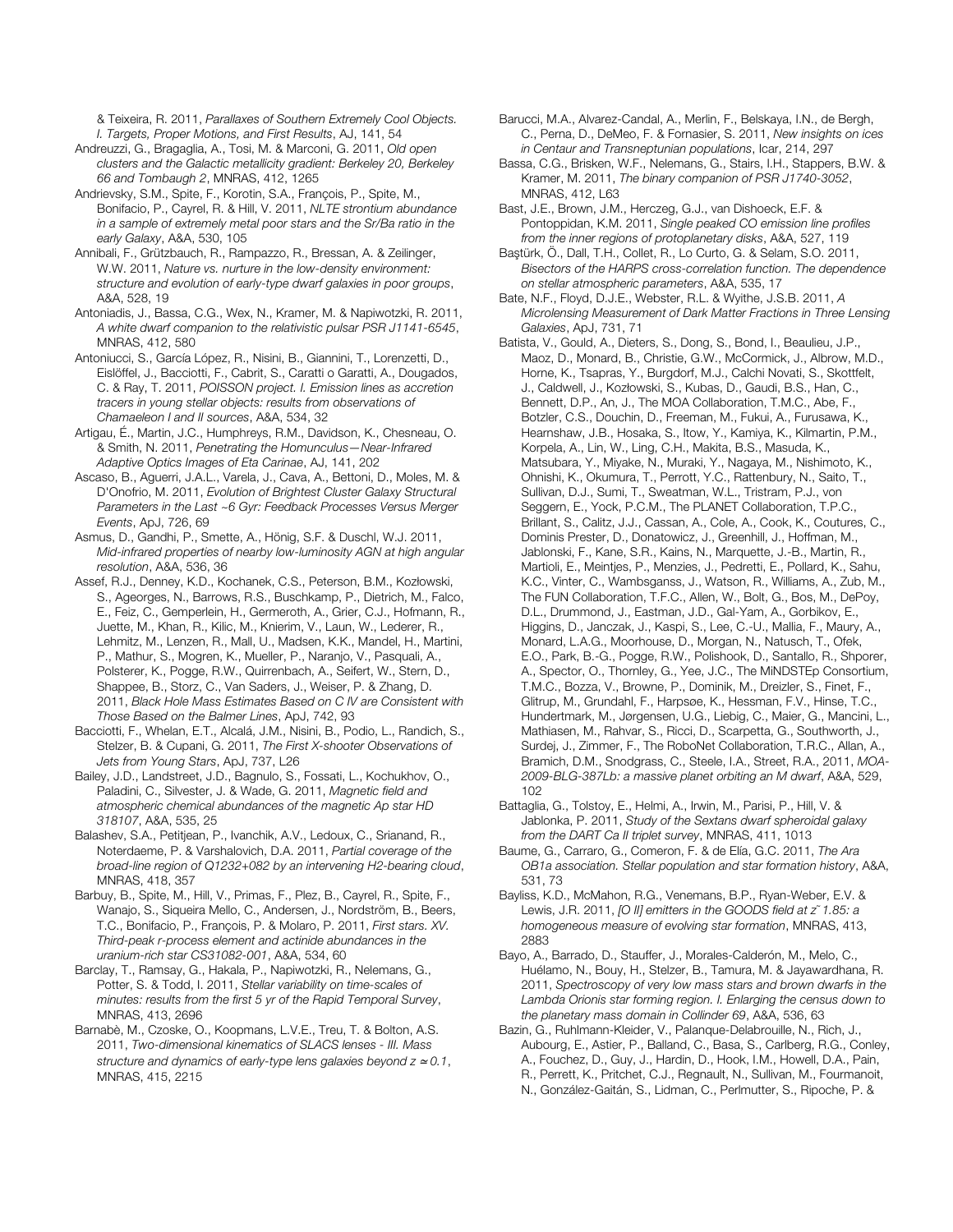& Teixeira, R. 2011, *Parallaxes of Southern Extremely Cool Objects. I. Targets, Proper Motions, and First Results*, AJ, 141, 54

Andreuzzi, G., Bragaglia, A., Tosi, M. & Marconi, G. 2011, *Old open clusters and the Galactic metallicity gradient: Berkeley 20, Berkeley 66 and Tombaugh 2*, MNRAS, 412, 1265

Andrievsky, S.M., Spite, F., Korotin, S.A., François, P., Spite, M., Bonifacio, P., Cayrel, R. & Hill, V. 2011, *NLTE strontium abundance in a sample of extremely metal poor stars and the Sr/Ba ratio in the early Galaxy*, A&A, 530, 105

Annibali, F., Grützbauch, R., Rampazzo, R., Bressan, A. & Zeilinger, W.W. 2011, *Nature vs. nurture in the low-density environment: structure and evolution of early-type dwarf galaxies in poor groups*, A&A, 528, 19

Antoniadis, J., Bassa, C.G., Wex, N., Kramer, M. & Napiwotzki, R. 2011, *A white dwarf companion to the relativistic pulsar PSR J1141-6545*, MNRAS, 412, 580

Antoniucci, S., García López, R., Nisini, B., Giannini, T., Lorenzetti, D., Eislöffel, J., Bacciotti, F., Cabrit, S., Caratti o Garatti, A., Dougados, C. & Ray, T. 2011, *POISSON project. I. Emission lines as accretion tracers in young stellar objects: results from observations of Chamaeleon I and II sources*, A&A, 534, 32

Artigau, É., Martin, J.C., Humphreys, R.M., Davidson, K., Chesneau, O. & Smith, N. 2011, *Penetrating the Homunculus—Near-Infrared Adaptive Optics Images of Eta Carinae*, AJ, 141, 202

Ascaso, B., Aguerri, J.A.L., Varela, J., Cava, A., Bettoni, D., Moles, M. & D'Onofrio, M. 2011, *Evolution of Brightest Cluster Galaxy Structural Parameters in the Last ~6 Gyr: Feedback Processes Versus Merger Events*, ApJ, 726, 69

Asmus, D., Gandhi, P., Smette, A., Hönig, S.F. & Duschl, W.J. 2011, *Mid-infrared properties of nearby low-luminosity AGN at high angular resolution*, A&A, 536, 36

Assef, R.J., Denney, K.D., Kochanek, C.S., Peterson, B.M., Kozłowski, S., Ageorges, N., Barrows, R.S., Buschkamp, P., Dietrich, M., Falco, E., Feiz, C., Gemperlein, H., Germeroth, A., Grier, C.J., Hofmann, R., Juette, M., Khan, R., Kilic, M., Knierim, V., Laun, W., Lederer, R., Lehmitz, M., Lenzen, R., Mall, U., Madsen, K.K., Mandel, H., Martini, P., Mathur, S., Mogren, K., Mueller, P., Naranjo, V., Pasquali, A., Polsterer, K., Pogge, R.W., Quirrenbach, A., Seifert, W., Stern, D., Shappee, B., Storz, C., Van Saders, J., Weiser, P. & Zhang, D. 2011, *Black Hole Mass Estimates Based on C IV are Consistent with Those Based on the Balmer Lines*, ApJ, 742, 93

Bacciotti, F., Whelan, E.T., Alcalá, J.M., Nisini, B., Podio, L., Randich, S., Stelzer, B. & Cupani, G. 2011, *The First X-shooter Observations of Jets from Young Stars*, ApJ, 737, L26

Bailey, J.D., Landstreet, J.D., Bagnulo, S., Fossati, L., Kochukhov, O., Paladini, C., Silvester, J. & Wade, G. 2011, *Magnetic field and atmospheric chemical abundances of the magnetic Ap star HD 318107*, A&A, 535, 25

Balashev, S.A., Petitjean, P., Ivanchik, A.V., Ledoux, C., Srianand, R., Noterdaeme, P. & Varshalovich, D.A. 2011, *Partial coverage of the broad-line region of Q1232+082 by an intervening H2-bearing cloud*, MNRAS, 418, 357

Barbuy, B., Spite, M., Hill, V., Primas, F., Plez, B., Cayrel, R., Spite, F., Wanajo, S., Siqueira Mello, C., Andersen, J., Nordström, B., Beers, T.C., Bonifacio, P., François, P. & Molaro, P. 2011, *First stars. XV. Third-peak r-process element and actinide abundances in the uranium-rich star CS31082-001*, A&A, 534, 60

Barclay, T., Ramsay, G., Hakala, P., Napiwotzki, R., Nelemans, G., Potter, S. & Todd, I. 2011, *Stellar variability on time-scales of minutes: results from the first 5 yr of the Rapid Temporal Survey*, MNRAS, 413, 2696

Barnabè, M., Czoske, O., Koopmans, L.V.E., Treu, T. & Bolton, A.S. 2011, *Two-dimensional kinematics of SLACS lenses - III. Mass structure and dynamics of early-type lens galaxies beyond z* <sup>≃</sup> *0.1*, MNRAS, 415, 2215

Barucci, M.A., Alvarez-Candal, A., Merlin, F., Belskaya, I.N., de Bergh, C., Perna, D., DeMeo, F. & Fornasier, S. 2011, *New insights on ices in Centaur and Transneptunian populations*, Icar, 214, 297

Bassa, C.G., Brisken, W.F., Nelemans, G., Stairs, I.H., Stappers, B.W. & Kramer, M. 2011, *The binary companion of PSR J1740-3052*, MNRAS, 412, L63

Bast, J.E., Brown, J.M., Herczeg, G.J., van Dishoeck, E.F. & Pontoppidan, K.M. 2011, *Single peaked CO emission line profiles from the inner regions of protoplanetary disks*, A&A, 527, 119

Baştürk, Ö., Dall, T.H., Collet, R., Lo Curto, G. & Selam, S.O. 2011, *Bisectors of the HARPS cross-correlation function. The dependence on stellar atmospheric parameters*, A&A, 535, 17

Bate, N.F., Floyd, D.J.E., Webster, R.L. & Wyithe, J.S.B. 2011, *A Microlensing Measurement of Dark Matter Fractions in Three Lensing Galaxies*, ApJ, 731, 71

Batista, V., Gould, A., Dieters, S., Dong, S., Bond, I., Beaulieu, J.P., Maoz, D., Monard, B., Christie, G.W., McCormick, J., Albrow, M.D., Horne, K., Tsapras, Y., Burgdorf, M.J., Calchi Novati, S., Skottfelt, J., Caldwell, J., Kozłowski, S., Kubas, D., Gaudi, B.S., Han, C., Bennett, D.P., An, J., The MOA Collaboration, T.M.C., Abe, F., Botzler, C.S., Douchin, D., Freeman, M., Fukui, A., Furusawa, K., Hearnshaw, J.B., Hosaka, S., Itow, Y., Kamiya, K., Kilmartin, P.M., Korpela, A., Lin, W., Ling, C.H., Makita, B.S., Masuda, K., Matsubara, Y., Miyake, N., Muraki, Y., Nagaya, M., Nishimoto, K., Ohnishi, K., Okumura, T., Perrott, Y.C., Rattenbury, N., Saito, T., Sullivan, D.J., Sumi, T., Sweatman, W.L., Tristram, P.J., von Seggern, E., Yock, P.C.M., The PLANET Collaboration, T.P.C., Brillant, S., Calitz, J.J., Cassan, A., Cole, A., Cook, K., Coutures, C., Dominis Prester, D., Donatowicz, J., Greenhill, J., Hoffman, M., Jablonski, F., Kane, S.R., Kains, N., Marquette, J.-B., Martin, R., Martioli, E., Meintjes, P., Menzies, J., Pedretti, E., Pollard, K., Sahu, K.C., Vinter, C., Wambsganss, J., Watson, R., Williams, A., Zub, M., The FUN Collaboration, T.F.C., Allen, W., Bolt, G., Bos, M., DePoy, D.L., Drummond, J., Eastman, J.D., Gal-Yam, A., Gorbikov, E., Higgins, D., Janczak, J., Kaspi, S., Lee, C.-U., Mallia, F., Maury, A., Monard, L.A.G., Moorhouse, D., Morgan, N., Natusch, T., Ofek, E.O., Park, B.-G., Pogge, R.W., Polishook, D., Santallo, R., Shporer, A., Spector, O., Thornley, G., Yee, J.C., The MiNDSTEp Consortium, T.M.C., Bozza, V., Browne, P., Dominik, M., Dreizler, S., Finet, F., Glitrup, M., Grundahl, F., Harpsøe, K., Hessman, F.V., Hinse, T.C., Hundertmark, M., Jørgensen, U.G., Liebig, C., Maier, G., Mancini, L., Mathiasen, M., Rahvar, S., Ricci, D., Scarpetta, G., Southworth, J., Surdej, J., Zimmer, F., The RoboNet Collaboration, T.R.C., Allan, A., Bramich, D.M., Snodgrass, C., Steele, I.A., Street, R.A., 2011, *MOA-2009-BLG-387Lb: a massive planet orbiting an M dwarf*, A&A, 529, 102

Battaglia, G., Tolstoy, E., Helmi, A., Irwin, M., Parisi, P., Hill, V. & Jablonka, P. 2011, *Study of the Sextans dwarf spheroidal galaxy from the DART Ca II triplet survey*, MNRAS, 411, 1013

Baume, G., Carraro, G., Comeron, F. & de Elía, G.C. 2011, *The Ara OB1a association. Stellar population and star formation history*, A&A, 531, 73

Bayliss, K.D., McMahon, R.G., Venemans, B.P., Ryan-Weber, E.V. & Lewis, J.R. 2011, *[O II] emitters in the GOODS field at z˜ 1.85: a homogeneous measure of evolving star formation*, MNRAS, 413, 2883

Bayo, A., Barrado, D., Stauffer, J., Morales-Calderón, M., Melo, C., Huélamo, N., Bouy, H., Stelzer, B., Tamura, M. & Jayawardhana, R. 2011, *Spectroscopy of very low mass stars and brown dwarfs in the Lambda Orionis star forming region. I. Enlarging the census down to the planetary mass domain in Collinder 69*, A&A, 536, 63

Bazin, G., Ruhlmann-Kleider, V., Palanque-Delabrouille, N., Rich, J., Aubourg, E., Astier, P., Balland, C., Basa, S., Carlberg, R.G., Conley, A., Fouchez, D., Guy, J., Hardin, D., Hook, I.M., Howell, D.A., Pain, R., Perrett, K., Pritchet, C.J., Regnault, N., Sullivan, M., Fourmanoit, N., González-Gaitán, S., Lidman, C., Perlmutter, S., Ripoche, P. &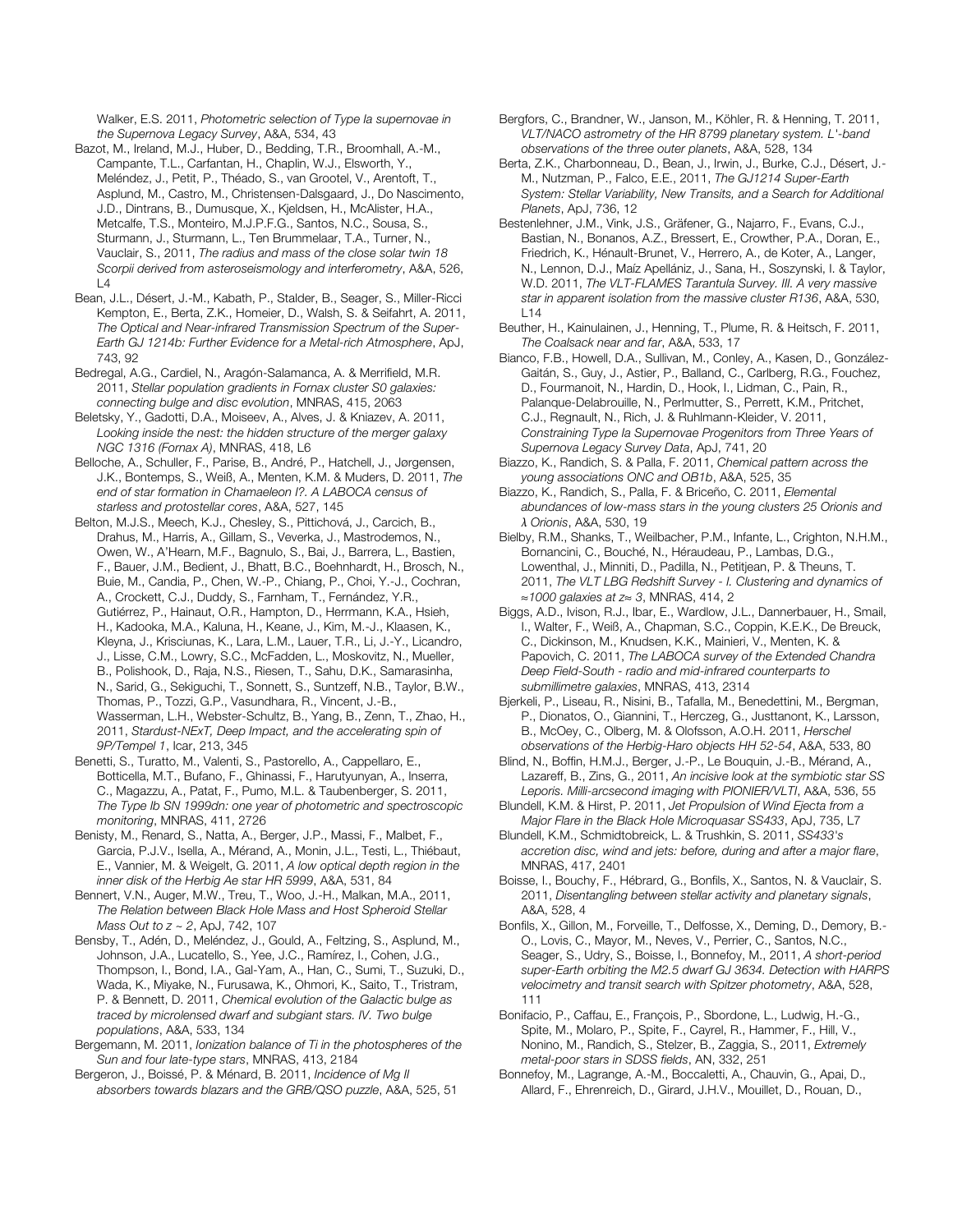Walker, E.S. 2011, *Photometric selection of Type Ia supernovae in the Supernova Legacy Survey*, A&A, 534, 43

Bazot, M., Ireland, M.J., Huber, D., Bedding, T.R., Broomhall, A.-M., Campante, T.L., Carfantan, H., Chaplin, W.J., Elsworth, Y., Meléndez, J., Petit, P., Théado, S., van Grootel, V., Arentoft, T., Asplund, M., Castro, M., Christensen-Dalsgaard, J., Do Nascimento, J.D., Dintrans, B., Dumusque, X., Kjeldsen, H., McAlister, H.A., Metcalfe, T.S., Monteiro, M.J.P.F.G., Santos, N.C., Sousa, S., Sturmann, J., Sturmann, L., Ten Brummelaar, T.A., Turner, N., Vauclair, S., 2011, *The radius and mass of the close solar twin 18 Scorpii derived from asteroseismology and interferometry*, A&A, 526,  $\lfloor 4$ 

Bean, J.L., Désert, J.-M., Kabath, P., Stalder, B., Seager, S., Miller-Ricci Kempton, E., Berta, Z.K., Homeier, D., Walsh, S. & Seifahrt, A. 2011, *The Optical and Near-infrared Transmission Spectrum of the Super-Earth GJ 1214b: Further Evidence for a Metal-rich Atmosphere*, ApJ, 743, 92

Bedregal, A.G., Cardiel, N., Aragón-Salamanca, A. & Merrifield, M.R. 2011, *Stellar population gradients in Fornax cluster S0 galaxies: connecting bulge and disc evolution*, MNRAS, 415, 2063

Beletsky, Y., Gadotti, D.A., Moiseev, A., Alves, J. & Kniazev, A. 2011, *Looking inside the nest: the hidden structure of the merger galaxy NGC 1316 (Fornax A)*, MNRAS, 418, L6

Belloche, A., Schuller, F., Parise, B., André, P., Hatchell, J., Jørgensen, J.K., Bontemps, S., Weiß, A., Menten, K.M. & Muders, D. 2011, *The end of star formation in Chamaeleon I?. A LABOCA census of starless and protostellar cores*, A&A, 527, 145

Belton, M.J.S., Meech, K.J., Chesley, S., Pittichová, J., Carcich, B., Drahus, M., Harris, A., Gillam, S., Veverka, J., Mastrodemos, N., Owen, W., A'Hearn, M.F., Bagnulo, S., Bai, J., Barrera, L., Bastien, F., Bauer, J.M., Bedient, J., Bhatt, B.C., Boehnhardt, H., Brosch, N., Buie, M., Candia, P., Chen, W.-P., Chiang, P., Choi, Y.-J., Cochran, A., Crockett, C.J., Duddy, S., Farnham, T., Fernández, Y.R., Gutiérrez, P., Hainaut, O.R., Hampton, D., Herrmann, K.A., Hsieh, H., Kadooka, M.A., Kaluna, H., Keane, J., Kim, M.-J., Klaasen, K., Kleyna, J., Krisciunas, K., Lara, L.M., Lauer, T.R., Li, J.-Y., Licandro, J., Lisse, C.M., Lowry, S.C., McFadden, L., Moskovitz, N., Mueller, B., Polishook, D., Raja, N.S., Riesen, T., Sahu, D.K., Samarasinha, N., Sarid, G., Sekiguchi, T., Sonnett, S., Suntzeff, N.B., Taylor, B.W., Thomas, P., Tozzi, G.P., Vasundhara, R., Vincent, J.-B., Wasserman, L.H., Webster-Schultz, B., Yang, B., Zenn, T., Zhao, H., 2011, *Stardust-NExT, Deep Impact, and the accelerating spin of 9P/Tempel 1*, Icar, 213, 345

Benetti, S., Turatto, M., Valenti, S., Pastorello, A., Cappellaro, E., Botticella, M.T., Bufano, F., Ghinassi, F., Harutyunyan, A., Inserra, C., Magazzu, A., Patat, F., Pumo, M.L. & Taubenberger, S. 2011, *The Type Ib SN 1999dn: one year of photometric and spectroscopic monitoring*, MNRAS, 411, 2726

Benisty, M., Renard, S., Natta, A., Berger, J.P., Massi, F., Malbet, F., Garcia, P.J.V., Isella, A., Mérand, A., Monin, J.L., Testi, L., Thiébaut, E., Vannier, M. & Weigelt, G. 2011, *A low optical depth region in the inner disk of the Herbig Ae star HR 5999*, A&A, 531, 84

Bennert, V.N., Auger, M.W., Treu, T., Woo, J.-H., Malkan, M.A., 2011, *The Relation between Black Hole Mass and Host Spheroid Stellar Mass Out to z ~ 2*, ApJ, 742, 107

Bensby, T., Adén, D., Meléndez, J., Gould, A., Feltzing, S., Asplund, M., Johnson, J.A., Lucatello, S., Yee, J.C., Ramírez, I., Cohen, J.G., Thompson, I., Bond, I.A., Gal-Yam, A., Han, C., Sumi, T., Suzuki, D., Wada, K., Miyake, N., Furusawa, K., Ohmori, K., Saito, T., Tristram, P. & Bennett, D. 2011, *Chemical evolution of the Galactic bulge as traced by microlensed dwarf and subgiant stars. IV. Two bulge populations*, A&A, 533, 134

Bergemann, M. 2011, *Ionization balance of Ti in the photospheres of the Sun and four late-type stars*, MNRAS, 413, 2184

Bergeron, J., Boissé, P. & Ménard, B. 2011, *Incidence of Mg II absorbers towards blazars and the GRB/QSO puzzle*, A&A, 525, 51 Bergfors, C., Brandner, W., Janson, M., Köhler, R. & Henning, T. 2011, *VLT/NACO astrometry of the HR 8799 planetary system. L'-band observations of the three outer planets*, A&A, 528, 134

Berta, Z.K., Charbonneau, D., Bean, J., Irwin, J., Burke, C.J., Désert, J.- M., Nutzman, P., Falco, E.E., 2011, *The GJ1214 Super-Earth System: Stellar Variability, New Transits, and a Search for Additional Planets*, ApJ, 736, 12

Bestenlehner, J.M., Vink, J.S., Gräfener, G., Najarro, F., Evans, C.J., Bastian, N., Bonanos, A.Z., Bressert, E., Crowther, P.A., Doran, E., Friedrich, K., Hénault-Brunet, V., Herrero, A., de Koter, A., Langer, N., Lennon, D.J., Maíz Apellániz, J., Sana, H., Soszynski, I. & Taylor, W.D. 2011, *The VLT-FLAMES Tarantula Survey. III. A very massive star in apparent isolation from the massive cluster R136*, A&A, 530,  $\vert$  14

Beuther, H., Kainulainen, J., Henning, T., Plume, R. & Heitsch, F. 2011, *The Coalsack near and far*, A&A, 533, 17

Bianco, F.B., Howell, D.A., Sullivan, M., Conley, A., Kasen, D., González-Gaitán, S., Guy, J., Astier, P., Balland, C., Carlberg, R.G., Fouchez, D., Fourmanoit, N., Hardin, D., Hook, I., Lidman, C., Pain, R., Palanque-Delabrouille, N., Perlmutter, S., Perrett, K.M., Pritchet, C.J., Regnault, N., Rich, J. & Ruhlmann-Kleider, V. 2011, *Constraining Type Ia Supernovae Progenitors from Three Years of Supernova Legacy Survey Data*, ApJ, 741, 20

Biazzo, K., Randich, S. & Palla, F. 2011, *Chemical pattern across the young associations ONC and OB1b*, A&A, 525, 35

Biazzo, K., Randich, S., Palla, F. & Briceño, C. 2011, *Elemental abundances of low-mass stars in the young clusters 25 Orionis and*  λ *Orionis*, A&A, 530, 19

Bielby, R.M., Shanks, T., Weilbacher, P.M., Infante, L., Crighton, N.H.M., Bornancini, C., Bouché, N., Héraudeau, P., Lambas, D.G., Lowenthal, J., Minniti, D., Padilla, N., Petitjean, P. & Theuns, T. 2011, *The VLT LBG Redshift Survey - I. Clustering and dynamics of*  ≈*1000 galaxies at z*≈ *3*, MNRAS, 414, 2

Biggs, A.D., Ivison, R.J., Ibar, E., Wardlow, J.L., Dannerbauer, H., Smail, I., Walter, F., Weiß, A., Chapman, S.C., Coppin, K.E.K., De Breuck, C., Dickinson, M., Knudsen, K.K., Mainieri, V., Menten, K. & Papovich, C. 2011, *The LABOCA survey of the Extended Chandra Deep Field-South - radio and mid-infrared counterparts to submillimetre galaxies*, MNRAS, 413, 2314

Bjerkeli, P., Liseau, R., Nisini, B., Tafalla, M., Benedettini, M., Bergman, P., Dionatos, O., Giannini, T., Herczeg, G., Justtanont, K., Larsson, B., McOey, C., Olberg, M. & Olofsson, A.O.H. 2011, *Herschel observations of the Herbig-Haro objects HH 52-54*, A&A, 533, 80

Blind, N., Boffin, H.M.J., Berger, J.-P., Le Bouquin, J.-B., Mérand, A., Lazareff, B., Zins, G., 2011, *An incisive look at the symbiotic star SS Leporis. Milli-arcsecond imaging with PIONIER/VLTI*, A&A, 536, 55

Blundell, K.M. & Hirst, P. 2011, *Jet Propulsion of Wind Ejecta from a Major Flare in the Black Hole Microquasar SS433*, ApJ, 735, L7

Blundell, K.M., Schmidtobreick, L. & Trushkin, S. 2011, *SS433's accretion disc, wind and jets: before, during and after a major flare*, MNRAS, 417, 2401

Boisse, I., Bouchy, F., Hébrard, G., Bonfils, X., Santos, N. & Vauclair, S. 2011, *Disentangling between stellar activity and planetary signals*, A&A, 528, 4

Bonfils, X., Gillon, M., Forveille, T., Delfosse, X., Deming, D., Demory, B.- O., Lovis, C., Mayor, M., Neves, V., Perrier, C., Santos, N.C., Seager, S., Udry, S., Boisse, I., Bonnefoy, M., 2011, *A short-period super-Earth orbiting the M2.5 dwarf GJ 3634. Detection with HARPS velocimetry and transit search with Spitzer photometry*, A&A, 528, 111

Bonifacio, P., Caffau, E., François, P., Sbordone, L., Ludwig, H.-G., Spite, M., Molaro, P., Spite, F., Cayrel, R., Hammer, F., Hill, V., Nonino, M., Randich, S., Stelzer, B., Zaggia, S., 2011, *Extremely metal-poor stars in SDSS fields*, AN, 332, 251

Bonnefoy, M., Lagrange, A.-M., Boccaletti, A., Chauvin, G., Apai, D., Allard, F., Ehrenreich, D., Girard, J.H.V., Mouillet, D., Rouan, D.,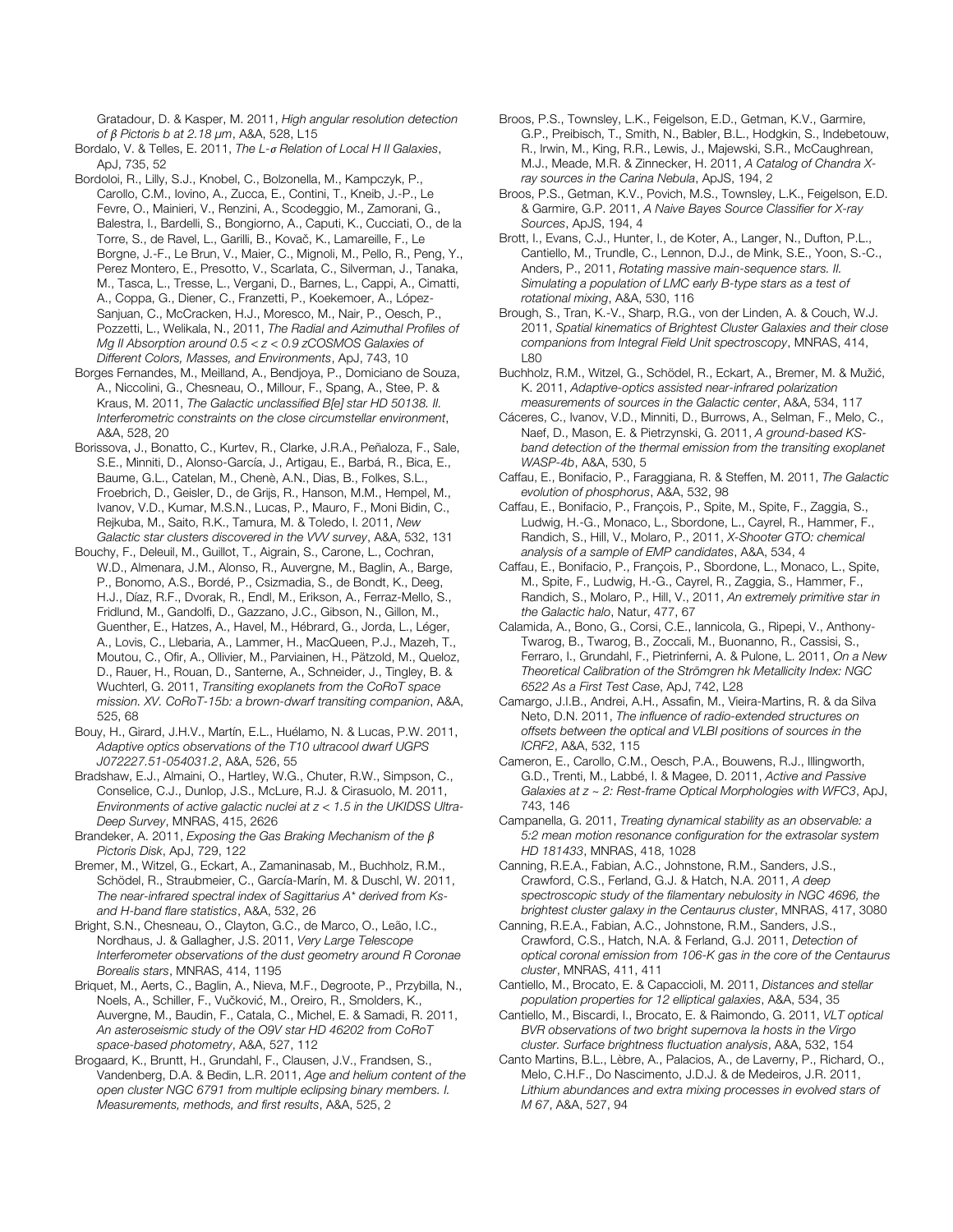Gratadour, D. & Kasper, M. 2011, *High angular resolution detection of* β *Pictoris b at 2.18* μ*m*, A&A, 528, L15

Bordalo, V. & Telles, E. 2011, *The L-*σ *Relation of Local H II Galaxies*, ApJ, 735, 52

Bordoloi, R., Lilly, S.J., Knobel, C., Bolzonella, M., Kampczyk, P., Carollo, C.M., Iovino, A., Zucca, E., Contini, T., Kneib, J.-P., Le Fevre, O., Mainieri, V., Renzini, A., Scodeggio, M., Zamorani, G., Balestra, I., Bardelli, S., Bongiorno, A., Caputi, K., Cucciati, O., de la Torre, S., de Ravel, L., Garilli, B., Kovač, K., Lamareille, F., Le Borgne, J.-F., Le Brun, V., Maier, C., Mignoli, M., Pello, R., Peng, Y., Perez Montero, E., Presotto, V., Scarlata, C., Silverman, J., Tanaka, M., Tasca, L., Tresse, L., Vergani, D., Barnes, L., Cappi, A., Cimatti, A., Coppa, G., Diener, C., Franzetti, P., Koekemoer, A., López-Sanjuan, C., McCracken, H.J., Moresco, M., Nair, P., Oesch, P., Pozzetti, L., Welikala, N., 2011, *The Radial and Azimuthal Profiles of Mg II Absorption around 0.5 < z < 0.9 zCOSMOS Galaxies of Different Colors, Masses, and Environments*, ApJ, 743, 10

Borges Fernandes, M., Meilland, A., Bendjoya, P., Domiciano de Souza, A., Niccolini, G., Chesneau, O., Millour, F., Spang, A., Stee, P. & Kraus, M. 2011, *The Galactic unclassified B[e] star HD 50138. II. Interferometric constraints on the close circumstellar environment*, A&A, 528, 20

Borissova, J., Bonatto, C., Kurtev, R., Clarke, J.R.A., Peñaloza, F., Sale, S.E., Minniti, D., Alonso-García, J., Artigau, E., Barbá, R., Bica, E., Baume, G.L., Catelan, M., Chenè, A.N., Dias, B., Folkes, S.L., Froebrich, D., Geisler, D., de Grijs, R., Hanson, M.M., Hempel, M., Ivanov, V.D., Kumar, M.S.N., Lucas, P., Mauro, F., Moni Bidin, C., Rejkuba, M., Saito, R.K., Tamura, M. & Toledo, I. 2011, *New Galactic star clusters discovered in the VVV survey*, A&A, 532, 131

Bouchy, F., Deleuil, M., Guillot, T., Aigrain, S., Carone, L., Cochran, W.D., Almenara, J.M., Alonso, R., Auvergne, M., Baglin, A., Barge, P., Bonomo, A.S., Bordé, P., Csizmadia, S., de Bondt, K., Deeg, H.J., Díaz, R.F., Dvorak, R., Endl, M., Erikson, A., Ferraz-Mello, S., Fridlund, M., Gandolfi, D., Gazzano, J.C., Gibson, N., Gillon, M., Guenther, E., Hatzes, A., Havel, M., Hébrard, G., Jorda, L., Léger, A., Lovis, C., Llebaria, A., Lammer, H., MacQueen, P.J., Mazeh, T., Moutou, C., Ofir, A., Ollivier, M., Parviainen, H., Pätzold, M., Queloz, D., Rauer, H., Rouan, D., Santerne, A., Schneider, J., Tingley, B. & Wuchterl, G. 2011, *Transiting exoplanets from the CoRoT space mission. XV. CoRoT-15b: a brown-dwarf transiting companion*, A&A, 525, 68

Bouy, H., Girard, J.H.V., Martín, E.L., Huélamo, N. & Lucas, P.W. 2011, *Adaptive optics observations of the T10 ultracool dwarf UGPS J072227.51-054031.2*, A&A, 526, 55

Bradshaw, E.J., Almaini, O., Hartley, W.G., Chuter, R.W., Simpson, C., Conselice, C.J., Dunlop, J.S., McLure, R.J. & Cirasuolo, M. 2011, *Environments of active galactic nuclei at z < 1.5 in the UKIDSS Ultra-Deep Survey*, MNRAS, 415, 2626

Brandeker, A. 2011, *Exposing the Gas Braking Mechanism of the* β *Pictoris Disk*, ApJ, 729, 122

Bremer, M., Witzel, G., Eckart, A., Zamaninasab, M., Buchholz, R.M., Schödel, R., Straubmeier, C., García-Marín, M. & Duschl, W. 2011, *The near-infrared spectral index of Sagittarius A\* derived from Ksand H-band flare statistics*, A&A, 532, 26

Bright, S.N., Chesneau, O., Clayton, G.C., de Marco, O., Leão, I.C., Nordhaus, J. & Gallagher, J.S. 2011, *Very Large Telescope Interferometer observations of the dust geometry around R Coronae Borealis stars*, MNRAS, 414, 1195

Briquet, M., Aerts, C., Baglin, A., Nieva, M.F., Degroote, P., Przybilla, N., Noels, A., Schiller, F., Vučković, M., Oreiro, R., Smolders, K., Auvergne, M., Baudin, F., Catala, C., Michel, E. & Samadi, R. 2011, *An asteroseismic study of the O9V star HD 46202 from CoRoT space-based photometry*, A&A, 527, 112

Brogaard, K., Bruntt, H., Grundahl, F., Clausen, J.V., Frandsen, S., Vandenberg, D.A. & Bedin, L.R. 2011, *Age and helium content of the open cluster NGC 6791 from multiple eclipsing binary members. I. Measurements, methods, and first results*, A&A, 525, 2

Broos, P.S., Townsley, L.K., Feigelson, E.D., Getman, K.V., Garmire, G.P., Preibisch, T., Smith, N., Babler, B.L., Hodgkin, S., Indebetouw, R., Irwin, M., King, R.R., Lewis, J., Majewski, S.R., McCaughrean, M.J., Meade, M.R. & Zinnecker, H. 2011, *A Catalog of Chandra Xray sources in the Carina Nebula*, ApJS, 194, 2

Broos, P.S., Getman, K.V., Povich, M.S., Townsley, L.K., Feigelson, E.D. & Garmire, G.P. 2011, *A Naive Bayes Source Classifier for X-ray Sources*, ApJS, 194, 4

Brott, I., Evans, C.J., Hunter, I., de Koter, A., Langer, N., Dufton, P.L., Cantiello, M., Trundle, C., Lennon, D.J., de Mink, S.E., Yoon, S.-C., Anders, P., 2011, *Rotating massive main-sequence stars. II. Simulating a population of LMC early B-type stars as a test of rotational mixing*, A&A, 530, 116

Brough, S., Tran, K.-V., Sharp, R.G., von der Linden, A. & Couch, W.J. 2011, *Spatial kinematics of Brightest Cluster Galaxies and their close companions from Integral Field Unit spectroscopy*, MNRAS, 414, L80

Buchholz, R.M., Witzel, G., Schödel, R., Eckart, A., Bremer, M. & Mužić, K. 2011, *Adaptive-optics assisted near-infrared polarization measurements of sources in the Galactic center*, A&A, 534, 117

Cáceres, C., Ivanov, V.D., Minniti, D., Burrows, A., Selman, F., Melo, C., Naef, D., Mason, E. & Pietrzynski, G. 2011, *A ground-based KSband detection of the thermal emission from the transiting exoplanet WASP-4b*, A&A, 530, 5

Caffau, E., Bonifacio, P., Faraggiana, R. & Steffen, M. 2011, *The Galactic evolution of phosphorus*, A&A, 532, 98

Caffau, E., Bonifacio, P., François, P., Spite, M., Spite, F., Zaggia, S., Ludwig, H.-G., Monaco, L., Sbordone, L., Cayrel, R., Hammer, F., Randich, S., Hill, V., Molaro, P., 2011, *X-Shooter GTO: chemical analysis of a sample of EMP candidates*, A&A, 534, 4

Caffau, E., Bonifacio, P., François, P., Sbordone, L., Monaco, L., Spite, M., Spite, F., Ludwig, H.-G., Cayrel, R., Zaggia, S., Hammer, F., Randich, S., Molaro, P., Hill, V., 2011, *An extremely primitive star in the Galactic halo*, Natur, 477, 67

Calamida, A., Bono, G., Corsi, C.E., Iannicola, G., Ripepi, V., Anthony-Twarog, B., Twarog, B., Zoccali, M., Buonanno, R., Cassisi, S., Ferraro, I., Grundahl, F., Pietrinferni, A. & Pulone, L. 2011, *On a New Theoretical Calibration of the Strömgren hk Metallicity Index: NGC 6522 As a First Test Case*, ApJ, 742, L28

Camargo, J.I.B., Andrei, A.H., Assafin, M., Vieira-Martins, R. & da Silva Neto, D.N. 2011, *The influence of radio-extended structures on offsets between the optical and VLBI positions of sources in the ICRF2*, A&A, 532, 115

Cameron, E., Carollo, C.M., Oesch, P.A., Bouwens, R.J., Illingworth, G.D., Trenti, M., Labbé, I. & Magee, D. 2011, *Active and Passive Galaxies at z ~ 2: Rest-frame Optical Morphologies with WFC3*, ApJ, 743, 146

Campanella, G. 2011, *Treating dynamical stability as an observable: a 5:2 mean motion resonance configuration for the extrasolar system HD 181433*, MNRAS, 418, 1028

Canning, R.E.A., Fabian, A.C., Johnstone, R.M., Sanders, J.S., Crawford, C.S., Ferland, G.J. & Hatch, N.A. 2011, *A deep spectroscopic study of the filamentary nebulosity in NGC 4696, the brightest cluster galaxy in the Centaurus cluster*, MNRAS, 417, 3080

Canning, R.E.A., Fabian, A.C., Johnstone, R.M., Sanders, J.S., Crawford, C.S., Hatch, N.A. & Ferland, G.J. 2011, *Detection of optical coronal emission from 106-K gas in the core of the Centaurus cluster*, MNRAS, 411, 411

Cantiello, M., Brocato, E. & Capaccioli, M. 2011, *Distances and stellar population properties for 12 elliptical galaxies*, A&A, 534, 35

Cantiello, M., Biscardi, I., Brocato, E. & Raimondo, G. 2011, *VLT optical BVR observations of two bright supernova Ia hosts in the Virgo cluster. Surface brightness fluctuation analysis*, A&A, 532, 154

Canto Martins, B.L., Lèbre, A., Palacios, A., de Laverny, P., Richard, O., Melo, C.H.F., Do Nascimento, J.D.J. & de Medeiros, J.R. 2011, *Lithium abundances and extra mixing processes in evolved stars of M 67*, A&A, 527, 94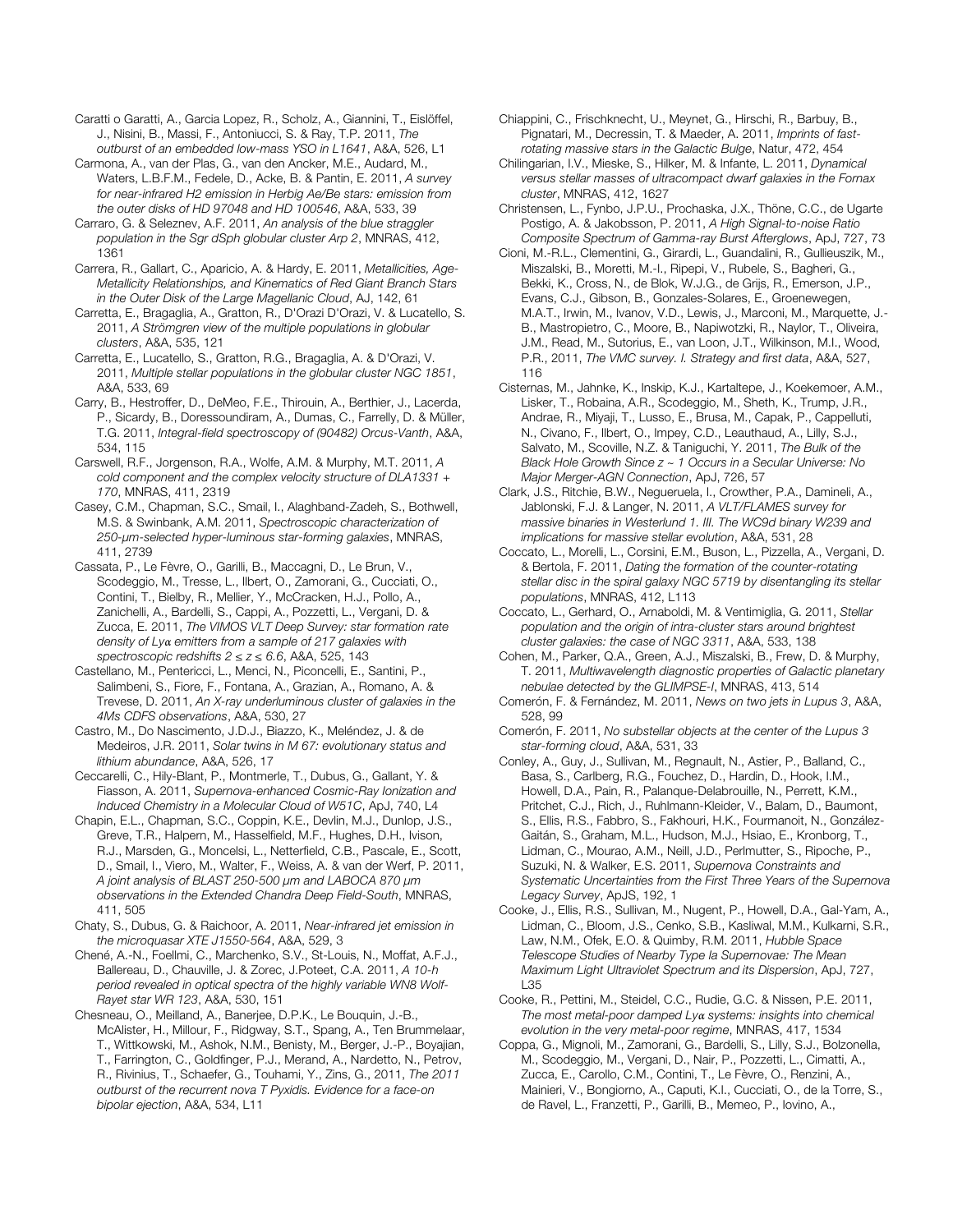Caratti o Garatti, A., Garcia Lopez, R., Scholz, A., Giannini, T., Eislöffel, J., Nisini, B., Massi, F., Antoniucci, S. & Ray, T.P. 2011, *The outburst of an embedded low-mass YSO in L1641*, A&A, 526, L1

Carmona, A., van der Plas, G., van den Ancker, M.E., Audard, M., Waters, L.B.F.M., Fedele, D., Acke, B. & Pantin, E. 2011, *A survey for near-infrared H2 emission in Herbig Ae/Be stars: emission from the outer disks of HD 97048 and HD 100546*, A&A, 533, 39

Carraro, G. & Seleznev, A.F. 2011, *An analysis of the blue straggler population in the Sgr dSph globular cluster Arp 2*, MNRAS, 412, 1361

Carrera, R., Gallart, C., Aparicio, A. & Hardy, E. 2011, *Metallicities, Age-Metallicity Relationships, and Kinematics of Red Giant Branch Stars in the Outer Disk of the Large Magellanic Cloud*, AJ, 142, 61

Carretta, E., Bragaglia, A., Gratton, R., D'Orazi D'Orazi, V. & Lucatello, S. 2011, *A Strömgren view of the multiple populations in globular clusters*, A&A, 535, 121

Carretta, E., Lucatello, S., Gratton, R.G., Bragaglia, A. & D'Orazi, V. 2011, *Multiple stellar populations in the globular cluster NGC 1851*, A&A, 533, 69

Carry, B., Hestroffer, D., DeMeo, F.E., Thirouin, A., Berthier, J., Lacerda, P., Sicardy, B., Doressoundiram, A., Dumas, C., Farrelly, D. & Müller, T.G. 2011, *Integral-field spectroscopy of (90482) Orcus-Vanth*, A&A, 534, 115

Carswell, R.F., Jorgenson, R.A., Wolfe, A.M. & Murphy, M.T. 2011, *A cold component and the complex velocity structure of DLA1331 + 170*, MNRAS, 411, 2319

Casey, C.M., Chapman, S.C., Smail, I., Alaghband-Zadeh, S., Bothwell, M.S. & Swinbank, A.M. 2011, *Spectroscopic characterization of 250-*μ*m-selected hyper-luminous star-forming galaxies*, MNRAS, 411, 2739

Cassata, P., Le Fèvre, O., Garilli, B., Maccagni, D., Le Brun, V., Scodeggio, M., Tresse, L., Ilbert, O., Zamorani, G., Cucciati, O., Contini, T., Bielby, R., Mellier, Y., McCracken, H.J., Pollo, A., Zanichelli, A., Bardelli, S., Cappi, A., Pozzetti, L., Vergani, D. & Zucca, E. 2011, *The VIMOS VLT Deep Survey: star formation rate density of Ly*α *emitters from a sample of 217 galaxies with spectroscopic redshifts 2* ≤ *z* ≤ *6.6*, A&A, 525, 143

Castellano, M., Pentericci, L., Menci, N., Piconcelli, E., Santini, P., Salimbeni, S., Fiore, F., Fontana, A., Grazian, A., Romano, A. & Trevese, D. 2011, *An X-ray underluminous cluster of galaxies in the 4Ms CDFS observations*, A&A, 530, 27

Castro, M., Do Nascimento, J.D.J., Biazzo, K., Meléndez, J. & de Medeiros, J.R. 2011, *Solar twins in M 67: evolutionary status and lithium abundance*, A&A, 526, 17

Ceccarelli, C., Hily-Blant, P., Montmerle, T., Dubus, G., Gallant, Y. & Fiasson, A. 2011, *Supernova-enhanced Cosmic-Ray Ionization and Induced Chemistry in a Molecular Cloud of W51C*, ApJ, 740, L4

Chapin, E.L., Chapman, S.C., Coppin, K.E., Devlin, M.J., Dunlop, J.S., Greve, T.R., Halpern, M., Hasselfield, M.F., Hughes, D.H., Ivison, R.J., Marsden, G., Moncelsi, L., Netterfield, C.B., Pascale, E., Scott, D., Smail, I., Viero, M., Walter, F., Weiss, A. & van der Werf, P. 2011, *A joint analysis of BLAST 250-500* μ*m and LABOCA 870* μ*m observations in the Extended Chandra Deep Field-South*, MNRAS, 411, 505

Chaty, S., Dubus, G. & Raichoor, A. 2011, *Near-infrared jet emission in the microquasar XTE J1550-564*, A&A, 529, 3

Chené, A.-N., Foellmi, C., Marchenko, S.V., St-Louis, N., Moffat, A.F.J., Ballereau, D., Chauville, J. & Zorec, J.Poteet, C.A. 2011, *A 10-h period revealed in optical spectra of the highly variable WN8 Wolf-Rayet star WR 123*, A&A, 530, 151

Chesneau, O., Meilland, A., Banerjee, D.P.K., Le Bouquin, J.-B., McAlister, H., Millour, F., Ridgway, S.T., Spang, A., Ten Brummelaar, T., Wittkowski, M., Ashok, N.M., Benisty, M., Berger, J.-P., Boyajian, T., Farrington, C., Goldfinger, P.J., Merand, A., Nardetto, N., Petrov, R., Rivinius, T., Schaefer, G., Touhami, Y., Zins, G., 2011, *The 2011 outburst of the recurrent nova T Pyxidis. Evidence for a face-on bipolar ejection*, A&A, 534, L11

Chiappini, C., Frischknecht, U., Meynet, G., Hirschi, R., Barbuy, B., Pignatari, M., Decressin, T. & Maeder, A. 2011, *Imprints of fastrotating massive stars in the Galactic Bulge*, Natur, 472, 454

Chilingarian, I.V., Mieske, S., Hilker, M. & Infante, L. 2011, *Dynamical versus stellar masses of ultracompact dwarf galaxies in the Fornax cluster*, MNRAS, 412, 1627

Christensen, L., Fynbo, J.P.U., Prochaska, J.X., Thöne, C.C., de Ugarte Postigo, A. & Jakobsson, P. 2011, *A High Signal-to-noise Ratio Composite Spectrum of Gamma-ray Burst Afterglows*, ApJ, 727, 73

Cioni, M.-R.L., Clementini, G., Girardi, L., Guandalini, R., Gullieuszik, M., Miszalski, B., Moretti, M.-I., Ripepi, V., Rubele, S., Bagheri, G., Bekki, K., Cross, N., de Blok, W.J.G., de Grijs, R., Emerson, J.P., Evans, C.J., Gibson, B., Gonzales-Solares, E., Groenewegen, M.A.T., Irwin, M., Ivanov, V.D., Lewis, J., Marconi, M., Marquette, J.- B., Mastropietro, C., Moore, B., Napiwotzki, R., Naylor, T., Oliveira, J.M., Read, M., Sutorius, E., van Loon, J.T., Wilkinson, M.I., Wood, P.R., 2011, *The VMC survey. I. Strategy and first data*, A&A, 527, 116

Cisternas, M., Jahnke, K., Inskip, K.J., Kartaltepe, J., Koekemoer, A.M., Lisker, T., Robaina, A.R., Scodeggio, M., Sheth, K., Trump, J.R., Andrae, R., Miyaji, T., Lusso, E., Brusa, M., Capak, P., Cappelluti, N., Civano, F., Ilbert, O., Impey, C.D., Leauthaud, A., Lilly, S.J., Salvato, M., Scoville, N.Z. & Taniguchi, Y. 2011, *The Bulk of the Black Hole Growth Since z ~ 1 Occurs in a Secular Universe: No Major Merger-AGN Connection*, ApJ, 726, 57

Clark, J.S., Ritchie, B.W., Negueruela, I., Crowther, P.A., Damineli, A., Jablonski, F.J. & Langer, N. 2011, *A VLT/FLAMES survey for massive binaries in Westerlund 1. III. The WC9d binary W239 and implications for massive stellar evolution*, A&A, 531, 28

Coccato, L., Morelli, L., Corsini, E.M., Buson, L., Pizzella, A., Vergani, D. & Bertola, F. 2011, *Dating the formation of the counter-rotating stellar disc in the spiral galaxy NGC 5719 by disentangling its stellar populations*, MNRAS, 412, L113

Coccato, L., Gerhard, O., Arnaboldi, M. & Ventimiglia, G. 2011, *Stellar population and the origin of intra-cluster stars around brightest cluster galaxies: the case of NGC 3311*, A&A, 533, 138

Cohen, M., Parker, Q.A., Green, A.J., Miszalski, B., Frew, D. & Murphy, T. 2011, *Multiwavelength diagnostic properties of Galactic planetary nebulae detected by the GLIMPSE-I*, MNRAS, 413, 514

Comerón, F. & Fernández, M. 2011, *News on two jets in Lupus 3*, A&A, 528, 99

Comerón, F. 2011, *No substellar objects at the center of the Lupus 3 star-forming cloud*, A&A, 531, 33

Conley, A., Guy, J., Sullivan, M., Regnault, N., Astier, P., Balland, C., Basa, S., Carlberg, R.G., Fouchez, D., Hardin, D., Hook, I.M., Howell, D.A., Pain, R., Palanque-Delabrouille, N., Perrett, K.M., Pritchet, C.J., Rich, J., Ruhlmann-Kleider, V., Balam, D., Baumont, S., Ellis, R.S., Fabbro, S., Fakhouri, H.K., Fourmanoit, N., González-Gaitán, S., Graham, M.L., Hudson, M.J., Hsiao, E., Kronborg, T., Lidman, C., Mourao, A.M., Neill, J.D., Perlmutter, S., Ripoche, P., Suzuki, N. & Walker, E.S. 2011, *Supernova Constraints and Systematic Uncertainties from the First Three Years of the Supernova Legacy Survey*, ApJS, 192, 1

Cooke, J., Ellis, R.S., Sullivan, M., Nugent, P., Howell, D.A., Gal-Yam, A., Lidman, C., Bloom, J.S., Cenko, S.B., Kasliwal, M.M., Kulkarni, S.R., Law, N.M., Ofek, E.O. & Quimby, R.M. 2011, *Hubble Space Telescope Studies of Nearby Type Ia Supernovae: The Mean Maximum Light Ultraviolet Spectrum and its Dispersion*, ApJ, 727, L35

Cooke, R., Pettini, M., Steidel, C.C., Rudie, G.C. & Nissen, P.E. 2011, *The most metal-poor damped Ly*α *systems: insights into chemical evolution in the very metal-poor regime*, MNRAS, 417, 1534

Coppa, G., Mignoli, M., Zamorani, G., Bardelli, S., Lilly, S.J., Bolzonella, M., Scodeggio, M., Vergani, D., Nair, P., Pozzetti, L., Cimatti, A., Zucca, E., Carollo, C.M., Contini, T., Le Fèvre, O., Renzini, A., Mainieri, V., Bongiorno, A., Caputi, K.I., Cucciati, O., de la Torre, S., de Ravel, L., Franzetti, P., Garilli, B., Memeo, P., Iovino, A.,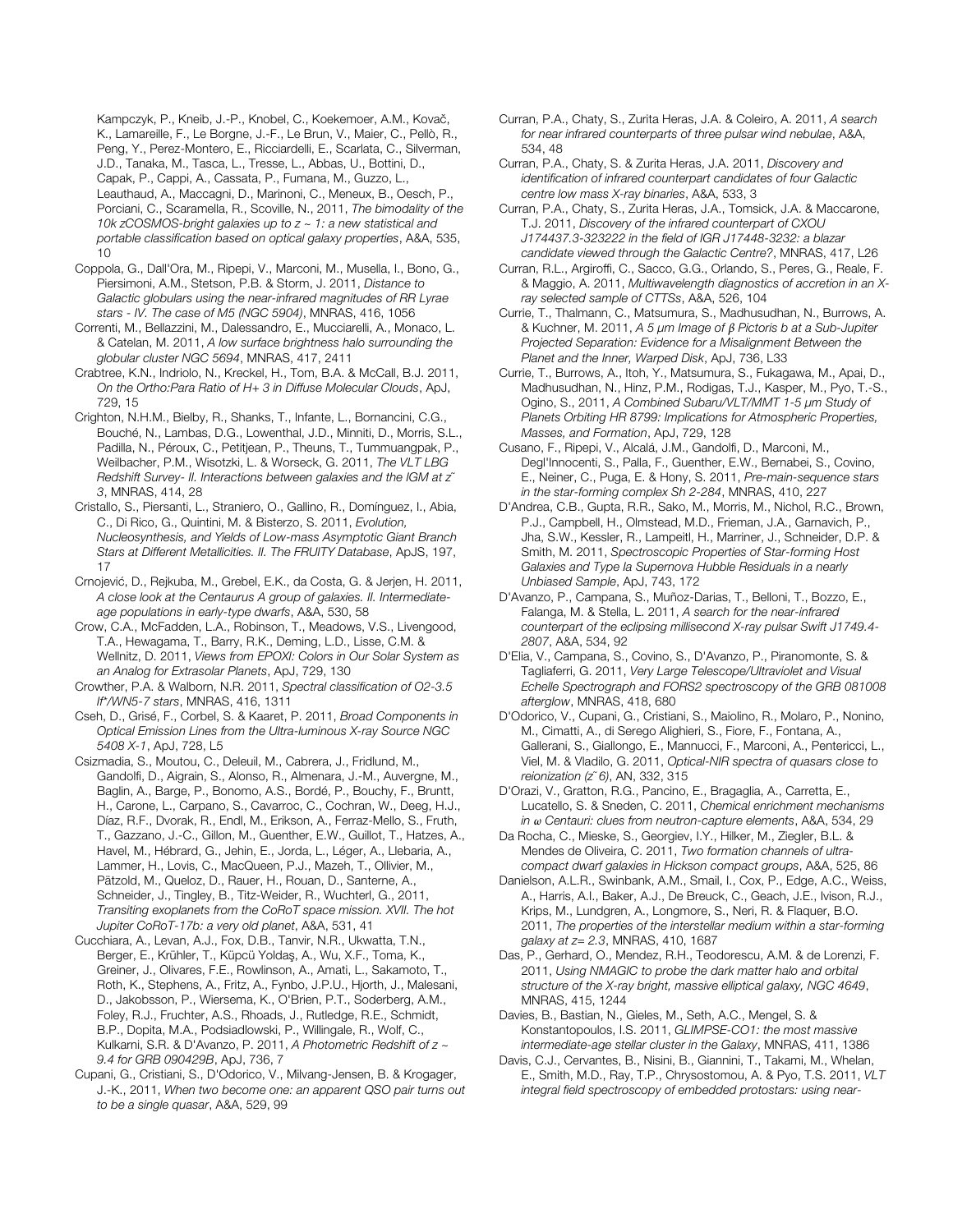Kampczyk, P., Kneib, J.-P., Knobel, C., Koekemoer, A.M., Kovač, K., Lamareille, F., Le Borgne, J.-F., Le Brun, V., Maier, C., Pellò, R., Peng, Y., Perez-Montero, E., Ricciardelli, E., Scarlata, C., Silverman, J.D., Tanaka, M., Tasca, L., Tresse, L., Abbas, U., Bottini, D., Capak, P., Cappi, A., Cassata, P., Fumana, M., Guzzo, L., Leauthaud, A., Maccagni, D., Marinoni, C., Meneux, B., Oesch, P., Porciani, C., Scaramella, R., Scoville, N., 2011, *The bimodality of the 10k zCOSMOS-bright galaxies up to z ~ 1: a new statistical and portable classification based on optical galaxy properties*, A&A, 535, 10

- Coppola, G., Dall'Ora, M., Ripepi, V., Marconi, M., Musella, I., Bono, G., Piersimoni, A.M., Stetson, P.B. & Storm, J. 2011, *Distance to Galactic globulars using the near-infrared magnitudes of RR Lyrae stars - IV. The case of M5 (NGC 5904)*, MNRAS, 416, 1056
- Correnti, M., Bellazzini, M., Dalessandro, E., Mucciarelli, A., Monaco, L. & Catelan, M. 2011, *A low surface brightness halo surrounding the globular cluster NGC 5694*, MNRAS, 417, 2411
- Crabtree, K.N., Indriolo, N., Kreckel, H., Tom, B.A. & McCall, B.J. 2011, *On the Ortho:Para Ratio of H+ 3 in Diffuse Molecular Clouds*, ApJ, 729, 15
- Crighton, N.H.M., Bielby, R., Shanks, T., Infante, L., Bornancini, C.G., Bouché, N., Lambas, D.G., Lowenthal, J.D., Minniti, D., Morris, S.L., Padilla, N., Péroux, C., Petitjean, P., Theuns, T., Tummuangpak, P., Weilbacher, P.M., Wisotzki, L. & Worseck, G. 2011, *The VLT LBG Redshift Survey- II. Interactions between galaxies and the IGM at z˜ 3*, MNRAS, 414, 28
- Cristallo, S., Piersanti, L., Straniero, O., Gallino, R., Domínguez, I., Abia, C., Di Rico, G., Quintini, M. & Bisterzo, S. 2011, *Evolution, Nucleosynthesis, and Yields of Low-mass Asymptotic Giant Branch Stars at Different Metallicities. II. The FRUITY Database*, ApJS, 197, 17
- Crnojević, D., Rejkuba, M., Grebel, E.K., da Costa, G. & Jerjen, H. 2011, *A close look at the Centaurus A group of galaxies. II. Intermediateage populations in early-type dwarfs*, A&A, 530, 58
- Crow, C.A., McFadden, L.A., Robinson, T., Meadows, V.S., Livengood, T.A., Hewagama, T., Barry, R.K., Deming, L.D., Lisse, C.M. & Wellnitz, D. 2011, *Views from EPOXI: Colors in Our Solar System as an Analog for Extrasolar Planets*, ApJ, 729, 130
- Crowther, P.A. & Walborn, N.R. 2011, *Spectral classification of O2-3.5 If\*/WN5-7 stars*, MNRAS, 416, 1311
- Cseh, D., Grisé, F., Corbel, S. & Kaaret, P. 2011, *Broad Components in Optical Emission Lines from the Ultra-luminous X-ray Source NGC 5408 X-1*, ApJ, 728, L5
- Csizmadia, S., Moutou, C., Deleuil, M., Cabrera, J., Fridlund, M., Gandolfi, D., Aigrain, S., Alonso, R., Almenara, J.-M., Auvergne, M., Baglin, A., Barge, P., Bonomo, A.S., Bordé, P., Bouchy, F., Bruntt, H., Carone, L., Carpano, S., Cavarroc, C., Cochran, W., Deeg, H.J., Díaz, R.F., Dvorak, R., Endl, M., Erikson, A., Ferraz-Mello, S., Fruth, T., Gazzano, J.-C., Gillon, M., Guenther, E.W., Guillot, T., Hatzes, A., Havel, M., Hébrard, G., Jehin, E., Jorda, L., Léger, A., Llebaria, A., Lammer, H., Lovis, C., MacQueen, P.J., Mazeh, T., Ollivier, M., Pätzold, M., Queloz, D., Rauer, H., Rouan, D., Santerne, A., Schneider, J., Tingley, B., Titz-Weider, R., Wuchterl, G., 2011, *Transiting exoplanets from the CoRoT space mission. XVII. The hot Jupiter CoRoT-17b: a very old planet*, A&A, 531, 41
- Cucchiara, A., Levan, A.J., Fox, D.B., Tanvir, N.R., Ukwatta, T.N., Berger, E., Krühler, T., Küpcü Yoldaş, A., Wu, X.F., Toma, K., Greiner, J., Olivares, F.E., Rowlinson, A., Amati, L., Sakamoto, T., Roth, K., Stephens, A., Fritz, A., Fynbo, J.P.U., Hjorth, J., Malesani, D., Jakobsson, P., Wiersema, K., O'Brien, P.T., Soderberg, A.M., Foley, R.J., Fruchter, A.S., Rhoads, J., Rutledge, R.E., Schmidt, B.P., Dopita, M.A., Podsiadlowski, P., Willingale, R., Wolf, C., Kulkarni, S.R. & D'Avanzo, P. 2011, *A Photometric Redshift of z ~ 9.4 for GRB 090429B*, ApJ, 736, 7
- Cupani, G., Cristiani, S., D'Odorico, V., Milvang-Jensen, B. & Krogager, J.-K., 2011, *When two become one: an apparent QSO pair turns out to be a single quasar*, A&A, 529, 99
- Curran, P.A., Chaty, S., Zurita Heras, J.A. & Coleiro, A. 2011, *A search for near infrared counterparts of three pulsar wind nebulae*, A&A, 534, 48
- Curran, P.A., Chaty, S. & Zurita Heras, J.A. 2011, *Discovery and identification of infrared counterpart candidates of four Galactic centre low mass X-ray binaries*, A&A, 533, 3
- Curran, P.A., Chaty, S., Zurita Heras, J.A., Tomsick, J.A. & Maccarone, T.J. 2011, *Discovery of the infrared counterpart of CXOU J174437.3-323222 in the field of IGR J17448-3232: a blazar candidate viewed through the Galactic Centre?*, MNRAS, 417, L26
- Curran, R.L., Argiroffi, C., Sacco, G.G., Orlando, S., Peres, G., Reale, F. & Maggio, A. 2011, *Multiwavelength diagnostics of accretion in an Xray selected sample of CTTSs*, A&A, 526, 104
- Currie, T., Thalmann, C., Matsumura, S., Madhusudhan, N., Burrows, A. & Kuchner, M. 2011, *A 5* μ*m Image of* β *Pictoris b at a Sub-Jupiter Projected Separation: Evidence for a Misalignment Between the Planet and the Inner, Warped Disk*, ApJ, 736, L33
- Currie, T., Burrows, A., Itoh, Y., Matsumura, S., Fukagawa, M., Apai, D., Madhusudhan, N., Hinz, P.M., Rodigas, T.J., Kasper, M., Pyo, T.-S., Ogino, S., 2011, *A Combined Subaru/VLT/MMT 1-5* μ*m Study of Planets Orbiting HR 8799: Implications for Atmospheric Properties, Masses, and Formation*, ApJ, 729, 128
- Cusano, F., Ripepi, V., Alcalá, J.M., Gandolfi, D., Marconi, M., Degl'Innocenti, S., Palla, F., Guenther, E.W., Bernabei, S., Covino, E., Neiner, C., Puga, E. & Hony, S. 2011, *Pre-main-sequence stars in the star-forming complex Sh 2-284*, MNRAS, 410, 227
- D'Andrea, C.B., Gupta, R.R., Sako, M., Morris, M., Nichol, R.C., Brown, P.J., Campbell, H., Olmstead, M.D., Frieman, J.A., Garnavich, P., Jha, S.W., Kessler, R., Lampeitl, H., Marriner, J., Schneider, D.P. & Smith, M. 2011, *Spectroscopic Properties of Star-forming Host Galaxies and Type Ia Supernova Hubble Residuals in a nearly Unbiased Sample*, ApJ, 743, 172
- D'Avanzo, P., Campana, S., Muñoz-Darias, T., Belloni, T., Bozzo, E., Falanga, M. & Stella, L. 2011, *A search for the near-infrared counterpart of the eclipsing millisecond X-ray pulsar Swift J1749.4- 2807*, A&A, 534, 92
- D'Elia, V., Campana, S., Covino, S., D'Avanzo, P., Piranomonte, S. & Tagliaferri, G. 2011, *Very Large Telescope/Ultraviolet and Visual Echelle Spectrograph and FORS2 spectroscopy of the GRB 081008 afterglow*, MNRAS, 418, 680
- D'Odorico, V., Cupani, G., Cristiani, S., Maiolino, R., Molaro, P., Nonino, M., Cimatti, A., di Serego Alighieri, S., Fiore, F., Fontana, A., Gallerani, S., Giallongo, E., Mannucci, F., Marconi, A., Pentericci, L., Viel, M. & Vladilo, G. 2011, *Optical-NIR spectra of quasars close to reionization (z˜ 6)*, AN, 332, 315
- D'Orazi, V., Gratton, R.G., Pancino, E., Bragaglia, A., Carretta, E., Lucatello, S. & Sneden, C. 2011, *Chemical enrichment mechanisms in* ω *Centauri: clues from neutron-capture elements*, A&A, 534, 29
- Da Rocha, C., Mieske, S., Georgiev, I.Y., Hilker, M., Ziegler, B.L. & Mendes de Oliveira, C. 2011, *Two formation channels of ultracompact dwarf galaxies in Hickson compact groups*, A&A, 525, 86
- Danielson, A.L.R., Swinbank, A.M., Smail, I., Cox, P., Edge, A.C., Weiss, A., Harris, A.I., Baker, A.J., De Breuck, C., Geach, J.E., Ivison, R.J., Krips, M., Lundgren, A., Longmore, S., Neri, R. & Flaquer, B.O. 2011, *The properties of the interstellar medium within a star-forming galaxy at z= 2.3*, MNRAS, 410, 1687
- Das, P., Gerhard, O., Mendez, R.H., Teodorescu, A.M. & de Lorenzi, F. 2011, *Using NMAGIC to probe the dark matter halo and orbital structure of the X-ray bright, massive elliptical galaxy, NGC 4649*, MNRAS, 415, 1244
- Davies, B., Bastian, N., Gieles, M., Seth, A.C., Mengel, S. & Konstantopoulos, I.S. 2011, *GLIMPSE-CO1: the most massive intermediate-age stellar cluster in the Galaxy*, MNRAS, 411, 1386
- Davis, C.J., Cervantes, B., Nisini, B., Giannini, T., Takami, M., Whelan, E., Smith, M.D., Ray, T.P., Chrysostomou, A. & Pyo, T.S. 2011, *VLT integral field spectroscopy of embedded protostars: using near-*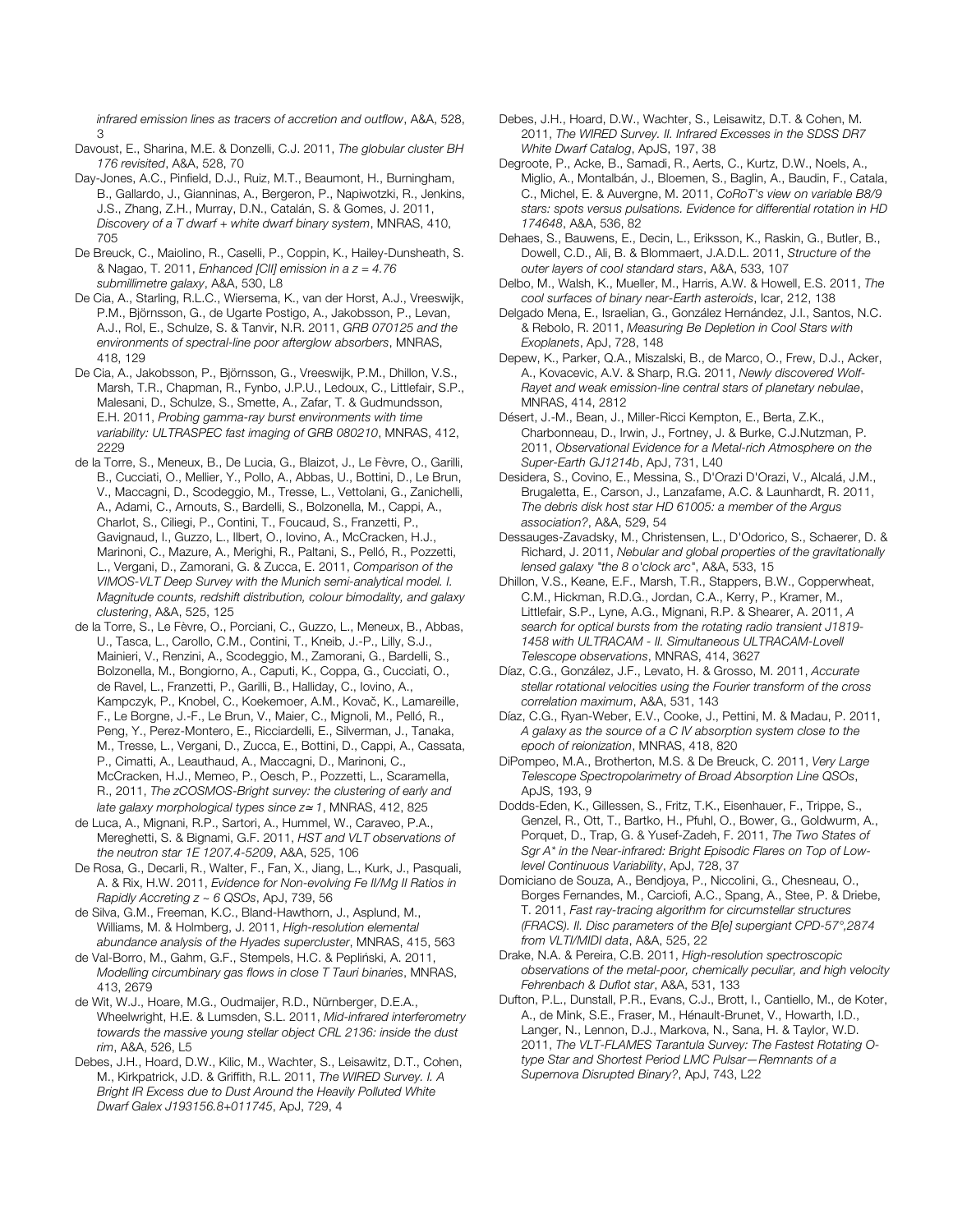*infrared emission lines as tracers of accretion and outflow*, A&A, 528, 3

Davoust, E., Sharina, M.E. & Donzelli, C.J. 2011, *The globular cluster BH 176 revisited*, A&A, 528, 70

- Day-Jones, A.C., Pinfield, D.J., Ruiz, M.T., Beaumont, H., Burningham, B., Gallardo, J., Gianninas, A., Bergeron, P., Napiwotzki, R., Jenkins, J.S., Zhang, Z.H., Murray, D.N., Catalán, S. & Gomes, J. 2011, *Discovery of a T dwarf + white dwarf binary system*, MNRAS, 410, 705
- De Breuck, C., Maiolino, R., Caselli, P., Coppin, K., Hailey-Dunsheath, S. & Nagao, T. 2011, *Enhanced [CII] emission in a z = 4.76 submillimetre galaxy*, A&A, 530, L8
- De Cia, A., Starling, R.L.C., Wiersema, K., van der Horst, A.J., Vreeswijk, P.M., Björnsson, G., de Ugarte Postigo, A., Jakobsson, P., Levan, A.J., Rol, E., Schulze, S. & Tanvir, N.R. 2011, *GRB 070125 and the environments of spectral-line poor afterglow absorbers*, MNRAS, 418, 129
- De Cia, A., Jakobsson, P., Björnsson, G., Vreeswijk, P.M., Dhillon, V.S., Marsh, T.R., Chapman, R., Fynbo, J.P.U., Ledoux, C., Littlefair, S.P., Malesani, D., Schulze, S., Smette, A., Zafar, T. & Gudmundsson, E.H. 2011, *Probing gamma-ray burst environments with time variability: ULTRASPEC fast imaging of GRB 080210*, MNRAS, 412, 2229
- de la Torre, S., Meneux, B., De Lucia, G., Blaizot, J., Le Fèvre, O., Garilli, B., Cucciati, O., Mellier, Y., Pollo, A., Abbas, U., Bottini, D., Le Brun, V., Maccagni, D., Scodeggio, M., Tresse, L., Vettolani, G., Zanichelli, A., Adami, C., Arnouts, S., Bardelli, S., Bolzonella, M., Cappi, A., Charlot, S., Ciliegi, P., Contini, T., Foucaud, S., Franzetti, P., Gavignaud, I., Guzzo, L., Ilbert, O., Iovino, A., McCracken, H.J., Marinoni, C., Mazure, A., Merighi, R., Paltani, S., Pelló, R., Pozzetti, L., Vergani, D., Zamorani, G. & Zucca, E. 2011, *Comparison of the VIMOS-VLT Deep Survey with the Munich semi-analytical model. I. Magnitude counts, redshift distribution, colour bimodality, and galaxy clustering*, A&A, 525, 125
- de la Torre, S., Le Fèvre, O., Porciani, C., Guzzo, L., Meneux, B., Abbas, U., Tasca, L., Carollo, C.M., Contini, T., Kneib, J.-P., Lilly, S.J., Mainieri, V., Renzini, A., Scodeggio, M., Zamorani, G., Bardelli, S., Bolzonella, M., Bongiorno, A., Caputi, K., Coppa, G., Cucciati, O., de Ravel, L., Franzetti, P., Garilli, B., Halliday, C., Iovino, A., Kampczyk, P., Knobel, C., Koekemoer, A.M., Kovač, K., Lamareille, F., Le Borgne, J.-F., Le Brun, V., Maier, C., Mignoli, M., Pelló, R., Peng, Y., Perez-Montero, E., Ricciardelli, E., Silverman, J., Tanaka, M., Tresse, L., Vergani, D., Zucca, E., Bottini, D., Cappi, A., Cassata, P., Cimatti, A., Leauthaud, A., Maccagni, D., Marinoni, C., McCracken, H.J., Memeo, P., Oesch, P., Pozzetti, L., Scaramella, R., 2011, *The zCOSMOS-Bright survey: the clustering of early and late galaxy morphological types since z*<sup>≃</sup> *1*, MNRAS, 412, 825
- de Luca, A., Mignani, R.P., Sartori, A., Hummel, W., Caraveo, P.A., Mereghetti, S. & Bignami, G.F. 2011, *HST and VLT observations of the neutron star 1E 1207.4-5209*, A&A, 525, 106
- De Rosa, G., Decarli, R., Walter, F., Fan, X., Jiang, L., Kurk, J., Pasquali, A. & Rix, H.W. 2011, *Evidence for Non-evolving Fe II/Mg II Ratios in Rapidly Accreting z ~ 6 QSOs*, ApJ, 739, 56
- de Silva, G.M., Freeman, K.C., Bland-Hawthorn, J., Asplund, M., Williams, M. & Holmberg, J. 2011, *High-resolution elemental abundance analysis of the Hyades supercluster*, MNRAS, 415, 563
- de Val-Borro, M., Gahm, G.F., Stempels, H.C. & Pepliński, A. 2011, *Modelling circumbinary gas flows in close T Tauri binaries*, MNRAS, 413, 2679
- de Wit, W.J., Hoare, M.G., Oudmaijer, R.D., Nürnberger, D.E.A., Wheelwright, H.E. & Lumsden, S.L. 2011, *Mid-infrared interferometry towards the massive young stellar object CRL 2136: inside the dust rim*, A&A, 526, L5
- Debes, J.H., Hoard, D.W., Kilic, M., Wachter, S., Leisawitz, D.T., Cohen, M., Kirkpatrick, J.D. & Griffith, R.L. 2011, *The WIRED Survey. I. A Bright IR Excess due to Dust Around the Heavily Polluted White Dwarf Galex J193156.8+011745*, ApJ, 729, 4
- Debes, J.H., Hoard, D.W., Wachter, S., Leisawitz, D.T. & Cohen, M. 2011, *The WIRED Survey. II. Infrared Excesses in the SDSS DR7 White Dwarf Catalog*, ApJS, 197, 38
- Degroote, P., Acke, B., Samadi, R., Aerts, C., Kurtz, D.W., Noels, A., Miglio, A., Montalbán, J., Bloemen, S., Baglin, A., Baudin, F., Catala, C., Michel, E. & Auvergne, M. 2011, *CoRoT's view on variable B8/9 stars: spots versus pulsations. Evidence for differential rotation in HD 174648*, A&A, 536, 82
- Dehaes, S., Bauwens, E., Decin, L., Eriksson, K., Raskin, G., Butler, B., Dowell, C.D., Ali, B. & Blommaert, J.A.D.L. 2011, *Structure of the outer layers of cool standard stars*, A&A, 533, 107
- Delbo, M., Walsh, K., Mueller, M., Harris, A.W. & Howell, E.S. 2011, *The cool surfaces of binary near-Earth asteroids*, Icar, 212, 138
- Delgado Mena, E., Israelian, G., González Hernández, J.I., Santos, N.C. & Rebolo, R. 2011, *Measuring Be Depletion in Cool Stars with Exoplanets*, ApJ, 728, 148
- Depew, K., Parker, Q.A., Miszalski, B., de Marco, O., Frew, D.J., Acker, A., Kovacevic, A.V. & Sharp, R.G. 2011, *Newly discovered Wolf-Rayet and weak emission-line central stars of planetary nebulae*, MNRAS, 414, 2812
- Désert, J.-M., Bean, J., Miller-Ricci Kempton, E., Berta, Z.K., Charbonneau, D., Irwin, J., Fortney, J. & Burke, C.J.Nutzman, P. 2011, *Observational Evidence for a Metal-rich Atmosphere on the Super-Earth GJ1214b*, ApJ, 731, L40
- Desidera, S., Covino, E., Messina, S., D'Orazi D'Orazi, V., Alcalá, J.M., Brugaletta, E., Carson, J., Lanzafame, A.C. & Launhardt, R. 2011, *The debris disk host star HD 61005: a member of the Argus association?*, A&A, 529, 54
- Dessauges-Zavadsky, M., Christensen, L., D'Odorico, S., Schaerer, D. & Richard, J. 2011, *Nebular and global properties of the gravitationally lensed galaxy "the 8 o'clock arc"*, A&A, 533, 15
- Dhillon, V.S., Keane, E.F., Marsh, T.R., Stappers, B.W., Copperwheat, C.M., Hickman, R.D.G., Jordan, C.A., Kerry, P., Kramer, M., Littlefair, S.P., Lyne, A.G., Mignani, R.P. & Shearer, A. 2011, *A search for optical bursts from the rotating radio transient J1819- 1458 with ULTRACAM - II. Simultaneous ULTRACAM-Lovell Telescope observations*, MNRAS, 414, 3627
- Díaz, C.G., González, J.F., Levato, H. & Grosso, M. 2011, *Accurate stellar rotational velocities using the Fourier transform of the cross correlation maximum*, A&A, 531, 143
- Díaz, C.G., Ryan-Weber, E.V., Cooke, J., Pettini, M. & Madau, P. 2011, *A galaxy as the source of a C IV absorption system close to the epoch of reionization*, MNRAS, 418, 820
- DiPompeo, M.A., Brotherton, M.S. & De Breuck, C. 2011, *Very Large Telescope Spectropolarimetry of Broad Absorption Line QSOs*, ApJS, 193, 9
- Dodds-Eden, K., Gillessen, S., Fritz, T.K., Eisenhauer, F., Trippe, S., Genzel, R., Ott, T., Bartko, H., Pfuhl, O., Bower, G., Goldwurm, A., Porquet, D., Trap, G. & Yusef-Zadeh, F. 2011, *The Two States of*  Sar A<sup>\*</sup> in the Near-infrared: Bright Episodic Flares on Top of Low*level Continuous Variability*, ApJ, 728, 37
- Domiciano de Souza, A., Bendjoya, P., Niccolini, G., Chesneau, O., Borges Fernandes, M., Carciofi, A.C., Spang, A., Stee, P. & Driebe, T. 2011, *Fast ray-tracing algorithm for circumstellar structures (FRACS). II. Disc parameters of the B[e] supergiant CPD-57°,2874 from VLTI/MIDI data*, A&A, 525, 22
- Drake, N.A. & Pereira, C.B. 2011, *High-resolution spectroscopic observations of the metal-poor, chemically peculiar, and high velocity Fehrenbach & Duflot star*, A&A, 531, 133
- Dufton, P.L., Dunstall, P.R., Evans, C.J., Brott, I., Cantiello, M., de Koter, A., de Mink, S.E., Fraser, M., Hénault-Brunet, V., Howarth, I.D., Langer, N., Lennon, D.J., Markova, N., Sana, H. & Taylor, W.D. 2011, *The VLT-FLAMES Tarantula Survey: The Fastest Rotating Otype Star and Shortest Period LMC Pulsar—Remnants of a Supernova Disrupted Binary?*, ApJ, 743, L22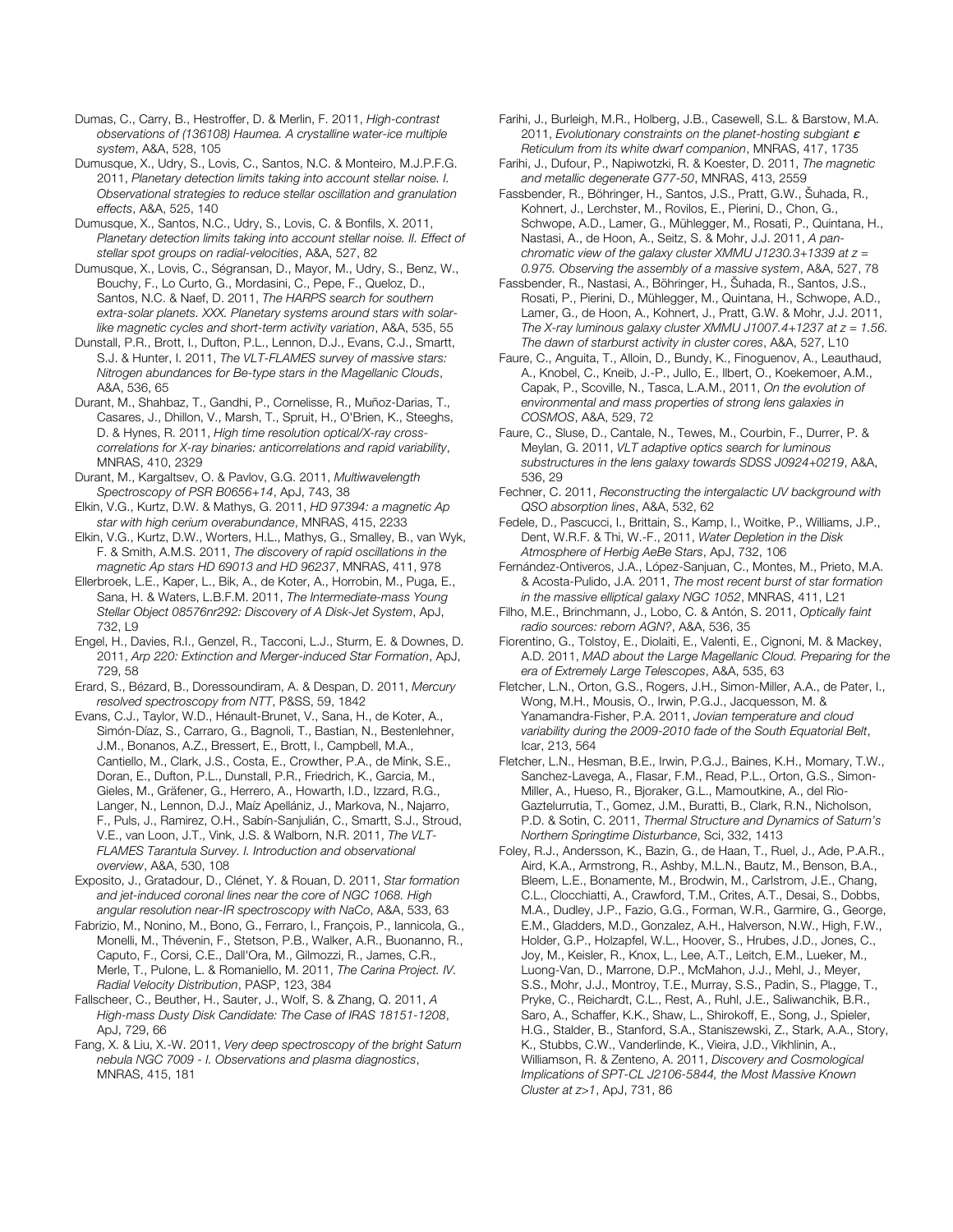Dumas, C., Carry, B., Hestroffer, D. & Merlin, F. 2011, *High-contrast observations of (136108) Haumea. A crystalline water-ice multiple system*, A&A, 528, 105

Dumusque, X., Udry, S., Lovis, C., Santos, N.C. & Monteiro, M.J.P.F.G. 2011, *Planetary detection limits taking into account stellar noise. I. Observational strategies to reduce stellar oscillation and granulation effects*, A&A, 525, 140

Dumusque, X., Santos, N.C., Udry, S., Lovis, C. & Bonfils, X. 2011, *Planetary detection limits taking into account stellar noise. II. Effect of stellar spot groups on radial-velocities*, A&A, 527, 82

Dumusque, X., Lovis, C., Ségransan, D., Mayor, M., Udry, S., Benz, W., Bouchy, F., Lo Curto, G., Mordasini, C., Pepe, F., Queloz, D., Santos, N.C. & Naef, D. 2011, *The HARPS search for southern extra-solar planets. XXX. Planetary systems around stars with solarlike magnetic cycles and short-term activity variation*, A&A, 535, 55

Dunstall, P.R., Brott, I., Dufton, P.L., Lennon, D.J., Evans, C.J., Smartt, S.J. & Hunter, I. 2011, *The VLT-FLAMES survey of massive stars: Nitrogen abundances for Be-type stars in the Magellanic Clouds*, A&A, 536, 65

Durant, M., Shahbaz, T., Gandhi, P., Cornelisse, R., Muñoz-Darias, T., Casares, J., Dhillon, V., Marsh, T., Spruit, H., O'Brien, K., Steeghs, D. & Hynes, R. 2011, *High time resolution optical/X-ray crosscorrelations for X-ray binaries: anticorrelations and rapid variability*, MNRAS, 410, 2329

Durant, M., Kargaltsev, O. & Pavlov, G.G. 2011, *Multiwavelength Spectroscopy of PSR B0656+14*, ApJ, 743, 38

Elkin, V.G., Kurtz, D.W. & Mathys, G. 2011, *HD 97394: a magnetic Ap star with high cerium overabundance*, MNRAS, 415, 2233

Elkin, V.G., Kurtz, D.W., Worters, H.L., Mathys, G., Smalley, B., van Wyk, F. & Smith, A.M.S. 2011, *The discovery of rapid oscillations in the magnetic Ap stars HD 69013 and HD 96237*, MNRAS, 411, 978

Ellerbroek, L.E., Kaper, L., Bik, A., de Koter, A., Horrobin, M., Puga, E., Sana, H. & Waters, L.B.F.M. 2011, *The Intermediate-mass Young Stellar Object 08576nr292: Discovery of A Disk-Jet System*, ApJ, 732, L9

Engel, H., Davies, R.I., Genzel, R., Tacconi, L.J., Sturm, E. & Downes, D. 2011, *Arp 220: Extinction and Merger-induced Star Formation*, ApJ, 729, 58

Erard, S., Bézard, B., Doressoundiram, A. & Despan, D. 2011, *Mercury resolved spectroscopy from NTT*, P&SS, 59, 1842

Evans, C.J., Taylor, W.D., Hénault-Brunet, V., Sana, H., de Koter, A., Simón-Díaz, S., Carraro, G., Bagnoli, T., Bastian, N., Bestenlehner, J.M., Bonanos, A.Z., Bressert, E., Brott, I., Campbell, M.A., Cantiello, M., Clark, J.S., Costa, E., Crowther, P.A., de Mink, S.E., Doran, E., Dufton, P.L., Dunstall, P.R., Friedrich, K., Garcia, M., Gieles, M., Gräfener, G., Herrero, A., Howarth, I.D., Izzard, R.G., Langer, N., Lennon, D.J., Maíz Apellániz, J., Markova, N., Najarro, F., Puls, J., Ramirez, O.H., Sabín-Sanjulián, C., Smartt, S.J., Stroud, V.E., van Loon, J.T., Vink, J.S. & Walborn, N.R. 2011, *The VLT-FLAMES Tarantula Survey. I. Introduction and observational overview*, A&A, 530, 108

Exposito, J., Gratadour, D., Clénet, Y. & Rouan, D. 2011, *Star formation and jet-induced coronal lines near the core of NGC 1068. High angular resolution near-IR spectroscopy with NaCo*, A&A, 533, 63

Fabrizio, M., Nonino, M., Bono, G., Ferraro, I., François, P., Iannicola, G., Monelli, M., Thévenin, F., Stetson, P.B., Walker, A.R., Buonanno, R., Caputo, F., Corsi, C.E., Dall'Ora, M., Gilmozzi, R., James, C.R., Merle, T., Pulone, L. & Romaniello, M. 2011, *The Carina Project. IV. Radial Velocity Distribution*, PASP, 123, 384

Fallscheer, C., Beuther, H., Sauter, J., Wolf, S. & Zhang, Q. 2011, *A High-mass Dusty Disk Candidate: The Case of IRAS 18151-1208*, ApJ, 729, 66

Fang, X. & Liu, X.-W. 2011, *Very deep spectroscopy of the bright Saturn nebula NGC 7009 - I. Observations and plasma diagnostics*, MNRAS, 415, 181

Farihi, J., Burleigh, M.R., Holberg, J.B., Casewell, S.L. & Barstow, M.A. 2011, *Evolutionary constraints on the planet-hosting subgiant*  $\varepsilon$ *Reticulum from its white dwarf companion*, MNRAS, 417, 1735

Farihi, J., Dufour, P., Napiwotzki, R. & Koester, D. 2011, *The magnetic and metallic degenerate G77-50*, MNRAS, 413, 2559

Fassbender, R., Böhringer, H., Santos, J.S., Pratt, G.W., Šuhada, R., Kohnert, J., Lerchster, M., Rovilos, E., Pierini, D., Chon, G., Schwope, A.D., Lamer, G., Mühlegger, M., Rosati, P., Quintana, H., Nastasi, A., de Hoon, A., Seitz, S. & Mohr, J.J. 2011, *A panchromatic view of the galaxy cluster XMMU J1230.3+1339 at z = 0.975. Observing the assembly of a massive system*, A&A, 527, 78

Fassbender, R., Nastasi, A., Böhringer, H., Šuhada, R., Santos, J.S., Rosati, P., Pierini, D., Mühlegger, M., Quintana, H., Schwope, A.D., Lamer, G., de Hoon, A., Kohnert, J., Pratt, G.W. & Mohr, J.J. 2011, *The X-ray luminous galaxy cluster XMMU J1007.4+1237 at z = 1.56. The dawn of starburst activity in cluster cores*, A&A, 527, L10

Faure, C., Anguita, T., Alloin, D., Bundy, K., Finoguenov, A., Leauthaud, A., Knobel, C., Kneib, J.-P., Jullo, E., Ilbert, O., Koekemoer, A.M., Capak, P., Scoville, N., Tasca, L.A.M., 2011, *On the evolution of environmental and mass properties of strong lens galaxies in COSMOS*, A&A, 529, 72

Faure, C., Sluse, D., Cantale, N., Tewes, M., Courbin, F., Durrer, P. & Meylan, G. 2011, *VLT adaptive optics search for luminous substructures in the lens galaxy towards SDSS J0924+0219*, A&A, 536, 29

Fechner, C. 2011, *Reconstructing the intergalactic UV background with QSO absorption lines*, A&A, 532, 62

Fedele, D., Pascucci, I., Brittain, S., Kamp, I., Woitke, P., Williams, J.P., Dent, W.R.F. & Thi, W.-F., 2011, *Water Depletion in the Disk Atmosphere of Herbig AeBe Stars*, ApJ, 732, 106

Fernández-Ontiveros, J.A., López-Sanjuan, C., Montes, M., Prieto, M.A. & Acosta-Pulido, J.A. 2011, *The most recent burst of star formation in the massive elliptical galaxy NGC 1052*, MNRAS, 411, L21

Filho, M.E., Brinchmann, J., Lobo, C. & Antón, S. 2011, *Optically faint radio sources: reborn AGN?*, A&A, 536, 35

Fiorentino, G., Tolstoy, E., Diolaiti, E., Valenti, E., Cignoni, M. & Mackey, A.D. 2011, *MAD about the Large Magellanic Cloud. Preparing for the era of Extremely Large Telescopes*, A&A, 535, 63

Fletcher, L.N., Orton, G.S., Rogers, J.H., Simon-Miller, A.A., de Pater, I., Wong, M.H., Mousis, O., Irwin, P.G.J., Jacquesson, M. & Yanamandra-Fisher, P.A. 2011, *Jovian temperature and cloud variability during the 2009-2010 fade of the South Equatorial Belt*, Icar, 213, 564

Fletcher, L.N., Hesman, B.E., Irwin, P.G.J., Baines, K.H., Momary, T.W., Sanchez-Lavega, A., Flasar, F.M., Read, P.L., Orton, G.S., Simon-Miller, A., Hueso, R., Bjoraker, G.L., Mamoutkine, A., del Rio-Gaztelurrutia, T., Gomez, J.M., Buratti, B., Clark, R.N., Nicholson, P.D. & Sotin, C. 2011, *Thermal Structure and Dynamics of Saturn's Northern Springtime Disturbance*, Sci, 332, 1413

Foley, R.J., Andersson, K., Bazin, G., de Haan, T., Ruel, J., Ade, P.A.R., Aird, K.A., Armstrong, R., Ashby, M.L.N., Bautz, M., Benson, B.A., Bleem, L.E., Bonamente, M., Brodwin, M., Carlstrom, J.E., Chang, C.L., Clocchiatti, A., Crawford, T.M., Crites, A.T., Desai, S., Dobbs, M.A., Dudley, J.P., Fazio, G.G., Forman, W.R., Garmire, G., George, E.M., Gladders, M.D., Gonzalez, A.H., Halverson, N.W., High, F.W., Holder, G.P., Holzapfel, W.L., Hoover, S., Hrubes, J.D., Jones, C., Joy, M., Keisler, R., Knox, L., Lee, A.T., Leitch, E.M., Lueker, M., Luong-Van, D., Marrone, D.P., McMahon, J.J., Mehl, J., Meyer, S.S., Mohr, J.J., Montroy, T.E., Murray, S.S., Padin, S., Plagge, T., Pryke, C., Reichardt, C.L., Rest, A., Ruhl, J.E., Saliwanchik, B.R., Saro, A., Schaffer, K.K., Shaw, L., Shirokoff, E., Song, J., Spieler, H.G., Stalder, B., Stanford, S.A., Staniszewski, Z., Stark, A.A., Story, K., Stubbs, C.W., Vanderlinde, K., Vieira, J.D., Vikhlinin, A., Williamson, R. & Zenteno, A. 2011, *Discovery and Cosmological Implications of SPT-CL J2106-5844, the Most Massive Known Cluster at z>1*, ApJ, 731, 86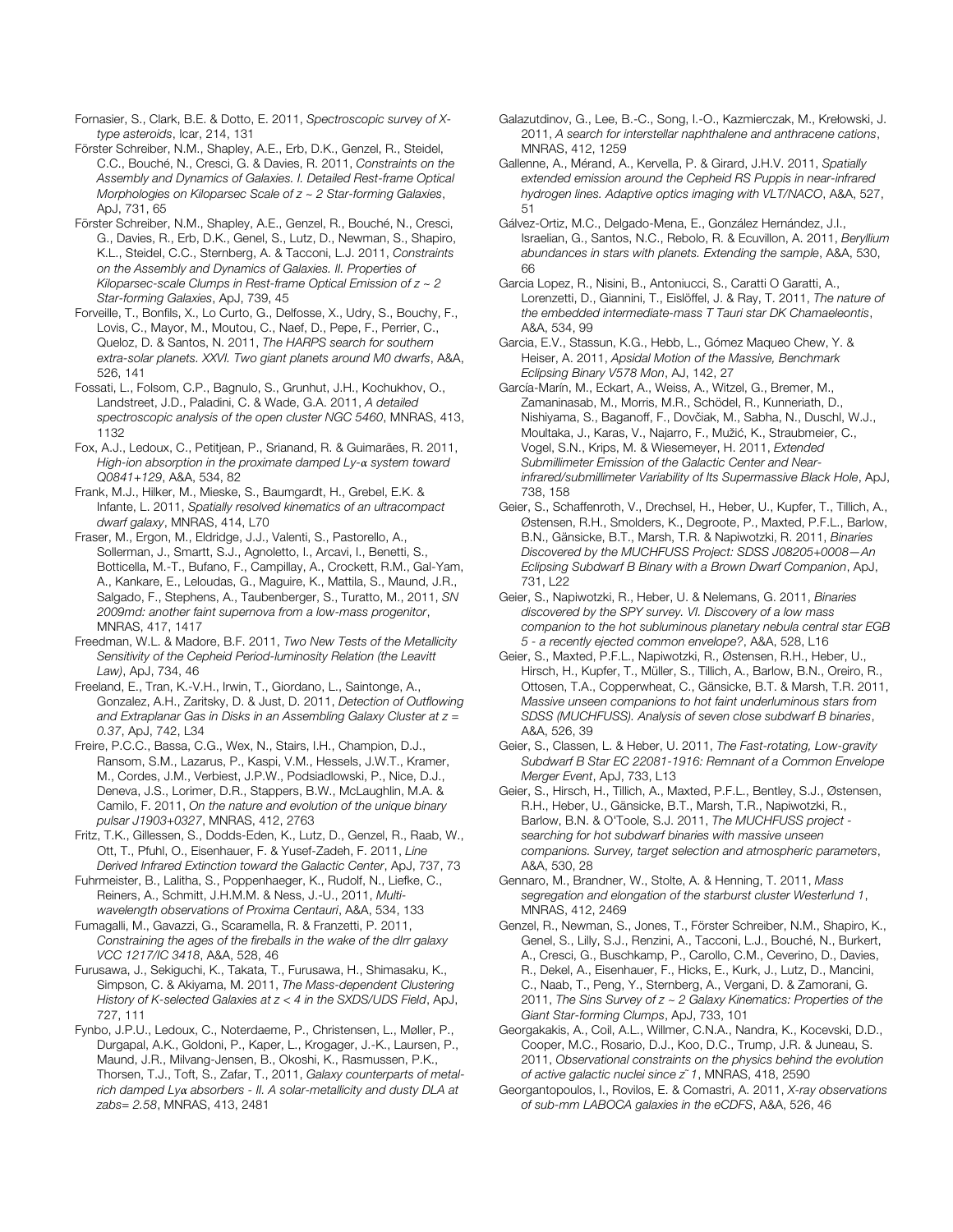Fornasier, S., Clark, B.E. & Dotto, E. 2011, *Spectroscopic survey of Xtype asteroids*, Icar, 214, 131

Förster Schreiber, N.M., Shapley, A.E., Erb, D.K., Genzel, R., Steidel, C.C., Bouché, N., Cresci, G. & Davies, R. 2011, *Constraints on the Assembly and Dynamics of Galaxies. I. Detailed Rest-frame Optical Morphologies on Kiloparsec Scale of z ~ 2 Star-forming Galaxies*, ApJ, 731, 65

Förster Schreiber, N.M., Shapley, A.E., Genzel, R., Bouché, N., Cresci, G., Davies, R., Erb, D.K., Genel, S., Lutz, D., Newman, S., Shapiro, K.L., Steidel, C.C., Sternberg, A. & Tacconi, L.J. 2011, *Constraints on the Assembly and Dynamics of Galaxies. II. Properties of Kiloparsec-scale Clumps in Rest-frame Optical Emission of z ~ 2 Star-forming Galaxies*, ApJ, 739, 45

Forveille, T., Bonfils, X., Lo Curto, G., Delfosse, X., Udry, S., Bouchy, F., Lovis, C., Mayor, M., Moutou, C., Naef, D., Pepe, F., Perrier, C., Queloz, D. & Santos, N. 2011, *The HARPS search for southern extra-solar planets. XXVI. Two giant planets around M0 dwarfs*, A&A, 526, 141

Fossati, L., Folsom, C.P., Bagnulo, S., Grunhut, J.H., Kochukhov, O., Landstreet, J.D., Paladini, C. & Wade, G.A. 2011, *A detailed spectroscopic analysis of the open cluster NGC 5460*, MNRAS, 413, 1132

Fox, A.J., Ledoux, C., Petitjean, P., Srianand, R. & Guimarães, R. 2011, *High-ion absorption in the proximate damped Ly-*α *system toward Q0841+129*, A&A, 534, 82

Frank, M.J., Hilker, M., Mieske, S., Baumgardt, H., Grebel, E.K. & Infante, L. 2011, *Spatially resolved kinematics of an ultracompact dwarf galaxy*, MNRAS, 414, L70

Fraser, M., Ergon, M., Eldridge, J.J., Valenti, S., Pastorello, A., Sollerman, J., Smartt, S.J., Agnoletto, I., Arcavi, I., Benetti, S., Botticella, M.-T., Bufano, F., Campillay, A., Crockett, R.M., Gal-Yam, A., Kankare, E., Leloudas, G., Maguire, K., Mattila, S., Maund, J.R., Salgado, F., Stephens, A., Taubenberger, S., Turatto, M., 2011, *SN 2009md: another faint supernova from a low-mass progenitor*, MNRAS, 417, 1417

Freedman, W.L. & Madore, B.F. 2011, *Two New Tests of the Metallicity Sensitivity of the Cepheid Period-luminosity Relation (the Leavitt Law)*, ApJ, 734, 46

Freeland, E., Tran, K.-V.H., Irwin, T., Giordano, L., Saintonge, A., Gonzalez, A.H., Zaritsky, D. & Just, D. 2011, *Detection of Outflowing and Extraplanar Gas in Disks in an Assembling Galaxy Cluster at z = 0.37*, ApJ, 742, L34

Freire, P.C.C., Bassa, C.G., Wex, N., Stairs, I.H., Champion, D.J., Ransom, S.M., Lazarus, P., Kaspi, V.M., Hessels, J.W.T., Kramer, M., Cordes, J.M., Verbiest, J.P.W., Podsiadlowski, P., Nice, D.J., Deneva, J.S., Lorimer, D.R., Stappers, B.W., McLaughlin, M.A. & Camilo, F. 2011, *On the nature and evolution of the unique binary pulsar J1903+0327*, MNRAS, 412, 2763

Fritz, T.K., Gillessen, S., Dodds-Eden, K., Lutz, D., Genzel, R., Raab, W., Ott, T., Pfuhl, O., Eisenhauer, F. & Yusef-Zadeh, F. 2011, *Line Derived Infrared Extinction toward the Galactic Center*, ApJ, 737, 73

Fuhrmeister, B., Lalitha, S., Poppenhaeger, K., Rudolf, N., Liefke, C., Reiners, A., Schmitt, J.H.M.M. & Ness, J.-U., 2011, *Multiwavelength observations of Proxima Centauri*, A&A, 534, 133

Fumagalli, M., Gavazzi, G., Scaramella, R. & Franzetti, P. 2011, *Constraining the ages of the fireballs in the wake of the dIrr galaxy VCC 1217/IC 3418*, A&A, 528, 46

Furusawa, J., Sekiguchi, K., Takata, T., Furusawa, H., Shimasaku, K., Simpson, C. & Akiyama, M. 2011, *The Mass-dependent Clustering History of K-selected Galaxies at z < 4 in the SXDS/UDS Field*, ApJ, 727, 111

Fynbo, J.P.U., Ledoux, C., Noterdaeme, P., Christensen, L., Møller, P., Durgapal, A.K., Goldoni, P., Kaper, L., Krogager, J.-K., Laursen, P., Maund, J.R., Milvang-Jensen, B., Okoshi, K., Rasmussen, P.K., Thorsen, T.J., Toft, S., Zafar, T., 2011, *Galaxy counterparts of metalrich damped Ly*α *absorbers - II. A solar-metallicity and dusty DLA at zabs= 2.58*, MNRAS, 413, 2481

Galazutdinov, G., Lee, B.-C., Song, I.-O., Kazmierczak, M., Krełowski, J. 2011, *A search for interstellar naphthalene and anthracene cations*, MNRAS, 412, 1259

Gallenne, A., Mérand, A., Kervella, P. & Girard, J.H.V. 2011, *Spatially extended emission around the Cepheid RS Puppis in near-infrared hydrogen lines. Adaptive optics imaging with VLT/NACO*, A&A, 527, 51

Gálvez-Ortiz, M.C., Delgado-Mena, E., González Hernández, J.I., Israelian, G., Santos, N.C., Rebolo, R. & Ecuvillon, A. 2011, *Beryllium abundances in stars with planets. Extending the sample*, A&A, 530, 66

Garcia Lopez, R., Nisini, B., Antoniucci, S., Caratti O Garatti, A., Lorenzetti, D., Giannini, T., Eislöffel, J. & Ray, T. 2011, *The nature of the embedded intermediate-mass T Tauri star DK Chamaeleontis*, A&A, 534, 99

Garcia, E.V., Stassun, K.G., Hebb, L., Gómez Maqueo Chew, Y. & Heiser, A. 2011, *Apsidal Motion of the Massive, Benchmark Eclipsing Binary V578 Mon*, AJ, 142, 27

García-Marín, M., Eckart, A., Weiss, A., Witzel, G., Bremer, M., Zamaninasab, M., Morris, M.R., Schödel, R., Kunneriath, D., Nishiyama, S., Baganoff, F., Dovčiak, M., Sabha, N., Duschl, W.J., Moultaka, J., Karas, V., Najarro, F., Mužić, K., Straubmeier, C., Vogel, S.N., Krips, M. & Wiesemeyer, H. 2011, *Extended Submillimeter Emission of the Galactic Center and Nearinfrared/submillimeter Variability of Its Supermassive Black Hole*, ApJ, 738, 158

Geier, S., Schaffenroth, V., Drechsel, H., Heber, U., Kupfer, T., Tillich, A., Østensen, R.H., Smolders, K., Degroote, P., Maxted, P.F.L., Barlow, B.N., Gänsicke, B.T., Marsh, T.R. & Napiwotzki, R. 2011, *Binaries Discovered by the MUCHFUSS Project: SDSS J08205+0008—An Eclipsing Subdwarf B Binary with a Brown Dwarf Companion*, ApJ, 731, L22

Geier, S., Napiwotzki, R., Heber, U. & Nelemans, G. 2011, *Binaries discovered by the SPY survey. VI. Discovery of a low mass companion to the hot subluminous planetary nebula central star EGB 5 - a recently ejected common envelope?*, A&A, 528, L16

Geier, S., Maxted, P.F.L., Napiwotzki, R., Østensen, R.H., Heber, U., Hirsch, H., Kupfer, T., Müller, S., Tillich, A., Barlow, B.N., Oreiro, R., Ottosen, T.A., Copperwheat, C., Gänsicke, B.T. & Marsh, T.R. 2011, *Massive unseen companions to hot faint underluminous stars from SDSS (MUCHFUSS). Analysis of seven close subdwarf B binaries*, A&A, 526, 39

Geier, S., Classen, L. & Heber, U. 2011, *The Fast-rotating, Low-gravity Subdwarf B Star EC 22081-1916: Remnant of a Common Envelope Merger Event*, ApJ, 733, L13

Geier, S., Hirsch, H., Tillich, A., Maxted, P.F.L., Bentley, S.J., Østensen, R.H., Heber, U., Gänsicke, B.T., Marsh, T.R., Napiwotzki, R., Barlow, B.N. & O'Toole, S.J. 2011, *The MUCHFUSS project searching for hot subdwarf binaries with massive unseen companions. Survey, target selection and atmospheric parameters*, A&A, 530, 28

Gennaro, M., Brandner, W., Stolte, A. & Henning, T. 2011, *Mass segregation and elongation of the starburst cluster Westerlund 1*, MNRAS, 412, 2469

Genzel, R., Newman, S., Jones, T., Förster Schreiber, N.M., Shapiro, K., Genel, S., Lilly, S.J., Renzini, A., Tacconi, L.J., Bouché, N., Burkert, A., Cresci, G., Buschkamp, P., Carollo, C.M., Ceverino, D., Davies, R., Dekel, A., Eisenhauer, F., Hicks, E., Kurk, J., Lutz, D., Mancini, C., Naab, T., Peng, Y., Sternberg, A., Vergani, D. & Zamorani, G. 2011, *The Sins Survey of z ~ 2 Galaxy Kinematics: Properties of the Giant Star-forming Clumps*, ApJ, 733, 101

Georgakakis, A., Coil, A.L., Willmer, C.N.A., Nandra, K., Kocevski, D.D., Cooper, M.C., Rosario, D.J., Koo, D.C., Trump, J.R. & Juneau, S. 2011, *Observational constraints on the physics behind the evolution of active galactic nuclei since z˜ 1*, MNRAS, 418, 2590

Georgantopoulos, I., Rovilos, E. & Comastri, A. 2011, *X-ray observations of sub-mm LABOCA galaxies in the eCDFS*, A&A, 526, 46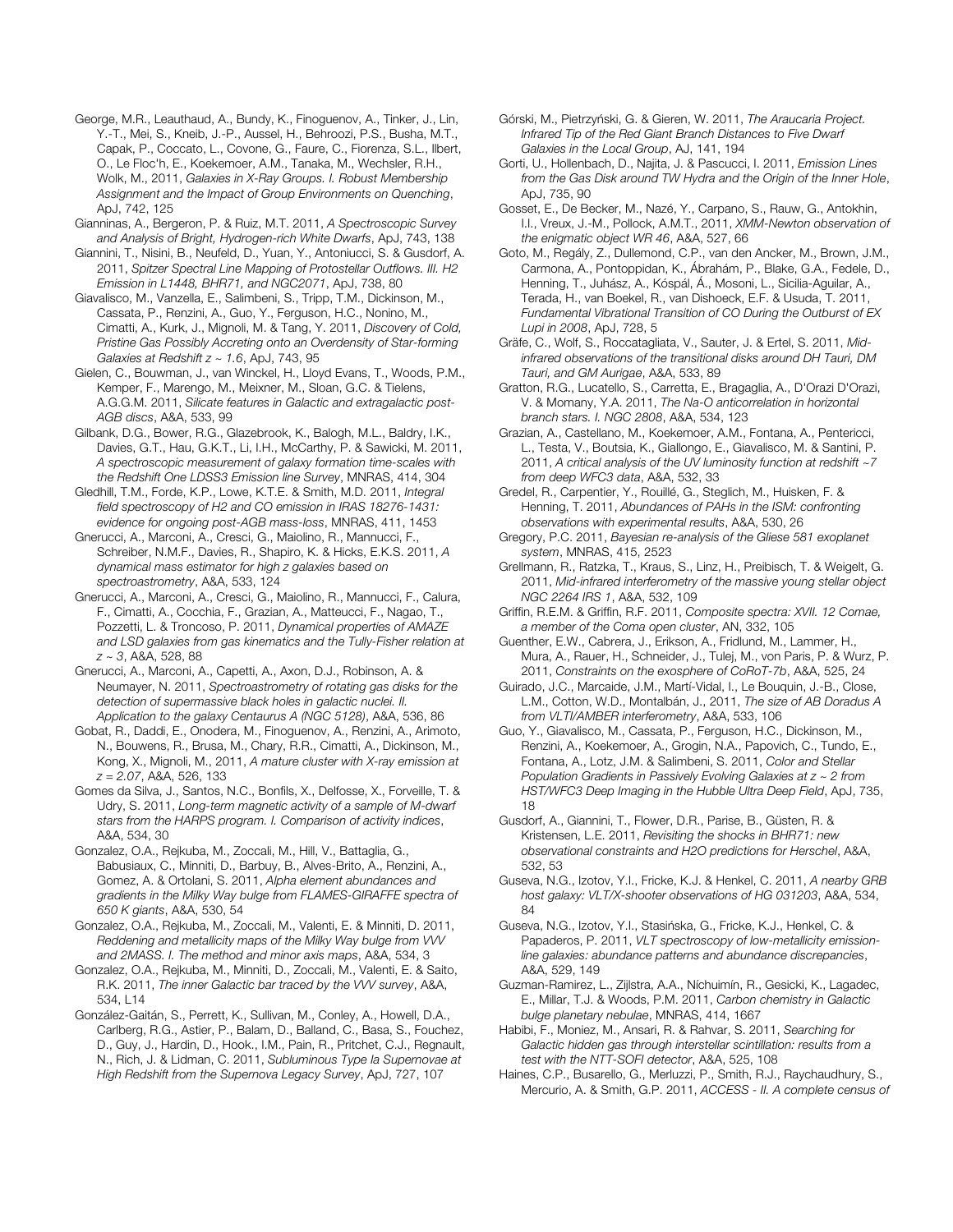George, M.R., Leauthaud, A., Bundy, K., Finoguenov, A., Tinker, J., Lin, Y.-T., Mei, S., Kneib, J.-P., Aussel, H., Behroozi, P.S., Busha, M.T., Capak, P., Coccato, L., Covone, G., Faure, C., Fiorenza, S.L., Ilbert, O., Le Floc'h, E., Koekemoer, A.M., Tanaka, M., Wechsler, R.H., Wolk, M., 2011, *Galaxies in X-Ray Groups. I. Robust Membership Assignment and the Impact of Group Environments on Quenching*, ApJ, 742, 125

Gianninas, A., Bergeron, P. & Ruiz, M.T. 2011, *A Spectroscopic Survey and Analysis of Bright, Hydrogen-rich White Dwarfs*, ApJ, 743, 138

Giannini, T., Nisini, B., Neufeld, D., Yuan, Y., Antoniucci, S. & Gusdorf, A. 2011, *Spitzer Spectral Line Mapping of Protostellar Outflows. III. H2 Emission in L1448, BHR71, and NGC2071*, ApJ, 738, 80

Giavalisco, M., Vanzella, E., Salimbeni, S., Tripp, T.M., Dickinson, M., Cassata, P., Renzini, A., Guo, Y., Ferguson, H.C., Nonino, M., Cimatti, A., Kurk, J., Mignoli, M. & Tang, Y. 2011, *Discovery of Cold, Pristine Gas Possibly Accreting onto an Overdensity of Star-forming Galaxies at Redshift z ~ 1.6*, ApJ, 743, 95

Gielen, C., Bouwman, J., van Winckel, H., Lloyd Evans, T., Woods, P.M., Kemper, F., Marengo, M., Meixner, M., Sloan, G.C. & Tielens, A.G.G.M. 2011, *Silicate features in Galactic and extragalactic post-AGB discs*, A&A, 533, 99

Gilbank, D.G., Bower, R.G., Glazebrook, K., Balogh, M.L., Baldry, I.K., Davies, G.T., Hau, G.K.T., Li, I.H., McCarthy, P. & Sawicki, M. 2011, *A spectroscopic measurement of galaxy formation time-scales with the Redshift One LDSS3 Emission line Survey*, MNRAS, 414, 304

Gledhill, T.M., Forde, K.P., Lowe, K.T.E. & Smith, M.D. 2011, *Integral field spectroscopy of H2 and CO emission in IRAS 18276-1431: evidence for ongoing post-AGB mass-loss*, MNRAS, 411, 1453

Gnerucci, A., Marconi, A., Cresci, G., Maiolino, R., Mannucci, F., Schreiber, N.M.F., Davies, R., Shapiro, K. & Hicks, E.K.S. 2011, *A dynamical mass estimator for high z galaxies based on spectroastrometry*, A&A, 533, 124

Gnerucci, A., Marconi, A., Cresci, G., Maiolino, R., Mannucci, F., Calura, F., Cimatti, A., Cocchia, F., Grazian, A., Matteucci, F., Nagao, T., Pozzetti, L. & Troncoso, P. 2011, *Dynamical properties of AMAZE and LSD galaxies from gas kinematics and the Tully-Fisher relation at z ~ 3*, A&A, 528, 88

Gnerucci, A., Marconi, A., Capetti, A., Axon, D.J., Robinson, A. & Neumayer, N. 2011, *Spectroastrometry of rotating gas disks for the detection of supermassive black holes in galactic nuclei. II. Application to the galaxy Centaurus A (NGC 5128)*, A&A, 536, 86

Gobat, R., Daddi, E., Onodera, M., Finoguenov, A., Renzini, A., Arimoto, N., Bouwens, R., Brusa, M., Chary, R.R., Cimatti, A., Dickinson, M., Kong, X., Mignoli, M., 2011, *A mature cluster with X-ray emission at z = 2.07*, A&A, 526, 133

Gomes da Silva, J., Santos, N.C., Bonfils, X., Delfosse, X., Forveille, T. & Udry, S. 2011, *Long-term magnetic activity of a sample of M-dwarf stars from the HARPS program. I. Comparison of activity indices*, A&A, 534, 30

Gonzalez, O.A., Rejkuba, M., Zoccali, M., Hill, V., Battaglia, G., Babusiaux, C., Minniti, D., Barbuy, B., Alves-Brito, A., Renzini, A., Gomez, A. & Ortolani, S. 2011, *Alpha element abundances and gradients in the Milky Way bulge from FLAMES-GIRAFFE spectra of 650 K giants*, A&A, 530, 54

Gonzalez, O.A., Rejkuba, M., Zoccali, M., Valenti, E. & Minniti, D. 2011, *Reddening and metallicity maps of the Milky Way bulge from VVV and 2MASS. I. The method and minor axis maps*, A&A, 534, 3

Gonzalez, O.A., Rejkuba, M., Minniti, D., Zoccali, M., Valenti, E. & Saito, R.K. 2011, *The inner Galactic bar traced by the VVV survey*, A&A, 534, L14

González-Gaitán, S., Perrett, K., Sullivan, M., Conley, A., Howell, D.A., Carlberg, R.G., Astier, P., Balam, D., Balland, C., Basa, S., Fouchez, D., Guy, J., Hardin, D., Hook., I.M., Pain, R., Pritchet, C.J., Regnault, N., Rich, J. & Lidman, C. 2011, *Subluminous Type Ia Supernovae at High Redshift from the Supernova Legacy Survey*, ApJ, 727, 107

Górski, M., Pietrzyński, G. & Gieren, W. 2011, *The Araucaria Project. Infrared Tip of the Red Giant Branch Distances to Five Dwarf Galaxies in the Local Group*, AJ, 141, 194

Gorti, U., Hollenbach, D., Najita, J. & Pascucci, I. 2011, *Emission Lines from the Gas Disk around TW Hydra and the Origin of the Inner Hole*, ApJ, 735, 90

Gosset, E., De Becker, M., Nazé, Y., Carpano, S., Rauw, G., Antokhin, I.I., Vreux, J.-M., Pollock, A.M.T., 2011, *XMM-Newton observation of the enigmatic object WR 46*, A&A, 527, 66

Goto, M., Regály, Z., Dullemond, C.P., van den Ancker, M., Brown, J.M., Carmona, A., Pontoppidan, K., Ábrahám, P., Blake, G.A., Fedele, D., Henning, T., Juhász, A., Kóspál, Á., Mosoni, L., Sicilia-Aguilar, A., Terada, H., van Boekel, R., van Dishoeck, E.F. & Usuda, T. 2011, *Fundamental Vibrational Transition of CO During the Outburst of EX Lupi in 2008*, ApJ, 728, 5

Gräfe, C., Wolf, S., Roccatagliata, V., Sauter, J. & Ertel, S. 2011, *Midinfrared observations of the transitional disks around DH Tauri, DM Tauri, and GM Aurigae*, A&A, 533, 89

Gratton, R.G., Lucatello, S., Carretta, E., Bragaglia, A., D'Orazi D'Orazi, V. & Momany, Y.A. 2011, *The Na-O anticorrelation in horizontal branch stars. I. NGC 2808*, A&A, 534, 123

Grazian, A., Castellano, M., Koekemoer, A.M., Fontana, A., Pentericci, L., Testa, V., Boutsia, K., Giallongo, E., Giavalisco, M. & Santini, P. 2011, *A critical analysis of the UV luminosity function at redshift ~7 from deep WFC3 data*, A&A, 532, 33

Gredel, R., Carpentier, Y., Rouillé, G., Steglich, M., Huisken, F. & Henning, T. 2011, *Abundances of PAHs in the ISM: confronting observations with experimental results*, A&A, 530, 26

Gregory, P.C. 2011, *Bayesian re-analysis of the Gliese 581 exoplanet system*, MNRAS, 415, 2523

Grellmann, R., Ratzka, T., Kraus, S., Linz, H., Preibisch, T. & Weigelt, G. 2011, *Mid-infrared interferometry of the massive young stellar object NGC 2264 IRS 1*, A&A, 532, 109

Griffin, R.E.M. & Griffin, R.F. 2011, *Composite spectra: XVII. 12 Comae, a member of the Coma open cluster*, AN, 332, 105

Guenther, E.W., Cabrera, J., Erikson, A., Fridlund, M., Lammer, H., Mura, A., Rauer, H., Schneider, J., Tulej, M., von Paris, P. & Wurz, P. 2011, *Constraints on the exosphere of CoRoT-7b*, A&A, 525, 24

Guirado, J.C., Marcaide, J.M., Martí-Vidal, I., Le Bouquin, J.-B., Close, L.M., Cotton, W.D., Montalbán, J., 2011, *The size of AB Doradus A from VLTI/AMBER interferometry*, A&A, 533, 106

Guo, Y., Giavalisco, M., Cassata, P., Ferguson, H.C., Dickinson, M., Renzini, A., Koekemoer, A., Grogin, N.A., Papovich, C., Tundo, E., Fontana, A., Lotz, J.M. & Salimbeni, S. 2011, *Color and Stellar Population Gradients in Passively Evolving Galaxies at z ~ 2 from HST/WFC3 Deep Imaging in the Hubble Ultra Deep Field*, ApJ, 735, 18

Gusdorf, A., Giannini, T., Flower, D.R., Parise, B., Güsten, R. & Kristensen, L.E. 2011, *Revisiting the shocks in BHR71: new observational constraints and H2O predictions for Herschel*, A&A, 532, 53

Guseva, N.G., Izotov, Y.I., Fricke, K.J. & Henkel, C. 2011, *A nearby GRB host galaxy: VLT/X-shooter observations of HG 031203*, A&A, 534, 84

Guseva, N.G., Izotov, Y.I., Stasińska, G., Fricke, K.J., Henkel, C. & Papaderos, P. 2011, *VLT spectroscopy of low-metallicity emissionline galaxies: abundance patterns and abundance discrepancies*, A&A, 529, 149

Guzman-Ramirez, L., Zijlstra, A.A., Níchuimín, R., Gesicki, K., Lagadec, E., Millar, T.J. & Woods, P.M. 2011, *Carbon chemistry in Galactic bulge planetary nebulae*, MNRAS, 414, 1667

Habibi, F., Moniez, M., Ansari, R. & Rahvar, S. 2011, *Searching for Galactic hidden gas through interstellar scintillation: results from a test with the NTT-SOFI detector*, A&A, 525, 108

Haines, C.P., Busarello, G., Merluzzi, P., Smith, R.J., Raychaudhury, S., Mercurio, A. & Smith, G.P. 2011, *ACCESS - II. A complete census of*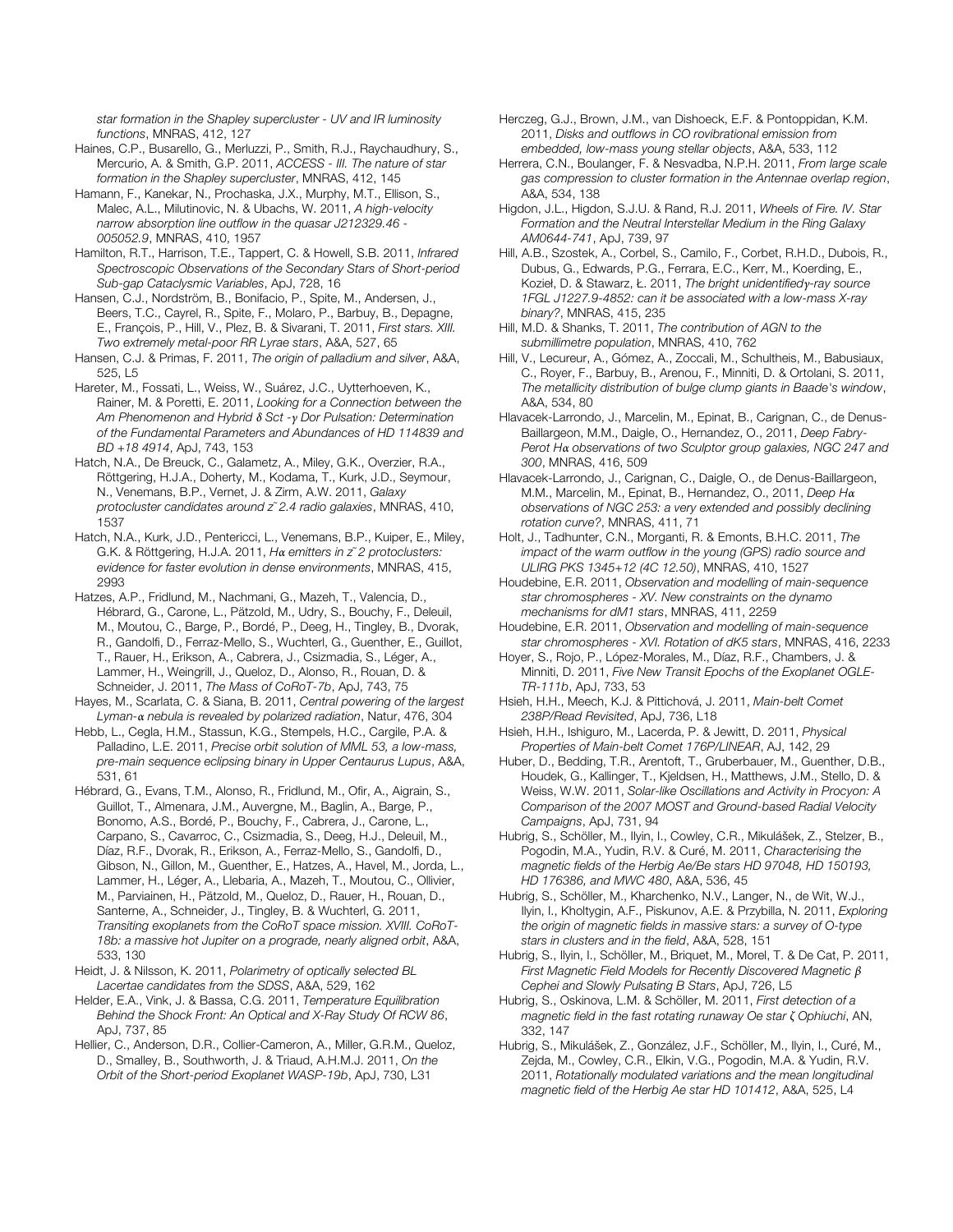*star formation in the Shapley supercluster - UV and IR luminosity functions*, MNRAS, 412, 127

Haines, C.P., Busarello, G., Merluzzi, P., Smith, R.J., Raychaudhury, S., Mercurio, A. & Smith, G.P. 2011, *ACCESS - III. The nature of star formation in the Shapley supercluster*, MNRAS, 412, 145

Hamann, F., Kanekar, N., Prochaska, J.X., Murphy, M.T., Ellison, S., Malec, A.L., Milutinovic, N. & Ubachs, W. 2011, *A high-velocity narrow absorption line outflow in the quasar J212329.46 - 005052.9*, MNRAS, 410, 1957

Hamilton, R.T., Harrison, T.E., Tappert, C. & Howell, S.B. 2011, *Infrared Spectroscopic Observations of the Secondary Stars of Short-period Sub-gap Cataclysmic Variables*, ApJ, 728, 16

Hansen, C.J., Nordström, B., Bonifacio, P., Spite, M., Andersen, J., Beers, T.C., Cayrel, R., Spite, F., Molaro, P., Barbuy, B., Depagne, E., François, P., Hill, V., Plez, B. & Sivarani, T. 2011, *First stars. XIII. Two extremely metal-poor RR Lyrae stars*, A&A, 527, 65

Hansen, C.J. & Primas, F. 2011, *The origin of palladium and silver*, A&A, 525, L5

Hareter, M., Fossati, L., Weiss, W., Suárez, J.C., Uytterhoeven, K., Rainer, M. & Poretti, E. 2011, *Looking for a Connection between the Am Phenomenon and Hybrid* δ *Sct -*γ *Dor Pulsation: Determination of the Fundamental Parameters and Abundances of HD 114839 and BD +18 4914*, ApJ, 743, 153

Hatch, N.A., De Breuck, C., Galametz, A., Miley, G.K., Overzier, R.A., Röttgering, H.J.A., Doherty, M., Kodama, T., Kurk, J.D., Seymour, N., Venemans, B.P., Vernet, J. & Zirm, A.W. 2011, *Galaxy protocluster candidates around z˜ 2.4 radio galaxies*, MNRAS, 410, 1537

Hatch, N.A., Kurk, J.D., Pentericci, L., Venemans, B.P., Kuiper, E., Miley, G.K. & Röttgering, H.J.A. 2011, *H*α *emitters in z˜ 2 protoclusters: evidence for faster evolution in dense environments*, MNRAS, 415, 2993

Hatzes, A.P., Fridlund, M., Nachmani, G., Mazeh, T., Valencia, D., Hébrard, G., Carone, L., Pätzold, M., Udry, S., Bouchy, F., Deleuil, M., Moutou, C., Barge, P., Bordé, P., Deeg, H., Tingley, B., Dvorak, R., Gandolfi, D., Ferraz-Mello, S., Wuchterl, G., Guenther, E., Guillot, T., Rauer, H., Erikson, A., Cabrera, J., Csizmadia, S., Léger, A., Lammer, H., Weingrill, J., Queloz, D., Alonso, R., Rouan, D. & Schneider, J. 2011, *The Mass of CoRoT-7b*, ApJ, 743, 75

Hayes, M., Scarlata, C. & Siana, B. 2011, *Central powering of the largest Lyman-*α *nebula is revealed by polarized radiation*, Natur, 476, 304

Hebb, L., Cegla, H.M., Stassun, K.G., Stempels, H.C., Cargile, P.A. & Palladino, L.E. 2011, *Precise orbit solution of MML 53, a low-mass, pre-main sequence eclipsing binary in Upper Centaurus Lupus*, A&A, 531, 61

Hébrard, G., Evans, T.M., Alonso, R., Fridlund, M., Ofir, A., Aigrain, S., Guillot, T., Almenara, J.M., Auvergne, M., Baglin, A., Barge, P., Bonomo, A.S., Bordé, P., Bouchy, F., Cabrera, J., Carone, L., Carpano, S., Cavarroc, C., Csizmadia, S., Deeg, H.J., Deleuil, M., Díaz, R.F., Dvorak, R., Erikson, A., Ferraz-Mello, S., Gandolfi, D., Gibson, N., Gillon, M., Guenther, E., Hatzes, A., Havel, M., Jorda, L., Lammer, H., Léger, A., Llebaria, A., Mazeh, T., Moutou, C., Ollivier, M., Parviainen, H., Pätzold, M., Queloz, D., Rauer, H., Rouan, D., Santerne, A., Schneider, J., Tingley, B. & Wuchterl, G. 2011, *Transiting exoplanets from the CoRoT space mission. XVIII. CoRoT-18b: a massive hot Jupiter on a prograde, nearly aligned orbit*, A&A, 533, 130

Heidt, J. & Nilsson, K. 2011, *Polarimetry of optically selected BL Lacertae candidates from the SDSS*, A&A, 529, 162

Helder, E.A., Vink, J. & Bassa, C.G. 2011, *Temperature Equilibration Behind the Shock Front: An Optical and X-Ray Study Of RCW 86*, ApJ, 737, 85

Hellier, C., Anderson, D.R., Collier-Cameron, A., Miller, G.R.M., Queloz, D., Smalley, B., Southworth, J. & Triaud, A.H.M.J. 2011, *On the Orbit of the Short-period Exoplanet WASP-19b*, ApJ, 730, L31

- Herczeg, G.J., Brown, J.M., van Dishoeck, E.F. & Pontoppidan, K.M. 2011, *Disks and outflows in CO rovibrational emission from embedded, low-mass young stellar objects*, A&A, 533, 112
- Herrera, C.N., Boulanger, F. & Nesvadba, N.P.H. 2011, *From large scale gas compression to cluster formation in the Antennae overlap region*, A&A, 534, 138
- Higdon, J.L., Higdon, S.J.U. & Rand, R.J. 2011, *Wheels of Fire. IV. Star Formation and the Neutral Interstellar Medium in the Ring Galaxy AM0644-741*, ApJ, 739, 97

Hill, A.B., Szostek, A., Corbel, S., Camilo, F., Corbet, R.H.D., Dubois, R., Dubus, G., Edwards, P.G., Ferrara, E.C., Kerr, M., Koerding, E., Kozieł, D. & Stawarz, Ł. 2011, *The bright unidentified*γ*-ray source 1FGL J1227.9-4852: can it be associated with a low-mass X-ray binary?*, MNRAS, 415, 235

Hill, M.D. & Shanks, T. 2011, *The contribution of AGN to the submillimetre population*, MNRAS, 410, 762

Hill, V., Lecureur, A., Gómez, A., Zoccali, M., Schultheis, M., Babusiaux, C., Royer, F., Barbuy, B., Arenou, F., Minniti, D. & Ortolani, S. 2011, *The metallicity distribution of bulge clump giants in Baade's window*, A&A, 534, 80

Hlavacek-Larrondo, J., Marcelin, M., Epinat, B., Carignan, C., de Denus-Baillargeon, M.M., Daigle, O., Hernandez, O., 2011, *Deep Fabry-Perot H*α *observations of two Sculptor group galaxies, NGC 247 and 300*, MNRAS, 416, 509

Hlavacek-Larrondo, J., Carignan, C., Daigle, O., de Denus-Baillargeon, M.M., Marcelin, M., Epinat, B., Hernandez, O., 2011, *Deep H*α *observations of NGC 253: a very extended and possibly declining rotation curve?*, MNRAS, 411, 71

Holt, J., Tadhunter, C.N., Morganti, R. & Emonts, B.H.C. 2011, *The impact of the warm outflow in the young (GPS) radio source and ULIRG PKS 1345+12 (4C 12.50)*, MNRAS, 410, 1527

- Houdebine, E.R. 2011, *Observation and modelling of main-sequence star chromospheres - XV. New constraints on the dynamo mechanisms for dM1 stars*, MNRAS, 411, 2259
- Houdebine, E.R. 2011, *Observation and modelling of main-sequence star chromospheres - XVI. Rotation of dK5 stars*, MNRAS, 416, 2233

Hoyer, S., Rojo, P., López-Morales, M., Díaz, R.F., Chambers, J. & Minniti, D. 2011, *Five New Transit Epochs of the Exoplanet OGLE-TR-111b*, ApJ, 733, 53

Hsieh, H.H., Meech, K.J. & Pittichová, J. 2011, *Main-belt Comet 238P/Read Revisited*, ApJ, 736, L18

Hsieh, H.H., Ishiguro, M., Lacerda, P. & Jewitt, D. 2011, *Physical Properties of Main-belt Comet 176P/LINEAR*, AJ, 142, 29

Huber, D., Bedding, T.R., Arentoft, T., Gruberbauer, M., Guenther, D.B., Houdek, G., Kallinger, T., Kjeldsen, H., Matthews, J.M., Stello, D. & Weiss, W.W. 2011, *Solar-like Oscillations and Activity in Procyon: A Comparison of the 2007 MOST and Ground-based Radial Velocity Campaigns*, ApJ, 731, 94

Hubrig, S., Schöller, M., Ilyin, I., Cowley, C.R., Mikulášek, Z., Stelzer, B., Pogodin, M.A., Yudin, R.V. & Curé, M. 2011, *Characterising the magnetic fields of the Herbig Ae/Be stars HD 97048, HD 150193, HD 176386, and MWC 480*, A&A, 536, 45

Hubrig, S., Schöller, M., Kharchenko, N.V., Langer, N., de Wit, W.J., Ilyin, I., Kholtygin, A.F., Piskunov, A.E. & Przybilla, N. 2011, *Exploring the origin of magnetic fields in massive stars: a survey of O-type stars in clusters and in the field*, A&A, 528, 151

Hubrig, S., Ilyin, I., Schöller, M., Briquet, M., Morel, T. & De Cat, P. 2011, *First Magnetic Field Models for Recently Discovered Magnetic* β *Cephei and Slowly Pulsating B Stars*, ApJ, 726, L5

Hubrig, S., Oskinova, L.M. & Schöller, M. 2011, *First detection of a magnetic field in the fast rotating runaway Oe star* ζ *Ophiuchi*, AN, 332, 147

Hubrig, S., Mikulášek, Z., González, J.F., Schöller, M., Ilyin, I., Curé, M., Zejda, M., Cowley, C.R., Elkin, V.G., Pogodin, M.A. & Yudin, R.V. 2011, *Rotationally modulated variations and the mean longitudinal magnetic field of the Herbig Ae star HD 101412*, A&A, 525, L4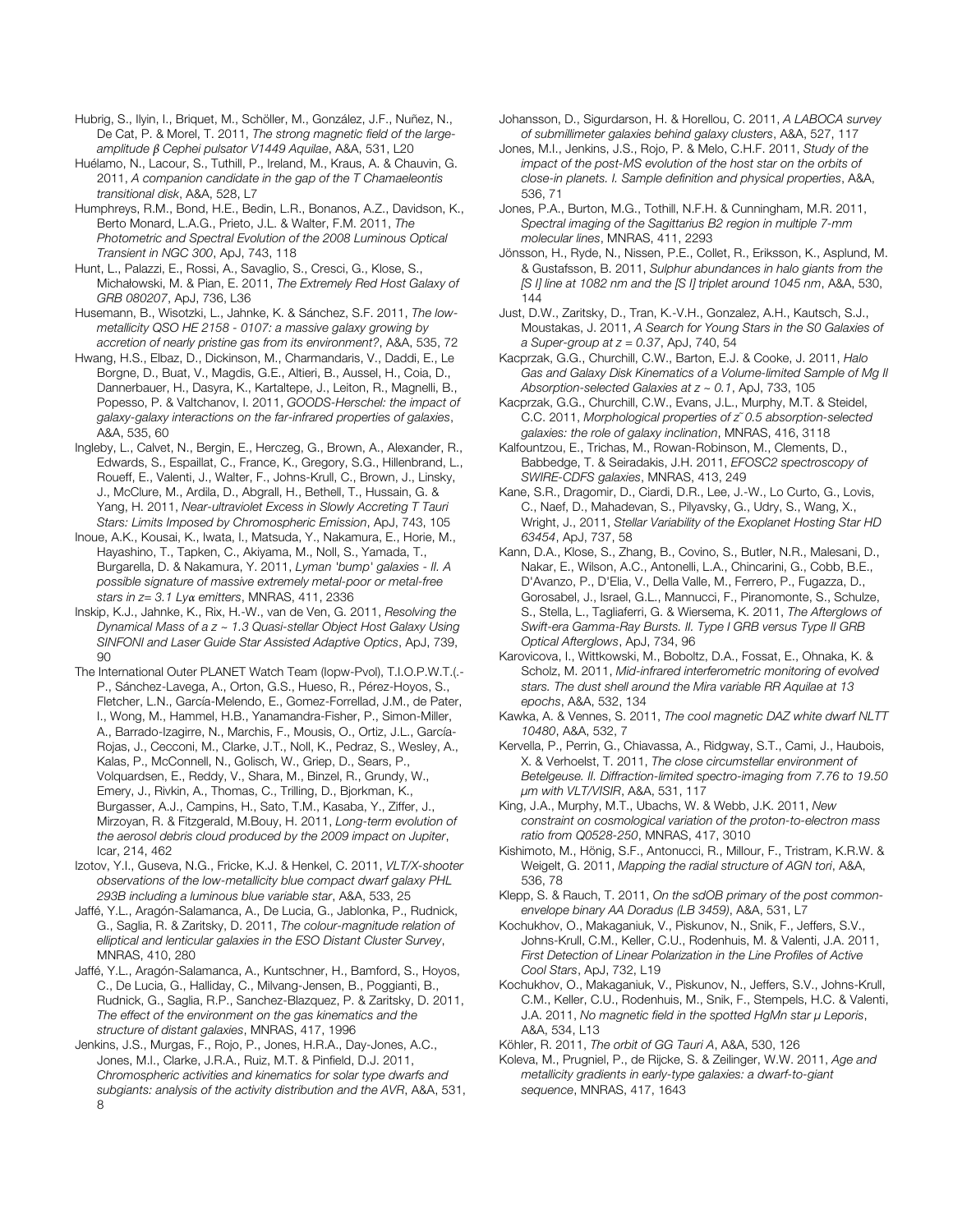Hubrig, S., Ilyin, I., Briquet, M., Schöller, M., González, J.F., Nuñez, N., De Cat, P. & Morel, T. 2011, *The strong magnetic field of the largeamplitude* β *Cephei pulsator V1449 Aquilae*, A&A, 531, L20

Huélamo, N., Lacour, S., Tuthill, P., Ireland, M., Kraus, A. & Chauvin, G. 2011, *A companion candidate in the gap of the T Chamaeleontis transitional disk*, A&A, 528, L7

Humphreys, R.M., Bond, H.E., Bedin, L.R., Bonanos, A.Z., Davidson, K., Berto Monard, L.A.G., Prieto, J.L. & Walter, F.M. 2011, *The Photometric and Spectral Evolution of the 2008 Luminous Optical Transient in NGC 300*, ApJ, 743, 118

Hunt, L., Palazzi, E., Rossi, A., Savaglio, S., Cresci, G., Klose, S., Michałowski, M. & Pian, E. 2011, *The Extremely Red Host Galaxy of GRB 080207*, ApJ, 736, L36

Husemann, B., Wisotzki, L., Jahnke, K. & Sánchez, S.F. 2011, *The lowmetallicity QSO HE 2158 - 0107: a massive galaxy growing by accretion of nearly pristine gas from its environment?*, A&A, 535, 72

Hwang, H.S., Elbaz, D., Dickinson, M., Charmandaris, V., Daddi, E., Le Borgne, D., Buat, V., Magdis, G.E., Altieri, B., Aussel, H., Coia, D., Dannerbauer, H., Dasyra, K., Kartaltepe, J., Leiton, R., Magnelli, B., Popesso, P. & Valtchanov, I. 2011, *GOODS-Herschel: the impact of galaxy-galaxy interactions on the far-infrared properties of galaxies*, A&A, 535, 60

Ingleby, L., Calvet, N., Bergin, E., Herczeg, G., Brown, A., Alexander, R., Edwards, S., Espaillat, C., France, K., Gregory, S.G., Hillenbrand, L., Roueff, E., Valenti, J., Walter, F., Johns-Krull, C., Brown, J., Linsky, J., McClure, M., Ardila, D., Abgrall, H., Bethell, T., Hussain, G. & Yang, H. 2011, *Near-ultraviolet Excess in Slowly Accreting T Tauri Stars: Limits Imposed by Chromospheric Emission*, ApJ, 743, 105

Inoue, A.K., Kousai, K., Iwata, I., Matsuda, Y., Nakamura, E., Horie, M., Hayashino, T., Tapken, C., Akiyama, M., Noll, S., Yamada, T., Burgarella, D. & Nakamura, Y. 2011, *Lyman 'bump' galaxies - II. A possible signature of massive extremely metal-poor or metal-free stars in z= 3.1 Ly*α *emitters*, MNRAS, 411, 2336

Inskip, K.J., Jahnke, K., Rix, H.-W., van de Ven, G. 2011, *Resolving the Dynamical Mass of a z ~ 1.3 Quasi-stellar Object Host Galaxy Using SINFONI and Laser Guide Star Assisted Adaptive Optics*, ApJ, 739, 90

The International Outer PLANET Watch Team (Iopw-Pvol), T.I.O.P.W.T.(.- P., Sánchez-Lavega, A., Orton, G.S., Hueso, R., Pérez-Hoyos, S., Fletcher, L.N., García-Melendo, E., Gomez-Forrellad, J.M., de Pater, I., Wong, M., Hammel, H.B., Yanamandra-Fisher, P., Simon-Miller, A., Barrado-Izagirre, N., Marchis, F., Mousis, O., Ortiz, J.L., García-Rojas, J., Cecconi, M., Clarke, J.T., Noll, K., Pedraz, S., Wesley, A., Kalas, P., McConnell, N., Golisch, W., Griep, D., Sears, P., Volquardsen, E., Reddy, V., Shara, M., Binzel, R., Grundy, W., Emery, J., Rivkin, A., Thomas, C., Trilling, D., Bjorkman, K., Burgasser, A.J., Campins, H., Sato, T.M., Kasaba, Y., Ziffer, J., Mirzoyan, R. & Fitzgerald, M.Bouy, H. 2011, *Long-term evolution of the aerosol debris cloud produced by the 2009 impact on Jupiter*, Icar, 214, 462

Izotov, Y.I., Guseva, N.G., Fricke, K.J. & Henkel, C. 2011, *VLT/X-shooter observations of the low-metallicity blue compact dwarf galaxy PHL 293B including a luminous blue variable star*, A&A, 533, 25

Jaffé, Y.L., Aragón-Salamanca, A., De Lucia, G., Jablonka, P., Rudnick, G., Saglia, R. & Zaritsky, D. 2011, *The colour-magnitude relation of elliptical and lenticular galaxies in the ESO Distant Cluster Survey*, MNRAS, 410, 280

Jaffé, Y.L., Aragón-Salamanca, A., Kuntschner, H., Bamford, S., Hoyos, C., De Lucia, G., Halliday, C., Milvang-Jensen, B., Poggianti, B., Rudnick, G., Saglia, R.P., Sanchez-Blazquez, P. & Zaritsky, D. 2011, *The effect of the environment on the gas kinematics and the structure of distant galaxies*, MNRAS, 417, 1996

Jenkins, J.S., Murgas, F., Rojo, P., Jones, H.R.A., Day-Jones, A.C., Jones, M.I., Clarke, J.R.A., Ruiz, M.T. & Pinfield, D.J. 2011, *Chromospheric activities and kinematics for solar type dwarfs and subgiants: analysis of the activity distribution and the AVR*, A&A, 531, 8

Johansson, D., Sigurdarson, H. & Horellou, C. 2011, *A LABOCA survey of submillimeter galaxies behind galaxy clusters*, A&A, 527, 117

Jones, M.I., Jenkins, J.S., Rojo, P. & Melo, C.H.F. 2011, *Study of the impact of the post-MS evolution of the host star on the orbits of close-in planets. I. Sample definition and physical properties*, A&A, 536, 71

Jones, P.A., Burton, M.G., Tothill, N.F.H. & Cunningham, M.R. 2011, *Spectral imaging of the Sagittarius B2 region in multiple 7-mm molecular lines*, MNRAS, 411, 2293

Jönsson, H., Ryde, N., Nissen, P.E., Collet, R., Eriksson, K., Asplund, M. & Gustafsson, B. 2011, *Sulphur abundances in halo giants from the [S I] line at 1082 nm and the [S I] triplet around 1045 nm*, A&A, 530, 144

Just, D.W., Zaritsky, D., Tran, K.-V.H., Gonzalez, A.H., Kautsch, S.J., Moustakas, J. 2011, *A Search for Young Stars in the S0 Galaxies of a Super-group at z = 0.37*, ApJ, 740, 54

Kacprzak, G.G., Churchill, C.W., Barton, E.J. & Cooke, J. 2011, *Halo Gas and Galaxy Disk Kinematics of a Volume-limited Sample of Mg II Absorption-selected Galaxies at z ~ 0.1*, ApJ, 733, 105

Kacprzak, G.G., Churchill, C.W., Evans, J.L., Murphy, M.T. & Steidel, C.C. 2011, *Morphological properties of z˜ 0.5 absorption-selected galaxies: the role of galaxy inclination*, MNRAS, 416, 3118

Kalfountzou, E., Trichas, M., Rowan-Robinson, M., Clements, D., Babbedge, T. & Seiradakis, J.H. 2011, *EFOSC2 spectroscopy of SWIRE-CDFS galaxies*, MNRAS, 413, 249

Kane, S.R., Dragomir, D., Ciardi, D.R., Lee, J.-W., Lo Curto, G., Lovis, C., Naef, D., Mahadevan, S., Pilyavsky, G., Udry, S., Wang, X., Wright, J., 2011, *Stellar Variability of the Exoplanet Hosting Star HD 63454*, ApJ, 737, 58

Kann, D.A., Klose, S., Zhang, B., Covino, S., Butler, N.R., Malesani, D., Nakar, E., Wilson, A.C., Antonelli, L.A., Chincarini, G., Cobb, B.E., D'Avanzo, P., D'Elia, V., Della Valle, M., Ferrero, P., Fugazza, D., Gorosabel, J., Israel, G.L., Mannucci, F., Piranomonte, S., Schulze, S., Stella, L., Tagliaferri, G. & Wiersema, K. 2011, *The Afterglows of Swift-era Gamma-Ray Bursts. II. Type I GRB versus Type II GRB Optical Afterglows*, ApJ, 734, 96

Karovicova, I., Wittkowski, M., Boboltz, D.A., Fossat, E., Ohnaka, K. & Scholz, M. 2011, *Mid-infrared interferometric monitoring of evolved stars. The dust shell around the Mira variable RR Aquilae at 13 epochs*, A&A, 532, 134

Kawka, A. & Vennes, S. 2011, *The cool magnetic DAZ white dwarf NLTT 10480*, A&A, 532, 7

Kervella, P., Perrin, G., Chiavassa, A., Ridgway, S.T., Cami, J., Haubois, X. & Verhoelst, T. 2011, *The close circumstellar environment of Betelgeuse. II. Diffraction-limited spectro-imaging from 7.76 to 19.50*  μ*m with VLT/VISIR*, A&A, 531, 117

King, J.A., Murphy, M.T., Ubachs, W. & Webb, J.K. 2011, *New constraint on cosmological variation of the proton-to-electron mass ratio from Q0528-250*, MNRAS, 417, 3010

Kishimoto, M., Hönig, S.F., Antonucci, R., Millour, F., Tristram, K.R.W. & Weigelt, G. 2011, *Mapping the radial structure of AGN tori*, A&A, 536, 78

Klepp, S. & Rauch, T. 2011, *On the sdOB primary of the post commonenvelope binary AA Doradus (LB 3459)*, A&A, 531, L7

Kochukhov, O., Makaganiuk, V., Piskunov, N., Snik, F., Jeffers, S.V., Johns-Krull, C.M., Keller, C.U., Rodenhuis, M. & Valenti, J.A. 2011, *First Detection of Linear Polarization in the Line Profiles of Active Cool Stars*, ApJ, 732, L19

Kochukhov, O., Makaganiuk, V., Piskunov, N., Jeffers, S.V., Johns-Krull, C.M., Keller, C.U., Rodenhuis, M., Snik, F., Stempels, H.C. & Valenti, J.A. 2011, *No magnetic field in the spotted HgMn star* μ *Leporis*, A&A, 534, L13

Köhler, R. 2011, *The orbit of GG Tauri A*, A&A, 530, 126

Koleva, M., Prugniel, P., de Rijcke, S. & Zeilinger, W.W. 2011, *Age and metallicity gradients in early-type galaxies: a dwarf-to-giant sequence*, MNRAS, 417, 1643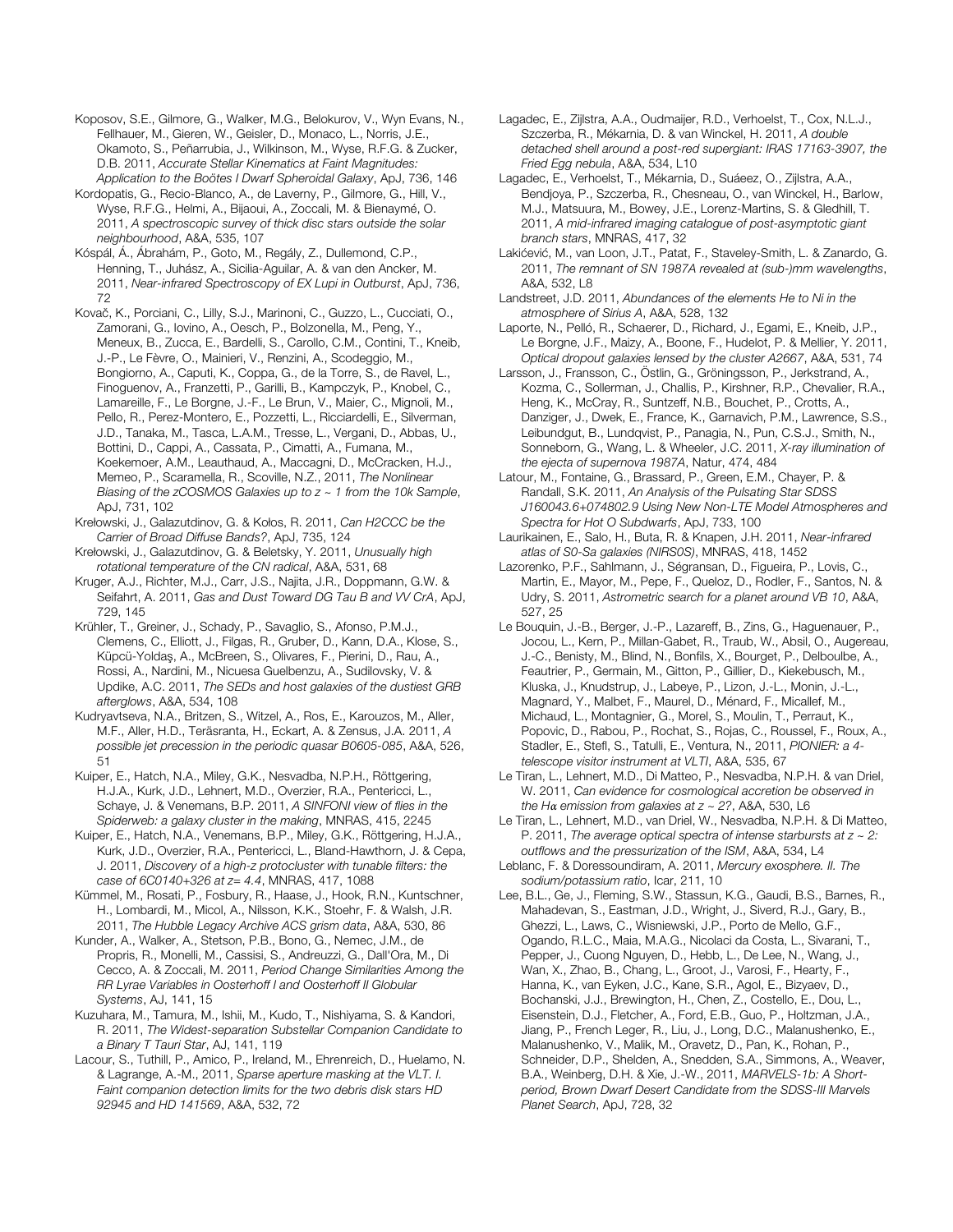Koposov, S.E., Gilmore, G., Walker, M.G., Belokurov, V., Wyn Evans, N., Fellhauer, M., Gieren, W., Geisler, D., Monaco, L., Norris, J.E., Okamoto, S., Peñarrubia, J., Wilkinson, M., Wyse, R.F.G. & Zucker, D.B. 2011, *Accurate Stellar Kinematics at Faint Magnitudes: Application to the Boötes I Dwarf Spheroidal Galaxy*, ApJ, 736, 146

Kordopatis, G., Recio-Blanco, A., de Laverny, P., Gilmore, G., Hill, V., Wyse, R.F.G., Helmi, A., Bijaoui, A., Zoccali, M. & Bienaymé, O. 2011, *A spectroscopic survey of thick disc stars outside the solar neighbourhood*, A&A, 535, 107

Kóspál, Á., Ábrahám, P., Goto, M., Regály, Z., Dullemond, C.P., Henning, T., Juhász, A., Sicilia-Aguilar, A. & van den Ancker, M. 2011, *Near-infrared Spectroscopy of EX Lupi in Outburst*, ApJ, 736, 72

Kovač, K., Porciani, C., Lilly, S.J., Marinoni, C., Guzzo, L., Cucciati, O., Zamorani, G., Iovino, A., Oesch, P., Bolzonella, M., Peng, Y., Meneux, B., Zucca, E., Bardelli, S., Carollo, C.M., Contini, T., Kneib, J.-P., Le Fèvre, O., Mainieri, V., Renzini, A., Scodeggio, M., Bongiorno, A., Caputi, K., Coppa, G., de la Torre, S., de Ravel, L., Finoguenov, A., Franzetti, P., Garilli, B., Kampczyk, P., Knobel, C., Lamareille, F., Le Borgne, J.-F., Le Brun, V., Maier, C., Mignoli, M., Pello, R., Perez-Montero, E., Pozzetti, L., Ricciardelli, E., Silverman, J.D., Tanaka, M., Tasca, L.A.M., Tresse, L., Vergani, D., Abbas, U., Bottini, D., Cappi, A., Cassata, P., Cimatti, A., Fumana, M., Koekemoer, A.M., Leauthaud, A., Maccagni, D., McCracken, H.J., Memeo, P., Scaramella, R., Scoville, N.Z., 2011, *The Nonlinear Biasing of the zCOSMOS Galaxies up to z ~ 1 from the 10k Sample*, ApJ, 731, 102

Krełowski, J., Galazutdinov, G. & Kołos, R. 2011, *Can H2CCC be the Carrier of Broad Diffuse Bands?*, ApJ, 735, 124

Krełowski, J., Galazutdinov, G. & Beletsky, Y. 2011, *Unusually high rotational temperature of the CN radical*, A&A, 531, 68

Kruger, A.J., Richter, M.J., Carr, J.S., Najita, J.R., Doppmann, G.W. & Seifahrt, A. 2011, *Gas and Dust Toward DG Tau B and VV CrA*, ApJ, 729, 145

Krühler, T., Greiner, J., Schady, P., Savaglio, S., Afonso, P.M.J., Clemens, C., Elliott, J., Filgas, R., Gruber, D., Kann, D.A., Klose, S., Küpcü-Yoldaş, A., McBreen, S., Olivares, F., Pierini, D., Rau, A., Rossi, A., Nardini, M., Nicuesa Guelbenzu, A., Sudilovsky, V. & Updike, A.C. 2011, *The SEDs and host galaxies of the dustiest GRB afterglows*, A&A, 534, 108

Kudryavtseva, N.A., Britzen, S., Witzel, A., Ros, E., Karouzos, M., Aller, M.F., Aller, H.D., Teräsranta, H., Eckart, A. & Zensus, J.A. 2011, *A possible jet precession in the periodic quasar B0605-085*, A&A, 526, 51

Kuiper, E., Hatch, N.A., Miley, G.K., Nesvadba, N.P.H., Röttgering, H.J.A., Kurk, J.D., Lehnert, M.D., Overzier, R.A., Pentericci, L., Schaye, J. & Venemans, B.P. 2011, *A SINFONI view of flies in the Spiderweb: a galaxy cluster in the making*, MNRAS, 415, 2245

Kuiper, E., Hatch, N.A., Venemans, B.P., Miley, G.K., Röttgering, H.J.A., Kurk, J.D., Overzier, R.A., Pentericci, L., Bland-Hawthorn, J. & Cepa, J. 2011, *Discovery of a high-z protocluster with tunable filters: the case of 6C0140+326 at z= 4.4*, MNRAS, 417, 1088

Kümmel, M., Rosati, P., Fosbury, R., Haase, J., Hook, R.N., Kuntschner, H., Lombardi, M., Micol, A., Nilsson, K.K., Stoehr, F. & Walsh, J.R. 2011, *The Hubble Legacy Archive ACS grism data*, A&A, 530, 86

Kunder, A., Walker, A., Stetson, P.B., Bono, G., Nemec, J.M., de Propris, R., Monelli, M., Cassisi, S., Andreuzzi, G., Dall'Ora, M., Di Cecco, A. & Zoccali, M. 2011, *Period Change Similarities Among the RR Lyrae Variables in Oosterhoff I and Oosterhoff II Globular Systems*, AJ, 141, 15

Kuzuhara, M., Tamura, M., Ishii, M., Kudo, T., Nishiyama, S. & Kandori, R. 2011, *The Widest-separation Substellar Companion Candidate to a Binary T Tauri Star*, AJ, 141, 119

Lacour, S., Tuthill, P., Amico, P., Ireland, M., Ehrenreich, D., Huelamo, N. & Lagrange, A.-M., 2011, *Sparse aperture masking at the VLT. I. Faint companion detection limits for the two debris disk stars HD 92945 and HD 141569*, A&A, 532, 72

Lagadec, E., Zijlstra, A.A., Oudmaijer, R.D., Verhoelst, T., Cox, N.L.J., Szczerba, R., Mékarnia, D. & van Winckel, H. 2011, *A double detached shell around a post-red supergiant: IRAS 17163-3907, the Fried Egg nebula*, A&A, 534, L10

Lagadec, E., Verhoelst, T., Mékarnia, D., Suáeez, O., Zijlstra, A.A., Bendjoya, P., Szczerba, R., Chesneau, O., van Winckel, H., Barlow, M.J., Matsuura, M., Bowey, J.E., Lorenz-Martins, S. & Gledhill, T. 2011, *A mid-infrared imaging catalogue of post-asymptotic giant branch stars*, MNRAS, 417, 32

Lakićević, M., van Loon, J.T., Patat, F., Staveley-Smith, L. & Zanardo, G. 2011, *The remnant of SN 1987A revealed at (sub-)mm wavelengths*, A&A, 532, L8

Landstreet, J.D. 2011, *Abundances of the elements He to Ni in the atmosphere of Sirius A*, A&A, 528, 132

Laporte, N., Pelló, R., Schaerer, D., Richard, J., Egami, E., Kneib, J.P., Le Borgne, J.F., Maizy, A., Boone, F., Hudelot, P. & Mellier, Y. 2011, *Optical dropout galaxies lensed by the cluster A2667*, A&A, 531, 74

Larsson, J., Fransson, C., Östlin, G., Gröningsson, P., Jerkstrand, A., Kozma, C., Sollerman, J., Challis, P., Kirshner, R.P., Chevalier, R.A., Heng, K., McCray, R., Suntzeff, N.B., Bouchet, P., Crotts, A., Danziger, J., Dwek, E., France, K., Garnavich, P.M., Lawrence, S.S., Leibundgut, B., Lundqvist, P., Panagia, N., Pun, C.S.J., Smith, N., Sonneborn, G., Wang, L. & Wheeler, J.C. 2011, *X-ray illumination of the ejecta of supernova 1987A*, Natur, 474, 484

Latour, M., Fontaine, G., Brassard, P., Green, E.M., Chayer, P. & Randall, S.K. 2011, *An Analysis of the Pulsating Star SDSS J160043.6+074802.9 Using New Non-LTE Model Atmospheres and Spectra for Hot O Subdwarfs*, ApJ, 733, 100

Laurikainen, E., Salo, H., Buta, R. & Knapen, J.H. 2011, *Near-infrared atlas of S0-Sa galaxies (NIRS0S)*, MNRAS, 418, 1452

Lazorenko, P.F., Sahlmann, J., Ségransan, D., Figueira, P., Lovis, C., Martin, E., Mayor, M., Pepe, F., Queloz, D., Rodler, F., Santos, N. & Udry, S. 2011, *Astrometric search for a planet around VB 10*, A&A, 527, 25

Le Bouquin, J.-B., Berger, J.-P., Lazareff, B., Zins, G., Haguenauer, P., Jocou, L., Kern, P., Millan-Gabet, R., Traub, W., Absil, O., Augereau, J.-C., Benisty, M., Blind, N., Bonfils, X., Bourget, P., Delboulbe, A., Feautrier, P., Germain, M., Gitton, P., Gillier, D., Kiekebusch, M., Kluska, J., Knudstrup, J., Labeye, P., Lizon, J.-L., Monin, J.-L., Magnard, Y., Malbet, F., Maurel, D., Ménard, F., Micallef, M., Michaud, L., Montagnier, G., Morel, S., Moulin, T., Perraut, K., Popovic, D., Rabou, P., Rochat, S., Rojas, C., Roussel, F., Roux, A., Stadler, E., Stefl, S., Tatulli, E., Ventura, N., 2011, *PIONIER: a 4 telescope visitor instrument at VLTI*, A&A, 535, 67

Le Tiran, L., Lehnert, M.D., Di Matteo, P., Nesvadba, N.P.H. & van Driel, W. 2011, *Can evidence for cosmological accretion be observed in the H*α *emission from galaxies at z ~ 2?*, A&A, 530, L6

Le Tiran, L., Lehnert, M.D., van Driel, W., Nesvadba, N.P.H. & Di Matteo, P. 2011, *The average optical spectra of intense starbursts at z ~ 2: outflows and the pressurization of the ISM*, A&A, 534, L4

Leblanc, F. & Doressoundiram, A. 2011, *Mercury exosphere. II. The sodium/potassium ratio*, Icar, 211, 10

Lee, B.L., Ge, J., Fleming, S.W., Stassun, K.G., Gaudi, B.S., Barnes, R., Mahadevan, S., Eastman, J.D., Wright, J., Siverd, R.J., Gary, B., Ghezzi, L., Laws, C., Wisniewski, J.P., Porto de Mello, G.F., Ogando, R.L.C., Maia, M.A.G., Nicolaci da Costa, L., Sivarani, T., Pepper, J., Cuong Nguyen, D., Hebb, L., De Lee, N., Wang, J., Wan, X., Zhao, B., Chang, L., Groot, J., Varosi, F., Hearty, F., Hanna, K., van Eyken, J.C., Kane, S.R., Agol, E., Bizyaev, D., Bochanski, J.J., Brewington, H., Chen, Z., Costello, E., Dou, L., Eisenstein, D.J., Fletcher, A., Ford, E.B., Guo, P., Holtzman, J.A., Jiang, P., French Leger, R., Liu, J., Long, D.C., Malanushenko, E., Malanushenko, V., Malik, M., Oravetz, D., Pan, K., Rohan, P., Schneider, D.P., Shelden, A., Snedden, S.A., Simmons, A., Weaver, B.A., Weinberg, D.H. & Xie, J.-W., 2011, *MARVELS-1b: A Shortperiod, Brown Dwarf Desert Candidate from the SDSS-III Marvels Planet Search*, ApJ, 728, 32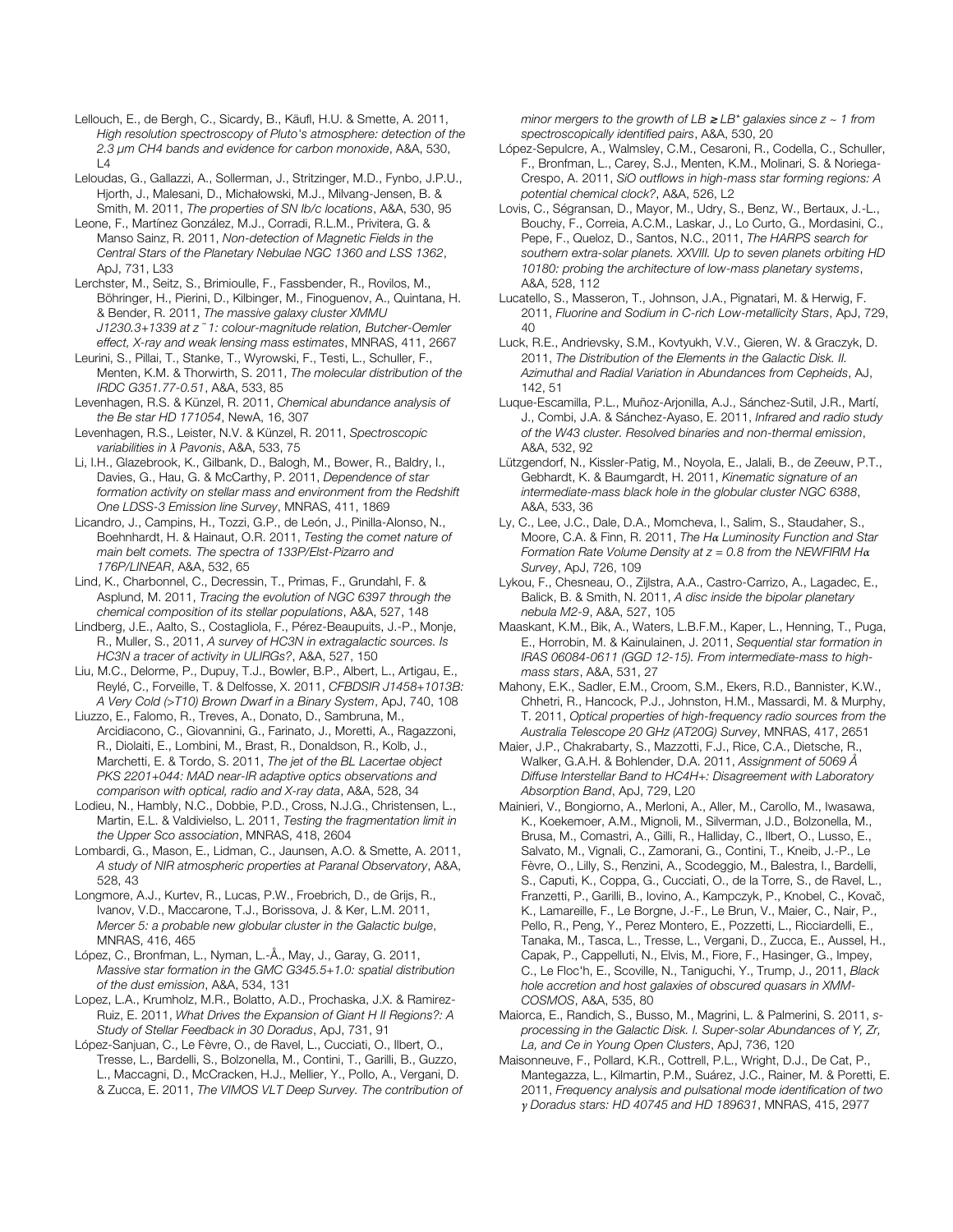Lellouch, E., de Bergh, C., Sicardy, B., Käufl, H.U. & Smette, A. 2011, *High resolution spectroscopy of Pluto's atmosphere: detection of the 2.3* μ*m CH4 bands and evidence for carbon monoxide*, A&A, 530,  $\vert$  4

Leloudas, G., Gallazzi, A., Sollerman, J., Stritzinger, M.D., Fynbo, J.P.U., Hjorth, J., Malesani, D., Michałowski, M.J., Milvang-Jensen, B. & Smith, M. 2011, *The properties of SN Ib/c locations*, A&A, 530, 95

Leone, F., Martínez González, M.J., Corradi, R.L.M., Privitera, G. & Manso Sainz, R. 2011, *Non-detection of Magnetic Fields in the Central Stars of the Planetary Nebulae NGC 1360 and LSS 1362*, ApJ, 731, L33

Lerchster, M., Seitz, S., Brimioulle, F., Fassbender, R., Rovilos, M., Böhringer, H., Pierini, D., Kilbinger, M., Finoguenov, A., Quintana, H. & Bender, R. 2011, *The massive galaxy cluster XMMU J1230.3+1339 at z ˜ 1: colour-magnitude relation, Butcher-Oemler effect, X-ray and weak lensing mass estimates*, MNRAS, 411, 2667

Leurini, S., Pillai, T., Stanke, T., Wyrowski, F., Testi, L., Schuller, F., Menten, K.M. & Thorwirth, S. 2011, *The molecular distribution of the IRDC G351.77-0.51*, A&A, 533, 85

Levenhagen, R.S. & Künzel, R. 2011, *Chemical abundance analysis of the Be star HD 171054*, NewA, 16, 307

Levenhagen, R.S., Leister, N.V. & Künzel, R. 2011, *Spectroscopic variabilities in* λ *Pavonis*, A&A, 533, 75

Li, I.H., Glazebrook, K., Gilbank, D., Balogh, M., Bower, R., Baldry, I., Davies, G., Hau, G. & McCarthy, P. 2011, *Dependence of star formation activity on stellar mass and environment from the Redshift One LDSS-3 Emission line Survey*, MNRAS, 411, 1869

Licandro, J., Campins, H., Tozzi, G.P., de León, J., Pinilla-Alonso, N., Boehnhardt, H. & Hainaut, O.R. 2011, *Testing the comet nature of main belt comets. The spectra of 133P/Elst-Pizarro and 176P/LINEAR*, A&A, 532, 65

Lind, K., Charbonnel, C., Decressin, T., Primas, F., Grundahl, F. & Asplund, M. 2011, *Tracing the evolution of NGC 6397 through the chemical composition of its stellar populations*, A&A, 527, 148

Lindberg, J.E., Aalto, S., Costagliola, F., Pérez-Beaupuits, J.-P., Monje, R., Muller, S., 2011, *A survey of HC3N in extragalactic sources. Is HC3N a tracer of activity in ULIRGs?*, A&A, 527, 150

Liu, M.C., Delorme, P., Dupuy, T.J., Bowler, B.P., Albert, L., Artigau, E., Reylé, C., Forveille, T. & Delfosse, X. 2011, *CFBDSIR J1458+1013B: A Very Cold (>T10) Brown Dwarf in a Binary System*, ApJ, 740, 108

Liuzzo, E., Falomo, R., Treves, A., Donato, D., Sambruna, M., Arcidiacono, C., Giovannini, G., Farinato, J., Moretti, A., Ragazzoni, R., Diolaiti, E., Lombini, M., Brast, R., Donaldson, R., Kolb, J., Marchetti, E. & Tordo, S. 2011, *The jet of the BL Lacertae object PKS 2201+044: MAD near-IR adaptive optics observations and comparison with optical, radio and X-ray data*, A&A, 528, 34

Lodieu, N., Hambly, N.C., Dobbie, P.D., Cross, N.J.G., Christensen, L., Martin, E.L. & Valdivielso, L. 2011, *Testing the fragmentation limit in the Upper Sco association*, MNRAS, 418, 2604

Lombardi, G., Mason, E., Lidman, C., Jaunsen, A.O. & Smette, A. 2011, *A study of NIR atmospheric properties at Paranal Observatory*, A&A, 528, 43

Longmore, A.J., Kurtev, R., Lucas, P.W., Froebrich, D., de Grijs, R., Ivanov, V.D., Maccarone, T.J., Borissova, J. & Ker, L.M. 2011, *Mercer 5: a probable new globular cluster in the Galactic bulge*, MNRAS, 416, 465

López, C., Bronfman, L., Nyman, L.-Å., May, J., Garay, G. 2011, *Massive star formation in the GMC G345.5+1.0: spatial distribution of the dust emission*, A&A, 534, 131

Lopez, L.A., Krumholz, M.R., Bolatto, A.D., Prochaska, J.X. & Ramirez-Ruiz, E. 2011, *What Drives the Expansion of Giant H II Regions?: A Study of Stellar Feedback in 30 Doradus*, ApJ, 731, 91

López-Sanjuan, C., Le Fèvre, O., de Ravel, L., Cucciati, O., Ilbert, O., Tresse, L., Bardelli, S., Bolzonella, M., Contini, T., Garilli, B., Guzzo, L., Maccagni, D., McCracken, H.J., Mellier, Y., Pollo, A., Vergani, D. & Zucca, E. 2011, *The VIMOS VLT Deep Survey. The contribution of*  *minor mergers to the growth of LB* <sup>≳</sup> *LB\* galaxies since z ~ 1 from spectroscopically identified pairs*, A&A, 530, 20

López-Sepulcre, A., Walmsley, C.M., Cesaroni, R., Codella, C., Schuller, F., Bronfman, L., Carey, S.J., Menten, K.M., Molinari, S. & Noriega-Crespo, A. 2011, *SiO outflows in high-mass star forming regions: A potential chemical clock?*, A&A, 526, L2

Lovis, C., Ségransan, D., Mayor, M., Udry, S., Benz, W., Bertaux, J.-L., Bouchy, F., Correia, A.C.M., Laskar, J., Lo Curto, G., Mordasini, C., Pepe, F., Queloz, D., Santos, N.C., 2011, *The HARPS search for southern extra-solar planets. XXVIII. Up to seven planets orbiting HD 10180: probing the architecture of low-mass planetary systems*, A&A, 528, 112

Lucatello, S., Masseron, T., Johnson, J.A., Pignatari, M. & Herwig, F. 2011, *Fluorine and Sodium in C-rich Low-metallicity Stars*, ApJ, 729, 40

Luck, R.E., Andrievsky, S.M., Kovtyukh, V.V., Gieren, W. & Graczyk, D. 2011, *The Distribution of the Elements in the Galactic Disk. II. Azimuthal and Radial Variation in Abundances from Cepheids*, AJ, 142, 51

Luque-Escamilla, P.L., Muñoz-Arjonilla, A.J., Sánchez-Sutil, J.R., Martí, J., Combi, J.A. & Sánchez-Ayaso, E. 2011, *Infrared and radio study of the W43 cluster. Resolved binaries and non-thermal emission*, A&A, 532, 92

Lützgendorf, N., Kissler-Patig, M., Noyola, E., Jalali, B., de Zeeuw, P.T., Gebhardt, K. & Baumgardt, H. 2011, *Kinematic signature of an intermediate-mass black hole in the globular cluster NGC 6388*, A&A, 533, 36

Ly, C., Lee, J.C., Dale, D.A., Momcheva, I., Salim, S., Staudaher, S., Moore, C.A. & Finn, R. 2011, *The H*α *Luminosity Function and Star Formation Rate Volume Density at z = 0.8 from the NEWFIRM H*α *Survey*, ApJ, 726, 109

Lykou, F., Chesneau, O., Zijlstra, A.A., Castro-Carrizo, A., Lagadec, E., Balick, B. & Smith, N. 2011, *A disc inside the bipolar planetary nebula M2-9*, A&A, 527, 105

Maaskant, K.M., Bik, A., Waters, L.B.F.M., Kaper, L., Henning, T., Puga, E., Horrobin, M. & Kainulainen, J. 2011, *Sequential star formation in IRAS 06084-0611 (GGD 12-15). From intermediate-mass to highmass stars*, A&A, 531, 27

Mahony, E.K., Sadler, E.M., Croom, S.M., Ekers, R.D., Bannister, K.W., Chhetri, R., Hancock, P.J., Johnston, H.M., Massardi, M. & Murphy, T. 2011, *Optical properties of high-frequency radio sources from the Australia Telescope 20 GHz (AT20G) Survey*, MNRAS, 417, 2651

Maier, J.P., Chakrabarty, S., Mazzotti, F.J., Rice, C.A., Dietsche, R., Walker, G.A.H. & Bohlender, D.A. 2011, *Assignment of 5069 Å Diffuse Interstellar Band to HC4H+: Disagreement with Laboratory Absorption Band*, ApJ, 729, L20

- Mainieri, V., Bongiorno, A., Merloni, A., Aller, M., Carollo, M., Iwasawa, K., Koekemoer, A.M., Mignoli, M., Silverman, J.D., Bolzonella, M., Brusa, M., Comastri, A., Gilli, R., Halliday, C., Ilbert, O., Lusso, E., Salvato, M., Vignali, C., Zamorani, G., Contini, T., Kneib, J.-P., Le Fèvre, O., Lilly, S., Renzini, A., Scodeggio, M., Balestra, I., Bardelli, S., Caputi, K., Coppa, G., Cucciati, O., de la Torre, S., de Ravel, L., Franzetti, P., Garilli, B., Iovino, A., Kampczyk, P., Knobel, C., Kovač, K., Lamareille, F., Le Borgne, J.-F., Le Brun, V., Maier, C., Nair, P., Pello, R., Peng, Y., Perez Montero, E., Pozzetti, L., Ricciardelli, E., Tanaka, M., Tasca, L., Tresse, L., Vergani, D., Zucca, E., Aussel, H., Capak, P., Cappelluti, N., Elvis, M., Fiore, F., Hasinger, G., Impey, C., Le Floc'h, E., Scoville, N., Taniguchi, Y., Trump, J., 2011, *Black hole accretion and host galaxies of obscured quasars in XMM-COSMOS*, A&A, 535, 80
- Maiorca, E., Randich, S., Busso, M., Magrini, L. & Palmerini, S. 2011, *sprocessing in the Galactic Disk. I. Super-solar Abundances of Y, Zr, La, and Ce in Young Open Clusters*, ApJ, 736, 120

Maisonneuve, F., Pollard, K.R., Cottrell, P.L., Wright, D.J., De Cat, P., Mantegazza, L., Kilmartin, P.M., Suárez, J.C., Rainer, M. & Poretti, E. 2011, *Frequency analysis and pulsational mode identification of two*  γ *Doradus stars: HD 40745 and HD 189631*, MNRAS, 415, 2977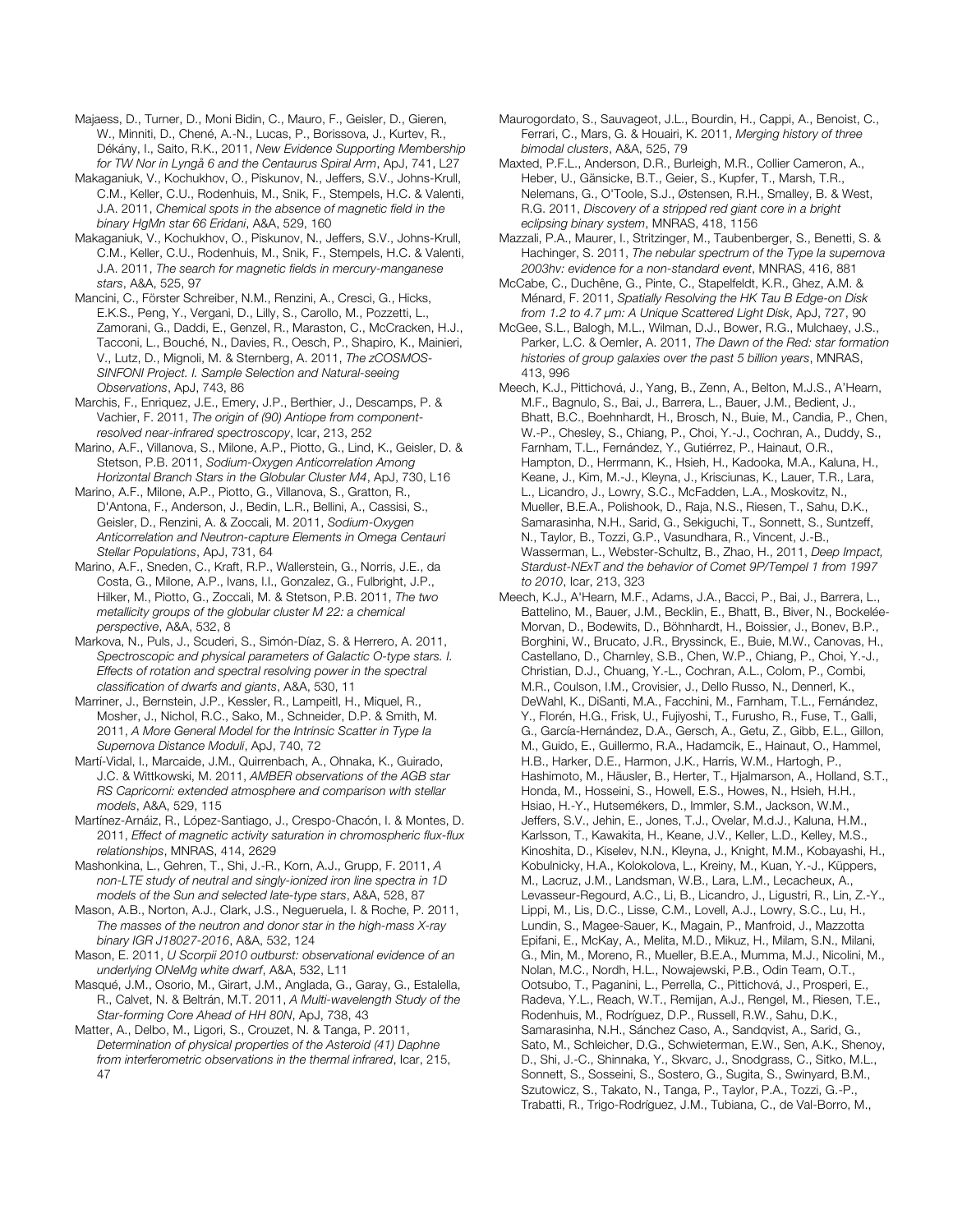Majaess, D., Turner, D., Moni Bidin, C., Mauro, F., Geisler, D., Gieren, W., Minniti, D., Chené, A.-N., Lucas, P., Borissova, J., Kurtev, R., Dékány, I., Saito, R.K., 2011, *New Evidence Supporting Membership for TW Nor in Lyngå 6 and the Centaurus Spiral Arm*, ApJ, 741, L27

Makaganiuk, V., Kochukhov, O., Piskunov, N., Jeffers, S.V., Johns-Krull, C.M., Keller, C.U., Rodenhuis, M., Snik, F., Stempels, H.C. & Valenti, J.A. 2011, *Chemical spots in the absence of magnetic field in the binary HgMn star 66 Eridani*, A&A, 529, 160

Makaganiuk, V., Kochukhov, O., Piskunov, N., Jeffers, S.V., Johns-Krull, C.M., Keller, C.U., Rodenhuis, M., Snik, F., Stempels, H.C. & Valenti, J.A. 2011, *The search for magnetic fields in mercury-manganese stars*, A&A, 525, 97

Mancini, C., Förster Schreiber, N.M., Renzini, A., Cresci, G., Hicks, E.K.S., Peng, Y., Vergani, D., Lilly, S., Carollo, M., Pozzetti, L., Zamorani, G., Daddi, E., Genzel, R., Maraston, C., McCracken, H.J., Tacconi, L., Bouché, N., Davies, R., Oesch, P., Shapiro, K., Mainieri, V., Lutz, D., Mignoli, M. & Sternberg, A. 2011, *The zCOSMOS-SINFONI Project. I. Sample Selection and Natural-seeing Observations*, ApJ, 743, 86

Marchis, F., Enriquez, J.E., Emery, J.P., Berthier, J., Descamps, P. & Vachier, F. 2011, *The origin of (90) Antiope from componentresolved near-infrared spectroscopy*, Icar, 213, 252

Marino, A.F., Villanova, S., Milone, A.P., Piotto, G., Lind, K., Geisler, D. & Stetson, P.B. 2011, *Sodium-Oxygen Anticorrelation Among Horizontal Branch Stars in the Globular Cluster M4*, ApJ, 730, L16

Marino, A.F., Milone, A.P., Piotto, G., Villanova, S., Gratton, R., D'Antona, F., Anderson, J., Bedin, L.R., Bellini, A., Cassisi, S., Geisler, D., Renzini, A. & Zoccali, M. 2011, *Sodium-Oxygen Anticorrelation and Neutron-capture Elements in Omega Centauri Stellar Populations*, ApJ, 731, 64

Marino, A.F., Sneden, C., Kraft, R.P., Wallerstein, G., Norris, J.E., da Costa, G., Milone, A.P., Ivans, I.I., Gonzalez, G., Fulbright, J.P., Hilker, M., Piotto, G., Zoccali, M. & Stetson, P.B. 2011, *The two metallicity groups of the globular cluster M 22: a chemical perspective*, A&A, 532, 8

Markova, N., Puls, J., Scuderi, S., Simón-Díaz, S. & Herrero, A. 2011, *Spectroscopic and physical parameters of Galactic O-type stars. I. Effects of rotation and spectral resolving power in the spectral classification of dwarfs and giants*, A&A, 530, 11

Marriner, J., Bernstein, J.P., Kessler, R., Lampeitl, H., Miquel, R., Mosher, J., Nichol, R.C., Sako, M., Schneider, D.P. & Smith, M. 2011, *A More General Model for the Intrinsic Scatter in Type Ia Supernova Distance Moduli*, ApJ, 740, 72

Martí-Vidal, I., Marcaide, J.M., Quirrenbach, A., Ohnaka, K., Guirado, J.C. & Wittkowski, M. 2011, *AMBER observations of the AGB star RS Capricorni: extended atmosphere and comparison with stellar models*, A&A, 529, 115

Martínez-Arnáiz, R., López-Santiago, J., Crespo-Chacón, I. & Montes, D. 2011, *Effect of magnetic activity saturation in chromospheric flux-flux relationships*, MNRAS, 414, 2629

Mashonkina, L., Gehren, T., Shi, J.-R., Korn, A.J., Grupp, F. 2011, *A non-LTE study of neutral and singly-ionized iron line spectra in 1D models of the Sun and selected late-type stars*, A&A, 528, 87

Mason, A.B., Norton, A.J., Clark, J.S., Negueruela, I. & Roche, P. 2011, *The masses of the neutron and donor star in the high-mass X-ray binary IGR J18027-2016*, A&A, 532, 124

Mason, E. 2011, *U Scorpii 2010 outburst: observational evidence of an underlying ONeMg white dwarf*, A&A, 532, L11

Masqué, J.M., Osorio, M., Girart, J.M., Anglada, G., Garay, G., Estalella, R., Calvet, N. & Beltrán, M.T. 2011, *A Multi-wavelength Study of the Star-forming Core Ahead of HH 80N*, ApJ, 738, 43

Matter, A., Delbo, M., Ligori, S., Crouzet, N. & Tanga, P. 2011, *Determination of physical properties of the Asteroid (41) Daphne from interferometric observations in the thermal infrared*, Icar, 215, 47

Maurogordato, S., Sauvageot, J.L., Bourdin, H., Cappi, A., Benoist, C., Ferrari, C., Mars, G. & Houairi, K. 2011, *Merging history of three bimodal clusters*, A&A, 525, 79

Maxted, P.F.L., Anderson, D.R., Burleigh, M.R., Collier Cameron, A., Heber, U., Gänsicke, B.T., Geier, S., Kupfer, T., Marsh, T.R., Nelemans, G., O'Toole, S.J., Østensen, R.H., Smalley, B. & West, R.G. 2011, *Discovery of a stripped red giant core in a bright eclipsing binary system*, MNRAS, 418, 1156

Mazzali, P.A., Maurer, I., Stritzinger, M., Taubenberger, S., Benetti, S. & Hachinger, S. 2011, *The nebular spectrum of the Type Ia supernova 2003hv: evidence for a non-standard event*, MNRAS, 416, 881

McCabe, C., Duchêne, G., Pinte, C., Stapelfeldt, K.R., Ghez, A.M. & Ménard, F. 2011, *Spatially Resolving the HK Tau B Edge-on Disk from 1.2 to 4.7* μ*m: A Unique Scattered Light Disk*, ApJ, 727, 90

McGee, S.L., Balogh, M.L., Wilman, D.J., Bower, R.G., Mulchaey, J.S., Parker, L.C. & Oemler, A. 2011, *The Dawn of the Red: star formation histories of group galaxies over the past 5 billion years*, MNRAS, 413, 996

Meech, K.J., Pittichová, J., Yang, B., Zenn, A., Belton, M.J.S., A'Hearn, M.F., Bagnulo, S., Bai, J., Barrera, L., Bauer, J.M., Bedient, J., Bhatt, B.C., Boehnhardt, H., Brosch, N., Buie, M., Candia, P., Chen, W.-P., Chesley, S., Chiang, P., Choi, Y.-J., Cochran, A., Duddy, S., Farnham, T.L., Fernández, Y., Gutiérrez, P., Hainaut, O.R., Hampton, D., Herrmann, K., Hsieh, H., Kadooka, M.A., Kaluna, H., Keane, J., Kim, M.-J., Kleyna, J., Krisciunas, K., Lauer, T.R., Lara, L., Licandro, J., Lowry, S.C., McFadden, L.A., Moskovitz, N., Mueller, B.E.A., Polishook, D., Raja, N.S., Riesen, T., Sahu, D.K., Samarasinha, N.H., Sarid, G., Sekiguchi, T., Sonnett, S., Suntzeff, N., Taylor, B., Tozzi, G.P., Vasundhara, R., Vincent, J.-B., Wasserman, L., Webster-Schultz, B., Zhao, H., 2011, *Deep Impact, Stardust-NExT and the behavior of Comet 9P/Tempel 1 from 1997 to 2010*, Icar, 213, 323

Meech, K.J., A'Hearn, M.F., Adams, J.A., Bacci, P., Bai, J., Barrera, L., Battelino, M., Bauer, J.M., Becklin, E., Bhatt, B., Biver, N., Bockelée-Morvan, D., Bodewits, D., Böhnhardt, H., Boissier, J., Bonev, B.P., Borghini, W., Brucato, J.R., Bryssinck, E., Buie, M.W., Canovas, H., Castellano, D., Charnley, S.B., Chen, W.P., Chiang, P., Choi, Y.-J., Christian, D.J., Chuang, Y.-L., Cochran, A.L., Colom, P., Combi, M.R., Coulson, I.M., Crovisier, J., Dello Russo, N., Dennerl, K., DeWahl, K., DiSanti, M.A., Facchini, M., Farnham, T.L., Fernández, Y., Florén, H.G., Frisk, U., Fujiyoshi, T., Furusho, R., Fuse, T., Galli, G., García-Hernández, D.A., Gersch, A., Getu, Z., Gibb, E.L., Gillon, M., Guido, E., Guillermo, R.A., Hadamcik, E., Hainaut, O., Hammel, H.B., Harker, D.E., Harmon, J.K., Harris, W.M., Hartogh, P., Hashimoto, M., Häusler, B., Herter, T., Hjalmarson, A., Holland, S.T., Honda, M., Hosseini, S., Howell, E.S., Howes, N., Hsieh, H.H., Hsiao, H.-Y., Hutsemékers, D., Immler, S.M., Jackson, W.M., Jeffers, S.V., Jehin, E., Jones, T.J., Ovelar, M.d.J., Kaluna, H.M., Karlsson, T., Kawakita, H., Keane, J.V., Keller, L.D., Kelley, M.S., Kinoshita, D., Kiselev, N.N., Kleyna, J., Knight, M.M., Kobayashi, H., Kobulnicky, H.A., Kolokolova, L., Kreiny, M., Kuan, Y.-J., Küppers, M., Lacruz, J.M., Landsman, W.B., Lara, L.M., Lecacheux, A., Levasseur-Regourd, A.C., Li, B., Licandro, J., Ligustri, R., Lin, Z.-Y., Lippi, M., Lis, D.C., Lisse, C.M., Lovell, A.J., Lowry, S.C., Lu, H., Lundin, S., Magee-Sauer, K., Magain, P., Manfroid, J., Mazzotta Epifani, E., McKay, A., Melita, M.D., Mikuz, H., Milam, S.N., Milani, G., Min, M., Moreno, R., Mueller, B.E.A., Mumma, M.J., Nicolini, M., Nolan, M.C., Nordh, H.L., Nowajewski, P.B., Odin Team, O.T., Ootsubo, T., Paganini, L., Perrella, C., Pittichová, J., Prosperi, E., Radeva, Y.L., Reach, W.T., Remijan, A.J., Rengel, M., Riesen, T.E., Rodenhuis, M., Rodríguez, D.P., Russell, R.W., Sahu, D.K., Samarasinha, N.H., Sánchez Caso, A., Sandqvist, A., Sarid, G., Sato, M., Schleicher, D.G., Schwieterman, E.W., Sen, A.K., Shenoy, D., Shi, J.-C., Shinnaka, Y., Skvarc, J., Snodgrass, C., Sitko, M.L., Sonnett, S., Sosseini, S., Sostero, G., Sugita, S., Swinyard, B.M., Szutowicz, S., Takato, N., Tanga, P., Taylor, P.A., Tozzi, G.-P., Trabatti, R., Trigo-Rodríguez, J.M., Tubiana, C., de Val-Borro, M.,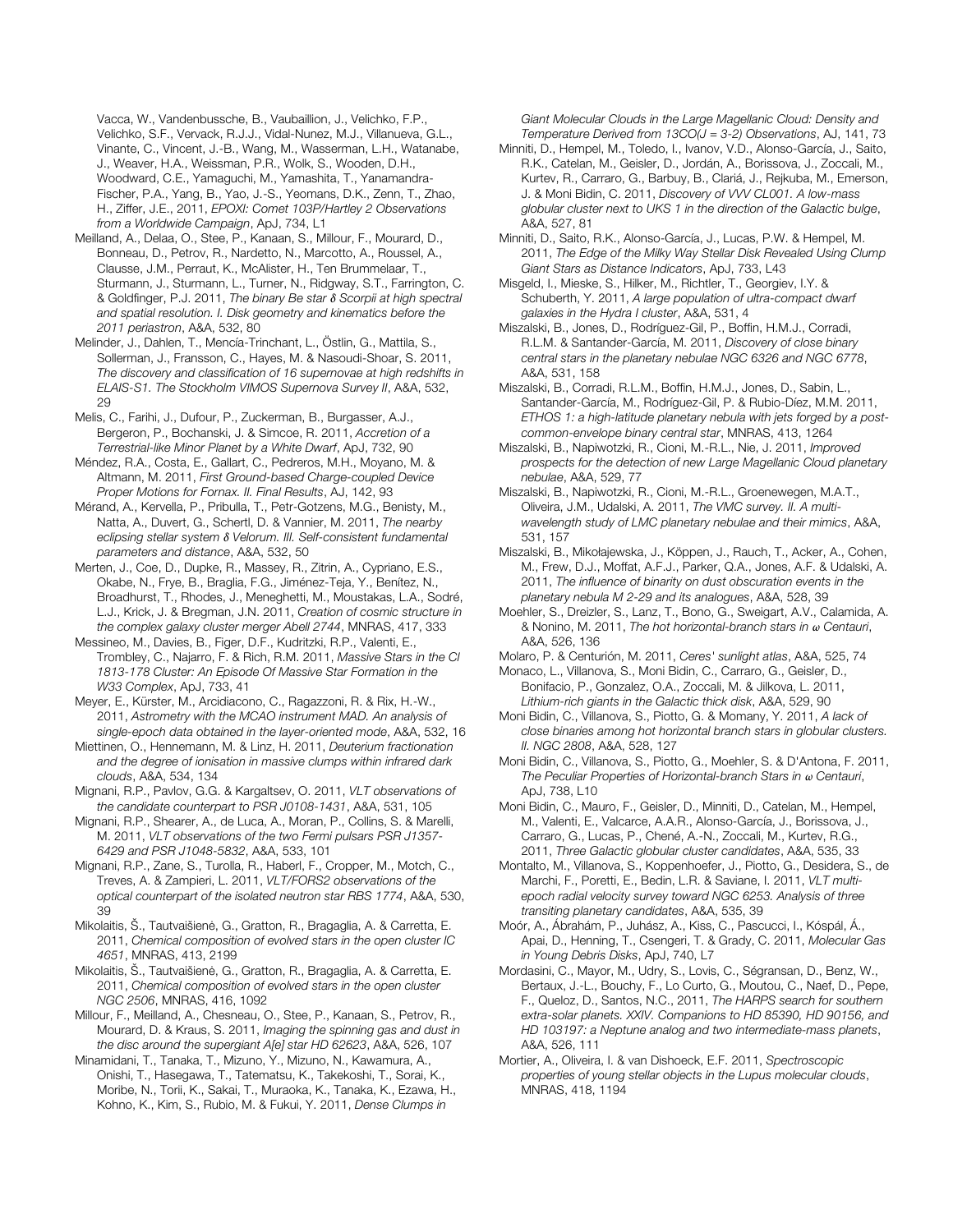Vacca, W., Vandenbussche, B., Vaubaillion, J., Velichko, F.P., Velichko, S.F., Vervack, R.J.J., Vidal-Nunez, M.J., Villanueva, G.L., Vinante, C., Vincent, J.-B., Wang, M., Wasserman, L.H., Watanabe, J., Weaver, H.A., Weissman, P.R., Wolk, S., Wooden, D.H., Woodward, C.E., Yamaguchi, M., Yamashita, T., Yanamandra-Fischer, P.A., Yang, B., Yao, J.-S., Yeomans, D.K., Zenn, T., Zhao, H., Ziffer, J.E., 2011, *EPOXI: Comet 103P/Hartley 2 Observations from a Worldwide Campaign*, ApJ, 734, L1

- Meilland, A., Delaa, O., Stee, P., Kanaan, S., Millour, F., Mourard, D., Bonneau, D., Petrov, R., Nardetto, N., Marcotto, A., Roussel, A., Clausse, J.M., Perraut, K., McAlister, H., Ten Brummelaar, T., Sturmann, J., Sturmann, L., Turner, N., Ridgway, S.T., Farrington, C. & Goldfinger, P.J. 2011, *The binary Be star* δ *Scorpii at high spectral and spatial resolution. I. Disk geometry and kinematics before the 2011 periastron*, A&A, 532, 80
- Melinder, J., Dahlen, T., Mencía-Trinchant, L., Östlin, G., Mattila, S., Sollerman, J., Fransson, C., Hayes, M. & Nasoudi-Shoar, S. 2011, *The discovery and classification of 16 supernovae at high redshifts in ELAIS-S1. The Stockholm VIMOS Supernova Survey II*, A&A, 532, 29
- Melis, C., Farihi, J., Dufour, P., Zuckerman, B., Burgasser, A.J., Bergeron, P., Bochanski, J. & Simcoe, R. 2011, *Accretion of a Terrestrial-like Minor Planet by a White Dwarf*, ApJ, 732, 90
- Méndez, R.A., Costa, E., Gallart, C., Pedreros, M.H., Moyano, M. & Altmann, M. 2011, *First Ground-based Charge-coupled Device Proper Motions for Fornax. II. Final Results*, AJ, 142, 93
- Mérand, A., Kervella, P., Pribulla, T., Petr-Gotzens, M.G., Benisty, M., Natta, A., Duvert, G., Schertl, D. & Vannier, M. 2011, *The nearby eclipsing stellar system* δ *Velorum. III. Self-consistent fundamental parameters and distance*, A&A, 532, 50
- Merten, J., Coe, D., Dupke, R., Massey, R., Zitrin, A., Cypriano, E.S., Okabe, N., Frye, B., Braglia, F.G., Jiménez-Teja, Y., Benítez, N., Broadhurst, T., Rhodes, J., Meneghetti, M., Moustakas, L.A., Sodré, L.J., Krick, J. & Bregman, J.N. 2011, *Creation of cosmic structure in the complex galaxy cluster merger Abell 2744*, MNRAS, 417, 333
- Messineo, M., Davies, B., Figer, D.F., Kudritzki, R.P., Valenti, E., Trombley, C., Najarro, F. & Rich, R.M. 2011, *Massive Stars in the Cl 1813-178 Cluster: An Episode Of Massive Star Formation in the W33 Complex*, ApJ, 733, 41
- Meyer, E., Kürster, M., Arcidiacono, C., Ragazzoni, R. & Rix, H.-W., 2011, *Astrometry with the MCAO instrument MAD. An analysis of single-epoch data obtained in the layer-oriented mode*, A&A, 532, 16
- Miettinen, O., Hennemann, M. & Linz, H. 2011, *Deuterium fractionation and the degree of ionisation in massive clumps within infrared dark clouds*, A&A, 534, 134
- Mignani, R.P., Pavlov, G.G. & Kargaltsev, O. 2011, *VLT observations of the candidate counterpart to PSR J0108-1431*, A&A, 531, 105
- Mignani, R.P., Shearer, A., de Luca, A., Moran, P., Collins, S. & Marelli, M. 2011, *VLT observations of the two Fermi pulsars PSR J1357- 6429 and PSR J1048-5832*, A&A, 533, 101
- Mignani, R.P., Zane, S., Turolla, R., Haberl, F., Cropper, M., Motch, C., Treves, A. & Zampieri, L. 2011, *VLT/FORS2 observations of the optical counterpart of the isolated neutron star RBS 1774*, A&A, 530, 39
- Mikolaitis, Š., Tautvaišienė, G., Gratton, R., Bragaglia, A. & Carretta, E. 2011, *Chemical composition of evolved stars in the open cluster IC 4651*, MNRAS, 413, 2199
- Mikolaitis, Š., Tautvaišienė, G., Gratton, R., Bragaglia, A. & Carretta, E. 2011, *Chemical composition of evolved stars in the open cluster NGC 2506*, MNRAS, 416, 1092
- Millour, F., Meilland, A., Chesneau, O., Stee, P., Kanaan, S., Petrov, R., Mourard, D. & Kraus, S. 2011, *Imaging the spinning gas and dust in the disc around the supergiant A[e] star HD 62623*, A&A, 526, 107
- Minamidani, T., Tanaka, T., Mizuno, Y., Mizuno, N., Kawamura, A., Onishi, T., Hasegawa, T., Tatematsu, K., Takekoshi, T., Sorai, K., Moribe, N., Torii, K., Sakai, T., Muraoka, K., Tanaka, K., Ezawa, H., Kohno, K., Kim, S., Rubio, M. & Fukui, Y. 2011, *Dense Clumps in*

*Giant Molecular Clouds in the Large Magellanic Cloud: Density and Temperature Derived from 13CO(J = 3-2) Observations*, AJ, 141, 73

- Minniti, D., Hempel, M., Toledo, I., Ivanov, V.D., Alonso-García, J., Saito, R.K., Catelan, M., Geisler, D., Jordán, A., Borissova, J., Zoccali, M., Kurtev, R., Carraro, G., Barbuy, B., Clariá, J., Rejkuba, M., Emerson, J. & Moni Bidin, C. 2011, *Discovery of VVV CL001. A low-mass globular cluster next to UKS 1 in the direction of the Galactic bulge*, A&A, 527, 81
- Minniti, D., Saito, R.K., Alonso-García, J., Lucas, P.W. & Hempel, M. 2011, *The Edge of the Milky Way Stellar Disk Revealed Using Clump Giant Stars as Distance Indicators*, ApJ, 733, L43
- Misgeld, I., Mieske, S., Hilker, M., Richtler, T., Georgiev, I.Y. & Schuberth, Y. 2011, *A large population of ultra-compact dwarf galaxies in the Hydra I cluster*, A&A, 531, 4
- Miszalski, B., Jones, D., Rodríguez-Gil, P., Boffin, H.M.J., Corradi, R.L.M. & Santander-García, M. 2011, *Discovery of close binary central stars in the planetary nebulae NGC 6326 and NGC 6778*, A&A, 531, 158
- Miszalski, B., Corradi, R.L.M., Boffin, H.M.J., Jones, D., Sabin, L., Santander-García, M., Rodríguez-Gil, P. & Rubio-Díez, M.M. 2011, *ETHOS 1: a high-latitude planetary nebula with jets forged by a postcommon-envelope binary central star*, MNRAS, 413, 1264
- Miszalski, B., Napiwotzki, R., Cioni, M.-R.L., Nie, J. 2011, *Improved prospects for the detection of new Large Magellanic Cloud planetary nebulae*, A&A, 529, 77
- Miszalski, B., Napiwotzki, R., Cioni, M.-R.L., Groenewegen, M.A.T., Oliveira, J.M., Udalski, A. 2011, *The VMC survey. II. A multiwavelength study of LMC planetary nebulae and their mimics*, A&A, 531, 157
- Miszalski, B., Mikołajewska, J., Köppen, J., Rauch, T., Acker, A., Cohen, M., Frew, D.J., Moffat, A.F.J., Parker, Q.A., Jones, A.F. & Udalski, A. 2011, *The influence of binarity on dust obscuration events in the planetary nebula M 2-29 and its analogues*, A&A, 528, 39
- Moehler, S., Dreizler, S., Lanz, T., Bono, G., Sweigart, A.V., Calamida, A. & Nonino, M. 2011, *The hot horizontal-branch stars in* ω *Centauri*, A&A, 526, 136
- Molaro, P. & Centurión, M. 2011, *Ceres' sunlight atlas*, A&A, 525, 74
- Monaco, L., Villanova, S., Moni Bidin, C., Carraro, G., Geisler, D., Bonifacio, P., Gonzalez, O.A., Zoccali, M. & Jilkova, L. 2011, *Lithium-rich giants in the Galactic thick disk*, A&A, 529, 90
- Moni Bidin, C., Villanova, S., Piotto, G. & Momany, Y. 2011, *A lack of close binaries among hot horizontal branch stars in globular clusters. II. NGC 2808*, A&A, 528, 127
- Moni Bidin, C., Villanova, S., Piotto, G., Moehler, S. & D'Antona, F. 2011, *The Peculiar Properties of Horizontal-branch Stars in* ω *Centauri*, ApJ, 738, L10
- Moni Bidin, C., Mauro, F., Geisler, D., Minniti, D., Catelan, M., Hempel, M., Valenti, E., Valcarce, A.A.R., Alonso-García, J., Borissova, J., Carraro, G., Lucas, P., Chené, A.-N., Zoccali, M., Kurtev, R.G., 2011, *Three Galactic globular cluster candidates*, A&A, 535, 33
- Montalto, M., Villanova, S., Koppenhoefer, J., Piotto, G., Desidera, S., de Marchi, F., Poretti, E., Bedin, L.R. & Saviane, I. 2011, *VLT multiepoch radial velocity survey toward NGC 6253. Analysis of three transiting planetary candidates*, A&A, 535, 39
- Moór, A., Ábrahám, P., Juhász, A., Kiss, C., Pascucci, I., Kóspál, Á., Apai, D., Henning, T., Csengeri, T. & Grady, C. 2011, *Molecular Gas in Young Debris Disks*, ApJ, 740, L7
- Mordasini, C., Mayor, M., Udry, S., Lovis, C., Ségransan, D., Benz, W., Bertaux, J.-L., Bouchy, F., Lo Curto, G., Moutou, C., Naef, D., Pepe, F., Queloz, D., Santos, N.C., 2011, *The HARPS search for southern extra-solar planets. XXIV. Companions to HD 85390, HD 90156, and HD 103197: a Neptune analog and two intermediate-mass planets*, A&A, 526, 111
- Mortier, A., Oliveira, I. & van Dishoeck, E.F. 2011, *Spectroscopic properties of young stellar objects in the Lupus molecular clouds*, MNRAS, 418, 1194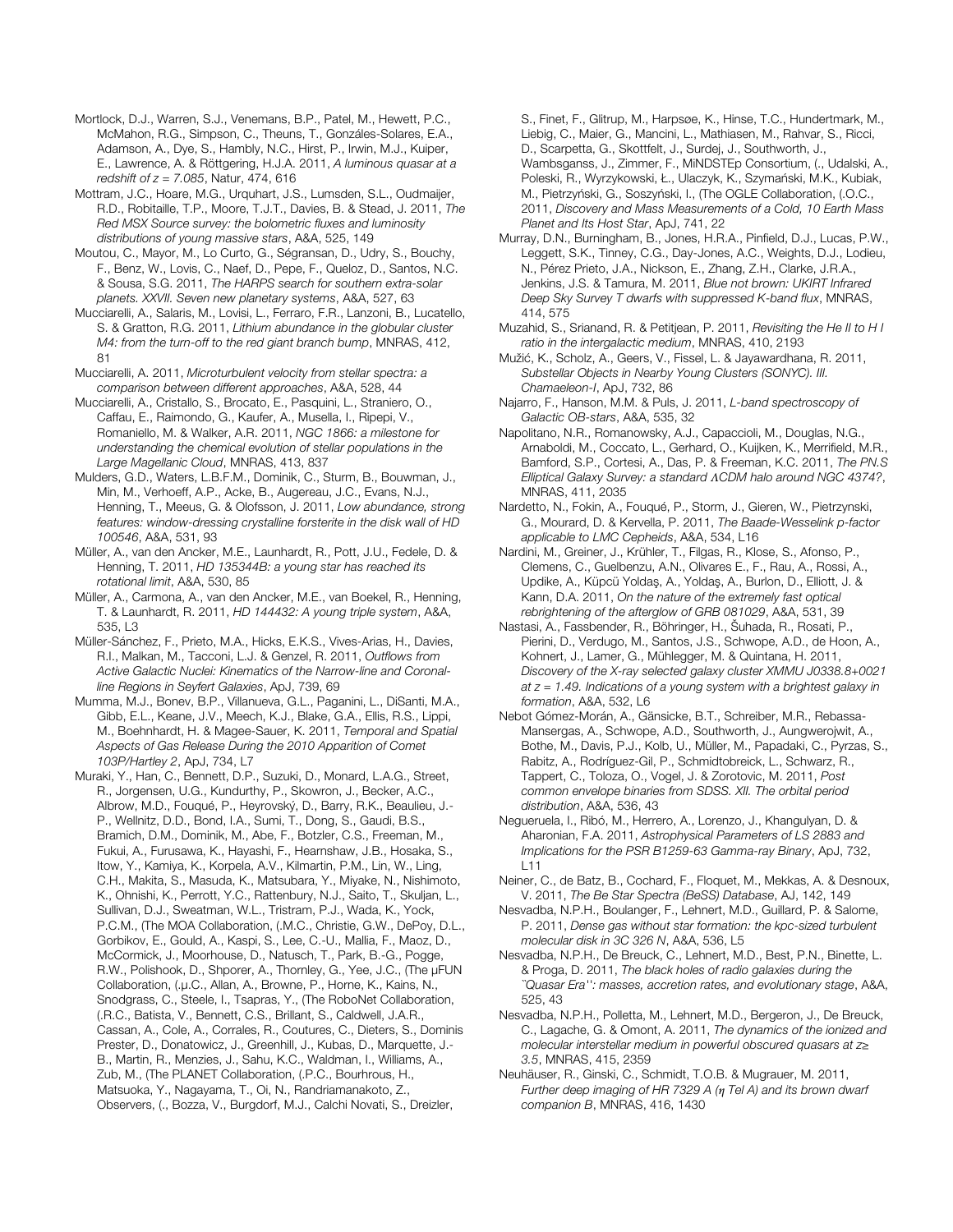Mortlock, D.J., Warren, S.J., Venemans, B.P., Patel, M., Hewett, P.C., McMahon, R.G., Simpson, C., Theuns, T., Gonzáles-Solares, E.A., Adamson, A., Dye, S., Hambly, N.C., Hirst, P., Irwin, M.J., Kuiper, E., Lawrence, A. & Röttgering, H.J.A. 2011, *A luminous quasar at a redshift of z = 7.085*, Natur, 474, 616

Mottram, J.C., Hoare, M.G., Urquhart, J.S., Lumsden, S.L., Oudmaijer, R.D., Robitaille, T.P., Moore, T.J.T., Davies, B. & Stead, J. 2011, *The Red MSX Source survey: the bolometric fluxes and luminosity distributions of young massive stars*, A&A, 525, 149

Moutou, C., Mayor, M., Lo Curto, G., Ségransan, D., Udry, S., Bouchy, F., Benz, W., Lovis, C., Naef, D., Pepe, F., Queloz, D., Santos, N.C. & Sousa, S.G. 2011, *The HARPS search for southern extra-solar planets. XXVII. Seven new planetary systems*, A&A, 527, 63

Mucciarelli, A., Salaris, M., Lovisi, L., Ferraro, F.R., Lanzoni, B., Lucatello, S. & Gratton, R.G. 2011, *Lithium abundance in the globular cluster M4: from the turn-off to the red giant branch bump*, MNRAS, 412, 81

Mucciarelli, A. 2011, *Microturbulent velocity from stellar spectra: a comparison between different approaches*, A&A, 528, 44

Mucciarelli, A., Cristallo, S., Brocato, E., Pasquini, L., Straniero, O., Caffau, E., Raimondo, G., Kaufer, A., Musella, I., Ripepi, V., Romaniello, M. & Walker, A.R. 2011, *NGC 1866: a milestone for understanding the chemical evolution of stellar populations in the Large Magellanic Cloud*, MNRAS, 413, 837

Mulders, G.D., Waters, L.B.F.M., Dominik, C., Sturm, B., Bouwman, J., Min, M., Verhoeff, A.P., Acke, B., Augereau, J.C., Evans, N.J., Henning, T., Meeus, G. & Olofsson, J. 2011, *Low abundance, strong features: window-dressing crystalline forsterite in the disk wall of HD 100546*, A&A, 531, 93

Müller, A., van den Ancker, M.E., Launhardt, R., Pott, J.U., Fedele, D. & Henning, T. 2011, *HD 135344B: a young star has reached its rotational limit*, A&A, 530, 85

Müller, A., Carmona, A., van den Ancker, M.E., van Boekel, R., Henning, T. & Launhardt, R. 2011, *HD 144432: A young triple system*, A&A, 535, L3

Müller-Sánchez, F., Prieto, M.A., Hicks, E.K.S., Vives-Arias, H., Davies, R.I., Malkan, M., Tacconi, L.J. & Genzel, R. 2011, *Outflows from Active Galactic Nuclei: Kinematics of the Narrow-line and Coronalline Regions in Seyfert Galaxies*, ApJ, 739, 69

Mumma, M.J., Bonev, B.P., Villanueva, G.L., Paganini, L., DiSanti, M.A., Gibb, E.L., Keane, J.V., Meech, K.J., Blake, G.A., Ellis, R.S., Lippi, M., Boehnhardt, H. & Magee-Sauer, K. 2011, *Temporal and Spatial Aspects of Gas Release During the 2010 Apparition of Comet 103P/Hartley 2*, ApJ, 734, L7

Muraki, Y., Han, C., Bennett, D.P., Suzuki, D., Monard, L.A.G., Street, R., Jorgensen, U.G., Kundurthy, P., Skowron, J., Becker, A.C., Albrow, M.D., Fouqué, P., Heyrovský, D., Barry, R.K., Beaulieu, J.- P., Wellnitz, D.D., Bond, I.A., Sumi, T., Dong, S., Gaudi, B.S., Bramich, D.M., Dominik, M., Abe, F., Botzler, C.S., Freeman, M., Fukui, A., Furusawa, K., Hayashi, F., Hearnshaw, J.B., Hosaka, S., Itow, Y., Kamiya, K., Korpela, A.V., Kilmartin, P.M., Lin, W., Ling, C.H., Makita, S., Masuda, K., Matsubara, Y., Miyake, N., Nishimoto, K., Ohnishi, K., Perrott, Y.C., Rattenbury, N.J., Saito, T., Skuljan, L., Sullivan, D.J., Sweatman, W.L., Tristram, P.J., Wada, K., Yock, P.C.M., (The MOA Collaboration, (.M.C., Christie, G.W., DePoy, D.L., Gorbikov, E., Gould, A., Kaspi, S., Lee, C.-U., Mallia, F., Maoz, D., McCormick, J., Moorhouse, D., Natusch, T., Park, B.-G., Pogge, R.W., Polishook, D., Shporer, A., Thornley, G., Yee, J.C., (The μFUN Collaboration, (.μ.C., Allan, A., Browne, P., Horne, K., Kains, N., Snodgrass, C., Steele, I., Tsapras, Y., (The RoboNet Collaboration, (.R.C., Batista, V., Bennett, C.S., Brillant, S., Caldwell, J.A.R., Cassan, A., Cole, A., Corrales, R., Coutures, C., Dieters, S., Dominis Prester, D., Donatowicz, J., Greenhill, J., Kubas, D., Marquette, J.- B., Martin, R., Menzies, J., Sahu, K.C., Waldman, I., Williams, A., Zub, M., (The PLANET Collaboration, (.P.C., Bourhrous, H., Matsuoka, Y., Nagayama, T., Oi, N., Randriamanakoto, Z., Observers, (., Bozza, V., Burgdorf, M.J., Calchi Novati, S., Dreizler,

S., Finet, F., Glitrup, M., Harpsøe, K., Hinse, T.C., Hundertmark, M., Liebig, C., Maier, G., Mancini, L., Mathiasen, M., Rahvar, S., Ricci, D., Scarpetta, G., Skottfelt, J., Surdej, J., Southworth, J., Wambsganss, J., Zimmer, F., MiNDSTEp Consortium, (., Udalski, A., Poleski, R., Wyrzykowski, Ł., Ulaczyk, K., Szymański, M.K., Kubiak, M., Pietrzyński, G., Soszyński, I., (The OGLE Collaboration, (.O.C., 2011, *Discovery and Mass Measurements of a Cold, 10 Earth Mass Planet and Its Host Star*, ApJ, 741, 22

Murray, D.N., Burningham, B., Jones, H.R.A., Pinfield, D.J., Lucas, P.W., Leggett, S.K., Tinney, C.G., Day-Jones, A.C., Weights, D.J., Lodieu, N., Pérez Prieto, J.A., Nickson, E., Zhang, Z.H., Clarke, J.R.A., Jenkins, J.S. & Tamura, M. 2011, *Blue not brown: UKIRT Infrared Deep Sky Survey T dwarfs with suppressed K-band flux*, MNRAS, 414, 575

Muzahid, S., Srianand, R. & Petitjean, P. 2011, *Revisiting the He II to H I ratio in the intergalactic medium*, MNRAS, 410, 2193

Mužić, K., Scholz, A., Geers, V., Fissel, L. & Jayawardhana, R. 2011, *Substellar Objects in Nearby Young Clusters (SONYC). III. Chamaeleon-I*, ApJ, 732, 86

- Najarro, F., Hanson, M.M. & Puls, J. 2011, *L-band spectroscopy of Galactic OB-stars*, A&A, 535, 32
- Napolitano, N.R., Romanowsky, A.J., Capaccioli, M., Douglas, N.G., Arnaboldi, M., Coccato, L., Gerhard, O., Kuijken, K., Merrifield, M.R., Bamford, S.P., Cortesi, A., Das, P. & Freeman, K.C. 2011, *The PN.S Elliptical Galaxy Survey: a standard* Λ*CDM halo around NGC 4374?*, MNRAS, 411, 2035
- Nardetto, N., Fokin, A., Fouqué, P., Storm, J., Gieren, W., Pietrzynski, G., Mourard, D. & Kervella, P. 2011, *The Baade-Wesselink p-factor applicable to LMC Cepheids*, A&A, 534, L16
- Nardini, M., Greiner, J., Krühler, T., Filgas, R., Klose, S., Afonso, P., Clemens, C., Guelbenzu, A.N., Olivares E., F., Rau, A., Rossi, A., Updike, A., Küpcü Yoldaş, A., Yoldaş, A., Burlon, D., Elliott, J. & Kann, D.A. 2011, *On the nature of the extremely fast optical rebrightening of the afterglow of GRB 081029*, A&A, 531, 39
- Nastasi, A., Fassbender, R., Böhringer, H., Šuhada, R., Rosati, P., Pierini, D., Verdugo, M., Santos, J.S., Schwope, A.D., de Hoon, A., Kohnert, J., Lamer, G., Mühlegger, M. & Quintana, H. 2011, *Discovery of the X-ray selected galaxy cluster XMMU J0338.8+0021 at z = 1.49. Indications of a young system with a brightest galaxy in formation*, A&A, 532, L6
- Nebot Gómez-Morán, A., Gänsicke, B.T., Schreiber, M.R., Rebassa-Mansergas, A., Schwope, A.D., Southworth, J., Aungwerojwit, A., Bothe, M., Davis, P.J., Kolb, U., Müller, M., Papadaki, C., Pyrzas, S., Rabitz, A., Rodríguez-Gil, P., Schmidtobreick, L., Schwarz, R., Tappert, C., Toloza, O., Vogel, J. & Zorotovic, M. 2011, *Post common envelope binaries from SDSS. XII. The orbital period distribution*, A&A, 536, 43

Negueruela, I., Ribó, M., Herrero, A., Lorenzo, J., Khangulyan, D. & Aharonian, F.A. 2011, *Astrophysical Parameters of LS 2883 and Implications for the PSR B1259-63 Gamma-ray Binary*, ApJ, 732, L11

Neiner, C., de Batz, B., Cochard, F., Floquet, M., Mekkas, A. & Desnoux, V. 2011, *The Be Star Spectra (BeSS) Database*, AJ, 142, 149

Nesvadba, N.P.H., Boulanger, F., Lehnert, M.D., Guillard, P. & Salome, P. 2011, *Dense gas without star formation: the kpc-sized turbulent molecular disk in 3C 326 N*, A&A, 536, L5

Nesvadba, N.P.H., De Breuck, C., Lehnert, M.D., Best, P.N., Binette, L. & Proga, D. 2011, *The black holes of radio galaxies during the ``Quasar Era'': masses, accretion rates, and evolutionary stage*, A&A, 525, 43

Nesvadba, N.P.H., Polletta, M., Lehnert, M.D., Bergeron, J., De Breuck, C., Lagache, G. & Omont, A. 2011, *The dynamics of the ionized and molecular interstellar medium in powerful obscured quasars at z*≥ *3.5*, MNRAS, 415, 2359

Neuhäuser, R., Ginski, C., Schmidt, T.O.B. & Mugrauer, M. 2011, *Further deep imaging of HR 7329 A (*η *Tel A) and its brown dwarf companion B*, MNRAS, 416, 1430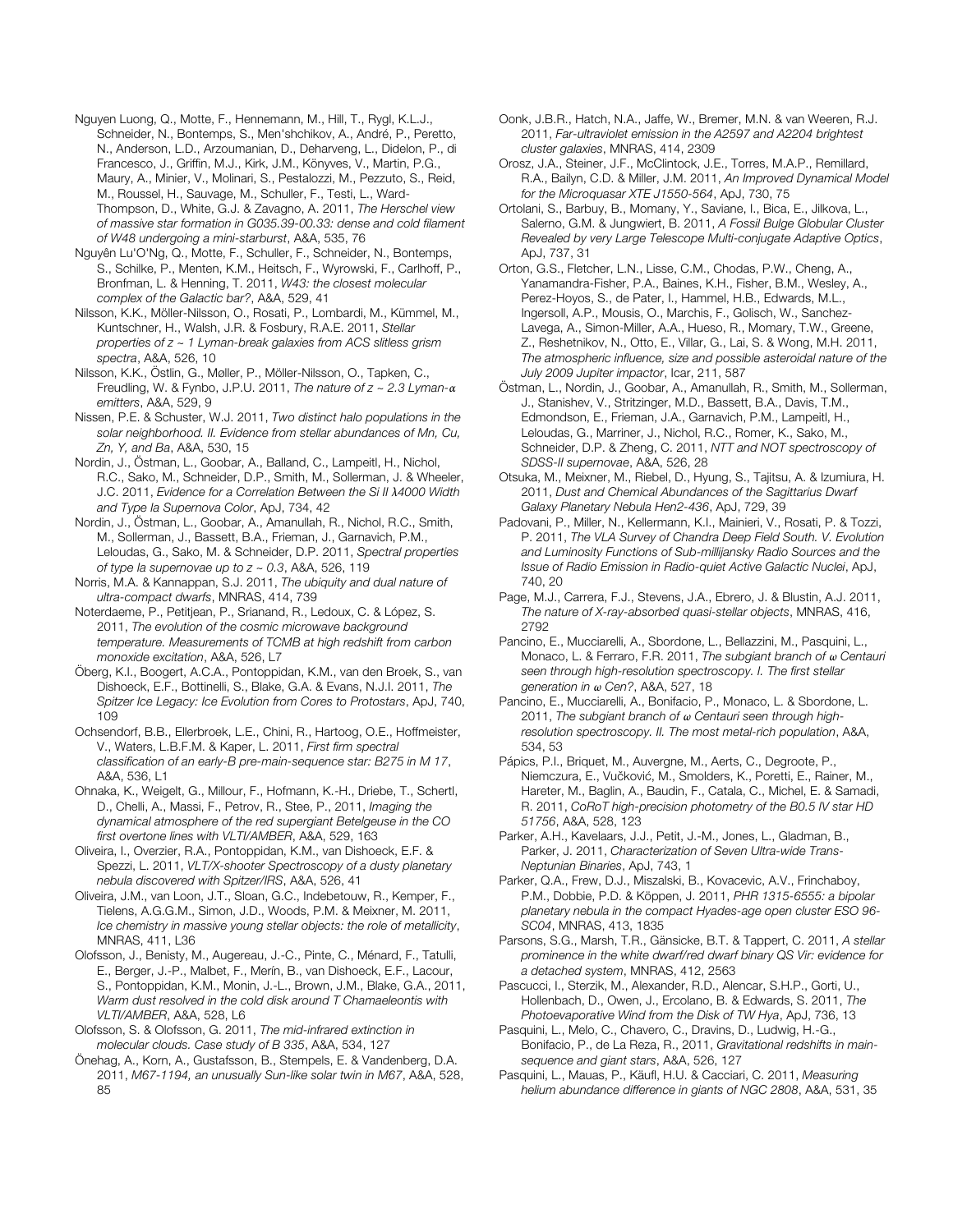Nguyen Luong, Q., Motte, F., Hennemann, M., Hill, T., Rygl, K.L.J., Schneider, N., Bontemps, S., Men'shchikov, A., André, P., Peretto, N., Anderson, L.D., Arzoumanian, D., Deharveng, L., Didelon, P., di Francesco, J., Griffin, M.J., Kirk, J.M., Könyves, V., Martin, P.G., Maury, A., Minier, V., Molinari, S., Pestalozzi, M., Pezzuto, S., Reid, M., Roussel, H., Sauvage, M., Schuller, F., Testi, L., Ward-Thompson, D., White, G.J. & Zavagno, A. 2011, *The Herschel view of massive star formation in G035.39-00.33: dense and cold filament of W48 undergoing a mini-starburst*, A&A, 535, 76

Nguyên Lu'O'Ng, Q., Motte, F., Schuller, F., Schneider, N., Bontemps, S., Schilke, P., Menten, K.M., Heitsch, F., Wyrowski, F., Carlhoff, P., Bronfman, L. & Henning, T. 2011, *W43: the closest molecular complex of the Galactic bar?*, A&A, 529, 41

Nilsson, K.K., Möller-Nilsson, O., Rosati, P., Lombardi, M., Kümmel, M., Kuntschner, H., Walsh, J.R. & Fosbury, R.A.E. 2011, *Stellar properties of z ~ 1 Lyman-break galaxies from ACS slitless grism spectra*, A&A, 526, 10

Nilsson, K.K., Östlin, G., Møller, P., Möller-Nilsson, O., Tapken, C., Freudling, W. & Fynbo, J.P.U. 2011, *The nature of z ~ 2.3 Lyman-*α *emitters*, A&A, 529, 9

Nissen, P.E. & Schuster, W.J. 2011, *Two distinct halo populations in the solar neighborhood. II. Evidence from stellar abundances of Mn, Cu, Zn, Y, and Ba*, A&A, 530, 15

Nordin, J., Östman, L., Goobar, A., Balland, C., Lampeitl, H., Nichol, R.C., Sako, M., Schneider, D.P., Smith, M., Sollerman, J. & Wheeler, J.C. 2011, *Evidence for a Correlation Between the Si II* λ*4000 Width and Type Ia Supernova Color*, ApJ, 734, 42

Nordin, J., Östman, L., Goobar, A., Amanullah, R., Nichol, R.C., Smith, M., Sollerman, J., Bassett, B.A., Frieman, J., Garnavich, P.M., Leloudas, G., Sako, M. & Schneider, D.P. 2011, *Spectral properties of type Ia supernovae up to z ~ 0.3*, A&A, 526, 119

Norris, M.A. & Kannappan, S.J. 2011, *The ubiquity and dual nature of ultra-compact dwarfs*, MNRAS, 414, 739

Noterdaeme, P., Petitjean, P., Srianand, R., Ledoux, C. & López, S. 2011, *The evolution of the cosmic microwave background temperature. Measurements of TCMB at high redshift from carbon monoxide excitation*, A&A, 526, L7

Öberg, K.I., Boogert, A.C.A., Pontoppidan, K.M., van den Broek, S., van Dishoeck, E.F., Bottinelli, S., Blake, G.A. & Evans, N.J.I. 2011, *The Spitzer Ice Legacy: Ice Evolution from Cores to Protostars*, ApJ, 740, 109

Ochsendorf, B.B., Ellerbroek, L.E., Chini, R., Hartoog, O.E., Hoffmeister, V., Waters, L.B.F.M. & Kaper, L. 2011, *First firm spectral classification of an early-B pre-main-sequence star: B275 in M 17*, A&A, 536, L1

Ohnaka, K., Weigelt, G., Millour, F., Hofmann, K.-H., Driebe, T., Schertl, D., Chelli, A., Massi, F., Petrov, R., Stee, P., 2011, *Imaging the dynamical atmosphere of the red supergiant Betelgeuse in the CO first overtone lines with VLTI/AMBER*, A&A, 529, 163

Oliveira, I., Overzier, R.A., Pontoppidan, K.M., van Dishoeck, E.F. & Spezzi, L. 2011, *VLT/X-shooter Spectroscopy of a dusty planetary nebula discovered with Spitzer/IRS*, A&A, 526, 41

Oliveira, J.M., van Loon, J.T., Sloan, G.C., Indebetouw, R., Kemper, F., Tielens, A.G.G.M., Simon, J.D., Woods, P.M. & Meixner, M. 2011, *Ice chemistry in massive young stellar objects: the role of metallicity*, MNRAS, 411, L36

Olofsson, J., Benisty, M., Augereau, J.-C., Pinte, C., Ménard, F., Tatulli, E., Berger, J.-P., Malbet, F., Merín, B., van Dishoeck, E.F., Lacour, S., Pontoppidan, K.M., Monin, J.-L., Brown, J.M., Blake, G.A., 2011, *Warm dust resolved in the cold disk around T Chamaeleontis with VLTI/AMBER*, A&A, 528, L6

Olofsson, S. & Olofsson, G. 2011, *The mid-infrared extinction in molecular clouds. Case study of B 335*, A&A, 534, 127

Önehag, A., Korn, A., Gustafsson, B., Stempels, E. & Vandenberg, D.A. 2011, *M67-1194, an unusually Sun-like solar twin in M67*, A&A, 528, 85

Oonk, J.B.R., Hatch, N.A., Jaffe, W., Bremer, M.N. & van Weeren, R.J. 2011, *Far-ultraviolet emission in the A2597 and A2204 brightest cluster galaxies*, MNRAS, 414, 2309

Orosz, J.A., Steiner, J.F., McClintock, J.E., Torres, M.A.P., Remillard, R.A., Bailyn, C.D. & Miller, J.M. 2011, *An Improved Dynamical Model for the Microquasar XTE J1550-564*, ApJ, 730, 75

Ortolani, S., Barbuy, B., Momany, Y., Saviane, I., Bica, E., Jilkova, L., Salerno, G.M. & Jungwiert, B. 2011, *A Fossil Bulge Globular Cluster Revealed by very Large Telescope Multi-conjugate Adaptive Optics*, ApJ, 737, 31

Orton, G.S., Fletcher, L.N., Lisse, C.M., Chodas, P.W., Cheng, A., Yanamandra-Fisher, P.A., Baines, K.H., Fisher, B.M., Wesley, A., Perez-Hoyos, S., de Pater, I., Hammel, H.B., Edwards, M.L., Ingersoll, A.P., Mousis, O., Marchis, F., Golisch, W., Sanchez-Lavega, A., Simon-Miller, A.A., Hueso, R., Momary, T.W., Greene, Z., Reshetnikov, N., Otto, E., Villar, G., Lai, S. & Wong, M.H. 2011, *The atmospheric influence, size and possible asteroidal nature of the July 2009 Jupiter impactor*, Icar, 211, 587

Östman, L., Nordin, J., Goobar, A., Amanullah, R., Smith, M., Sollerman, J., Stanishev, V., Stritzinger, M.D., Bassett, B.A., Davis, T.M., Edmondson, E., Frieman, J.A., Garnavich, P.M., Lampeitl, H., Leloudas, G., Marriner, J., Nichol, R.C., Romer, K., Sako, M., Schneider, D.P. & Zheng, C. 2011, *NTT and NOT spectroscopy of SDSS-II supernovae*, A&A, 526, 28

Otsuka, M., Meixner, M., Riebel, D., Hyung, S., Tajitsu, A. & Izumiura, H. 2011, *Dust and Chemical Abundances of the Sagittarius Dwarf Galaxy Planetary Nebula Hen2-436*, ApJ, 729, 39

Padovani, P., Miller, N., Kellermann, K.I., Mainieri, V., Rosati, P. & Tozzi, P. 2011, *The VLA Survey of Chandra Deep Field South. V. Evolution and Luminosity Functions of Sub-millijansky Radio Sources and the Issue of Radio Emission in Radio-quiet Active Galactic Nuclei*, ApJ, 740, 20

Page, M.J., Carrera, F.J., Stevens, J.A., Ebrero, J. & Blustin, A.J. 2011, *The nature of X-ray-absorbed quasi-stellar objects*, MNRAS, 416, 2792

Pancino, E., Mucciarelli, A., Sbordone, L., Bellazzini, M., Pasquini, L., Monaco, L. & Ferraro, F.R. 2011, *The subgiant branch of* ω *Centauri seen through high-resolution spectroscopy. I. The first stellar generation in* ω *Cen?*, A&A, 527, 18

Pancino, E., Mucciarelli, A., Bonifacio, P., Monaco, L. & Sbordone, L. 2011, *The subgiant branch of* ω *Centauri seen through highresolution spectroscopy. II. The most metal-rich population*, A&A, 534, 53

Pápics, P.I., Briquet, M., Auvergne, M., Aerts, C., Degroote, P., Niemczura, E., Vučković, M., Smolders, K., Poretti, E., Rainer, M., Hareter, M., Baglin, A., Baudin, F., Catala, C., Michel, E. & Samadi, R. 2011, *CoRoT high-precision photometry of the B0.5 IV star HD 51756*, A&A, 528, 123

Parker, A.H., Kavelaars, J.J., Petit, J.-M., Jones, L., Gladman, B., Parker, J. 2011, *Characterization of Seven Ultra-wide Trans-Neptunian Binaries*, ApJ, 743, 1

Parker, Q.A., Frew, D.J., Miszalski, B., Kovacevic, A.V., Frinchaboy, P.M., Dobbie, P.D. & Köppen, J. 2011, *PHR 1315-6555: a bipolar planetary nebula in the compact Hyades-age open cluster ESO 96- SC04*, MNRAS, 413, 1835

Parsons, S.G., Marsh, T.R., Gänsicke, B.T. & Tappert, C. 2011, *A stellar prominence in the white dwarf/red dwarf binary QS Vir: evidence for a detached system*, MNRAS, 412, 2563

Pascucci, I., Sterzik, M., Alexander, R.D., Alencar, S.H.P., Gorti, U., Hollenbach, D., Owen, J., Ercolano, B. & Edwards, S. 2011, *The Photoevaporative Wind from the Disk of TW Hya*, ApJ, 736, 13

Pasquini, L., Melo, C., Chavero, C., Dravins, D., Ludwig, H.-G., Bonifacio, P., de La Reza, R., 2011, *Gravitational redshifts in mainsequence and giant stars*, A&A, 526, 127

Pasquini, L., Mauas, P., Käufl, H.U. & Cacciari, C. 2011, *Measuring helium abundance difference in giants of NGC 2808*, A&A, 531, 35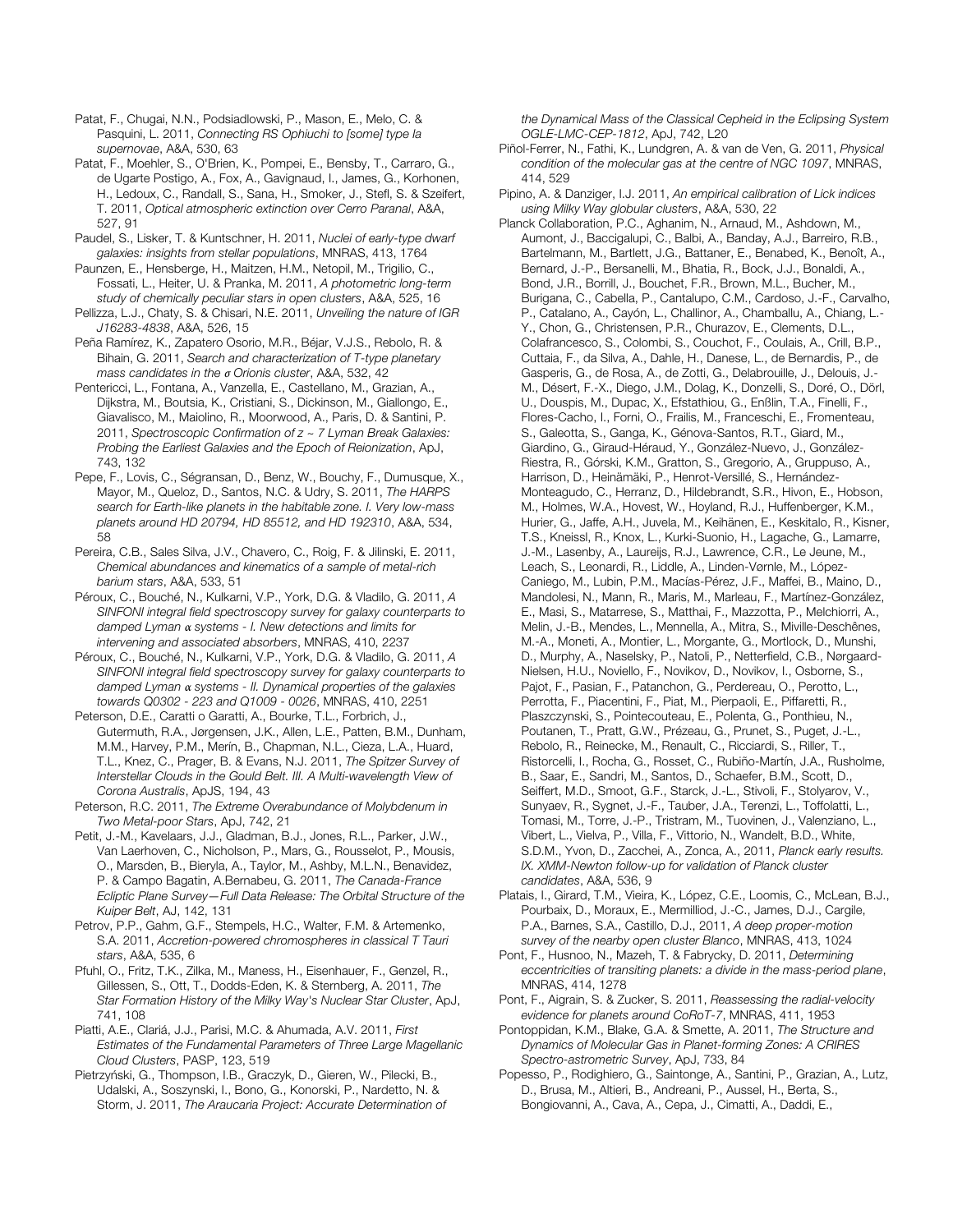Patat, F., Chugai, N.N., Podsiadlowski, P., Mason, E., Melo, C. & Pasquini, L. 2011, *Connecting RS Ophiuchi to [some] type Ia supernovae*, A&A, 530, 63

Patat, F., Moehler, S., O'Brien, K., Pompei, E., Bensby, T., Carraro, G., de Ugarte Postigo, A., Fox, A., Gavignaud, I., James, G., Korhonen, H., Ledoux, C., Randall, S., Sana, H., Smoker, J., Stefl, S. & Szeifert, T. 2011, *Optical atmospheric extinction over Cerro Paranal*, A&A, 527, 91

Paudel, S., Lisker, T. & Kuntschner, H. 2011, *Nuclei of early-type dwarf galaxies: insights from stellar populations*, MNRAS, 413, 1764

Paunzen, E., Hensberge, H., Maitzen, H.M., Netopil, M., Trigilio, C., Fossati, L., Heiter, U. & Pranka, M. 2011, *A photometric long-term study of chemically peculiar stars in open clusters*, A&A, 525, 16

Pellizza, L.J., Chaty, S. & Chisari, N.E. 2011, *Unveiling the nature of IGR J16283-4838*, A&A, 526, 15

Peña Ramírez, K., Zapatero Osorio, M.R., Béjar, V.J.S., Rebolo, R. & Bihain, G. 2011, *Search and characterization of T-type planetary mass candidates in the* σ *Orionis cluster*, A&A, 532, 42

Pentericci, L., Fontana, A., Vanzella, E., Castellano, M., Grazian, A., Dijkstra, M., Boutsia, K., Cristiani, S., Dickinson, M., Giallongo, E., Giavalisco, M., Maiolino, R., Moorwood, A., Paris, D. & Santini, P. 2011, *Spectroscopic Confirmation of z ~ 7 Lyman Break Galaxies: Probing the Earliest Galaxies and the Epoch of Reionization*, ApJ, 743, 132

Pepe, F., Lovis, C., Ségransan, D., Benz, W., Bouchy, F., Dumusque, X., Mayor, M., Queloz, D., Santos, N.C. & Udry, S. 2011, *The HARPS search for Earth-like planets in the habitable zone. I. Very low-mass planets around HD 20794, HD 85512, and HD 192310*, A&A, 534, 58

Pereira, C.B., Sales Silva, J.V., Chavero, C., Roig, F. & Jilinski, E. 2011, *Chemical abundances and kinematics of a sample of metal-rich barium stars*, A&A, 533, 51

Péroux, C., Bouché, N., Kulkarni, V.P., York, D.G. & Vladilo, G. 2011, *A SINFONI integral field spectroscopy survey for galaxy counterparts to damped Lyman* α *systems - I. New detections and limits for intervening and associated absorbers*, MNRAS, 410, 2237

Péroux, C., Bouché, N., Kulkarni, V.P., York, D.G. & Vladilo, G. 2011, *A SINFONI integral field spectroscopy survey for galaxy counterparts to damped Lyman* α *systems - II. Dynamical properties of the galaxies towards Q0302 - 223 and Q1009 - 0026*, MNRAS, 410, 2251

Peterson, D.E., Caratti o Garatti, A., Bourke, T.L., Forbrich, J., Gutermuth, R.A., Jørgensen, J.K., Allen, L.E., Patten, B.M., Dunham, M.M., Harvey, P.M., Merín, B., Chapman, N.L., Cieza, L.A., Huard, T.L., Knez, C., Prager, B. & Evans, N.J. 2011, *The Spitzer Survey of Interstellar Clouds in the Gould Belt. III. A Multi-wavelength View of Corona Australis*, ApJS, 194, 43

Peterson, R.C. 2011, *The Extreme Overabundance of Molybdenum in Two Metal-poor Stars*, ApJ, 742, 21

Petit, J.-M., Kavelaars, J.J., Gladman, B.J., Jones, R.L., Parker, J.W., Van Laerhoven, C., Nicholson, P., Mars, G., Rousselot, P., Mousis, O., Marsden, B., Bieryla, A., Taylor, M., Ashby, M.L.N., Benavidez, P. & Campo Bagatin, A.Bernabeu, G. 2011, *The Canada-France Ecliptic Plane Survey—Full Data Release: The Orbital Structure of the Kuiper Belt*, AJ, 142, 131

Petrov, P.P., Gahm, G.F., Stempels, H.C., Walter, F.M. & Artemenko, S.A. 2011, *Accretion-powered chromospheres in classical T Tauri stars*, A&A, 535, 6

Pfuhl, O., Fritz, T.K., Zilka, M., Maness, H., Eisenhauer, F., Genzel, R., Gillessen, S., Ott, T., Dodds-Eden, K. & Sternberg, A. 2011, *The Star Formation History of the Milky Way's Nuclear Star Cluster*, ApJ, 741, 108

Piatti, A.E., Clariá, J.J., Parisi, M.C. & Ahumada, A.V. 2011, *First Estimates of the Fundamental Parameters of Three Large Magellanic Cloud Clusters*, PASP, 123, 519

Pietrzyński, G., Thompson, I.B., Graczyk, D., Gieren, W., Pilecki, B., Udalski, A., Soszynski, I., Bono, G., Konorski, P., Nardetto, N. & Storm, J. 2011, *The Araucaria Project: Accurate Determination of*  *the Dynamical Mass of the Classical Cepheid in the Eclipsing System OGLE-LMC-CEP-1812*, ApJ, 742, L20

- Piñol-Ferrer, N., Fathi, K., Lundgren, A. & van de Ven, G. 2011, *Physical condition of the molecular gas at the centre of NGC 1097*, MNRAS, 414, 529
- Pipino, A. & Danziger, I.J. 2011, *An empirical calibration of Lick indices using Milky Way globular clusters*, A&A, 530, 22

Planck Collaboration, P.C., Aghanim, N., Arnaud, M., Ashdown, M., Aumont, J., Baccigalupi, C., Balbi, A., Banday, A.J., Barreiro, R.B., Bartelmann, M., Bartlett, J.G., Battaner, E., Benabed, K., Benoît, A., Bernard, J.-P., Bersanelli, M., Bhatia, R., Bock, J.J., Bonaldi, A., Bond, J.R., Borrill, J., Bouchet, F.R., Brown, M.L., Bucher, M., Burigana, C., Cabella, P., Cantalupo, C.M., Cardoso, J.-F., Carvalho, P., Catalano, A., Cayón, L., Challinor, A., Chamballu, A., Chiang, L.- Y., Chon, G., Christensen, P.R., Churazov, E., Clements, D.L., Colafrancesco, S., Colombi, S., Couchot, F., Coulais, A., Crill, B.P., Cuttaia, F., da Silva, A., Dahle, H., Danese, L., de Bernardis, P., de Gasperis, G., de Rosa, A., de Zotti, G., Delabrouille, J., Delouis, J.- M., Désert, F.-X., Diego, J.M., Dolag, K., Donzelli, S., Doré, O., Dörl, U., Douspis, M., Dupac, X., Efstathiou, G., Enßlin, T.A., Finelli, F., Flores-Cacho, I., Forni, O., Frailis, M., Franceschi, E., Fromenteau, S., Galeotta, S., Ganga, K., Génova-Santos, R.T., Giard, M., Giardino, G., Giraud-Héraud, Y., González-Nuevo, J., González-Riestra, R., Górski, K.M., Gratton, S., Gregorio, A., Gruppuso, A., Harrison, D., Heinämäki, P., Henrot-Versillé, S., Hernández-Monteagudo, C., Herranz, D., Hildebrandt, S.R., Hivon, E., Hobson, M., Holmes, W.A., Hovest, W., Hoyland, R.J., Huffenberger, K.M., Hurier, G., Jaffe, A.H., Juvela, M., Keihänen, E., Keskitalo, R., Kisner, T.S., Kneissl, R., Knox, L., Kurki-Suonio, H., Lagache, G., Lamarre, J.-M., Lasenby, A., Laureijs, R.J., Lawrence, C.R., Le Jeune, M., Leach, S., Leonardi, R., Liddle, A., Linden-Vørnle, M., López-Caniego, M., Lubin, P.M., Macías-Pérez, J.F., Maffei, B., Maino, D., Mandolesi, N., Mann, R., Maris, M., Marleau, F., Martínez-González, E., Masi, S., Matarrese, S., Matthai, F., Mazzotta, P., Melchiorri, A., Melin, J.-B., Mendes, L., Mennella, A., Mitra, S., Miville-Deschênes, M.-A., Moneti, A., Montier, L., Morgante, G., Mortlock, D., Munshi, D., Murphy, A., Naselsky, P., Natoli, P., Netterfield, C.B., Nørgaard-Nielsen, H.U., Noviello, F., Novikov, D., Novikov, I., Osborne, S., Pajot, F., Pasian, F., Patanchon, G., Perdereau, O., Perotto, L., Perrotta, F., Piacentini, F., Piat, M., Pierpaoli, E., Piffaretti, R., Plaszczynski, S., Pointecouteau, E., Polenta, G., Ponthieu, N., Poutanen, T., Pratt, G.W., Prézeau, G., Prunet, S., Puget, J.-L., Rebolo, R., Reinecke, M., Renault, C., Ricciardi, S., Riller, T., Ristorcelli, I., Rocha, G., Rosset, C., Rubiño-Martín, J.A., Rusholme, B., Saar, E., Sandri, M., Santos, D., Schaefer, B.M., Scott, D., Seiffert, M.D., Smoot, G.F., Starck, J.-L., Stivoli, F., Stolyarov, V., Sunyaev, R., Sygnet, J.-F., Tauber, J.A., Terenzi, L., Toffolatti, L., Tomasi, M., Torre, J.-P., Tristram, M., Tuovinen, J., Valenziano, L., Vibert, L., Vielva, P., Villa, F., Vittorio, N., Wandelt, B.D., White, S.D.M., Yvon, D., Zacchei, A., Zonca, A., 2011, *Planck early results. IX. XMM-Newton follow-up for validation of Planck cluster candidates*, A&A, 536, 9

- Platais, I., Girard, T.M., Vieira, K., López, C.E., Loomis, C., McLean, B.J., Pourbaix, D., Moraux, E., Mermilliod, J.-C., James, D.J., Cargile, P.A., Barnes, S.A., Castillo, D.J., 2011, *A deep proper-motion survey of the nearby open cluster Blanco*, MNRAS, 413, 1024
- Pont, F., Husnoo, N., Mazeh, T. & Fabrycky, D. 2011, *Determining eccentricities of transiting planets: a divide in the mass-period plane*, MNRAS, 414, 1278

Pont, F., Aigrain, S. & Zucker, S. 2011, *Reassessing the radial-velocity evidence for planets around CoRoT-7*, MNRAS, 411, 1953

Pontoppidan, K.M., Blake, G.A. & Smette, A. 2011, *The Structure and Dynamics of Molecular Gas in Planet-forming Zones: A CRIRES Spectro-astrometric Survey*, ApJ, 733, 84

Popesso, P., Rodighiero, G., Saintonge, A., Santini, P., Grazian, A., Lutz, D., Brusa, M., Altieri, B., Andreani, P., Aussel, H., Berta, S., Bongiovanni, A., Cava, A., Cepa, J., Cimatti, A., Daddi, E.,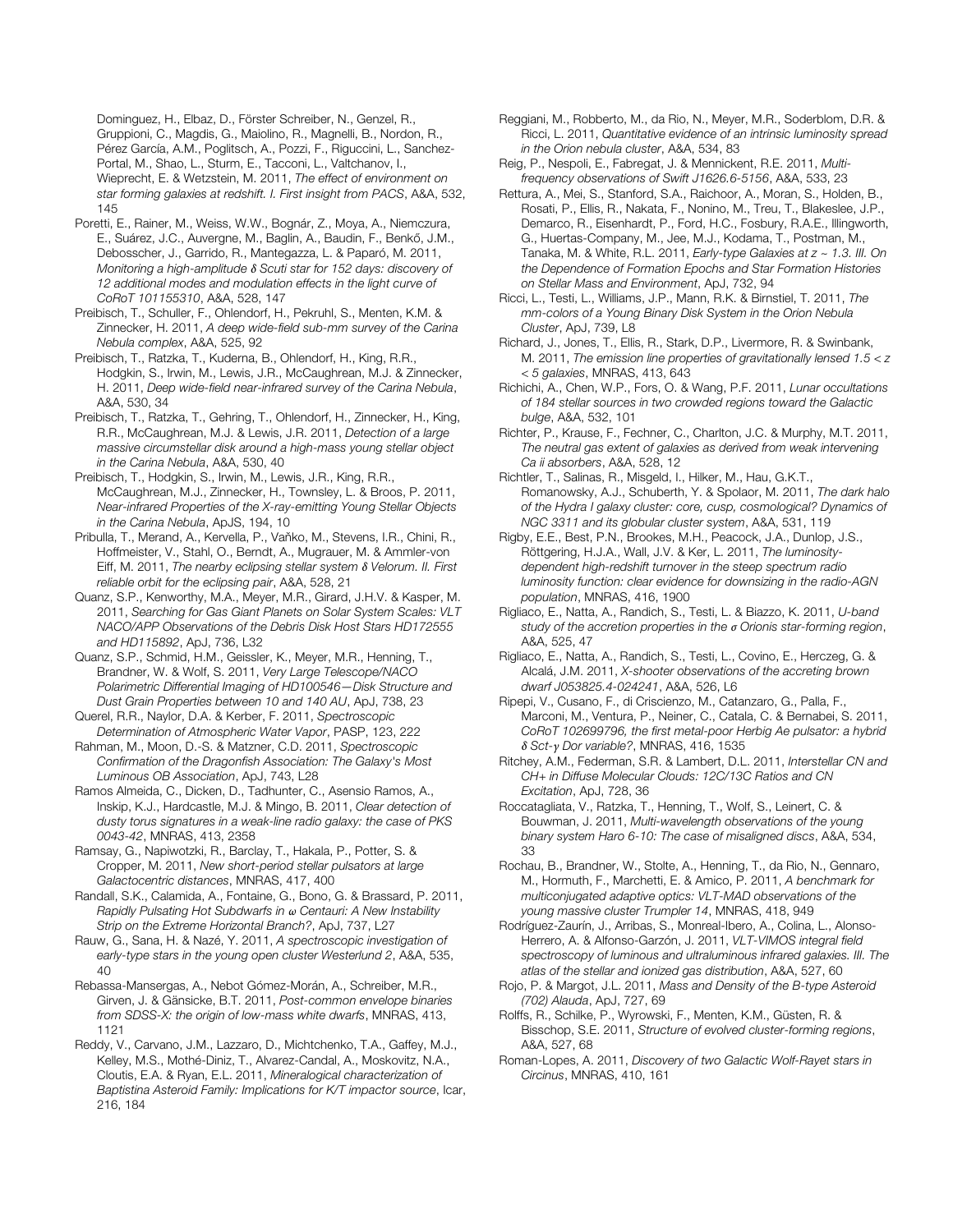Dominguez, H., Elbaz, D., Förster Schreiber, N., Genzel, R., Gruppioni, C., Magdis, G., Maiolino, R., Magnelli, B., Nordon, R., Pérez García, A.M., Poglitsch, A., Pozzi, F., Riguccini, L., Sanchez-Portal, M., Shao, L., Sturm, E., Tacconi, L., Valtchanov, I., Wieprecht, E. & Wetzstein, M. 2011, *The effect of environment on star forming galaxies at redshift. I. First insight from PACS*, A&A, 532, 145

- Poretti, E., Rainer, M., Weiss, W.W., Bognár, Z., Moya, A., Niemczura, E., Suárez, J.C., Auvergne, M., Baglin, A., Baudin, F., Benkő, J.M., Debosscher, J., Garrido, R., Mantegazza, L. & Paparó, M. 2011, *Monitoring a high-amplitude* δ *Scuti star for 152 days: discovery of 12 additional modes and modulation effects in the light curve of CoRoT 101155310*, A&A, 528, 147
- Preibisch, T., Schuller, F., Ohlendorf, H., Pekruhl, S., Menten, K.M. & Zinnecker, H. 2011, *A deep wide-field sub-mm survey of the Carina Nebula complex*, A&A, 525, 92
- Preibisch, T., Ratzka, T., Kuderna, B., Ohlendorf, H., King, R.R., Hodgkin, S., Irwin, M., Lewis, J.R., McCaughrean, M.J. & Zinnecker, H. 2011, *Deep wide-field near-infrared survey of the Carina Nebula*, A&A, 530, 34
- Preibisch, T., Ratzka, T., Gehring, T., Ohlendorf, H., Zinnecker, H., King, R.R., McCaughrean, M.J. & Lewis, J.R. 2011, *Detection of a large massive circumstellar disk around a high-mass young stellar object in the Carina Nebula*, A&A, 530, 40
- Preibisch, T., Hodgkin, S., Irwin, M., Lewis, J.R., King, R.R., McCaughrean, M.J., Zinnecker, H., Townsley, L. & Broos, P. 2011, *Near-infrared Properties of the X-ray-emitting Young Stellar Objects in the Carina Nebula*, ApJS, 194, 10
- Pribulla, T., Merand, A., Kervella, P., Vaňko, M., Stevens, I.R., Chini, R., Hoffmeister, V., Stahl, O., Berndt, A., Mugrauer, M. & Ammler-von Eiff, M. 2011, *The nearby eclipsing stellar system* δ *Velorum. II. First reliable orbit for the eclipsing pair*, A&A, 528, 21
- Quanz, S.P., Kenworthy, M.A., Meyer, M.R., Girard, J.H.V. & Kasper, M. 2011, *Searching for Gas Giant Planets on Solar System Scales: VLT NACO/APP Observations of the Debris Disk Host Stars HD172555 and HD115892*, ApJ, 736, L32
- Quanz, S.P., Schmid, H.M., Geissler, K., Meyer, M.R., Henning, T., Brandner, W. & Wolf, S. 2011, *Very Large Telescope/NACO Polarimetric Differential Imaging of HD100546—Disk Structure and Dust Grain Properties between 10 and 140 AU*, ApJ, 738, 23
- Querel, R.R., Naylor, D.A. & Kerber, F. 2011, *Spectroscopic Determination of Atmospheric Water Vapor*, PASP, 123, 222
- Rahman, M., Moon, D.-S. & Matzner, C.D. 2011, *Spectroscopic Confirmation of the Dragonfish Association: The Galaxy's Most Luminous OB Association*, ApJ, 743, L28
- Ramos Almeida, C., Dicken, D., Tadhunter, C., Asensio Ramos, A., Inskip, K.J., Hardcastle, M.J. & Mingo, B. 2011, *Clear detection of dusty torus signatures in a weak-line radio galaxy: the case of PKS 0043-42*, MNRAS, 413, 2358
- Ramsay, G., Napiwotzki, R., Barclay, T., Hakala, P., Potter, S. & Cropper, M. 2011, *New short-period stellar pulsators at large Galactocentric distances*, MNRAS, 417, 400
- Randall, S.K., Calamida, A., Fontaine, G., Bono, G. & Brassard, P. 2011, *Rapidly Pulsating Hot Subdwarfs in* ω *Centauri: A New Instability Strip on the Extreme Horizontal Branch?*, ApJ, 737, L27
- Rauw, G., Sana, H. & Nazé, Y. 2011, *A spectroscopic investigation of early-type stars in the young open cluster Westerlund 2*, A&A, 535, 40
- Rebassa-Mansergas, A., Nebot Gómez-Morán, A., Schreiber, M.R., Girven, J. & Gänsicke, B.T. 2011, *Post-common envelope binaries from SDSS-X: the origin of low-mass white dwarfs*, MNRAS, 413, 1121
- Reddy, V., Carvano, J.M., Lazzaro, D., Michtchenko, T.A., Gaffey, M.J., Kelley, M.S., Mothé-Diniz, T., Alvarez-Candal, A., Moskovitz, N.A., Cloutis, E.A. & Ryan, E.L. 2011, *Mineralogical characterization of Baptistina Asteroid Family: Implications for K/T impactor source*, Icar, 216, 184
- Reggiani, M., Robberto, M., da Rio, N., Meyer, M.R., Soderblom, D.R. & Ricci, L. 2011, *Quantitative evidence of an intrinsic luminosity spread in the Orion nebula cluster*, A&A, 534, 83
- Reig, P., Nespoli, E., Fabregat, J. & Mennickent, R.E. 2011, *Multifrequency observations of Swift J1626.6-5156*, A&A, 533, 23
- Rettura, A., Mei, S., Stanford, S.A., Raichoor, A., Moran, S., Holden, B., Rosati, P., Ellis, R., Nakata, F., Nonino, M., Treu, T., Blakeslee, J.P., Demarco, R., Eisenhardt, P., Ford, H.C., Fosbury, R.A.E., Illingworth, G., Huertas-Company, M., Jee, M.J., Kodama, T., Postman, M., Tanaka, M. & White, R.L. 2011, *Early-type Galaxies at z ~ 1.3. III. On the Dependence of Formation Epochs and Star Formation Histories on Stellar Mass and Environment*, ApJ, 732, 94
- Ricci, L., Testi, L., Williams, J.P., Mann, R.K. & Birnstiel, T. 2011, *The mm-colors of a Young Binary Disk System in the Orion Nebula Cluster*, ApJ, 739, L8
- Richard, J., Jones, T., Ellis, R., Stark, D.P., Livermore, R. & Swinbank, M. 2011, *The emission line properties of gravitationally lensed 1.5 < z < 5 galaxies*, MNRAS, 413, 643
- Richichi, A., Chen, W.P., Fors, O. & Wang, P.F. 2011, *Lunar occultations of 184 stellar sources in two crowded regions toward the Galactic bulge*, A&A, 532, 101
- Richter, P., Krause, F., Fechner, C., Charlton, J.C. & Murphy, M.T. 2011, *The neutral gas extent of galaxies as derived from weak intervening Ca ii absorbers*, A&A, 528, 12
- Richtler, T., Salinas, R., Misgeld, I., Hilker, M., Hau, G.K.T., Romanowsky, A.J., Schuberth, Y. & Spolaor, M. 2011, *The dark halo of the Hydra I galaxy cluster: core, cusp, cosmological? Dynamics of NGC 3311 and its globular cluster system*, A&A, 531, 119
- Rigby, E.E., Best, P.N., Brookes, M.H., Peacock, J.A., Dunlop, J.S., Röttgering, H.J.A., Wall, J.V. & Ker, L. 2011, *The luminositydependent high-redshift turnover in the steep spectrum radio luminosity function: clear evidence for downsizing in the radio-AGN population*, MNRAS, 416, 1900
- Rigliaco, E., Natta, A., Randich, S., Testi, L. & Biazzo, K. 2011, *U-band study of the accretion properties in the* σ *Orionis star-forming region*, A&A, 525, 47
- Rigliaco, E., Natta, A., Randich, S., Testi, L., Covino, E., Herczeg, G. & Alcalá, J.M. 2011, *X-shooter observations of the accreting brown dwarf J053825.4-024241*, A&A, 526, L6
- Ripepi, V., Cusano, F., di Criscienzo, M., Catanzaro, G., Palla, F., Marconi, M., Ventura, P., Neiner, C., Catala, C. & Bernabei, S. 2011, *CoRoT 102699796, the first metal-poor Herbig Ae pulsator: a hybrid*  δ *Sct-*γ *Dor variable?*, MNRAS, 416, 1535
- Ritchey, A.M., Federman, S.R. & Lambert, D.L. 2011, *Interstellar CN and CH+ in Diffuse Molecular Clouds: 12C/13C Ratios and CN Excitation*, ApJ, 728, 36
- Roccatagliata, V., Ratzka, T., Henning, T., Wolf, S., Leinert, C. & Bouwman, J. 2011, *Multi-wavelength observations of the young binary system Haro 6-10: The case of misaligned discs*, A&A, 534, 33
- Rochau, B., Brandner, W., Stolte, A., Henning, T., da Rio, N., Gennaro, M., Hormuth, F., Marchetti, E. & Amico, P. 2011, *A benchmark for multiconjugated adaptive optics: VLT-MAD observations of the young massive cluster Trumpler 14*, MNRAS, 418, 949
- Rodríguez-Zaurín, J., Arribas, S., Monreal-Ibero, A., Colina, L., Alonso-Herrero, A. & Alfonso-Garzón, J. 2011, *VLT-VIMOS integral field spectroscopy of luminous and ultraluminous infrared galaxies. III. The atlas of the stellar and ionized gas distribution*, A&A, 527, 60
- Rojo, P. & Margot, J.L. 2011, *Mass and Density of the B-type Asteroid (702) Alauda*, ApJ, 727, 69
- Rolffs, R., Schilke, P., Wyrowski, F., Menten, K.M., Güsten, R. & Bisschop, S.E. 2011, *Structure of evolved cluster-forming regions*, A&A, 527, 68
- Roman-Lopes, A. 2011, *Discovery of two Galactic Wolf-Rayet stars in Circinus*, MNRAS, 410, 161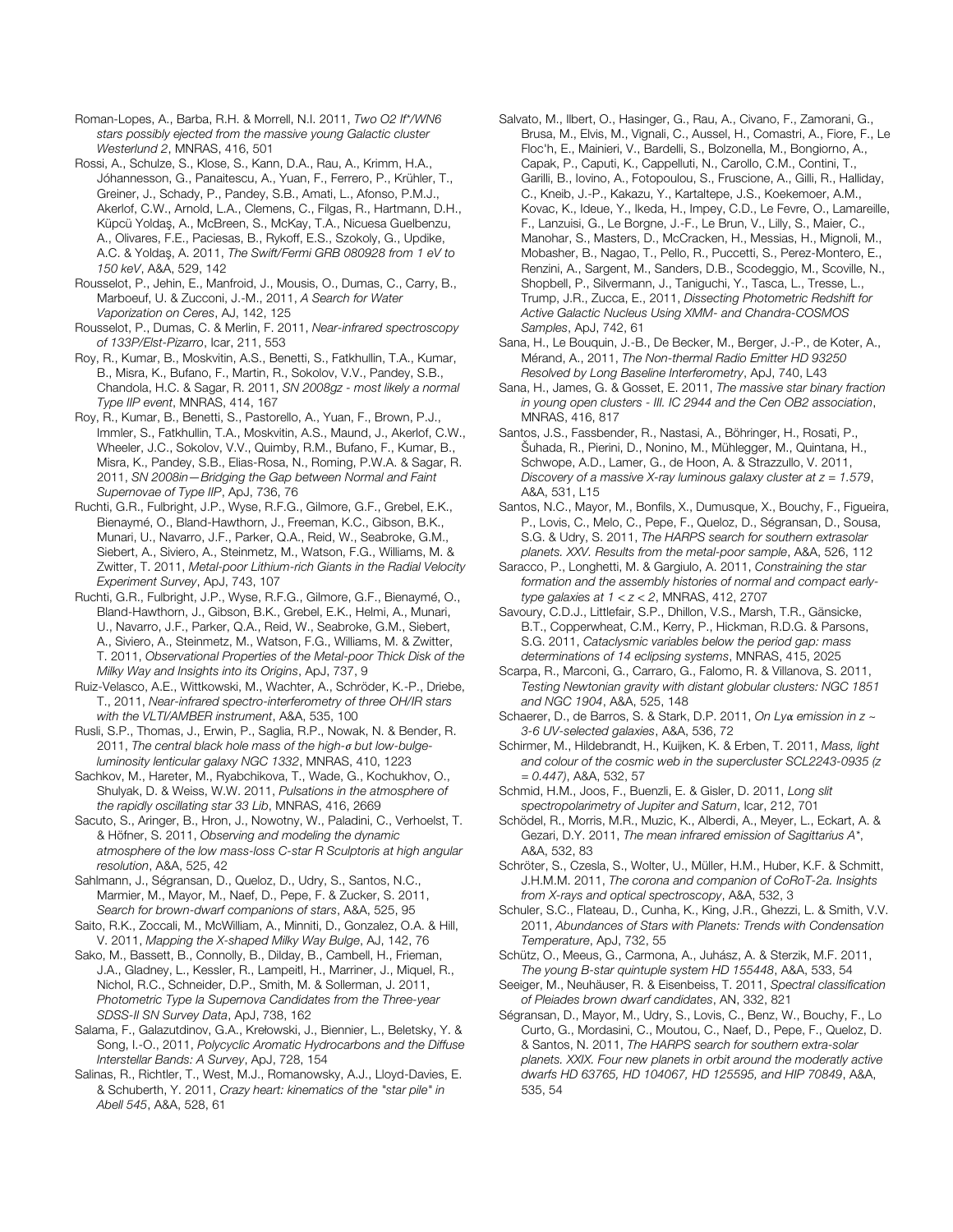Roman-Lopes, A., Barba, R.H. & Morrell, N.I. 2011, *Two O2 If\*/WN6 stars possibly ejected from the massive young Galactic cluster Westerlund 2*, MNRAS, 416, 501

Rossi, A., Schulze, S., Klose, S., Kann, D.A., Rau, A., Krimm, H.A., Jóhannesson, G., Panaitescu, A., Yuan, F., Ferrero, P., Krühler, T., Greiner, J., Schady, P., Pandey, S.B., Amati, L., Afonso, P.M.J., Akerlof, C.W., Arnold, L.A., Clemens, C., Filgas, R., Hartmann, D.H., Küpcü Yoldaş, A., McBreen, S., McKay, T.A., Nicuesa Guelbenzu, A., Olivares, F.E., Paciesas, B., Rykoff, E.S., Szokoly, G., Updike, A.C. & Yoldaş, A. 2011, *The Swift/Fermi GRB 080928 from 1 eV to 150 keV*, A&A, 529, 142

Rousselot, P., Jehin, E., Manfroid, J., Mousis, O., Dumas, C., Carry, B., Marboeuf, U. & Zucconi, J.-M., 2011, *A Search for Water Vaporization on Ceres*, AJ, 142, 125

Rousselot, P., Dumas, C. & Merlin, F. 2011, *Near-infrared spectroscopy of 133P/Elst-Pizarro*, Icar, 211, 553

Roy, R., Kumar, B., Moskvitin, A.S., Benetti, S., Fatkhullin, T.A., Kumar, B., Misra, K., Bufano, F., Martin, R., Sokolov, V.V., Pandey, S.B., Chandola, H.C. & Sagar, R. 2011, *SN 2008gz - most likely a normal Type IIP event*, MNRAS, 414, 167

Roy, R., Kumar, B., Benetti, S., Pastorello, A., Yuan, F., Brown, P.J., Immler, S., Fatkhullin, T.A., Moskvitin, A.S., Maund, J., Akerlof, C.W., Wheeler, J.C., Sokolov, V.V., Quimby, R.M., Bufano, F., Kumar, B., Misra, K., Pandey, S.B., Elias-Rosa, N., Roming, P.W.A. & Sagar, R. 2011, *SN 2008in—Bridging the Gap between Normal and Faint Supernovae of Type IIP*, ApJ, 736, 76

Ruchti, G.R., Fulbright, J.P., Wyse, R.F.G., Gilmore, G.F., Grebel, E.K., Bienaymé, O., Bland-Hawthorn, J., Freeman, K.C., Gibson, B.K., Munari, U., Navarro, J.F., Parker, Q.A., Reid, W., Seabroke, G.M., Siebert, A., Siviero, A., Steinmetz, M., Watson, F.G., Williams, M. & Zwitter, T. 2011, *Metal-poor Lithium-rich Giants in the Radial Velocity Experiment Survey*, ApJ, 743, 107

Ruchti, G.R., Fulbright, J.P., Wyse, R.F.G., Gilmore, G.F., Bienaymé, O., Bland-Hawthorn, J., Gibson, B.K., Grebel, E.K., Helmi, A., Munari, U., Navarro, J.F., Parker, Q.A., Reid, W., Seabroke, G.M., Siebert, A., Siviero, A., Steinmetz, M., Watson, F.G., Williams, M. & Zwitter, T. 2011, *Observational Properties of the Metal-poor Thick Disk of the Milky Way and Insights into its Origins*, ApJ, 737, 9

Ruiz-Velasco, A.E., Wittkowski, M., Wachter, A., Schröder, K.-P., Driebe, T., 2011, *Near-infrared spectro-interferometry of three OH/IR stars with the VLTI/AMBER instrument*, A&A, 535, 100

Rusli, S.P., Thomas, J., Erwin, P., Saglia, R.P., Nowak, N. & Bender, R. 2011, *The central black hole mass of the high-*σ *but low-bulgeluminosity lenticular galaxy NGC 1332*, MNRAS, 410, 1223

Sachkov, M., Hareter, M., Ryabchikova, T., Wade, G., Kochukhov, O., Shulyak, D. & Weiss, W.W. 2011, *Pulsations in the atmosphere of the rapidly oscillating star 33 Lib*, MNRAS, 416, 2669

Sacuto, S., Aringer, B., Hron, J., Nowotny, W., Paladini, C., Verhoelst, T. & Höfner, S. 2011, *Observing and modeling the dynamic atmosphere of the low mass-loss C-star R Sculptoris at high angular resolution*, A&A, 525, 42

Sahlmann, J., Ségransan, D., Queloz, D., Udry, S., Santos, N.C., Marmier, M., Mayor, M., Naef, D., Pepe, F. & Zucker, S. 2011, *Search for brown-dwarf companions of stars*, A&A, 525, 95

Saito, R.K., Zoccali, M., McWilliam, A., Minniti, D., Gonzalez, O.A. & Hill, V. 2011, *Mapping the X-shaped Milky Way Bulge*, AJ, 142, 76

Sako, M., Bassett, B., Connolly, B., Dilday, B., Cambell, H., Frieman, J.A., Gladney, L., Kessler, R., Lampeitl, H., Marriner, J., Miquel, R., Nichol, R.C., Schneider, D.P., Smith, M. & Sollerman, J. 2011, *Photometric Type Ia Supernova Candidates from the Three-year SDSS-II SN Survey Data*, ApJ, 738, 162

Salama, F., Galazutdinov, G.A., Krełowski, J., Biennier, L., Beletsky, Y. & Song, I.-O., 2011, *Polycyclic Aromatic Hydrocarbons and the Diffuse Interstellar Bands: A Survey*, ApJ, 728, 154

Salinas, R., Richtler, T., West, M.J., Romanowsky, A.J., Lloyd-Davies, E. & Schuberth, Y. 2011, *Crazy heart: kinematics of the "star pile" in Abell 545*, A&A, 528, 61

Salvato, M., Ilbert, O., Hasinger, G., Rau, A., Civano, F., Zamorani, G., Brusa, M., Elvis, M., Vignali, C., Aussel, H., Comastri, A., Fiore, F., Le Floc'h, E., Mainieri, V., Bardelli, S., Bolzonella, M., Bongiorno, A., Capak, P., Caputi, K., Cappelluti, N., Carollo, C.M., Contini, T., Garilli, B., Iovino, A., Fotopoulou, S., Fruscione, A., Gilli, R., Halliday, C., Kneib, J.-P., Kakazu, Y., Kartaltepe, J.S., Koekemoer, A.M., Kovac, K., Ideue, Y., Ikeda, H., Impey, C.D., Le Fevre, O., Lamareille, F., Lanzuisi, G., Le Borgne, J.-F., Le Brun, V., Lilly, S., Maier, C., Manohar, S., Masters, D., McCracken, H., Messias, H., Mignoli, M., Mobasher, B., Nagao, T., Pello, R., Puccetti, S., Perez-Montero, E., Renzini, A., Sargent, M., Sanders, D.B., Scodeggio, M., Scoville, N., Shopbell, P., Silvermann, J., Taniguchi, Y., Tasca, L., Tresse, L., Trump, J.R., Zucca, E., 2011, *Dissecting Photometric Redshift for Active Galactic Nucleus Using XMM- and Chandra-COSMOS Samples*, ApJ, 742, 61

Sana, H., Le Bouquin, J.-B., De Becker, M., Berger, J.-P., de Koter, A., Mérand, A., 2011, *The Non-thermal Radio Emitter HD 93250 Resolved by Long Baseline Interferometry*, ApJ, 740, L43

Sana, H., James, G. & Gosset, E. 2011, *The massive star binary fraction in young open clusters - III. IC 2944 and the Cen OB2 association*, MNRAS, 416, 817

Santos, J.S., Fassbender, R., Nastasi, A., Böhringer, H., Rosati, P., Šuhada, R., Pierini, D., Nonino, M., Mühlegger, M., Quintana, H., Schwope, A.D., Lamer, G., de Hoon, A. & Strazzullo, V. 2011, *Discovery of a massive X-ray luminous galaxy cluster at z = 1.579*, A&A, 531, L15

Santos, N.C., Mayor, M., Bonfils, X., Dumusque, X., Bouchy, F., Figueira, P., Lovis, C., Melo, C., Pepe, F., Queloz, D., Ségransan, D., Sousa, S.G. & Udry, S. 2011, *The HARPS search for southern extrasolar planets. XXV. Results from the metal-poor sample*, A&A, 526, 112

Saracco, P., Longhetti, M. & Gargiulo, A. 2011, *Constraining the star formation and the assembly histories of normal and compact earlytype galaxies at 1 < z < 2*, MNRAS, 412, 2707

Savoury, C.D.J., Littlefair, S.P., Dhillon, V.S., Marsh, T.R., Gänsicke, B.T., Copperwheat, C.M., Kerry, P., Hickman, R.D.G. & Parsons, S.G. 2011, *Cataclysmic variables below the period gap: mass determinations of 14 eclipsing systems*, MNRAS, 415, 2025

Scarpa, R., Marconi, G., Carraro, G., Falomo, R. & Villanova, S. 2011, *Testing Newtonian gravity with distant globular clusters: NGC 1851 and NGC 1904*, A&A, 525, 148

Schaerer, D., de Barros, S. & Stark, D.P. 2011, *On Ly*α *emission in z ~ 3-6 UV-selected galaxies*, A&A, 536, 72

Schirmer, M., Hildebrandt, H., Kuijken, K. & Erben, T. 2011, *Mass, light and colour of the cosmic web in the supercluster SCL2243-0935 (z = 0.447)*, A&A, 532, 57

Schmid, H.M., Joos, F., Buenzli, E. & Gisler, D. 2011, *Long slit spectropolarimetry of Jupiter and Saturn*, Icar, 212, 701

Schödel, R., Morris, M.R., Muzic, K., Alberdi, A., Meyer, L., Eckart, A. & Gezari, D.Y. 2011, *The mean infrared emission of Sagittarius A\**, A&A, 532, 83

Schröter, S., Czesla, S., Wolter, U., Müller, H.M., Huber, K.F. & Schmitt, J.H.M.M. 2011, *The corona and companion of CoRoT-2a. Insights from X-rays and optical spectroscopy*, A&A, 532, 3

Schuler, S.C., Flateau, D., Cunha, K., King, J.R., Ghezzi, L. & Smith, V.V. 2011, *Abundances of Stars with Planets: Trends with Condensation Temperature*, ApJ, 732, 55

Schütz, O., Meeus, G., Carmona, A., Juhász, A. & Sterzik, M.F. 2011, *The young B-star quintuple system HD 155448*, A&A, 533, 54

Seeiger, M., Neuhäuser, R. & Eisenbeiss, T. 2011, *Spectral classification of Pleiades brown dwarf candidates*, AN, 332, 821

Ségransan, D., Mayor, M., Udry, S., Lovis, C., Benz, W., Bouchy, F., Lo Curto, G., Mordasini, C., Moutou, C., Naef, D., Pepe, F., Queloz, D. & Santos, N. 2011, *The HARPS search for southern extra-solar planets. XXIX. Four new planets in orbit around the moderatly active dwarfs HD 63765, HD 104067, HD 125595, and HIP 70849*, A&A, 535, 54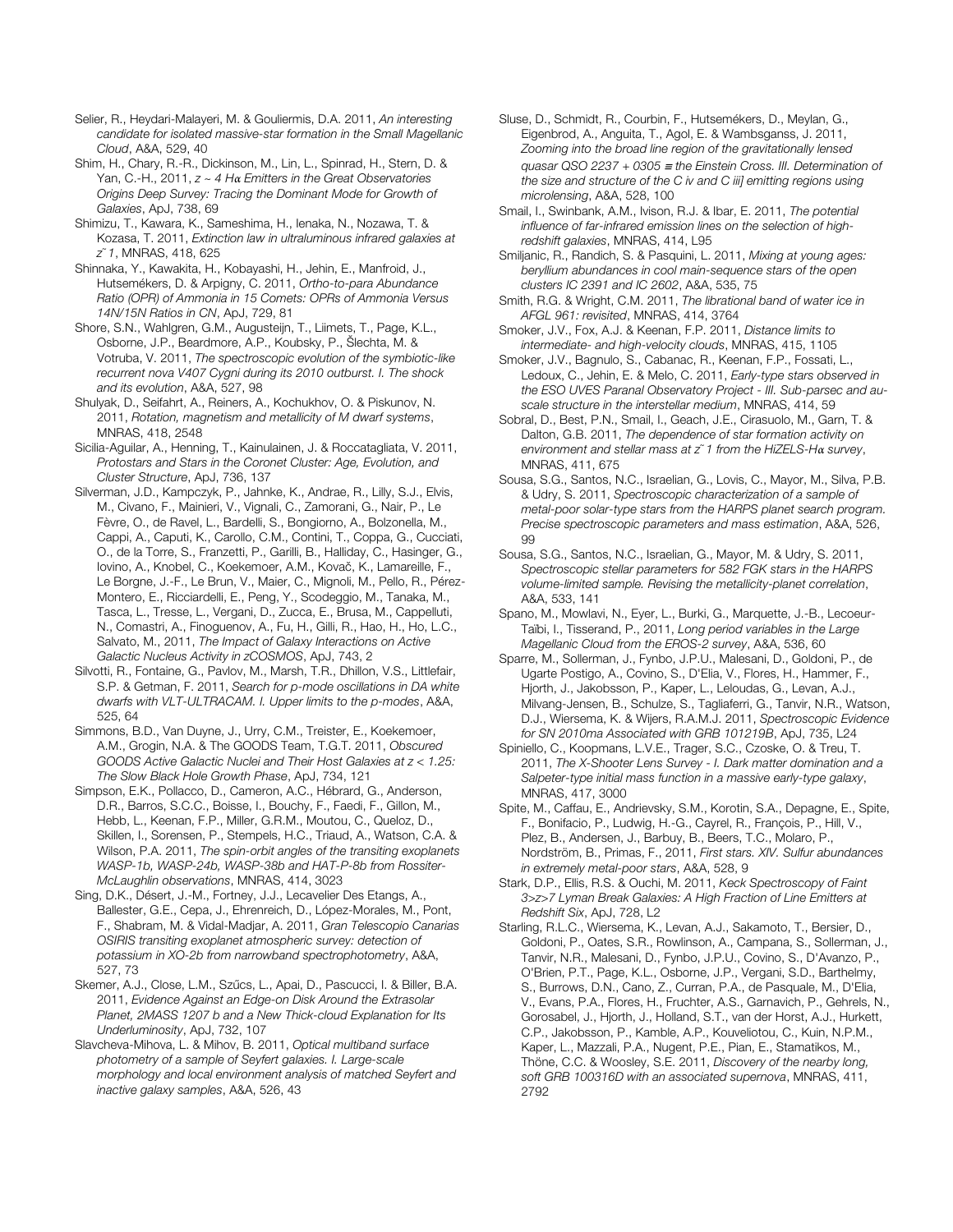Selier, R., Heydari-Malayeri, M. & Gouliermis, D.A. 2011, *An interesting candidate for isolated massive-star formation in the Small Magellanic Cloud*, A&A, 529, 40

Shim, H., Chary, R.-R., Dickinson, M., Lin, L., Spinrad, H., Stern, D. & Yan, C.-H., 2011, *z ~ 4 H*α *Emitters in the Great Observatories Origins Deep Survey: Tracing the Dominant Mode for Growth of Galaxies*, ApJ, 738, 69

Shimizu, T., Kawara, K., Sameshima, H., Ienaka, N., Nozawa, T. & Kozasa, T. 2011, *Extinction law in ultraluminous infrared galaxies at z˜ 1*, MNRAS, 418, 625

Shinnaka, Y., Kawakita, H., Kobayashi, H., Jehin, E., Manfroid, J., Hutsemékers, D. & Arpigny, C. 2011, *Ortho-to-para Abundance Ratio (OPR) of Ammonia in 15 Comets: OPRs of Ammonia Versus 14N/15N Ratios in CN*, ApJ, 729, 81

Shore, S.N., Wahlgren, G.M., Augusteijn, T., Liimets, T., Page, K.L., Osborne, J.P., Beardmore, A.P., Koubsky, P., Šlechta, M. & Votruba, V. 2011, *The spectroscopic evolution of the symbiotic-like recurrent nova V407 Cygni during its 2010 outburst. I. The shock and its evolution*, A&A, 527, 98

Shulyak, D., Seifahrt, A., Reiners, A., Kochukhov, O. & Piskunov, N. 2011, *Rotation, magnetism and metallicity of M dwarf systems*, MNRAS, 418, 2548

Sicilia-Aguilar, A., Henning, T., Kainulainen, J. & Roccatagliata, V. 2011, *Protostars and Stars in the Coronet Cluster: Age, Evolution, and Cluster Structure*, ApJ, 736, 137

Silverman, J.D., Kampczyk, P., Jahnke, K., Andrae, R., Lilly, S.J., Elvis, M., Civano, F., Mainieri, V., Vignali, C., Zamorani, G., Nair, P., Le Fèvre, O., de Ravel, L., Bardelli, S., Bongiorno, A., Bolzonella, M., Cappi, A., Caputi, K., Carollo, C.M., Contini, T., Coppa, G., Cucciati, O., de la Torre, S., Franzetti, P., Garilli, B., Halliday, C., Hasinger, G., Iovino, A., Knobel, C., Koekemoer, A.M., Kovač, K., Lamareille, F., Le Borgne, J.-F., Le Brun, V., Maier, C., Mignoli, M., Pello, R., Pérez-Montero, E., Ricciardelli, E., Peng, Y., Scodeggio, M., Tanaka, M., Tasca, L., Tresse, L., Vergani, D., Zucca, E., Brusa, M., Cappelluti, N., Comastri, A., Finoguenov, A., Fu, H., Gilli, R., Hao, H., Ho, L.C., Salvato, M., 2011, *The Impact of Galaxy Interactions on Active Galactic Nucleus Activity in zCOSMOS*, ApJ, 743, 2

Silvotti, R., Fontaine, G., Pavlov, M., Marsh, T.R., Dhillon, V.S., Littlefair, S.P. & Getman, F. 2011, *Search for p-mode oscillations in DA white dwarfs with VLT-ULTRACAM. I. Upper limits to the p-modes*, A&A, 525, 64

Simmons, B.D., Van Duyne, J., Urry, C.M., Treister, E., Koekemoer, A.M., Grogin, N.A. & The GOODS Team, T.G.T. 2011, *Obscured GOODS Active Galactic Nuclei and Their Host Galaxies at z < 1.25: The Slow Black Hole Growth Phase*, ApJ, 734, 121

Simpson, E.K., Pollacco, D., Cameron, A.C., Hébrard, G., Anderson, D.R., Barros, S.C.C., Boisse, I., Bouchy, F., Faedi, F., Gillon, M., Hebb, L., Keenan, F.P., Miller, G.R.M., Moutou, C., Queloz, D., Skillen, I., Sorensen, P., Stempels, H.C., Triaud, A., Watson, C.A. & Wilson, P.A. 2011, *The spin-orbit angles of the transiting exoplanets WASP-1b, WASP-24b, WASP-38b and HAT-P-8b from Rossiter-McLaughlin observations*, MNRAS, 414, 3023

Sing, D.K., Désert, J.-M., Fortney, J.J., Lecavelier Des Etangs, A., Ballester, G.E., Cepa, J., Ehrenreich, D., López-Morales, M., Pont, F., Shabram, M. & Vidal-Madjar, A. 2011, *Gran Telescopio Canarias OSIRIS transiting exoplanet atmospheric survey: detection of potassium in XO-2b from narrowband spectrophotometry*, A&A, 527, 73

Skemer, A.J., Close, L.M., Szűcs, L., Apai, D., Pascucci, I. & Biller, B.A. 2011, *Evidence Against an Edge-on Disk Around the Extrasolar Planet, 2MASS 1207 b and a New Thick-cloud Explanation for Its Underluminosity*, ApJ, 732, 107

Slavcheva-Mihova, L. & Mihov, B. 2011, *Optical multiband surface photometry of a sample of Seyfert galaxies. I. Large-scale morphology and local environment analysis of matched Seyfert and inactive galaxy samples*, A&A, 526, 43

Sluse, D., Schmidt, R., Courbin, F., Hutsemékers, D., Meylan, G., Eigenbrod, A., Anguita, T., Agol, E. & Wambsganss, J. 2011, *Zooming into the broad line region of the gravitationally lensed quasar QSO 2237 + 0305* <sup>≡</sup> *the Einstein Cross. III. Determination of the size and structure of the C iv and C iii] emitting regions using microlensing*, A&A, 528, 100

Smail, I., Swinbank, A.M., Ivison, R.J. & Ibar, E. 2011, *The potential influence of far-infrared emission lines on the selection of highredshift galaxies*, MNRAS, 414, L95

Smiljanic, R., Randich, S. & Pasquini, L. 2011, *Mixing at young ages: beryllium abundances in cool main-sequence stars of the open clusters IC 2391 and IC 2602*, A&A, 535, 75

Smith, R.G. & Wright, C.M. 2011, *The librational band of water ice in AFGL 961: revisited*, MNRAS, 414, 3764

Smoker, J.V., Fox, A.J. & Keenan, F.P. 2011, *Distance limits to intermediate- and high-velocity clouds*, MNRAS, 415, 1105

Smoker, J.V., Bagnulo, S., Cabanac, R., Keenan, F.P., Fossati, L., Ledoux, C., Jehin, E. & Melo, C. 2011, *Early-type stars observed in the ESO UVES Paranal Observatory Project - III. Sub-parsec and auscale structure in the interstellar medium*, MNRAS, 414, 59

Sobral, D., Best, P.N., Smail, I., Geach, J.E., Cirasuolo, M., Garn, T. & Dalton, G.B. 2011, *The dependence of star formation activity on environment and stellar mass at z˜ 1 from the HiZELS-H*α *survey*, MNRAS, 411, 675

Sousa, S.G., Santos, N.C., Israelian, G., Lovis, C., Mayor, M., Silva, P.B. & Udry, S. 2011, *Spectroscopic characterization of a sample of metal-poor solar-type stars from the HARPS planet search program. Precise spectroscopic parameters and mass estimation*, A&A, 526, 99

Sousa, S.G., Santos, N.C., Israelian, G., Mayor, M. & Udry, S. 2011, *Spectroscopic stellar parameters for 582 FGK stars in the HARPS volume-limited sample. Revising the metallicity-planet correlation*, A&A, 533, 141

Spano, M., Mowlavi, N., Eyer, L., Burki, G., Marquette, J.-B., Lecoeur-Taïbi, I., Tisserand, P., 2011, *Long period variables in the Large Magellanic Cloud from the EROS-2 survey*, A&A, 536, 60

Sparre, M., Sollerman, J., Fynbo, J.P.U., Malesani, D., Goldoni, P., de Ugarte Postigo, A., Covino, S., D'Elia, V., Flores, H., Hammer, F., Hjorth, J., Jakobsson, P., Kaper, L., Leloudas, G., Levan, A.J., Milvang-Jensen, B., Schulze, S., Tagliaferri, G., Tanvir, N.R., Watson, D.J., Wiersema, K. & Wijers, R.A.M.J. 2011, *Spectroscopic Evidence for SN 2010ma Associated with GRB 101219B*, ApJ, 735, L24

Spiniello, C., Koopmans, L.V.E., Trager, S.C., Czoske, O. & Treu, T. 2011, *The X-Shooter Lens Survey - I. Dark matter domination and a Salpeter-type initial mass function in a massive early-type galaxy*, MNRAS, 417, 3000

Spite, M., Caffau, E., Andrievsky, S.M., Korotin, S.A., Depagne, E., Spite, F., Bonifacio, P., Ludwig, H.-G., Cayrel, R., François, P., Hill, V., Plez, B., Andersen, J., Barbuy, B., Beers, T.C., Molaro, P., Nordström, B., Primas, F., 2011, *First stars. XIV. Sulfur abundances in extremely metal-poor stars*, A&A, 528, 9

Stark, D.P., Ellis, R.S. & Ouchi, M. 2011, *Keck Spectroscopy of Faint 3>z>7 Lyman Break Galaxies: A High Fraction of Line Emitters at Redshift Six*, ApJ, 728, L2

Starling, R.L.C., Wiersema, K., Levan, A.J., Sakamoto, T., Bersier, D., Goldoni, P., Oates, S.R., Rowlinson, A., Campana, S., Sollerman, J., Tanvir, N.R., Malesani, D., Fynbo, J.P.U., Covino, S., D'Avanzo, P., O'Brien, P.T., Page, K.L., Osborne, J.P., Vergani, S.D., Barthelmy, S., Burrows, D.N., Cano, Z., Curran, P.A., de Pasquale, M., D'Elia, V., Evans, P.A., Flores, H., Fruchter, A.S., Garnavich, P., Gehrels, N., Gorosabel, J., Hjorth, J., Holland, S.T., van der Horst, A.J., Hurkett, C.P., Jakobsson, P., Kamble, A.P., Kouveliotou, C., Kuin, N.P.M., Kaper, L., Mazzali, P.A., Nugent, P.E., Pian, E., Stamatikos, M., Thöne, C.C. & Woosley, S.E. 2011, *Discovery of the nearby long, soft GRB 100316D with an associated supernova*, MNRAS, 411, 2792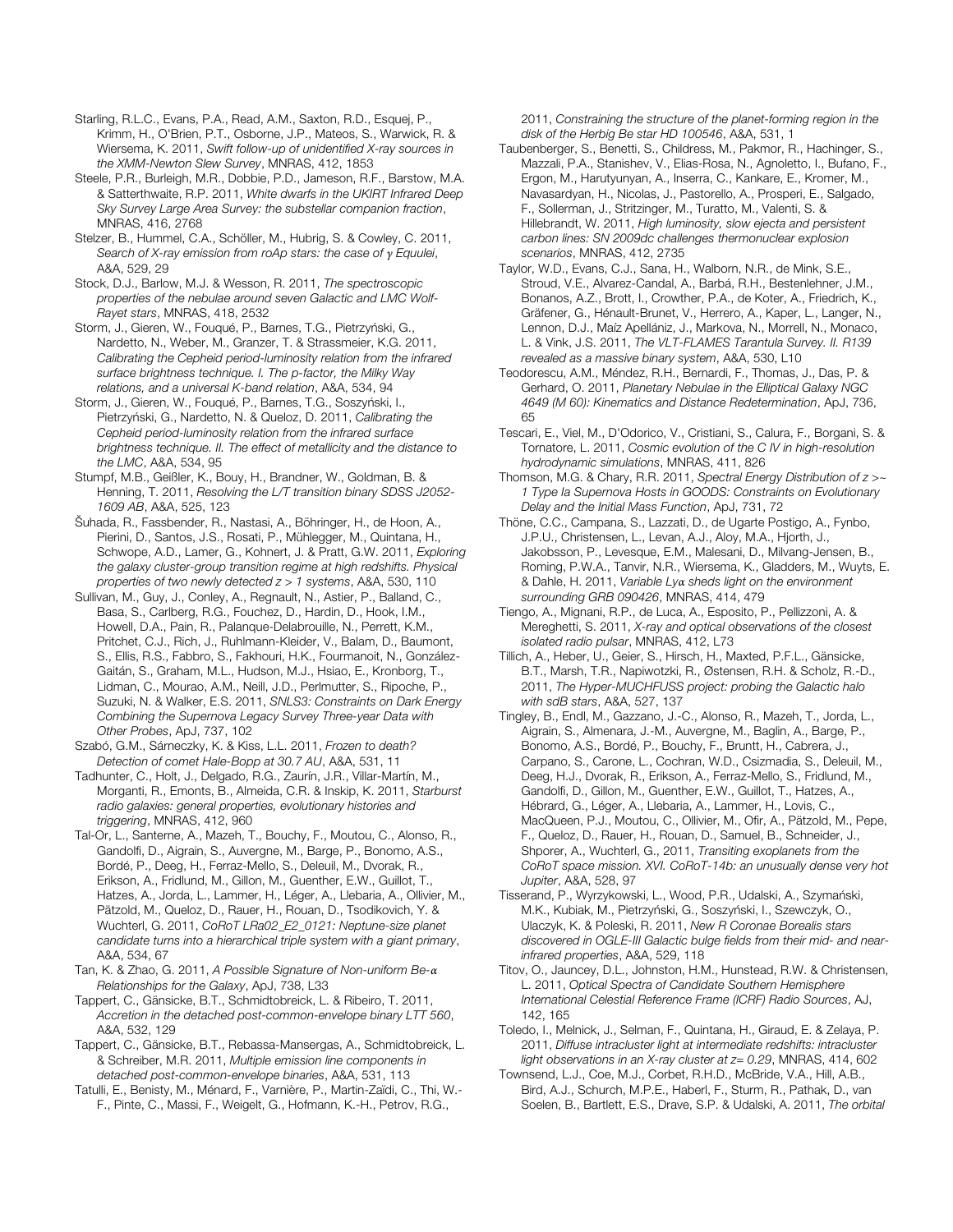Starling, R.L.C., Evans, P.A., Read, A.M., Saxton, R.D., Esquej, P., Krimm, H., O'Brien, P.T., Osborne, J.P., Mateos, S., Warwick, R. & Wiersema, K. 2011, *Swift follow-up of unidentified X-ray sources in the XMM-Newton Slew Survey*, MNRAS, 412, 1853

Steele, P.R., Burleigh, M.R., Dobbie, P.D., Jameson, R.F., Barstow, M.A. & Satterthwaite, R.P. 2011, *White dwarfs in the UKIRT Infrared Deep Sky Survey Large Area Survey: the substellar companion fraction*, MNRAS, 416, 2768

Stelzer, B., Hummel, C.A., Schöller, M., Hubrig, S. & Cowley, C. 2011, *Search of X-ray emission from roAp stars: the case of* γ *Equulei*, A&A, 529, 29

Stock, D.J., Barlow, M.J. & Wesson, R. 2011, *The spectroscopic properties of the nebulae around seven Galactic and LMC Wolf-Rayet stars*, MNRAS, 418, 2532

Storm, J., Gieren, W., Fouqué, P., Barnes, T.G., Pietrzyński, G., Nardetto, N., Weber, M., Granzer, T. & Strassmeier, K.G. 2011, *Calibrating the Cepheid period-luminosity relation from the infrared surface brightness technique. I. The p-factor, the Milky Way relations, and a universal K-band relation*, A&A, 534, 94

Storm, J., Gieren, W., Fouqué, P., Barnes, T.G., Soszyński, I., Pietrzyński, G., Nardetto, N. & Queloz, D. 2011, *Calibrating the Cepheid period-luminosity relation from the infrared surface brightness technique. II. The effect of metallicity and the distance to the LMC*, A&A, 534, 95

Stumpf, M.B., Geißler, K., Bouy, H., Brandner, W., Goldman, B. & Henning, T. 2011, *Resolving the L/T transition binary SDSS J2052- 1609 AB*, A&A, 525, 123

Šuhada, R., Fassbender, R., Nastasi, A., Böhringer, H., de Hoon, A., Pierini, D., Santos, J.S., Rosati, P., Mühlegger, M., Quintana, H., Schwope, A.D., Lamer, G., Kohnert, J. & Pratt, G.W. 2011, *Exploring the galaxy cluster-group transition regime at high redshifts. Physical properties of two newly detected z > 1 systems*, A&A, 530, 110

Sullivan, M., Guy, J., Conley, A., Regnault, N., Astier, P., Balland, C., Basa, S., Carlberg, R.G., Fouchez, D., Hardin, D., Hook, I.M., Howell, D.A., Pain, R., Palanque-Delabrouille, N., Perrett, K.M., Pritchet, C.J., Rich, J., Ruhlmann-Kleider, V., Balam, D., Baumont, S., Ellis, R.S., Fabbro, S., Fakhouri, H.K., Fourmanoit, N., González-Gaitán, S., Graham, M.L., Hudson, M.J., Hsiao, E., Kronborg, T., Lidman, C., Mourao, A.M., Neill, J.D., Perlmutter, S., Ripoche, P., Suzuki, N. & Walker, E.S. 2011, *SNLS3: Constraints on Dark Energy Combining the Supernova Legacy Survey Three-year Data with Other Probes*, ApJ, 737, 102

Szabó, G.M., Sárneczky, K. & Kiss, L.L. 2011, *Frozen to death? Detection of comet Hale-Bopp at 30.7 AU*, A&A, 531, 11

Tadhunter, C., Holt, J., Delgado, R.G., Zaurín, J.R., Villar-Martín, M., Morganti, R., Emonts, B., Almeida, C.R. & Inskip, K. 2011, *Starburst radio galaxies: general properties, evolutionary histories and triggering*, MNRAS, 412, 960

Tal-Or, L., Santerne, A., Mazeh, T., Bouchy, F., Moutou, C., Alonso, R., Gandolfi, D., Aigrain, S., Auvergne, M., Barge, P., Bonomo, A.S., Bordé, P., Deeg, H., Ferraz-Mello, S., Deleuil, M., Dvorak, R., Erikson, A., Fridlund, M., Gillon, M., Guenther, E.W., Guillot, T., Hatzes, A., Jorda, L., Lammer, H., Léger, A., Llebaria, A., Ollivier, M., Pätzold, M., Queloz, D., Rauer, H., Rouan, D., Tsodikovich, Y. & Wuchterl, G. 2011, *CoRoT LRa02\_E2\_0121: Neptune-size planet candidate turns into a hierarchical triple system with a giant primary*, A&A, 534, 67

Tan, K. & Zhao, G. 2011, *A Possible Signature of Non-uniform Be-*α *Relationships for the Galaxy*, ApJ, 738, L33

Tappert, C., Gänsicke, B.T., Schmidtobreick, L. & Ribeiro, T. 2011, *Accretion in the detached post-common-envelope binary LTT 560*, A&A, 532, 129

Tappert, C., Gänsicke, B.T., Rebassa-Mansergas, A., Schmidtobreick, L. & Schreiber, M.R. 2011, *Multiple emission line components in detached post-common-envelope binaries*, A&A, 531, 113

Tatulli, E., Benisty, M., Ménard, F., Varnière, P., Martin-Zaïdi, C., Thi, W.- F., Pinte, C., Massi, F., Weigelt, G., Hofmann, K.-H., Petrov, R.G.,

2011, *Constraining the structure of the planet-forming region in the disk of the Herbig Be star HD 100546*, A&A, 531, 1

Taubenberger, S., Benetti, S., Childress, M., Pakmor, R., Hachinger, S., Mazzali, P.A., Stanishev, V., Elias-Rosa, N., Agnoletto, I., Bufano, F., Ergon, M., Harutyunyan, A., Inserra, C., Kankare, E., Kromer, M., Navasardyan, H., Nicolas, J., Pastorello, A., Prosperi, E., Salgado, F., Sollerman, J., Stritzinger, M., Turatto, M., Valenti, S. & Hillebrandt, W. 2011, *High luminosity, slow ejecta and persistent carbon lines: SN 2009dc challenges thermonuclear explosion scenarios*, MNRAS, 412, 2735

Taylor, W.D., Evans, C.J., Sana, H., Walborn, N.R., de Mink, S.E., Stroud, V.E., Alvarez-Candal, A., Barbá, R.H., Bestenlehner, J.M., Bonanos, A.Z., Brott, I., Crowther, P.A., de Koter, A., Friedrich, K., Gräfener, G., Hénault-Brunet, V., Herrero, A., Kaper, L., Langer, N., Lennon, D.J., Maíz Apellániz, J., Markova, N., Morrell, N., Monaco, L. & Vink, J.S. 2011, *The VLT-FLAMES Tarantula Survey. II. R139 revealed as a massive binary system*, A&A, 530, L10

Teodorescu, A.M., Méndez, R.H., Bernardi, F., Thomas, J., Das, P. & Gerhard, O. 2011, *Planetary Nebulae in the Elliptical Galaxy NGC 4649 (M 60): Kinematics and Distance Redetermination*, ApJ, 736, 65

Tescari, E., Viel, M., D'Odorico, V., Cristiani, S., Calura, F., Borgani, S. & Tornatore, L. 2011, *Cosmic evolution of the C IV in high-resolution hydrodynamic simulations*, MNRAS, 411, 826

Thomson, M.G. & Chary, R.R. 2011, *Spectral Energy Distribution of z >~ 1 Type Ia Supernova Hosts in GOODS: Constraints on Evolutionary Delay and the Initial Mass Function*, ApJ, 731, 72

Thöne, C.C., Campana, S., Lazzati, D., de Ugarte Postigo, A., Fynbo, J.P.U., Christensen, L., Levan, A.J., Aloy, M.A., Hjorth, J., Jakobsson, P., Levesque, E.M., Malesani, D., Milvang-Jensen, B., Roming, P.W.A., Tanvir, N.R., Wiersema, K., Gladders, M., Wuyts, E. & Dahle, H. 2011, *Variable Ly*α *sheds light on the environment surrounding GRB 090426*, MNRAS, 414, 479

Tiengo, A., Mignani, R.P., de Luca, A., Esposito, P., Pellizzoni, A. & Mereghetti, S. 2011, *X-ray and optical observations of the closest isolated radio pulsar*, MNRAS, 412, L73

Tillich, A., Heber, U., Geier, S., Hirsch, H., Maxted, P.F.L., Gänsicke, B.T., Marsh, T.R., Napiwotzki, R., Østensen, R.H. & Scholz, R.-D., 2011, *The Hyper-MUCHFUSS project: probing the Galactic halo with sdB stars*, A&A, 527, 137

Tingley, B., Endl, M., Gazzano, J.-C., Alonso, R., Mazeh, T., Jorda, L., Aigrain, S., Almenara, J.-M., Auvergne, M., Baglin, A., Barge, P., Bonomo, A.S., Bordé, P., Bouchy, F., Bruntt, H., Cabrera, J., Carpano, S., Carone, L., Cochran, W.D., Csizmadia, S., Deleuil, M., Deeg, H.J., Dvorak, R., Erikson, A., Ferraz-Mello, S., Fridlund, M., Gandolfi, D., Gillon, M., Guenther, E.W., Guillot, T., Hatzes, A., Hébrard, G., Léger, A., Llebaria, A., Lammer, H., Lovis, C., MacQueen, P.J., Moutou, C., Ollivier, M., Ofir, A., Pätzold, M., Pepe, F., Queloz, D., Rauer, H., Rouan, D., Samuel, B., Schneider, J., Shporer, A., Wuchterl, G., 2011, *Transiting exoplanets from the CoRoT space mission. XVI. CoRoT-14b: an unusually dense very hot Jupiter*, A&A, 528, 97

Tisserand, P., Wyrzykowski, L., Wood, P.R., Udalski, A., Szymański, M.K., Kubiak, M., Pietrzyński, G., Soszyński, I., Szewczyk, O., Ulaczyk, K. & Poleski, R. 2011, *New R Coronae Borealis stars discovered in OGLE-III Galactic bulge fields from their mid- and nearinfrared properties*, A&A, 529, 118

Titov, O., Jauncey, D.L., Johnston, H.M., Hunstead, R.W. & Christensen, L. 2011, *Optical Spectra of Candidate Southern Hemisphere International Celestial Reference Frame (ICRF) Radio Sources*, AJ, 142, 165

Toledo, I., Melnick, J., Selman, F., Quintana, H., Giraud, E. & Zelaya, P. 2011, *Diffuse intracluster light at intermediate redshifts: intracluster light observations in an X-ray cluster at z= 0.29*, MNRAS, 414, 602

Townsend, L.J., Coe, M.J., Corbet, R.H.D., McBride, V.A., Hill, A.B., Bird, A.J., Schurch, M.P.E., Haberl, F., Sturm, R., Pathak, D., van Soelen, B., Bartlett, E.S., Drave, S.P. & Udalski, A. 2011, *The orbital*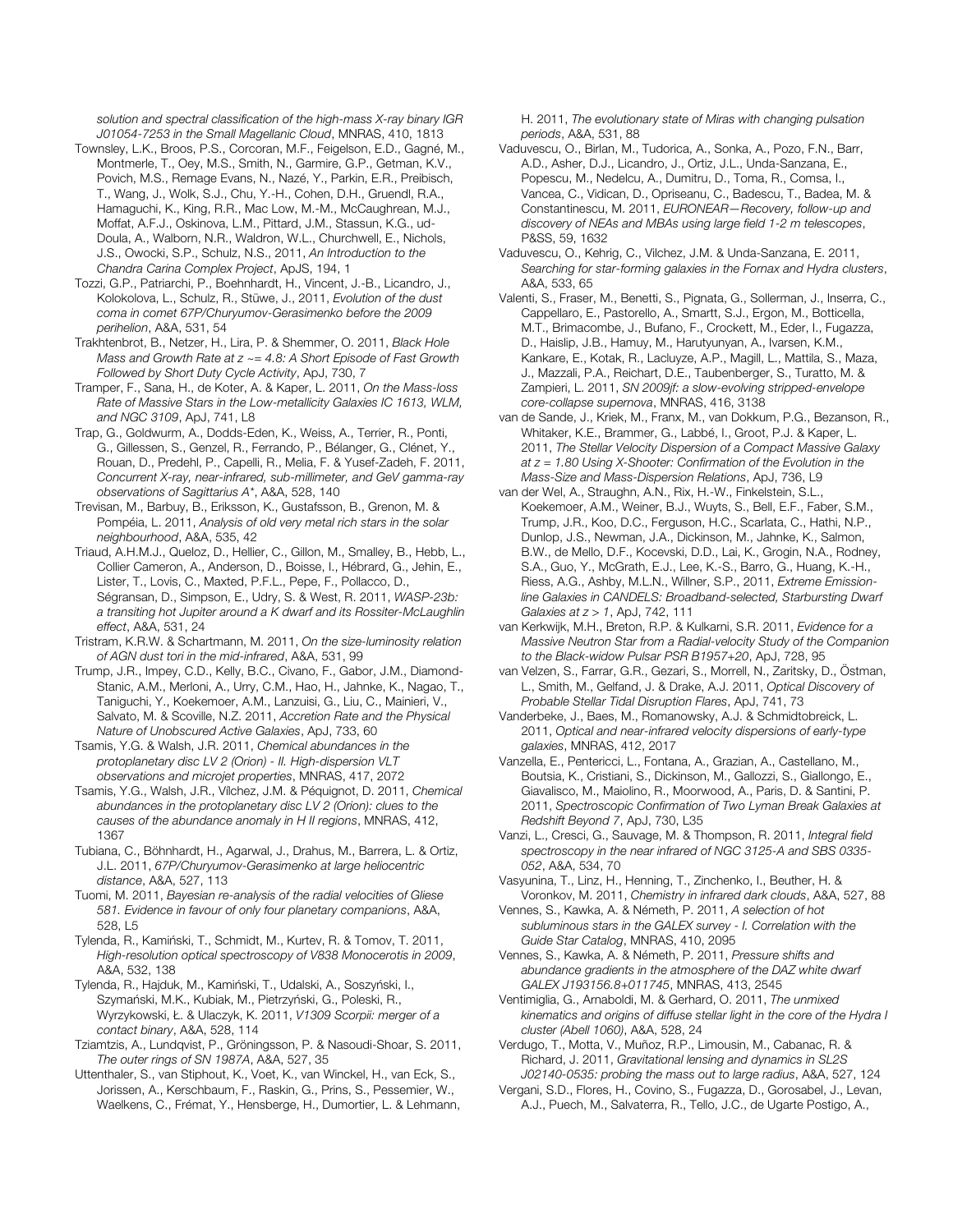*solution and spectral classification of the high-mass X-ray binary IGR J01054-7253 in the Small Magellanic Cloud*, MNRAS, 410, 1813

- Townsley, L.K., Broos, P.S., Corcoran, M.F., Feigelson, E.D., Gagné, M., Montmerle, T., Oey, M.S., Smith, N., Garmire, G.P., Getman, K.V., Povich, M.S., Remage Evans, N., Nazé, Y., Parkin, E.R., Preibisch, T., Wang, J., Wolk, S.J., Chu, Y.-H., Cohen, D.H., Gruendl, R.A., Hamaguchi, K., King, R.R., Mac Low, M.-M., McCaughrean, M.J., Moffat, A.F.J., Oskinova, L.M., Pittard, J.M., Stassun, K.G., ud-Doula, A., Walborn, N.R., Waldron, W.L., Churchwell, E., Nichols, J.S., Owocki, S.P., Schulz, N.S., 2011, *An Introduction to the Chandra Carina Complex Project*, ApJS, 194, 1
- Tozzi, G.P., Patriarchi, P., Boehnhardt, H., Vincent, J.-B., Licandro, J., Kolokolova, L., Schulz, R., Stüwe, J., 2011, *Evolution of the dust coma in comet 67P/Churyumov-Gerasimenko before the 2009 perihelion*, A&A, 531, 54
- Trakhtenbrot, B., Netzer, H., Lira, P. & Shemmer, O. 2011, *Black Hole Mass and Growth Rate at z ~= 4.8: A Short Episode of Fast Growth Followed by Short Duty Cycle Activity*, ApJ, 730, 7
- Tramper, F., Sana, H., de Koter, A. & Kaper, L. 2011, *On the Mass-loss Rate of Massive Stars in the Low-metallicity Galaxies IC 1613, WLM, and NGC 3109*, ApJ, 741, L8
- Trap, G., Goldwurm, A., Dodds-Eden, K., Weiss, A., Terrier, R., Ponti, G., Gillessen, S., Genzel, R., Ferrando, P., Bélanger, G., Clénet, Y., Rouan, D., Predehl, P., Capelli, R., Melia, F. & Yusef-Zadeh, F. 2011, *Concurrent X-ray, near-infrared, sub-millimeter, and GeV gamma-ray observations of Sagittarius A\**, A&A, 528, 140
- Trevisan, M., Barbuy, B., Eriksson, K., Gustafsson, B., Grenon, M. & Pompéia, L. 2011, *Analysis of old very metal rich stars in the solar neighbourhood*, A&A, 535, 42
- Triaud, A.H.M.J., Queloz, D., Hellier, C., Gillon, M., Smalley, B., Hebb, L., Collier Cameron, A., Anderson, D., Boisse, I., Hébrard, G., Jehin, E., Lister, T., Lovis, C., Maxted, P.F.L., Pepe, F., Pollacco, D., Ségransan, D., Simpson, E., Udry, S. & West, R. 2011, *WASP-23b: a transiting hot Jupiter around a K dwarf and its Rossiter-McLaughlin effect*, A&A, 531, 24
- Tristram, K.R.W. & Schartmann, M. 2011, *On the size-luminosity relation of AGN dust tori in the mid-infrared*, A&A, 531, 99
- Trump, J.R., Impey, C.D., Kelly, B.C., Civano, F., Gabor, J.M., Diamond-Stanic, A.M., Merloni, A., Urry, C.M., Hao, H., Jahnke, K., Nagao, T., Taniguchi, Y., Koekemoer, A.M., Lanzuisi, G., Liu, C., Mainieri, V., Salvato, M. & Scoville, N.Z. 2011, *Accretion Rate and the Physical Nature of Unobscured Active Galaxies*, ApJ, 733, 60
- Tsamis, Y.G. & Walsh, J.R. 2011, *Chemical abundances in the protoplanetary disc LV 2 (Orion) - II. High-dispersion VLT observations and microjet properties*, MNRAS, 417, 2072
- Tsamis, Y.G., Walsh, J.R., Vílchez, J.M. & Péquignot, D. 2011, *Chemical abundances in the protoplanetary disc LV 2 (Orion): clues to the causes of the abundance anomaly in H II regions*, MNRAS, 412, 1367
- Tubiana, C., Böhnhardt, H., Agarwal, J., Drahus, M., Barrera, L. & Ortiz, J.L. 2011, *67P/Churyumov-Gerasimenko at large heliocentric distance*, A&A, 527, 113
- Tuomi, M. 2011, *Bayesian re-analysis of the radial velocities of Gliese 581. Evidence in favour of only four planetary companions*, A&A, 528, L5
- Tylenda, R., Kamiński, T., Schmidt, M., Kurtev, R. & Tomov, T. 2011, *High-resolution optical spectroscopy of V838 Monocerotis in 2009*, A&A, 532, 138
- Tylenda, R., Hajduk, M., Kamiński, T., Udalski, A., Soszyński, I., Szymański, M.K., Kubiak, M., Pietrzyński, G., Poleski, R., Wyrzykowski, Ł. & Ulaczyk, K. 2011, *V1309 Scorpii: merger of a contact binary*, A&A, 528, 114
- Tziamtzis, A., Lundqvist, P., Gröningsson, P. & Nasoudi-Shoar, S. 2011, *The outer rings of SN 1987A*, A&A, 527, 35
- Uttenthaler, S., van Stiphout, K., Voet, K., van Winckel, H., van Eck, S., Jorissen, A., Kerschbaum, F., Raskin, G., Prins, S., Pessemier, W., Waelkens, C., Frémat, Y., Hensberge, H., Dumortier, L. & Lehmann,

H. 2011, *The evolutionary state of Miras with changing pulsation periods*, A&A, 531, 88

- Vaduvescu, O., Birlan, M., Tudorica, A., Sonka, A., Pozo, F.N., Barr, A.D., Asher, D.J., Licandro, J., Ortiz, J.L., Unda-Sanzana, E., Popescu, M., Nedelcu, A., Dumitru, D., Toma, R., Comsa, I., Vancea, C., Vidican, D., Opriseanu, C., Badescu, T., Badea, M. & Constantinescu, M. 2011, *EURONEAR—Recovery, follow-up and discovery of NEAs and MBAs using large field 1-2 m telescopes*, P&SS, 59, 1632
- Vaduvescu, O., Kehrig, C., Vilchez, J.M. & Unda-Sanzana, E. 2011, *Searching for star-forming galaxies in the Fornax and Hydra clusters*, A&A, 533, 65
- Valenti, S., Fraser, M., Benetti, S., Pignata, G., Sollerman, J., Inserra, C., Cappellaro, E., Pastorello, A., Smartt, S.J., Ergon, M., Botticella, M.T., Brimacombe, J., Bufano, F., Crockett, M., Eder, I., Fugazza, D., Haislip, J.B., Hamuy, M., Harutyunyan, A., Ivarsen, K.M., Kankare, E., Kotak, R., Lacluyze, A.P., Magill, L., Mattila, S., Maza, J., Mazzali, P.A., Reichart, D.E., Taubenberger, S., Turatto, M. & Zampieri, L. 2011, *SN 2009jf: a slow-evolving stripped-envelope core-collapse supernova*, MNRAS, 416, 3138
- van de Sande, J., Kriek, M., Franx, M., van Dokkum, P.G., Bezanson, R., Whitaker, K.E., Brammer, G., Labbé, I., Groot, P.J. & Kaper, L. 2011, *The Stellar Velocity Dispersion of a Compact Massive Galaxy at z = 1.80 Using X-Shooter: Confirmation of the Evolution in the Mass-Size and Mass-Dispersion Relations*, ApJ, 736, L9
- van der Wel, A., Straughn, A.N., Rix, H.-W., Finkelstein, S.L., Koekemoer, A.M., Weiner, B.J., Wuyts, S., Bell, E.F., Faber, S.M., Trump, J.R., Koo, D.C., Ferguson, H.C., Scarlata, C., Hathi, N.P., Dunlop, J.S., Newman, J.A., Dickinson, M., Jahnke, K., Salmon, B.W., de Mello, D.F., Kocevski, D.D., Lai, K., Grogin, N.A., Rodney, S.A., Guo, Y., McGrath, E.J., Lee, K.-S., Barro, G., Huang, K.-H., Riess, A.G., Ashby, M.L.N., Willner, S.P., 2011, *Extreme Emissionline Galaxies in CANDELS: Broadband-selected, Starbursting Dwarf Galaxies at z > 1*, ApJ, 742, 111
- van Kerkwijk, M.H., Breton, R.P. & Kulkarni, S.R. 2011, *Evidence for a Massive Neutron Star from a Radial-velocity Study of the Companion to the Black-widow Pulsar PSR B1957+20*, ApJ, 728, 95
- van Velzen, S., Farrar, G.R., Gezari, S., Morrell, N., Zaritsky, D., Östman, L., Smith, M., Gelfand, J. & Drake, A.J. 2011, *Optical Discovery of Probable Stellar Tidal Disruption Flares*, ApJ, 741, 73
- Vanderbeke, J., Baes, M., Romanowsky, A.J. & Schmidtobreick, L. 2011, *Optical and near-infrared velocity dispersions of early-type galaxies*, MNRAS, 412, 2017
- Vanzella, E., Pentericci, L., Fontana, A., Grazian, A., Castellano, M., Boutsia, K., Cristiani, S., Dickinson, M., Gallozzi, S., Giallongo, E., Giavalisco, M., Maiolino, R., Moorwood, A., Paris, D. & Santini, P. 2011, *Spectroscopic Confirmation of Two Lyman Break Galaxies at Redshift Beyond 7*, ApJ, 730, L35
- Vanzi, L., Cresci, G., Sauvage, M. & Thompson, R. 2011, *Integral field spectroscopy in the near infrared of NGC 3125-A and SBS 0335- 052*, A&A, 534, 70
- Vasyunina, T., Linz, H., Henning, T., Zinchenko, I., Beuther, H. & Voronkov, M. 2011, *Chemistry in infrared dark clouds*, A&A, 527, 88
- Vennes, S., Kawka, A. & Németh, P. 2011, *A selection of hot subluminous stars in the GALEX survey - I. Correlation with the Guide Star Catalog*, MNRAS, 410, 2095
- Vennes, S., Kawka, A. & Németh, P. 2011, *Pressure shifts and abundance gradients in the atmosphere of the DAZ white dwarf GALEX J193156.8+011745*, MNRAS, 413, 2545
- Ventimiglia, G., Arnaboldi, M. & Gerhard, O. 2011, *The unmixed kinematics and origins of diffuse stellar light in the core of the Hydra I cluster (Abell 1060)*, A&A, 528, 24
- Verdugo, T., Motta, V., Muñoz, R.P., Limousin, M., Cabanac, R. & Richard, J. 2011, *Gravitational lensing and dynamics in SL2S J02140-0535: probing the mass out to large radius*, A&A, 527, 124
- Vergani, S.D., Flores, H., Covino, S., Fugazza, D., Gorosabel, J., Levan, A.J., Puech, M., Salvaterra, R., Tello, J.C., de Ugarte Postigo, A.,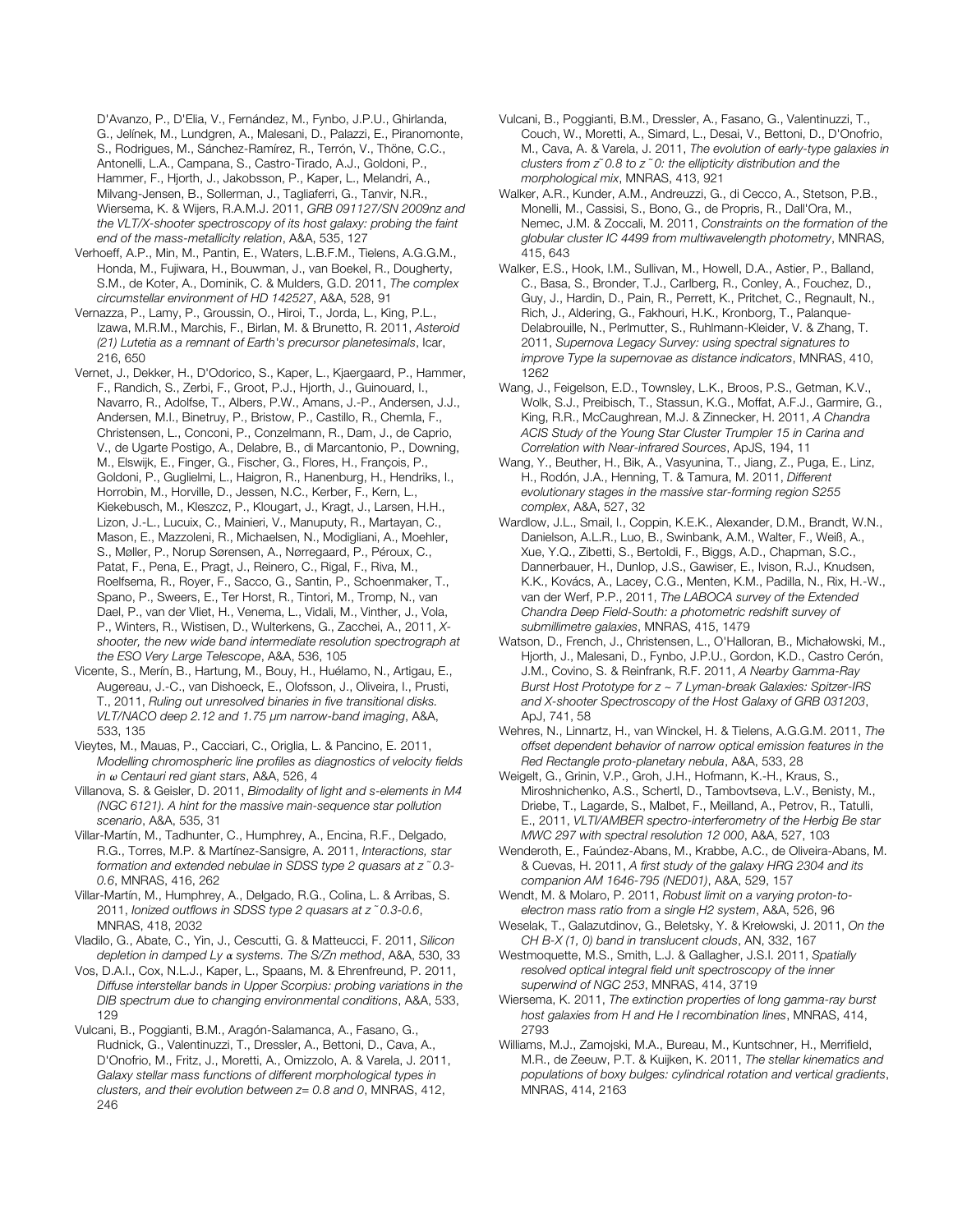D'Avanzo, P., D'Elia, V., Fernández, M., Fynbo, J.P.U., Ghirlanda, G., Jelínek, M., Lundgren, A., Malesani, D., Palazzi, E., Piranomonte, S., Rodrigues, M., Sánchez-Ramírez, R., Terrón, V., Thöne, C.C., Antonelli, L.A., Campana, S., Castro-Tirado, A.J., Goldoni, P., Hammer, F., Hjorth, J., Jakobsson, P., Kaper, L., Melandri, A., Milvang-Jensen, B., Sollerman, J., Tagliaferri, G., Tanvir, N.R., Wiersema, K. & Wijers, R.A.M.J. 2011, *GRB 091127/SN 2009nz and the VLT/X-shooter spectroscopy of its host galaxy: probing the faint end of the mass-metallicity relation*, A&A, 535, 127

Verhoeff, A.P., Min, M., Pantin, E., Waters, L.B.F.M., Tielens, A.G.G.M., Honda, M., Fujiwara, H., Bouwman, J., van Boekel, R., Dougherty, S.M., de Koter, A., Dominik, C. & Mulders, G.D. 2011, *The complex circumstellar environment of HD 142527*, A&A, 528, 91

Vernazza, P., Lamy, P., Groussin, O., Hiroi, T., Jorda, L., King, P.L., Izawa, M.R.M., Marchis, F., Birlan, M. & Brunetto, R. 2011, *Asteroid (21) Lutetia as a remnant of Earth's precursor planetesimals*, Icar, 216, 650

Vernet, J., Dekker, H., D'Odorico, S., Kaper, L., Kjaergaard, P., Hammer, F., Randich, S., Zerbi, F., Groot, P.J., Hjorth, J., Guinouard, I., Navarro, R., Adolfse, T., Albers, P.W., Amans, J.-P., Andersen, J.J., Andersen, M.I., Binetruy, P., Bristow, P., Castillo, R., Chemla, F., Christensen, L., Conconi, P., Conzelmann, R., Dam, J., de Caprio, V., de Ugarte Postigo, A., Delabre, B., di Marcantonio, P., Downing, M., Elswijk, E., Finger, G., Fischer, G., Flores, H., François, P., Goldoni, P., Guglielmi, L., Haigron, R., Hanenburg, H., Hendriks, I., Horrobin, M., Horville, D., Jessen, N.C., Kerber, F., Kern, L., Kiekebusch, M., Kleszcz, P., Klougart, J., Kragt, J., Larsen, H.H., Lizon, J.-L., Lucuix, C., Mainieri, V., Manuputy, R., Martayan, C., Mason, E., Mazzoleni, R., Michaelsen, N., Modigliani, A., Moehler, S., Møller, P., Norup Sørensen, A., Nørregaard, P., Péroux, C., Patat, F., Pena, E., Pragt, J., Reinero, C., Rigal, F., Riva, M., Roelfsema, R., Royer, F., Sacco, G., Santin, P., Schoenmaker, T., Spano, P., Sweers, E., Ter Horst, R., Tintori, M., Tromp, N., van Dael, P., van der Vliet, H., Venema, L., Vidali, M., Vinther, J., Vola, P., Winters, R., Wistisen, D., Wulterkens, G., Zacchei, A., 2011, *Xshooter, the new wide band intermediate resolution spectrograph at the ESO Very Large Telescope*, A&A, 536, 105

Vicente, S., Merín, B., Hartung, M., Bouy, H., Huélamo, N., Artigau, E., Augereau, J.-C., van Dishoeck, E., Olofsson, J., Oliveira, I., Prusti, T., 2011, *Ruling out unresolved binaries in five transitional disks. VLT/NACO deep 2.12 and 1.75* μ*m narrow-band imaging*, A&A, 533, 135

Vieytes, M., Mauas, P., Cacciari, C., Origlia, L. & Pancino, E. 2011, *Modelling chromospheric line profiles as diagnostics of velocity fields in* ω *Centauri red giant stars*, A&A, 526, 4

Villanova, S. & Geisler, D. 2011, *Bimodality of light and s-elements in M4 (NGC 6121). A hint for the massive main-sequence star pollution scenario*, A&A, 535, 31

Villar-Martín, M., Tadhunter, C., Humphrey, A., Encina, R.F., Delgado, R.G., Torres, M.P. & Martínez-Sansigre, A. 2011, *Interactions, star formation and extended nebulae in SDSS type 2 quasars at z ˜ 0.3- 0.6*, MNRAS, 416, 262

Villar-Martín, M., Humphrey, A., Delgado, R.G., Colina, L. & Arribas, S. 2011, *Ionized outflows in SDSS type 2 quasars at z ˜ 0.3-0.6*, MNRAS, 418, 2032

Vladilo, G., Abate, C., Yin, J., Cescutti, G. & Matteucci, F. 2011, *Silicon depletion in damped Ly* α *systems. The S/Zn method*, A&A, 530, 33

Vos, D.A.I., Cox, N.L.J., Kaper, L., Spaans, M. & Ehrenfreund, P. 2011, *Diffuse interstellar bands in Upper Scorpius: probing variations in the DIB spectrum due to changing environmental conditions*, A&A, 533, 129

Vulcani, B., Poggianti, B.M., Aragón-Salamanca, A., Fasano, G., Rudnick, G., Valentinuzzi, T., Dressler, A., Bettoni, D., Cava, A., D'Onofrio, M., Fritz, J., Moretti, A., Omizzolo, A. & Varela, J. 2011, *Galaxy stellar mass functions of different morphological types in clusters, and their evolution between z= 0.8 and 0*, MNRAS, 412, 246

Vulcani, B., Poggianti, B.M., Dressler, A., Fasano, G., Valentinuzzi, T., Couch, W., Moretti, A., Simard, L., Desai, V., Bettoni, D., D'Onofrio, M., Cava, A. & Varela, J. 2011, *The evolution of early-type galaxies in clusters from z˜ 0.8 to z ˜ 0: the ellipticity distribution and the morphological mix*, MNRAS, 413, 921

Walker, A.R., Kunder, A.M., Andreuzzi, G., di Cecco, A., Stetson, P.B., Monelli, M., Cassisi, S., Bono, G., de Propris, R., Dall'Ora, M., Nemec, J.M. & Zoccali, M. 2011, *Constraints on the formation of the globular cluster IC 4499 from multiwavelength photometry*, MNRAS, 415, 643

Walker, E.S., Hook, I.M., Sullivan, M., Howell, D.A., Astier, P., Balland, C., Basa, S., Bronder, T.J., Carlberg, R., Conley, A., Fouchez, D., Guy, J., Hardin, D., Pain, R., Perrett, K., Pritchet, C., Regnault, N., Rich, J., Aldering, G., Fakhouri, H.K., Kronborg, T., Palanque-Delabrouille, N., Perlmutter, S., Ruhlmann-Kleider, V. & Zhang, T. 2011, *Supernova Legacy Survey: using spectral signatures to improve Type Ia supernovae as distance indicators*, MNRAS, 410, 1262

Wang, J., Feigelson, E.D., Townsley, L.K., Broos, P.S., Getman, K.V., Wolk, S.J., Preibisch, T., Stassun, K.G., Moffat, A.F.J., Garmire, G., King, R.R., McCaughrean, M.J. & Zinnecker, H. 2011, *A Chandra ACIS Study of the Young Star Cluster Trumpler 15 in Carina and Correlation with Near-infrared Sources*, ApJS, 194, 11

Wang, Y., Beuther, H., Bik, A., Vasyunina, T., Jiang, Z., Puga, E., Linz, H., Rodón, J.A., Henning, T. & Tamura, M. 2011, *Different evolutionary stages in the massive star-forming region S255 complex*, A&A, 527, 32

Wardlow, J.L., Smail, I., Coppin, K.E.K., Alexander, D.M., Brandt, W.N., Danielson, A.L.R., Luo, B., Swinbank, A.M., Walter, F., Weiß, A., Xue, Y.Q., Zibetti, S., Bertoldi, F., Biggs, A.D., Chapman, S.C., Dannerbauer, H., Dunlop, J.S., Gawiser, E., Ivison, R.J., Knudsen, K.K., Kovács, A., Lacey, C.G., Menten, K.M., Padilla, N., Rix, H.-W., van der Werf, P.P., 2011, *The LABOCA survey of the Extended Chandra Deep Field-South: a photometric redshift survey of submillimetre galaxies*, MNRAS, 415, 1479

Watson, D., French, J., Christensen, L., O'Halloran, B., Michałowski, M., Hjorth, J., Malesani, D., Fynbo, J.P.U., Gordon, K.D., Castro Cerón, J.M., Covino, S. & Reinfrank, R.F. 2011, *A Nearby Gamma-Ray Burst Host Prototype for z ~ 7 Lyman-break Galaxies: Spitzer-IRS and X-shooter Spectroscopy of the Host Galaxy of GRB 031203*, ApJ, 741, 58

Wehres, N., Linnartz, H., van Winckel, H. & Tielens, A.G.G.M. 2011, *The offset dependent behavior of narrow optical emission features in the Red Rectangle proto-planetary nebula*, A&A, 533, 28

Weigelt, G., Grinin, V.P., Groh, J.H., Hofmann, K.-H., Kraus, S., Miroshnichenko, A.S., Schertl, D., Tambovtseva, L.V., Benisty, M., Driebe, T., Lagarde, S., Malbet, F., Meilland, A., Petrov, R., Tatulli, E., 2011, *VLTI/AMBER spectro-interferometry of the Herbig Be star MWC 297 with spectral resolution 12 000*, A&A, 527, 103

Wenderoth, E., Faúndez-Abans, M., Krabbe, A.C., de Oliveira-Abans, M. & Cuevas, H. 2011, *A first study of the galaxy HRG 2304 and its companion AM 1646-795 (NED01)*, A&A, 529, 157

Wendt, M. & Molaro, P. 2011, *Robust limit on a varying proton-toelectron mass ratio from a single H2 system*, A&A, 526, 96

Weselak, T., Galazutdinov, G., Beletsky, Y. & Krełowski, J. 2011, *On the CH B-X (1, 0) band in translucent clouds*, AN, 332, 167

Westmoquette, M.S., Smith, L.J. & Gallagher, J.S.I. 2011, *Spatially resolved optical integral field unit spectroscopy of the inner superwind of NGC 253*, MNRAS, 414, 3719

Wiersema, K. 2011, *The extinction properties of long gamma-ray burst host galaxies from H and He I recombination lines*, MNRAS, 414, 2793

Williams, M.J., Zamojski, M.A., Bureau, M., Kuntschner, H., Merrifield, M.R., de Zeeuw, P.T. & Kuijken, K. 2011, *The stellar kinematics and populations of boxy bulges: cylindrical rotation and vertical gradients*, MNRAS, 414, 2163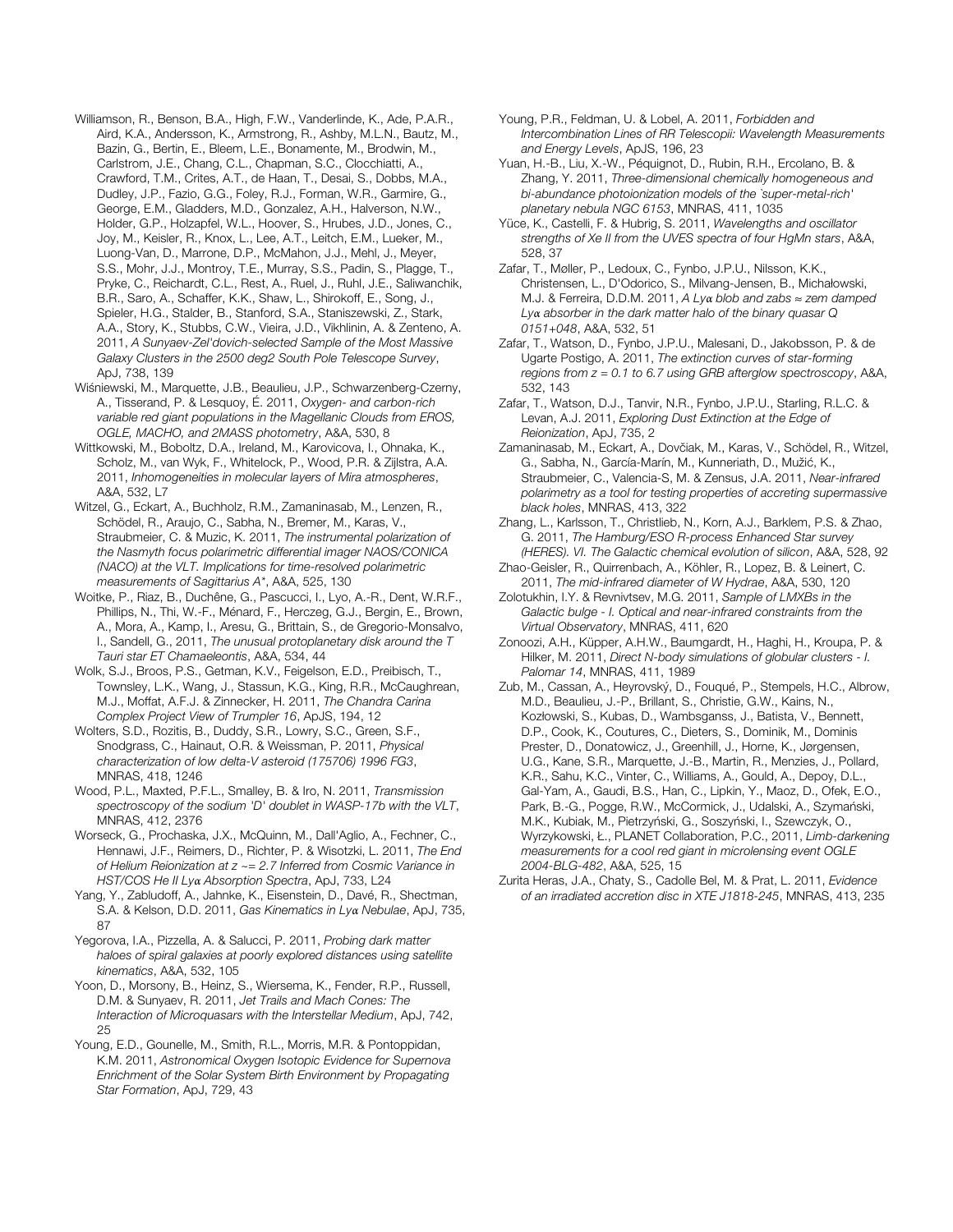Williamson, R., Benson, B.A., High, F.W., Vanderlinde, K., Ade, P.A.R., Aird, K.A., Andersson, K., Armstrong, R., Ashby, M.L.N., Bautz, M., Bazin, G., Bertin, E., Bleem, L.E., Bonamente, M., Brodwin, M., Carlstrom, J.E., Chang, C.L., Chapman, S.C., Clocchiatti, A., Crawford, T.M., Crites, A.T., de Haan, T., Desai, S., Dobbs, M.A., Dudley, J.P., Fazio, G.G., Foley, R.J., Forman, W.R., Garmire, G., George, E.M., Gladders, M.D., Gonzalez, A.H., Halverson, N.W., Holder, G.P., Holzapfel, W.L., Hoover, S., Hrubes, J.D., Jones, C., Joy, M., Keisler, R., Knox, L., Lee, A.T., Leitch, E.M., Lueker, M., Luong-Van, D., Marrone, D.P., McMahon, J.J., Mehl, J., Meyer, S.S., Mohr, J.J., Montroy, T.E., Murray, S.S., Padin, S., Plagge, T., Pryke, C., Reichardt, C.L., Rest, A., Ruel, J., Ruhl, J.E., Saliwanchik, B.R., Saro, A., Schaffer, K.K., Shaw, L., Shirokoff, E., Song, J., Spieler, H.G., Stalder, B., Stanford, S.A., Staniszewski, Z., Stark, A.A., Story, K., Stubbs, C.W., Vieira, J.D., Vikhlinin, A. & Zenteno, A. 2011, *A Sunyaev-Zel'dovich-selected Sample of the Most Massive Galaxy Clusters in the 2500 deg2 South Pole Telescope Survey*, ApJ, 738, 139

Wiśniewski, M., Marquette, J.B., Beaulieu, J.P., Schwarzenberg-Czerny, A., Tisserand, P. & Lesquoy, É. 2011, *Oxygen- and carbon-rich variable red giant populations in the Magellanic Clouds from EROS, OGLE, MACHO, and 2MASS photometry*, A&A, 530, 8

Wittkowski, M., Boboltz, D.A., Ireland, M., Karovicova, I., Ohnaka, K., Scholz, M., van Wyk, F., Whitelock, P., Wood, P.R. & Zijlstra, A.A. 2011, *Inhomogeneities in molecular layers of Mira atmospheres*, A&A, 532, L7

Witzel, G., Eckart, A., Buchholz, R.M., Zamaninasab, M., Lenzen, R., Schödel, R., Araujo, C., Sabha, N., Bremer, M., Karas, V., Straubmeier, C. & Muzic, K. 2011, *The instrumental polarization of the Nasmyth focus polarimetric differential imager NAOS/CONICA (NACO) at the VLT. Implications for time-resolved polarimetric measurements of Sagittarius A\**, A&A, 525, 130

Woitke, P., Riaz, B., Duchêne, G., Pascucci, I., Lyo, A.-R., Dent, W.R.F., Phillips, N., Thi, W.-F., Ménard, F., Herczeg, G.J., Bergin, E., Brown, A., Mora, A., Kamp, I., Aresu, G., Brittain, S., de Gregorio-Monsalvo, I., Sandell, G., 2011, *The unusual protoplanetary disk around the T Tauri star ET Chamaeleontis*, A&A, 534, 44

Wolk, S.J., Broos, P.S., Getman, K.V., Feigelson, E.D., Preibisch, T., Townsley, L.K., Wang, J., Stassun, K.G., King, R.R., McCaughrean, M.J., Moffat, A.F.J. & Zinnecker, H. 2011, *The Chandra Carina Complex Project View of Trumpler 16*, ApJS, 194, 12

Wolters, S.D., Rozitis, B., Duddy, S.R., Lowry, S.C., Green, S.F., Snodgrass, C., Hainaut, O.R. & Weissman, P. 2011, *Physical characterization of low delta-V asteroid (175706) 1996 FG3*, MNRAS, 418, 1246

Wood, P.L., Maxted, P.F.L., Smalley, B. & Iro, N. 2011, *Transmission spectroscopy of the sodium 'D' doublet in WASP-17b with the VLT*, MNRAS, 412, 2376

Worseck, G., Prochaska, J.X., McQuinn, M., Dall'Aglio, A., Fechner, C., Hennawi, J.F., Reimers, D., Richter, P. & Wisotzki, L. 2011, *The End of Helium Reionization at z ~= 2.7 Inferred from Cosmic Variance in HST/COS He II Ly*α *Absorption Spectra*, ApJ, 733, L24

Yang, Y., Zabludoff, A., Jahnke, K., Eisenstein, D., Davé, R., Shectman, S.A. & Kelson, D.D. 2011, *Gas Kinematics in Ly*α *Nebulae*, ApJ, 735, 87

Yegorova, I.A., Pizzella, A. & Salucci, P. 2011, *Probing dark matter haloes of spiral galaxies at poorly explored distances using satellite kinematics*, A&A, 532, 105

Yoon, D., Morsony, B., Heinz, S., Wiersema, K., Fender, R.P., Russell, D.M. & Sunyaev, R. 2011, *Jet Trails and Mach Cones: The Interaction of Microquasars with the Interstellar Medium*, ApJ, 742, 25

Young, E.D., Gounelle, M., Smith, R.L., Morris, M.R. & Pontoppidan, K.M. 2011, *Astronomical Oxygen Isotopic Evidence for Supernova Enrichment of the Solar System Birth Environment by Propagating Star Formation*, ApJ, 729, 43

Young, P.R., Feldman, U. & Lobel, A. 2011, *Forbidden and Intercombination Lines of RR Telescopii: Wavelength Measurements and Energy Levels*, ApJS, 196, 23

Yuan, H.-B., Liu, X.-W., Péquignot, D., Rubin, R.H., Ercolano, B. & Zhang, Y. 2011, *Three-dimensional chemically homogeneous and bi-abundance photoionization models of the `super-metal-rich' planetary nebula NGC 6153*, MNRAS, 411, 1035

Yüce, K., Castelli, F. & Hubrig, S. 2011, *Wavelengths and oscillator strengths of Xe II from the UVES spectra of four HgMn stars*, A&A, 528, 37

Zafar, T., Møller, P., Ledoux, C., Fynbo, J.P.U., Nilsson, K.K., Christensen, L., D'Odorico, S., Milvang-Jensen, B., Michałowski, M.J. & Ferreira, D.D.M. 2011, *A Ly*α *blob and zabs* ≈ *zem damped Ly*α *absorber in the dark matter halo of the binary quasar Q 0151+048*, A&A, 532, 51

Zafar, T., Watson, D., Fynbo, J.P.U., Malesani, D., Jakobsson, P. & de Ugarte Postigo, A. 2011, *The extinction curves of star-forming regions from z = 0.1 to 6.7 using GRB afterglow spectroscopy*, A&A, 532, 143

Zafar, T., Watson, D.J., Tanvir, N.R., Fynbo, J.P.U., Starling, R.L.C. & Levan, A.J. 2011, *Exploring Dust Extinction at the Edge of Reionization*, ApJ, 735, 2

Zamaninasab, M., Eckart, A., Dovčiak, M., Karas, V., Schödel, R., Witzel, G., Sabha, N., García-Marín, M., Kunneriath, D., Mužić, K., Straubmeier, C., Valencia-S, M. & Zensus, J.A. 2011, *Near-infrared polarimetry as a tool for testing properties of accreting supermassive black holes*, MNRAS, 413, 322

Zhang, L., Karlsson, T., Christlieb, N., Korn, A.J., Barklem, P.S. & Zhao, G. 2011, *The Hamburg/ESO R-process Enhanced Star survey (HERES). VI. The Galactic chemical evolution of silicon*, A&A, 528, 92

Zhao-Geisler, R., Quirrenbach, A., Köhler, R., Lopez, B. & Leinert, C. 2011, *The mid-infrared diameter of W Hydrae*, A&A, 530, 120

Zolotukhin, I.Y. & Revnivtsev, M.G. 2011, *Sample of LMXBs in the Galactic bulge - I. Optical and near-infrared constraints from the Virtual Observatory*, MNRAS, 411, 620

Zonoozi, A.H., Küpper, A.H.W., Baumgardt, H., Haghi, H., Kroupa, P. & Hilker, M. 2011, *Direct N-body simulations of globular clusters - I. Palomar 14*, MNRAS, 411, 1989

Zub, M., Cassan, A., Heyrovský, D., Fouqué, P., Stempels, H.C., Albrow, M.D., Beaulieu, J.-P., Brillant, S., Christie, G.W., Kains, N., Kozłowski, S., Kubas, D., Wambsganss, J., Batista, V., Bennett, D.P., Cook, K., Coutures, C., Dieters, S., Dominik, M., Dominis Prester, D., Donatowicz, J., Greenhill, J., Horne, K., Jørgensen, U.G., Kane, S.R., Marquette, J.-B., Martin, R., Menzies, J., Pollard, K.R., Sahu, K.C., Vinter, C., Williams, A., Gould, A., Depoy, D.L., Gal-Yam, A., Gaudi, B.S., Han, C., Lipkin, Y., Maoz, D., Ofek, E.O., Park, B.-G., Pogge, R.W., McCormick, J., Udalski, A., Szymański, M.K., Kubiak, M., Pietrzyński, G., Soszyński, I., Szewczyk, O., Wyrzykowski, Ł., PLANET Collaboration, P.C., 2011, *Limb-darkening measurements for a cool red giant in microlensing event OGLE 2004-BLG-482*, A&A, 525, 15

Zurita Heras, J.A., Chaty, S., Cadolle Bel, M. & Prat, L. 2011, *Evidence of an irradiated accretion disc in XTE J1818-245*, MNRAS, 413, 235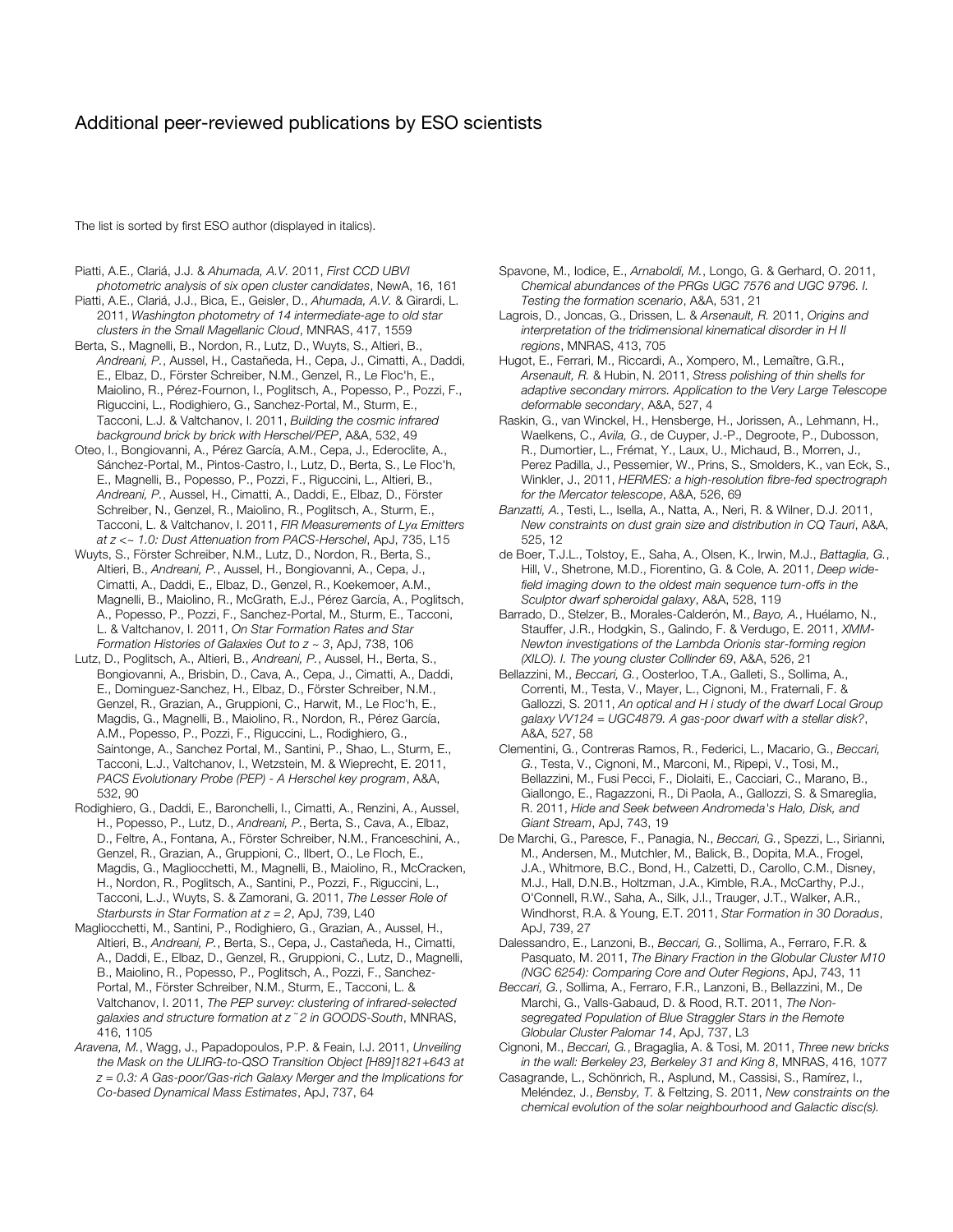## Additional peer-reviewed publications by ESO scientists

The list is sorted by first ESO author (displayed in italics).

- Piatti, A.E., Clariá, J.J. & *Ahumada, A.V.* 2011, *First CCD UBVI photometric analysis of six open cluster candidates*, NewA, 16, 161
- Piatti, A.E., Clariá, J.J., Bica, E., Geisler, D., *Ahumada, A.V.* & Girardi, L. 2011, *Washington photometry of 14 intermediate-age to old star clusters in the Small Magellanic Cloud*, MNRAS, 417, 1559
- Berta, S., Magnelli, B., Nordon, R., Lutz, D., Wuyts, S., Altieri, B., *Andreani, P.*, Aussel, H., Castañeda, H., Cepa, J., Cimatti, A., Daddi, E., Elbaz, D., Förster Schreiber, N.M., Genzel, R., Le Floc'h, E., Maiolino, R., Pérez-Fournon, I., Poglitsch, A., Popesso, P., Pozzi, F., Riguccini, L., Rodighiero, G., Sanchez-Portal, M., Sturm, E., Tacconi, L.J. & Valtchanov, I. 2011, *Building the cosmic infrared background brick by brick with Herschel/PEP*, A&A, 532, 49
- Oteo, I., Bongiovanni, A., Pérez García, A.M., Cepa, J., Ederoclite, A., Sánchez-Portal, M., Pintos-Castro, I., Lutz, D., Berta, S., Le Floc'h, E., Magnelli, B., Popesso, P., Pozzi, F., Riguccini, L., Altieri, B., *Andreani, P.*, Aussel, H., Cimatti, A., Daddi, E., Elbaz, D., Förster Schreiber, N., Genzel, R., Maiolino, R., Poglitsch, A., Sturm, E., Tacconi, L. & Valtchanov, I. 2011, *FIR Measurements of Lyα Emitters at z <~ 1.0: Dust Attenuation from PACS-Herschel*, ApJ, 735, L15
- Wuyts, S., Förster Schreiber, N.M., Lutz, D., Nordon, R., Berta, S., Altieri, B., *Andreani, P.*, Aussel, H., Bongiovanni, A., Cepa, J., Cimatti, A., Daddi, E., Elbaz, D., Genzel, R., Koekemoer, A.M., Magnelli, B., Maiolino, R., McGrath, E.J., Pérez García, A., Poglitsch, A., Popesso, P., Pozzi, F., Sanchez-Portal, M., Sturm, E., Tacconi, L. & Valtchanov, I. 2011, *On Star Formation Rates and Star Formation Histories of Galaxies Out to z ~ 3*, ApJ, 738, 106
- Lutz, D., Poglitsch, A., Altieri, B., *Andreani, P.*, Aussel, H., Berta, S., Bongiovanni, A., Brisbin, D., Cava, A., Cepa, J., Cimatti, A., Daddi, E., Dominguez-Sanchez, H., Elbaz, D., Förster Schreiber, N.M., Genzel, R., Grazian, A., Gruppioni, C., Harwit, M., Le Floc'h, E., Magdis, G., Magnelli, B., Maiolino, R., Nordon, R., Pérez García, A.M., Popesso, P., Pozzi, F., Riguccini, L., Rodighiero, G., Saintonge, A., Sanchez Portal, M., Santini, P., Shao, L., Sturm, E., Tacconi, L.J., Valtchanov, I., Wetzstein, M. & Wieprecht, E. 2011, *PACS Evolutionary Probe (PEP) - A Herschel key program*, A&A, 532, 90
- Rodighiero, G., Daddi, E., Baronchelli, I., Cimatti, A., Renzini, A., Aussel, H., Popesso, P., Lutz, D., *Andreani, P.*, Berta, S., Cava, A., Elbaz, D., Feltre, A., Fontana, A., Förster Schreiber, N.M., Franceschini, A., Genzel, R., Grazian, A., Gruppioni, C., Ilbert, O., Le Floch, E., Magdis, G., Magliocchetti, M., Magnelli, B., Maiolino, R., McCracken, H., Nordon, R., Poglitsch, A., Santini, P., Pozzi, F., Riguccini, L., Tacconi, L.J., Wuyts, S. & Zamorani, G. 2011, *The Lesser Role of Starbursts in Star Formation at z = 2*, ApJ, 739, L40
- Magliocchetti, M., Santini, P., Rodighiero, G., Grazian, A., Aussel, H., Altieri, B., *Andreani, P.*, Berta, S., Cepa, J., Castañeda, H., Cimatti, A., Daddi, E., Elbaz, D., Genzel, R., Gruppioni, C., Lutz, D., Magnelli, B., Maiolino, R., Popesso, P., Poglitsch, A., Pozzi, F., Sanchez-Portal, M., Förster Schreiber, N.M., Sturm, E., Tacconi, L. & Valtchanov, I. 2011, *The PEP survey: clustering of infrared-selected galaxies and structure formation at z ˜ 2 in GOODS-South*, MNRAS, 416, 1105
- *Aravena, M.*, Wagg, J., Papadopoulos, P.P. & Feain, I.J. 2011, *Unveiling the Mask on the ULIRG-to-QSO Transition Object [H89]1821+643 at z = 0.3: A Gas-poor/Gas-rich Galaxy Merger and the Implications for Co-based Dynamical Mass Estimates*, ApJ, 737, 64
- Spavone, M., Iodice, E., *Arnaboldi, M.*, Longo, G. & Gerhard, O. 2011, *Chemical abundances of the PRGs UGC 7576 and UGC 9796. I. Testing the formation scenario*, A&A, 531, 21
- Lagrois, D., Joncas, G., Drissen, L. & *Arsenault, R.* 2011, *Origins and interpretation of the tridimensional kinematical disorder in H II regions*, MNRAS, 413, 705
- Hugot, E., Ferrari, M., Riccardi, A., Xompero, M., Lemaître, G.R., *Arsenault, R.* & Hubin, N. 2011, *Stress polishing of thin shells for adaptive secondary mirrors. Application to the Very Large Telescope deformable secondary*, A&A, 527, 4
- Raskin, G., van Winckel, H., Hensberge, H., Jorissen, A., Lehmann, H., Waelkens, C., *Avila, G.*, de Cuyper, J.-P., Degroote, P., Dubosson, R., Dumortier, L., Frémat, Y., Laux, U., Michaud, B., Morren, J., Perez Padilla, J., Pessemier, W., Prins, S., Smolders, K., van Eck, S., Winkler, J., 2011, *HERMES: a high-resolution fibre-fed spectrograph for the Mercator telescope*, A&A, 526, 69
- *Banzatti, A.*, Testi, L., Isella, A., Natta, A., Neri, R. & Wilner, D.J. 2011, *New constraints on dust grain size and distribution in CQ Tauri*, A&A, 525, 12
- de Boer, T.J.L., Tolstoy, E., Saha, A., Olsen, K., Irwin, M.J., *Battaglia, G.*, Hill, V., Shetrone, M.D., Fiorentino, G. & Cole, A. 2011, *Deep widefield imaging down to the oldest main sequence turn-offs in the Sculptor dwarf spheroidal galaxy*, A&A, 528, 119
- Barrado, D., Stelzer, B., Morales-Calderón, M., *Bayo, A.*, Huélamo, N., Stauffer, J.R., Hodgkin, S., Galindo, F. & Verdugo, E. 2011, *XMM-Newton investigations of the Lambda Orionis star-forming region (XILO). I. The young cluster Collinder 69*, A&A, 526, 21
- Bellazzini, M., *Beccari, G.*, Oosterloo, T.A., Galleti, S., Sollima, A., Correnti, M., Testa, V., Mayer, L., Cignoni, M., Fraternali, F. & Gallozzi, S. 2011, *An optical and H i study of the dwarf Local Group galaxy VV124 = UGC4879. A gas-poor dwarf with a stellar disk?*, A&A, 527, 58
- Clementini, G., Contreras Ramos, R., Federici, L., Macario, G., *Beccari, G.*, Testa, V., Cignoni, M., Marconi, M., Ripepi, V., Tosi, M., Bellazzini, M., Fusi Pecci, F., Diolaiti, E., Cacciari, C., Marano, B., Giallongo, E., Ragazzoni, R., Di Paola, A., Gallozzi, S. & Smareglia, R. 2011, *Hide and Seek between Andromeda's Halo, Disk, and Giant Stream*, ApJ, 743, 19
- De Marchi, G., Paresce, F., Panagia, N., *Beccari, G.*, Spezzi, L., Sirianni, M., Andersen, M., Mutchler, M., Balick, B., Dopita, M.A., Frogel, J.A., Whitmore, B.C., Bond, H., Calzetti, D., Carollo, C.M., Disney, M.J., Hall, D.N.B., Holtzman, J.A., Kimble, R.A., McCarthy, P.J., O'Connell, R.W., Saha, A., Silk, J.I., Trauger, J.T., Walker, A.R., Windhorst, R.A. & Young, E.T. 2011, *Star Formation in 30 Doradus*, ApJ, 739, 27
- Dalessandro, E., Lanzoni, B., *Beccari, G.*, Sollima, A., Ferraro, F.R. & Pasquato, M. 2011, *The Binary Fraction in the Globular Cluster M10 (NGC 6254): Comparing Core and Outer Regions*, ApJ, 743, 11
- *Beccari, G.*, Sollima, A., Ferraro, F.R., Lanzoni, B., Bellazzini, M., De Marchi, G., Valls-Gabaud, D. & Rood, R.T. 2011, *The Nonsegregated Population of Blue Straggler Stars in the Remote Globular Cluster Palomar 14*, ApJ, 737, L3
- Cignoni, M., *Beccari, G.*, Bragaglia, A. & Tosi, M. 2011, *Three new bricks in the wall: Berkeley 23, Berkeley 31 and King 8*, MNRAS, 416, 1077
- Casagrande, L., Schönrich, R., Asplund, M., Cassisi, S., Ramírez, I., Meléndez, J., *Bensby, T.* & Feltzing, S. 2011, *New constraints on the chemical evolution of the solar neighbourhood and Galactic disc(s).*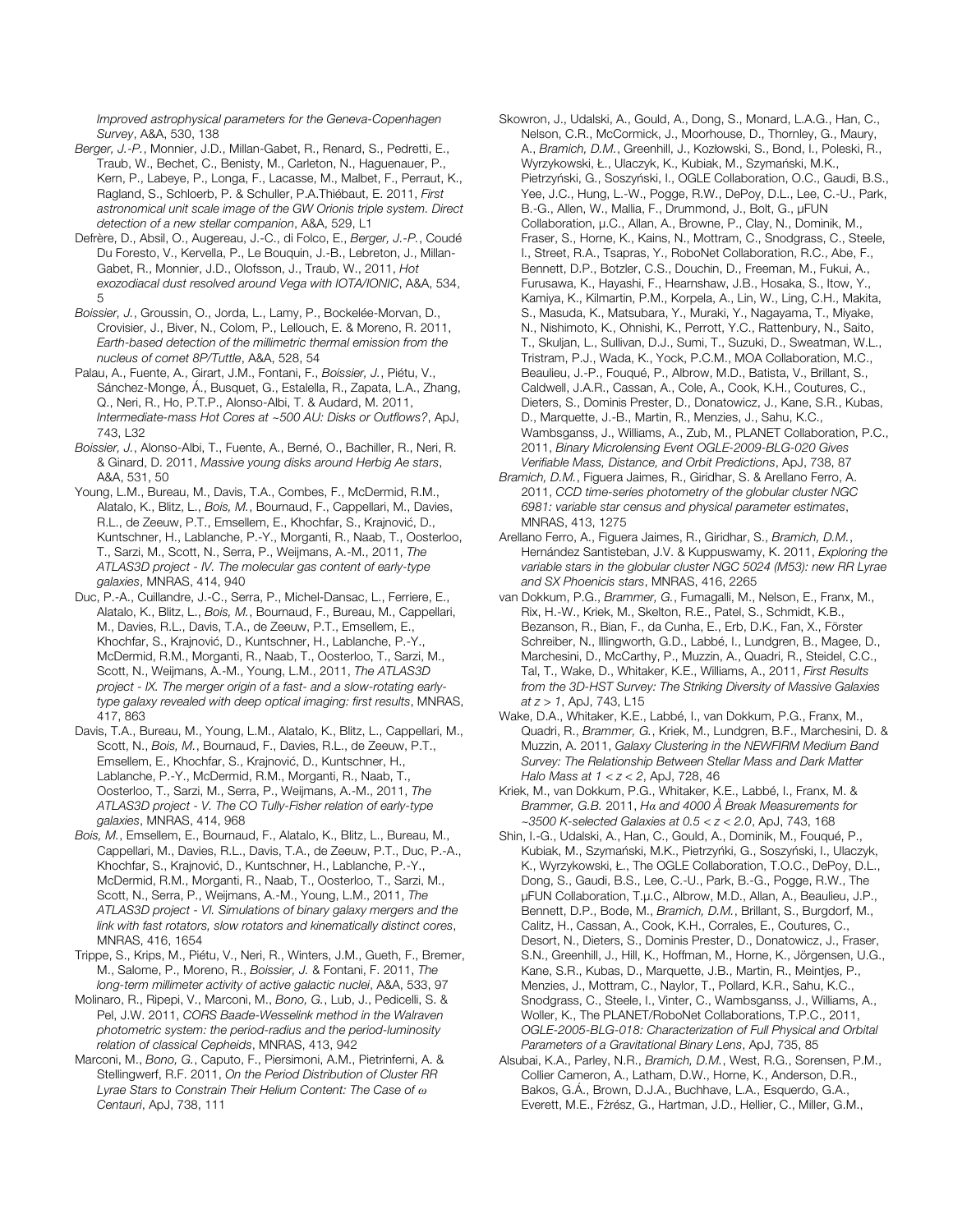*Improved astrophysical parameters for the Geneva-Copenhagen Survey*, A&A, 530, 138

*Berger, J.-P.*, Monnier, J.D., Millan-Gabet, R., Renard, S., Pedretti, E., Traub, W., Bechet, C., Benisty, M., Carleton, N., Haguenauer, P., Kern, P., Labeye, P., Longa, F., Lacasse, M., Malbet, F., Perraut, K., Ragland, S., Schloerb, P. & Schuller, P.A.Thiébaut, E. 2011, *First astronomical unit scale image of the GW Orionis triple system. Direct detection of a new stellar companion*, A&A, 529, L1

Defrère, D., Absil, O., Augereau, J.-C., di Folco, E., *Berger, J.-P.*, Coudé Du Foresto, V., Kervella, P., Le Bouquin, J.-B., Lebreton, J., Millan-Gabet, R., Monnier, J.D., Olofsson, J., Traub, W., 2011, *Hot exozodiacal dust resolved around Vega with IOTA/IONIC*, A&A, 534, 5

*Boissier, J.*, Groussin, O., Jorda, L., Lamy, P., Bockelée-Morvan, D., Crovisier, J., Biver, N., Colom, P., Lellouch, E. & Moreno, R. 2011, *Earth-based detection of the millimetric thermal emission from the nucleus of comet 8P/Tuttle*, A&A, 528, 54

Palau, A., Fuente, A., Girart, J.M., Fontani, F., *Boissier, J.*, Piétu, V., Sánchez-Monge, Á., Busquet, G., Estalella, R., Zapata, L.A., Zhang, Q., Neri, R., Ho, P.T.P., Alonso-Albi, T. & Audard, M. 2011, *Intermediate-mass Hot Cores at ~500 AU: Disks or Outflows?*, ApJ, 743, L32

*Boissier, J.*, Alonso-Albi, T., Fuente, A., Berné, O., Bachiller, R., Neri, R. & Ginard, D. 2011, *Massive young disks around Herbig Ae stars*, A&A, 531, 50

Young, L.M., Bureau, M., Davis, T.A., Combes, F., McDermid, R.M., Alatalo, K., Blitz, L., *Bois, M.*, Bournaud, F., Cappellari, M., Davies, R.L., de Zeeuw, P.T., Emsellem, E., Khochfar, S., Krajnović, D., Kuntschner, H., Lablanche, P.-Y., Morganti, R., Naab, T., Oosterloo, T., Sarzi, M., Scott, N., Serra, P., Weijmans, A.-M., 2011, *The ATLAS3D project - IV. The molecular gas content of early-type galaxies*, MNRAS, 414, 940

Duc, P.-A., Cuillandre, J.-C., Serra, P., Michel-Dansac, L., Ferriere, E., Alatalo, K., Blitz, L., *Bois, M.*, Bournaud, F., Bureau, M., Cappellari, M., Davies, R.L., Davis, T.A., de Zeeuw, P.T., Emsellem, E., Khochfar, S., Krajnović, D., Kuntschner, H., Lablanche, P.-Y., McDermid, R.M., Morganti, R., Naab, T., Oosterloo, T., Sarzi, M., Scott, N., Weijmans, A.-M., Young, L.M., 2011, *The ATLAS3D project - IX. The merger origin of a fast- and a slow-rotating earlytype galaxy revealed with deep optical imaging: first results*, MNRAS, 417, 863

Davis, T.A., Bureau, M., Young, L.M., Alatalo, K., Blitz, L., Cappellari, M., Scott, N., *Bois, M.*, Bournaud, F., Davies, R.L., de Zeeuw, P.T., Emsellem, E., Khochfar, S., Krajnović, D., Kuntschner, H., Lablanche, P.-Y., McDermid, R.M., Morganti, R., Naab, T., Oosterloo, T., Sarzi, M., Serra, P., Weijmans, A.-M., 2011, *The ATLAS3D project - V. The CO Tully-Fisher relation of early-type galaxies*, MNRAS, 414, 968

*Bois, M.*, Emsellem, E., Bournaud, F., Alatalo, K., Blitz, L., Bureau, M., Cappellari, M., Davies, R.L., Davis, T.A., de Zeeuw, P.T., Duc, P.-A., Khochfar, S., Krajnović, D., Kuntschner, H., Lablanche, P.-Y., McDermid, R.M., Morganti, R., Naab, T., Oosterloo, T., Sarzi, M., Scott, N., Serra, P., Weijmans, A.-M., Young, L.M., 2011, *The ATLAS3D project - VI. Simulations of binary galaxy mergers and the link with fast rotators, slow rotators and kinematically distinct cores*, MNRAS, 416, 1654

Trippe, S., Krips, M., Piétu, V., Neri, R., Winters, J.M., Gueth, F., Bremer, M., Salome, P., Moreno, R., *Boissier, J.* & Fontani, F. 2011, *The long-term millimeter activity of active galactic nuclei*, A&A, 533, 97

Molinaro, R., Ripepi, V., Marconi, M., *Bono, G.*, Lub, J., Pedicelli, S. & Pel, J.W. 2011, *CORS Baade-Wesselink method in the Walraven photometric system: the period-radius and the period-luminosity relation of classical Cepheids*, MNRAS, 413, 942

Marconi, M., *Bono, G.*, Caputo, F., Piersimoni, A.M., Pietrinferni, A. & Stellingwerf, R.F. 2011, *On the Period Distribution of Cluster RR Lyrae Stars to Constrain Their Helium Content: The Case of ω Centauri*, ApJ, 738, 111

Skowron, J., Udalski, A., Gould, A., Dong, S., Monard, L.A.G., Han, C., Nelson, C.R., McCormick, J., Moorhouse, D., Thornley, G., Maury, A., *Bramich, D.M.*, Greenhill, J., Kozłowski, S., Bond, I., Poleski, R., Wyrzykowski, Ł., Ulaczyk, K., Kubiak, M., Szymański, M.K., Pietrzyński, G., Soszyński, I., OGLE Collaboration, O.C., Gaudi, B.S., Yee, J.C., Hung, L.-W., Pogge, R.W., DePoy, D.L., Lee, C.-U., Park, B.-G., Allen, W., Mallia, F., Drummond, J., Bolt, G., μFUN Collaboration, μ.C., Allan, A., Browne, P., Clay, N., Dominik, M., Fraser, S., Horne, K., Kains, N., Mottram, C., Snodgrass, C., Steele, I., Street, R.A., Tsapras, Y., RoboNet Collaboration, R.C., Abe, F., Bennett, D.P., Botzler, C.S., Douchin, D., Freeman, M., Fukui, A., Furusawa, K., Hayashi, F., Hearnshaw, J.B., Hosaka, S., Itow, Y., Kamiya, K., Kilmartin, P.M., Korpela, A., Lin, W., Ling, C.H., Makita, S., Masuda, K., Matsubara, Y., Muraki, Y., Nagayama, T., Miyake, N., Nishimoto, K., Ohnishi, K., Perrott, Y.C., Rattenbury, N., Saito, T., Skuljan, L., Sullivan, D.J., Sumi, T., Suzuki, D., Sweatman, W.L., Tristram, P.J., Wada, K., Yock, P.C.M., MOA Collaboration, M.C., Beaulieu, J.-P., Fouqué, P., Albrow, M.D., Batista, V., Brillant, S., Caldwell, J.A.R., Cassan, A., Cole, A., Cook, K.H., Coutures, C., Dieters, S., Dominis Prester, D., Donatowicz, J., Kane, S.R., Kubas, D., Marquette, J.-B., Martin, R., Menzies, J., Sahu, K.C., Wambsganss, J., Williams, A., Zub, M., PLANET Collaboration, P.C., 2011, *Binary Microlensing Event OGLE-2009-BLG-020 Gives Verifiable Mass, Distance, and Orbit Predictions*, ApJ, 738, 87

*Bramich, D.M.*, Figuera Jaimes, R., Giridhar, S. & Arellano Ferro, A. 2011, *CCD time-series photometry of the globular cluster NGC 6981: variable star census and physical parameter estimates*, MNRAS, 413, 1275

Arellano Ferro, A., Figuera Jaimes, R., Giridhar, S., *Bramich, D.M.*, Hernández Santisteban, J.V. & Kuppuswamy, K. 2011, *Exploring the variable stars in the globular cluster NGC 5024 (M53): new RR Lyrae and SX Phoenicis stars*, MNRAS, 416, 2265

van Dokkum, P.G., *Brammer, G.*, Fumagalli, M., Nelson, E., Franx, M., Rix, H.-W., Kriek, M., Skelton, R.E., Patel, S., Schmidt, K.B., Bezanson, R., Bian, F., da Cunha, E., Erb, D.K., Fan, X., Förster Schreiber, N., Illingworth, G.D., Labbé, I., Lundgren, B., Magee, D., Marchesini, D., McCarthy, P., Muzzin, A., Quadri, R., Steidel, C.C., Tal, T., Wake, D., Whitaker, K.E., Williams, A., 2011, *First Results from the 3D-HST Survey: The Striking Diversity of Massive Galaxies at z > 1*, ApJ, 743, L15

Wake, D.A., Whitaker, K.E., Labbé, I., van Dokkum, P.G., Franx, M., Quadri, R., *Brammer, G.*, Kriek, M., Lundgren, B.F., Marchesini, D. & Muzzin, A. 2011, *Galaxy Clustering in the NEWFIRM Medium Band Survey: The Relationship Between Stellar Mass and Dark Matter Halo Mass at 1 < z < 2*, ApJ, 728, 46

Kriek, M., van Dokkum, P.G., Whitaker, K.E., Labbé, I., Franx, M. & *Brammer, G.B.* 2011, *Hα and 4000 Å Break Measurements for ~3500 K-selected Galaxies at 0.5 < z < 2.0*, ApJ, 743, 168

Shin, I.-G., Udalski, A., Han, C., Gould, A., Dominik, M., Fouqué, P., Kubiak, M., Szymański, M.K., Pietrzyńki, G., Soszyński, I., Ulaczyk, K., Wyrzykowski, Ł., The OGLE Collaboration, T.O.C., DePoy, D.L., Dong, S., Gaudi, B.S., Lee, C.-U., Park, B.-G., Pogge, R.W., The μFUN Collaboration, T.μ.C., Albrow, M.D., Allan, A., Beaulieu, J.P., Bennett, D.P., Bode, M., *Bramich, D.M.*, Brillant, S., Burgdorf, M., Calitz, H., Cassan, A., Cook, K.H., Corrales, E., Coutures, C., Desort, N., Dieters, S., Dominis Prester, D., Donatowicz, J., Fraser, S.N., Greenhill, J., Hill, K., Hoffman, M., Horne, K., Jörgensen, U.G., Kane, S.R., Kubas, D., Marquette, J.B., Martin, R., Meintjes, P., Menzies, J., Mottram, C., Naylor, T., Pollard, K.R., Sahu, K.C., Snodgrass, C., Steele, I., Vinter, C., Wambsganss, J., Williams, A., Woller, K., The PLANET/RoboNet Collaborations, T.P.C., 2011, *OGLE-2005-BLG-018: Characterization of Full Physical and Orbital Parameters of a Gravitational Binary Lens*, ApJ, 735, 85

Alsubai, K.A., Parley, N.R., *Bramich, D.M.*, West, R.G., Sorensen, P.M., Collier Cameron, A., Latham, D.W., Horne, K., Anderson, D.R., Bakos, G.Á., Brown, D.J.A., Buchhave, L.A., Esquerdo, G.A., Everett, M.E., Fżrész, G., Hartman, J.D., Hellier, C., Miller, G.M.,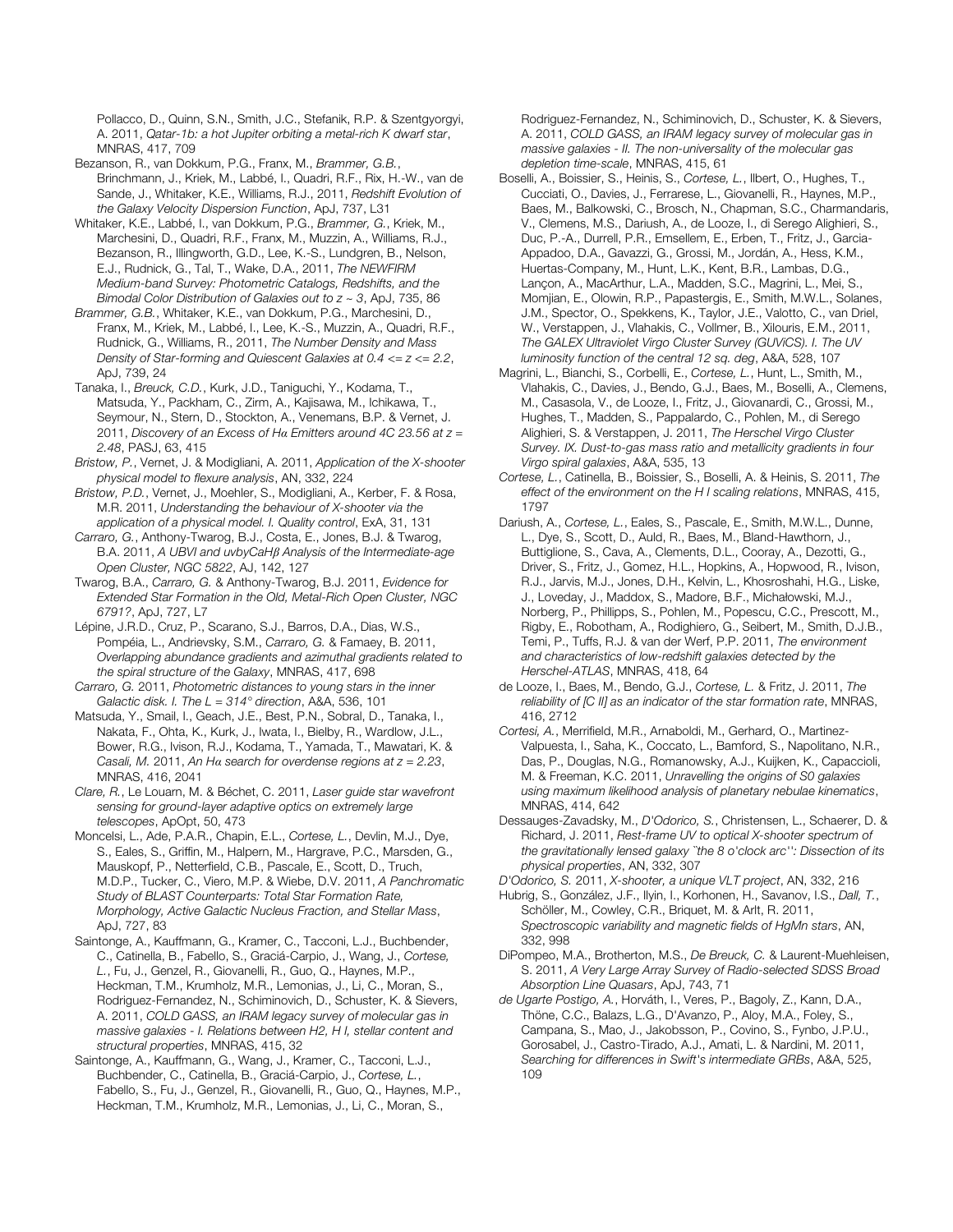Pollacco, D., Quinn, S.N., Smith, J.C., Stefanik, R.P. & Szentgyorgyi, A. 2011, *Qatar-1b: a hot Jupiter orbiting a metal-rich K dwarf star*, MNRAS, 417, 709

Bezanson, R., van Dokkum, P.G., Franx, M., *Brammer, G.B.*, Brinchmann, J., Kriek, M., Labbé, I., Quadri, R.F., Rix, H.-W., van de Sande, J., Whitaker, K.E., Williams, R.J., 2011, *Redshift Evolution of the Galaxy Velocity Dispersion Function*, ApJ, 737, L31

Whitaker, K.E., Labbé, I., van Dokkum, P.G., *Brammer, G.*, Kriek, M., Marchesini, D., Quadri, R.F., Franx, M., Muzzin, A., Williams, R.J., Bezanson, R., Illingworth, G.D., Lee, K.-S., Lundgren, B., Nelson, E.J., Rudnick, G., Tal, T., Wake, D.A., 2011, *The NEWFIRM Medium-band Survey: Photometric Catalogs, Redshifts, and the Bimodal Color Distribution of Galaxies out to z ~ 3*, ApJ, 735, 86

*Brammer, G.B.*, Whitaker, K.E., van Dokkum, P.G., Marchesini, D., Franx, M., Kriek, M., Labbé, I., Lee, K.-S., Muzzin, A., Quadri, R.F., Rudnick, G., Williams, R., 2011, *The Number Density and Mass Density of Star-forming and Quiescent Galaxies at 0.4 <= z <= 2.2*, ApJ, 739, 24

Tanaka, I., *Breuck, C.D.*, Kurk, J.D., Taniguchi, Y., Kodama, T., Matsuda, Y., Packham, C., Zirm, A., Kajisawa, M., Ichikawa, T., Seymour, N., Stern, D., Stockton, A., Venemans, B.P. & Vernet, J. 2011, *Discovery of an Excess of Hα Emitters around 4C 23.56 at z = 2.48*, PASJ, 63, 415

*Bristow, P.*, Vernet, J. & Modigliani, A. 2011, *Application of the X-shooter physical model to flexure analysis*, AN, 332, 224

*Bristow, P.D.*, Vernet, J., Moehler, S., Modigliani, A., Kerber, F. & Rosa, M.R. 2011, *Understanding the behaviour of X-shooter via the application of a physical model. I. Quality control*, ExA, 31, 131

*Carraro, G.*, Anthony-Twarog, B.J., Costa, E., Jones, B.J. & Twarog, B.A. 2011, *A UBVI and uvbyCaHβ Analysis of the Intermediate-age Open Cluster, NGC 5822*, AJ, 142, 127

Twarog, B.A., *Carraro, G.* & Anthony-Twarog, B.J. 2011, *Evidence for Extended Star Formation in the Old, Metal-Rich Open Cluster, NGC 6791?*, ApJ, 727, L7

Lépine, J.R.D., Cruz, P., Scarano, S.J., Barros, D.A., Dias, W.S., Pompéia, L., Andrievsky, S.M., *Carraro, G.* & Famaey, B. 2011, *Overlapping abundance gradients and azimuthal gradients related to the spiral structure of the Galaxy*, MNRAS, 417, 698

*Carraro, G.* 2011, *Photometric distances to young stars in the inner Galactic disk. I. The L = 314° direction*, A&A, 536, 101

Matsuda, Y., Smail, I., Geach, J.E., Best, P.N., Sobral, D., Tanaka, I., Nakata, F., Ohta, K., Kurk, J., Iwata, I., Bielby, R., Wardlow, J.L., Bower, R.G., Ivison, R.J., Kodama, T., Yamada, T., Mawatari, K. & *Casali, M.* 2011, *An Hα search for overdense regions at z = 2.23*, MNRAS, 416, 2041

*Clare, R.*, Le Louarn, M. & Béchet, C. 2011, *Laser guide star wavefront sensing for ground-layer adaptive optics on extremely large telescopes*, ApOpt, 50, 473

Moncelsi, L., Ade, P.A.R., Chapin, E.L., *Cortese, L.*, Devlin, M.J., Dye, S., Eales, S., Griffin, M., Halpern, M., Hargrave, P.C., Marsden, G., Mauskopf, P., Netterfield, C.B., Pascale, E., Scott, D., Truch, M.D.P., Tucker, C., Viero, M.P. & Wiebe, D.V. 2011, *A Panchromatic Study of BLAST Counterparts: Total Star Formation Rate, Morphology, Active Galactic Nucleus Fraction, and Stellar Mass*, ApJ, 727, 83

Saintonge, A., Kauffmann, G., Kramer, C., Tacconi, L.J., Buchbender, C., Catinella, B., Fabello, S., Graciá-Carpio, J., Wang, J., *Cortese, L.*, Fu, J., Genzel, R., Giovanelli, R., Guo, Q., Haynes, M.P., Heckman, T.M., Krumholz, M.R., Lemonias, J., Li, C., Moran, S., Rodriguez-Fernandez, N., Schiminovich, D., Schuster, K. & Sievers, A. 2011, *COLD GASS, an IRAM legacy survey of molecular gas in massive galaxies - I. Relations between H2, H I, stellar content and structural properties*, MNRAS, 415, 32

Saintonge, A., Kauffmann, G., Wang, J., Kramer, C., Tacconi, L.J., Buchbender, C., Catinella, B., Graciá-Carpio, J., *Cortese, L.*, Fabello, S., Fu, J., Genzel, R., Giovanelli, R., Guo, Q., Haynes, M.P., Heckman, T.M., Krumholz, M.R., Lemonias, J., Li, C., Moran, S.,

Rodriguez-Fernandez, N., Schiminovich, D., Schuster, K. & Sievers, A. 2011, *COLD GASS, an IRAM legacy survey of molecular gas in massive galaxies - II. The non-universality of the molecular gas depletion time-scale*, MNRAS, 415, 61

Boselli, A., Boissier, S., Heinis, S., *Cortese, L.*, Ilbert, O., Hughes, T., Cucciati, O., Davies, J., Ferrarese, L., Giovanelli, R., Haynes, M.P., Baes, M., Balkowski, C., Brosch, N., Chapman, S.C., Charmandaris, V., Clemens, M.S., Dariush, A., de Looze, I., di Serego Alighieri, S., Duc, P.-A., Durrell, P.R., Emsellem, E., Erben, T., Fritz, J., Garcia-Appadoo, D.A., Gavazzi, G., Grossi, M., Jordán, A., Hess, K.M., Huertas-Company, M., Hunt, L.K., Kent, B.R., Lambas, D.G., Lançon, A., MacArthur, L.A., Madden, S.C., Magrini, L., Mei, S., Momjian, E., Olowin, R.P., Papastergis, E., Smith, M.W.L., Solanes, J.M., Spector, O., Spekkens, K., Taylor, J.E., Valotto, C., van Driel, W., Verstappen, J., Vlahakis, C., Vollmer, B., Xilouris, E.M., 2011, *The GALEX Ultraviolet Virgo Cluster Survey (GUViCS). I. The UV luminosity function of the central 12 sq. deg*, A&A, 528, 107

Magrini, L., Bianchi, S., Corbelli, E., *Cortese, L.*, Hunt, L., Smith, M., Vlahakis, C., Davies, J., Bendo, G.J., Baes, M., Boselli, A., Clemens, M., Casasola, V., de Looze, I., Fritz, J., Giovanardi, C., Grossi, M., Hughes, T., Madden, S., Pappalardo, C., Pohlen, M., di Serego Alighieri, S. & Verstappen, J. 2011, *The Herschel Virgo Cluster Survey. IX. Dust-to-gas mass ratio and metallicity gradients in four Virgo spiral galaxies*, A&A, 535, 13

*Cortese, L.*, Catinella, B., Boissier, S., Boselli, A. & Heinis, S. 2011, *The effect of the environment on the H I scaling relations*, MNRAS, 415, 1797

Dariush, A., *Cortese, L.*, Eales, S., Pascale, E., Smith, M.W.L., Dunne, L., Dye, S., Scott, D., Auld, R., Baes, M., Bland-Hawthorn, J., Buttiglione, S., Cava, A., Clements, D.L., Cooray, A., Dezotti, G., Driver, S., Fritz, J., Gomez, H.L., Hopkins, A., Hopwood, R., Ivison, R.J., Jarvis, M.J., Jones, D.H., Kelvin, L., Khosroshahi, H.G., Liske, J., Loveday, J., Maddox, S., Madore, B.F., Michałowski, M.J., Norberg, P., Phillipps, S., Pohlen, M., Popescu, C.C., Prescott, M., Rigby, E., Robotham, A., Rodighiero, G., Seibert, M., Smith, D.J.B., Temi, P., Tuffs, R.J. & van der Werf, P.P. 2011, *The environment and characteristics of low-redshift galaxies detected by the Herschel-ATLAS*, MNRAS, 418, 64

de Looze, I., Baes, M., Bendo, G.J., *Cortese, L.* & Fritz, J. 2011, *The reliability of [C II] as an indicator of the star formation rate*, MNRAS, 416, 2712

*Cortesi, A.*, Merrifield, M.R., Arnaboldi, M., Gerhard, O., Martinez-Valpuesta, I., Saha, K., Coccato, L., Bamford, S., Napolitano, N.R., Das, P., Douglas, N.G., Romanowsky, A.J., Kuijken, K., Capaccioli, M. & Freeman, K.C. 2011, *Unravelling the origins of S0 galaxies using maximum likelihood analysis of planetary nebulae kinematics*, MNRAS, 414, 642

Dessauges-Zavadsky, M., *D'Odorico, S.*, Christensen, L., Schaerer, D. & Richard, J. 2011, *Rest-frame UV to optical X-shooter spectrum of the gravitationally lensed galaxy ``the 8 o'clock arc'': Dissection of its physical properties*, AN, 332, 307

*D'Odorico, S.* 2011, *X-shooter, a unique VLT project*, AN, 332, 216

Hubrig, S., González, J.F., Ilyin, I., Korhonen, H., Savanov, I.S., *Dall, T.*, Schöller, M., Cowley, C.R., Briquet, M. & Arlt, R. 2011, *Spectroscopic variability and magnetic fields of HgMn stars*, AN, 332, 998

DiPompeo, M.A., Brotherton, M.S., *De Breuck, C.* & Laurent-Muehleisen, S. 2011, *A Very Large Array Survey of Radio-selected SDSS Broad Absorption Line Quasars*, ApJ, 743, 71

*de Ugarte Postigo, A.*, Horváth, I., Veres, P., Bagoly, Z., Kann, D.A., Thöne, C.C., Balazs, L.G., D'Avanzo, P., Aloy, M.A., Foley, S., Campana, S., Mao, J., Jakobsson, P., Covino, S., Fynbo, J.P.U., Gorosabel, J., Castro-Tirado, A.J., Amati, L. & Nardini, M. 2011, *Searching for differences in Swift's intermediate GRBs*, A&A, 525, 109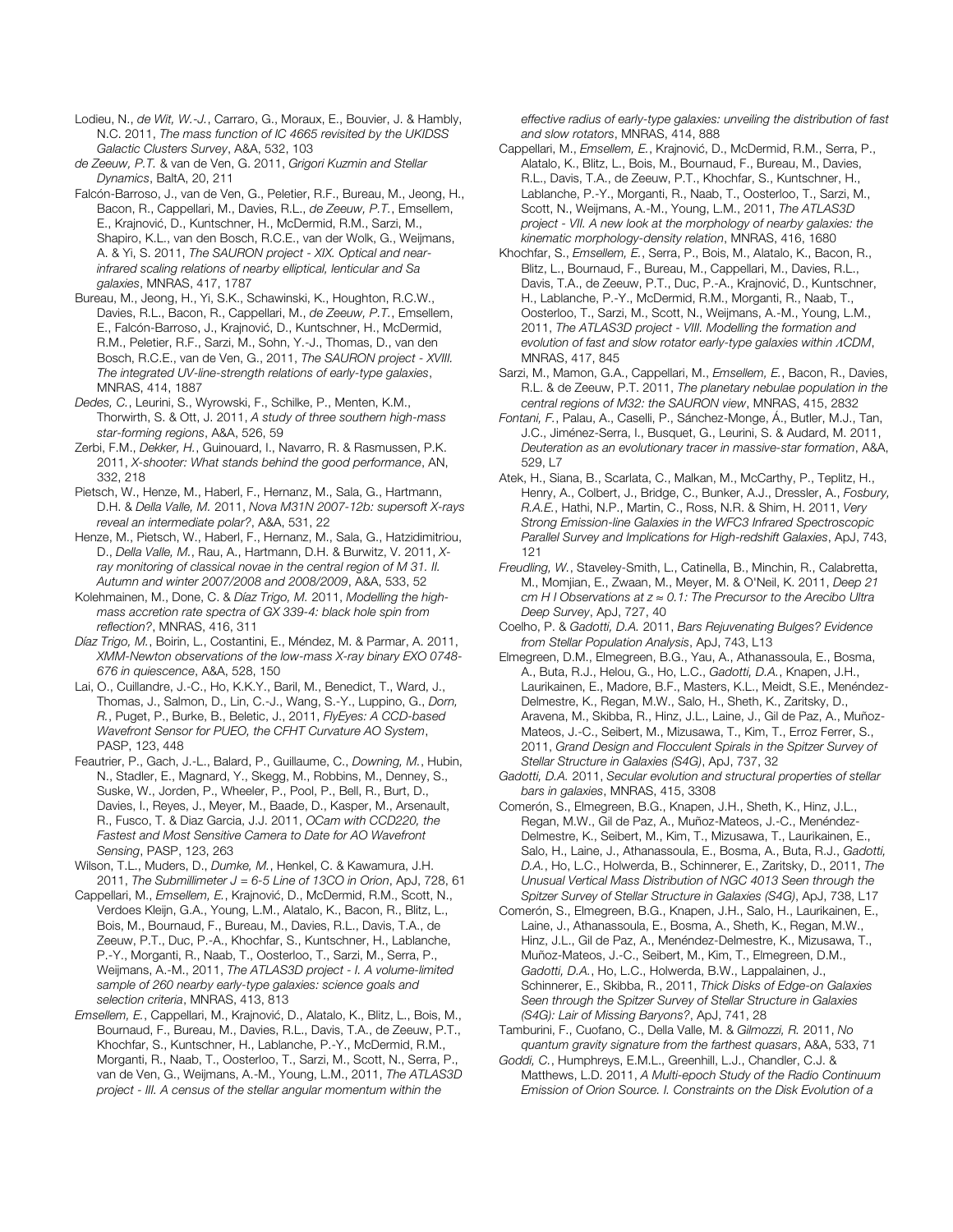Lodieu, N., *de Wit, W.-J.*, Carraro, G., Moraux, E., Bouvier, J. & Hambly, N.C. 2011, *The mass function of IC 4665 revisited by the UKIDSS Galactic Clusters Survey*, A&A, 532, 103

*de Zeeuw, P.T.* & van de Ven, G. 2011, *Grigori Kuzmin and Stellar Dynamics*, BaltA, 20, 211

Falcón-Barroso, J., van de Ven, G., Peletier, R.F., Bureau, M., Jeong, H., Bacon, R., Cappellari, M., Davies, R.L., *de Zeeuw, P.T.*, Emsellem, E., Krajnović, D., Kuntschner, H., McDermid, R.M., Sarzi, M., Shapiro, K.L., van den Bosch, R.C.E., van der Wolk, G., Weijmans, A. & Yi, S. 2011, *The SAURON project - XIX. Optical and nearinfrared scaling relations of nearby elliptical, lenticular and Sa galaxies*, MNRAS, 417, 1787

Bureau, M., Jeong, H., Yi, S.K., Schawinski, K., Houghton, R.C.W., Davies, R.L., Bacon, R., Cappellari, M., *de Zeeuw, P.T.*, Emsellem, E., Falcón-Barroso, J., Krajnović, D., Kuntschner, H., McDermid, R.M., Peletier, R.F., Sarzi, M., Sohn, Y.-J., Thomas, D., van den Bosch, R.C.E., van de Ven, G., 2011, *The SAURON project - XVIII. The integrated UV-line-strength relations of early-type galaxies*, MNRAS, 414, 1887

*Dedes, C.*, Leurini, S., Wyrowski, F., Schilke, P., Menten, K.M., Thorwirth, S. & Ott, J. 2011, *A study of three southern high-mass star-forming regions*, A&A, 526, 59

Zerbi, F.M., *Dekker, H.*, Guinouard, I., Navarro, R. & Rasmussen, P.K. 2011, *X-shooter: What stands behind the good performance*, AN, 332, 218

Pietsch, W., Henze, M., Haberl, F., Hernanz, M., Sala, G., Hartmann, D.H. & *Della Valle, M.* 2011, *Nova M31N 2007-12b: supersoft X-rays reveal an intermediate polar?*, A&A, 531, 22

Henze, M., Pietsch, W., Haberl, F., Hernanz, M., Sala, G., Hatzidimitriou, D., *Della Valle, M.*, Rau, A., Hartmann, D.H. & Burwitz, V. 2011, *Xray monitoring of classical novae in the central region of M 31. II. Autumn and winter 2007/2008 and 2008/2009*, A&A, 533, 52

Kolehmainen, M., Done, C. & *Díaz Trigo, M.* 2011, *Modelling the highmass accretion rate spectra of GX 339-4: black hole spin from reflection?*, MNRAS, 416, 311

*Díaz Trigo, M.*, Boirin, L., Costantini, E., Méndez, M. & Parmar, A. 2011, *XMM-Newton observations of the low-mass X-ray binary EXO 0748- 676 in quiescence*, A&A, 528, 150

Lai, O., Cuillandre, J.-C., Ho, K.K.Y., Baril, M., Benedict, T., Ward, J., Thomas, J., Salmon, D., Lin, C.-J., Wang, S.-Y., Luppino, G., *Dorn, R.*, Puget, P., Burke, B., Beletic, J., 2011, *FlyEyes: A CCD-based Wavefront Sensor for PUEO, the CFHT Curvature AO System*, PASP, 123, 448

Feautrier, P., Gach, J.-L., Balard, P., Guillaume, C., *Downing, M.*, Hubin, N., Stadler, E., Magnard, Y., Skegg, M., Robbins, M., Denney, S., Suske, W., Jorden, P., Wheeler, P., Pool, P., Bell, R., Burt, D., Davies, I., Reyes, J., Meyer, M., Baade, D., Kasper, M., Arsenault, R., Fusco, T. & Diaz Garcia, J.J. 2011, *OCam with CCD220, the Fastest and Most Sensitive Camera to Date for AO Wavefront Sensing*, PASP, 123, 263

Wilson, T.L., Muders, D., *Dumke, M.*, Henkel, C. & Kawamura, J.H. 2011, *The Submillimeter J = 6-5 Line of 13CO in Orion*, ApJ, 728, 61

Cappellari, M., *Emsellem, E.*, Krajnović, D., McDermid, R.M., Scott, N., Verdoes Kleijn, G.A., Young, L.M., Alatalo, K., Bacon, R., Blitz, L., Bois, M., Bournaud, F., Bureau, M., Davies, R.L., Davis, T.A., de Zeeuw, P.T., Duc, P.-A., Khochfar, S., Kuntschner, H., Lablanche, P.-Y., Morganti, R., Naab, T., Oosterloo, T., Sarzi, M., Serra, P., Weijmans, A.-M., 2011, *The ATLAS3D project - I. A volume-limited sample of 260 nearby early-type galaxies: science goals and selection criteria*, MNRAS, 413, 813

*Emsellem, E.*, Cappellari, M., Krajnović, D., Alatalo, K., Blitz, L., Bois, M., Bournaud, F., Bureau, M., Davies, R.L., Davis, T.A., de Zeeuw, P.T., Khochfar, S., Kuntschner, H., Lablanche, P.-Y., McDermid, R.M., Morganti, R., Naab, T., Oosterloo, T., Sarzi, M., Scott, N., Serra, P., van de Ven, G., Weijmans, A.-M., Young, L.M., 2011, *The ATLAS3D project - III. A census of the stellar angular momentum within the* 

*effective radius of early-type galaxies: unveiling the distribution of fast and slow rotators*, MNRAS, 414, 888

Cappellari, M., *Emsellem, E.*, Krajnović, D., McDermid, R.M., Serra, P., Alatalo, K., Blitz, L., Bois, M., Bournaud, F., Bureau, M., Davies, R.L., Davis, T.A., de Zeeuw, P.T., Khochfar, S., Kuntschner, H., Lablanche, P.-Y., Morganti, R., Naab, T., Oosterloo, T., Sarzi, M., Scott, N., Weijmans, A.-M., Young, L.M., 2011, *The ATLAS3D project - VII. A new look at the morphology of nearby galaxies: the kinematic morphology-density relation*, MNRAS, 416, 1680

Khochfar, S., *Emsellem, E.*, Serra, P., Bois, M., Alatalo, K., Bacon, R., Blitz, L., Bournaud, F., Bureau, M., Cappellari, M., Davies, R.L., Davis, T.A., de Zeeuw, P.T., Duc, P.-A., Krajnović, D., Kuntschner, H., Lablanche, P.-Y., McDermid, R.M., Morganti, R., Naab, T., Oosterloo, T., Sarzi, M., Scott, N., Weijmans, A.-M., Young, L.M., 2011, *The ATLAS3D project - VIII. Modelling the formation and evolution of fast and slow rotator early-type galaxies within ΛCDM*, MNRAS, 417, 845

Sarzi, M., Mamon, G.A., Cappellari, M., *Emsellem, E.*, Bacon, R., Davies, R.L. & de Zeeuw, P.T. 2011, *The planetary nebulae population in the central regions of M32: the SAURON view*, MNRAS, 415, 2832

*Fontani, F.*, Palau, A., Caselli, P., Sánchez-Monge, Á., Butler, M.J., Tan, J.C., Jiménez-Serra, I., Busquet, G., Leurini, S. & Audard, M. 2011, *Deuteration as an evolutionary tracer in massive-star formation*, A&A, 529, L7

Atek, H., Siana, B., Scarlata, C., Malkan, M., McCarthy, P., Teplitz, H., Henry, A., Colbert, J., Bridge, C., Bunker, A.J., Dressler, A., *Fosbury, R.A.E.*, Hathi, N.P., Martin, C., Ross, N.R. & Shim, H. 2011, *Very Strong Emission-line Galaxies in the WFC3 Infrared Spectroscopic Parallel Survey and Implications for High-redshift Galaxies*, ApJ, 743, 121

*Freudling, W.*, Staveley-Smith, L., Catinella, B., Minchin, R., Calabretta, M., Momjian, E., Zwaan, M., Meyer, M. & O'Neil, K. 2011, *Deep 21 cm H I Observations at z* ≈ *0.1: The Precursor to the Arecibo Ultra Deep Survey*, ApJ, 727, 40

Coelho, P. & *Gadotti, D.A.* 2011, *Bars Rejuvenating Bulges? Evidence from Stellar Population Analysis*, ApJ, 743, L13

Elmegreen, D.M., Elmegreen, B.G., Yau, A., Athanassoula, E., Bosma, A., Buta, R.J., Helou, G., Ho, L.C., *Gadotti, D.A.*, Knapen, J.H., Laurikainen, E., Madore, B.F., Masters, K.L., Meidt, S.E., Menéndez-Delmestre, K., Regan, M.W., Salo, H., Sheth, K., Zaritsky, D., Aravena, M., Skibba, R., Hinz, J.L., Laine, J., Gil de Paz, A., Muñoz-Mateos, J.-C., Seibert, M., Mizusawa, T., Kim, T., Erroz Ferrer, S., 2011, *Grand Design and Flocculent Spirals in the Spitzer Survey of Stellar Structure in Galaxies (S4G)*, ApJ, 737, 32

*Gadotti, D.A.* 2011, *Secular evolution and structural properties of stellar bars in galaxies*, MNRAS, 415, 3308

Comerón, S., Elmegreen, B.G., Knapen, J.H., Sheth, K., Hinz, J.L., Regan, M.W., Gil de Paz, A., Muñoz-Mateos, J.-C., Menéndez-Delmestre, K., Seibert, M., Kim, T., Mizusawa, T., Laurikainen, E., Salo, H., Laine, J., Athanassoula, E., Bosma, A., Buta, R.J., *Gadotti, D.A.*, Ho, L.C., Holwerda, B., Schinnerer, E., Zaritsky, D., 2011, *The Unusual Vertical Mass Distribution of NGC 4013 Seen through the Spitzer Survey of Stellar Structure in Galaxies (S4G)*, ApJ, 738, L17

Comerón, S., Elmegreen, B.G., Knapen, J.H., Salo, H., Laurikainen, E., Laine, J., Athanassoula, E., Bosma, A., Sheth, K., Regan, M.W., Hinz, J.L., Gil de Paz, A., Menéndez-Delmestre, K., Mizusawa, T., Muñoz-Mateos, J.-C., Seibert, M., Kim, T., Elmegreen, D.M., *Gadotti, D.A.*, Ho, L.C., Holwerda, B.W., Lappalainen, J., Schinnerer, E., Skibba, R., 2011, *Thick Disks of Edge-on Galaxies Seen through the Spitzer Survey of Stellar Structure in Galaxies (S4G): Lair of Missing Baryons?*, ApJ, 741, 28

Tamburini, F., Cuofano, C., Della Valle, M. & *Gilmozzi, R.* 2011, *No quantum gravity signature from the farthest quasars*, A&A, 533, 71

*Goddi, C.*, Humphreys, E.M.L., Greenhill, L.J., Chandler, C.J. & Matthews, L.D. 2011, *A Multi-epoch Study of the Radio Continuum Emission of Orion Source. I. Constraints on the Disk Evolution of a*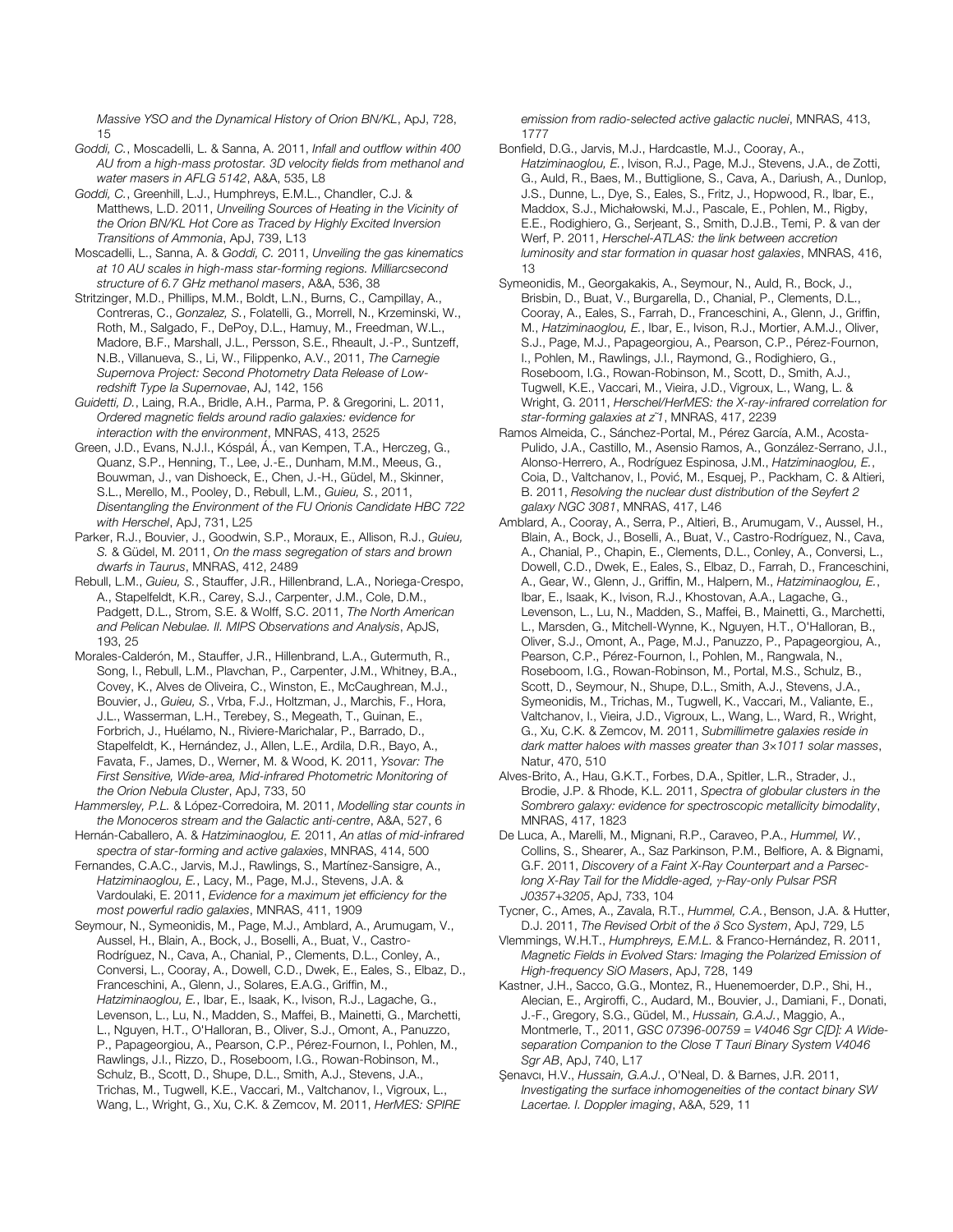*Massive YSO and the Dynamical History of Orion BN/KL*, ApJ, 728, 15

*Goddi, C.*, Moscadelli, L. & Sanna, A. 2011, *Infall and outflow within 400 AU from a high-mass protostar. 3D velocity fields from methanol and water masers in AFLG 5142*, A&A, 535, L8

*Goddi, C.*, Greenhill, L.J., Humphreys, E.M.L., Chandler, C.J. & Matthews, L.D. 2011, *Unveiling Sources of Heating in the Vicinity of the Orion BN/KL Hot Core as Traced by Highly Excited Inversion Transitions of Ammonia*, ApJ, 739, L13

Moscadelli, L., Sanna, A. & *Goddi, C.* 2011, *Unveiling the gas kinematics at 10 AU scales in high-mass star-forming regions. Milliarcsecond structure of 6.7 GHz methanol masers*, A&A, 536, 38

Stritzinger, M.D., Phillips, M.M., Boldt, L.N., Burns, C., Campillay, A., Contreras, C., *Gonzalez, S.*, Folatelli, G., Morrell, N., Krzeminski, W., Roth, M., Salgado, F., DePoy, D.L., Hamuy, M., Freedman, W.L., Madore, B.F., Marshall, J.L., Persson, S.E., Rheault, J.-P., Suntzeff, N.B., Villanueva, S., Li, W., Filippenko, A.V., 2011, *The Carnegie Supernova Project: Second Photometry Data Release of Lowredshift Type Ia Supernovae*, AJ, 142, 156

*Guidetti, D.*, Laing, R.A., Bridle, A.H., Parma, P. & Gregorini, L. 2011, *Ordered magnetic fields around radio galaxies: evidence for interaction with the environment*, MNRAS, 413, 2525

Green, J.D., Evans, N.J.I., Kóspál, Á., van Kempen, T.A., Herczeg, G., Quanz, S.P., Henning, T., Lee, J.-E., Dunham, M.M., Meeus, G., Bouwman, J., van Dishoeck, E., Chen, J.-H., Güdel, M., Skinner, S.L., Merello, M., Pooley, D., Rebull, L.M., *Guieu, S.*, 2011, *Disentangling the Environment of the FU Orionis Candidate HBC 722 with Herschel*, ApJ, 731, L25

Parker, R.J., Bouvier, J., Goodwin, S.P., Moraux, E., Allison, R.J., *Guieu, S.* & Güdel, M. 2011, *On the mass segregation of stars and brown dwarfs in Taurus*, MNRAS, 412, 2489

Rebull, L.M., *Guieu, S.*, Stauffer, J.R., Hillenbrand, L.A., Noriega-Crespo, A., Stapelfeldt, K.R., Carey, S.J., Carpenter, J.M., Cole, D.M., Padgett, D.L., Strom, S.E. & Wolff, S.C. 2011, *The North American and Pelican Nebulae. II. MIPS Observations and Analysis*, ApJS, 193, 25

Morales-Calderón, M., Stauffer, J.R., Hillenbrand, L.A., Gutermuth, R., Song, I., Rebull, L.M., Plavchan, P., Carpenter, J.M., Whitney, B.A., Covey, K., Alves de Oliveira, C., Winston, E., McCaughrean, M.J., Bouvier, J., *Guieu, S.*, Vrba, F.J., Holtzman, J., Marchis, F., Hora, J.L., Wasserman, L.H., Terebey, S., Megeath, T., Guinan, E., Forbrich, J., Huélamo, N., Riviere-Marichalar, P., Barrado, D., Stapelfeldt, K., Hernández, J., Allen, L.E., Ardila, D.R., Bayo, A., Favata, F., James, D., Werner, M. & Wood, K. 2011, *Ysovar: The First Sensitive, Wide-area, Mid-infrared Photometric Monitoring of the Orion Nebula Cluster*, ApJ, 733, 50

*Hammersley, P.L.* & López-Corredoira, M. 2011, *Modelling star counts in the Monoceros stream and the Galactic anti-centre*, A&A, 527, 6

Hernán-Caballero, A. & *Hatziminaoglou, E.* 2011, *An atlas of mid-infrared spectra of star-forming and active galaxies*, MNRAS, 414, 500

Fernandes, C.A.C., Jarvis, M.J., Rawlings, S., Martínez-Sansigre, A., *Hatziminaoglou, E.*, Lacy, M., Page, M.J., Stevens, J.A. & Vardoulaki, E. 2011, *Evidence for a maximum jet efficiency for the most powerful radio galaxies*, MNRAS, 411, 1909

Seymour, N., Symeonidis, M., Page, M.J., Amblard, A., Arumugam, V., Aussel, H., Blain, A., Bock, J., Boselli, A., Buat, V., Castro-Rodríguez, N., Cava, A., Chanial, P., Clements, D.L., Conley, A., Conversi, L., Cooray, A., Dowell, C.D., Dwek, E., Eales, S., Elbaz, D., Franceschini, A., Glenn, J., Solares, E.A.G., Griffin, M., *Hatziminaoglou, E.*, Ibar, E., Isaak, K., Ivison, R.J., Lagache, G., Levenson, L., Lu, N., Madden, S., Maffei, B., Mainetti, G., Marchetti, L., Nguyen, H.T., O'Halloran, B., Oliver, S.J., Omont, A., Panuzzo, P., Papageorgiou, A., Pearson, C.P., Pérez-Fournon, I., Pohlen, M., Rawlings, J.I., Rizzo, D., Roseboom, I.G., Rowan-Robinson, M., Schulz, B., Scott, D., Shupe, D.L., Smith, A.J., Stevens, J.A., Trichas, M., Tugwell, K.E., Vaccari, M., Valtchanov, I., Vigroux, L., Wang, L., Wright, G., Xu, C.K. & Zemcov, M. 2011, *HerMES: SPIRE* 

*emission from radio-selected active galactic nuclei*, MNRAS, 413, 1777

Bonfield, D.G., Jarvis, M.J., Hardcastle, M.J., Cooray, A., *Hatziminaoglou, E.*, Ivison, R.J., Page, M.J., Stevens, J.A., de Zotti, G., Auld, R., Baes, M., Buttiglione, S., Cava, A., Dariush, A., Dunlop, J.S., Dunne, L., Dye, S., Eales, S., Fritz, J., Hopwood, R., Ibar, E., Maddox, S.J., Michałowski, M.J., Pascale, E., Pohlen, M., Rigby, E.E., Rodighiero, G., Serjeant, S., Smith, D.J.B., Temi, P. & van der Werf, P. 2011, *Herschel-ATLAS: the link between accretion luminosity and star formation in quasar host galaxies*, MNRAS, 416, 13

Symeonidis, M., Georgakakis, A., Seymour, N., Auld, R., Bock, J., Brisbin, D., Buat, V., Burgarella, D., Chanial, P., Clements, D.L., Cooray, A., Eales, S., Farrah, D., Franceschini, A., Glenn, J., Griffin, M., *Hatziminaoglou, E.*, Ibar, E., Ivison, R.J., Mortier, A.M.J., Oliver, S.J., Page, M.J., Papageorgiou, A., Pearson, C.P., Pérez-Fournon, I., Pohlen, M., Rawlings, J.I., Raymond, G., Rodighiero, G., Roseboom, I.G., Rowan-Robinson, M., Scott, D., Smith, A.J., Tugwell, K.E., Vaccari, M., Vieira, J.D., Vigroux, L., Wang, L. & Wright, G. 2011, *Herschel/HerMES: the X-ray-infrared correlation for star-forming galaxies at z˜1*, MNRAS, 417, 2239

Ramos Almeida, C., Sánchez-Portal, M., Pérez García, A.M., Acosta-Pulido, J.A., Castillo, M., Asensio Ramos, A., González-Serrano, J.I., Alonso-Herrero, A., Rodríguez Espinosa, J.M., *Hatziminaoglou, E.*, Coia, D., Valtchanov, I., Pović, M., Esquej, P., Packham, C. & Altieri, B. 2011, *Resolving the nuclear dust distribution of the Seyfert 2 galaxy NGC 3081*, MNRAS, 417, L46

- Amblard, A., Cooray, A., Serra, P., Altieri, B., Arumugam, V., Aussel, H., Blain, A., Bock, J., Boselli, A., Buat, V., Castro-Rodríguez, N., Cava, A., Chanial, P., Chapin, E., Clements, D.L., Conley, A., Conversi, L., Dowell, C.D., Dwek, E., Eales, S., Elbaz, D., Farrah, D., Franceschini, A., Gear, W., Glenn, J., Griffin, M., Halpern, M., *Hatziminaoglou, E.*, Ibar, E., Isaak, K., Ivison, R.J., Khostovan, A.A., Lagache, G., Levenson, L., Lu, N., Madden, S., Maffei, B., Mainetti, G., Marchetti, L., Marsden, G., Mitchell-Wynne, K., Nguyen, H.T., O'Halloran, B., Oliver, S.J., Omont, A., Page, M.J., Panuzzo, P., Papageorgiou, A., Pearson, C.P., Pérez-Fournon, I., Pohlen, M., Rangwala, N., Roseboom, I.G., Rowan-Robinson, M., Portal, M.S., Schulz, B., Scott, D., Seymour, N., Shupe, D.L., Smith, A.J., Stevens, J.A., Symeonidis, M., Trichas, M., Tugwell, K., Vaccari, M., Valiante, E., Valtchanov, I., Vieira, J.D., Vigroux, L., Wang, L., Ward, R., Wright, G., Xu, C.K. & Zemcov, M. 2011, *Submillimetre galaxies reside in dark matter haloes with masses greater than 3*×*1011 solar masses*, Natur, 470, 510
- Alves-Brito, A., Hau, G.K.T., Forbes, D.A., Spitler, L.R., Strader, J., Brodie, J.P. & Rhode, K.L. 2011, *Spectra of globular clusters in the Sombrero galaxy: evidence for spectroscopic metallicity bimodality*, MNRAS, 417, 1823
- De Luca, A., Marelli, M., Mignani, R.P., Caraveo, P.A., *Hummel, W.*, Collins, S., Shearer, A., Saz Parkinson, P.M., Belfiore, A. & Bignami, G.F. 2011, *Discovery of a Faint X-Ray Counterpart and a Parseclong X-Ray Tail for the Middle-aged, γ-Ray-only Pulsar PSR J0357+3205*, ApJ, 733, 104
- Tycner, C., Ames, A., Zavala, R.T., *Hummel, C.A.*, Benson, J.A. & Hutter, D.J. 2011, *The Revised Orbit of the δ Sco System*, ApJ, 729, L5
- Vlemmings, W.H.T., *Humphreys, E.M.L.* & Franco-Hernández, R. 2011, *Magnetic Fields in Evolved Stars: Imaging the Polarized Emission of High-frequency SiO Masers*, ApJ, 728, 149
- Kastner, J.H., Sacco, G.G., Montez, R., Huenemoerder, D.P., Shi, H., Alecian, E., Argiroffi, C., Audard, M., Bouvier, J., Damiani, F., Donati, J.-F., Gregory, S.G., Güdel, M., *Hussain, G.A.J.*, Maggio, A., Montmerle, T., 2011, *GSC 07396-00759 = V4046 Sgr C[D]: A Wideseparation Companion to the Close T Tauri Binary System V4046 Sgr AB*, ApJ, 740, L17

Şenavcı, H.V., *Hussain, G.A.J.*, O'Neal, D. & Barnes, J.R. 2011, *Investigating the surface inhomogeneities of the contact binary SW Lacertae. I. Doppler imaging*, A&A, 529, 11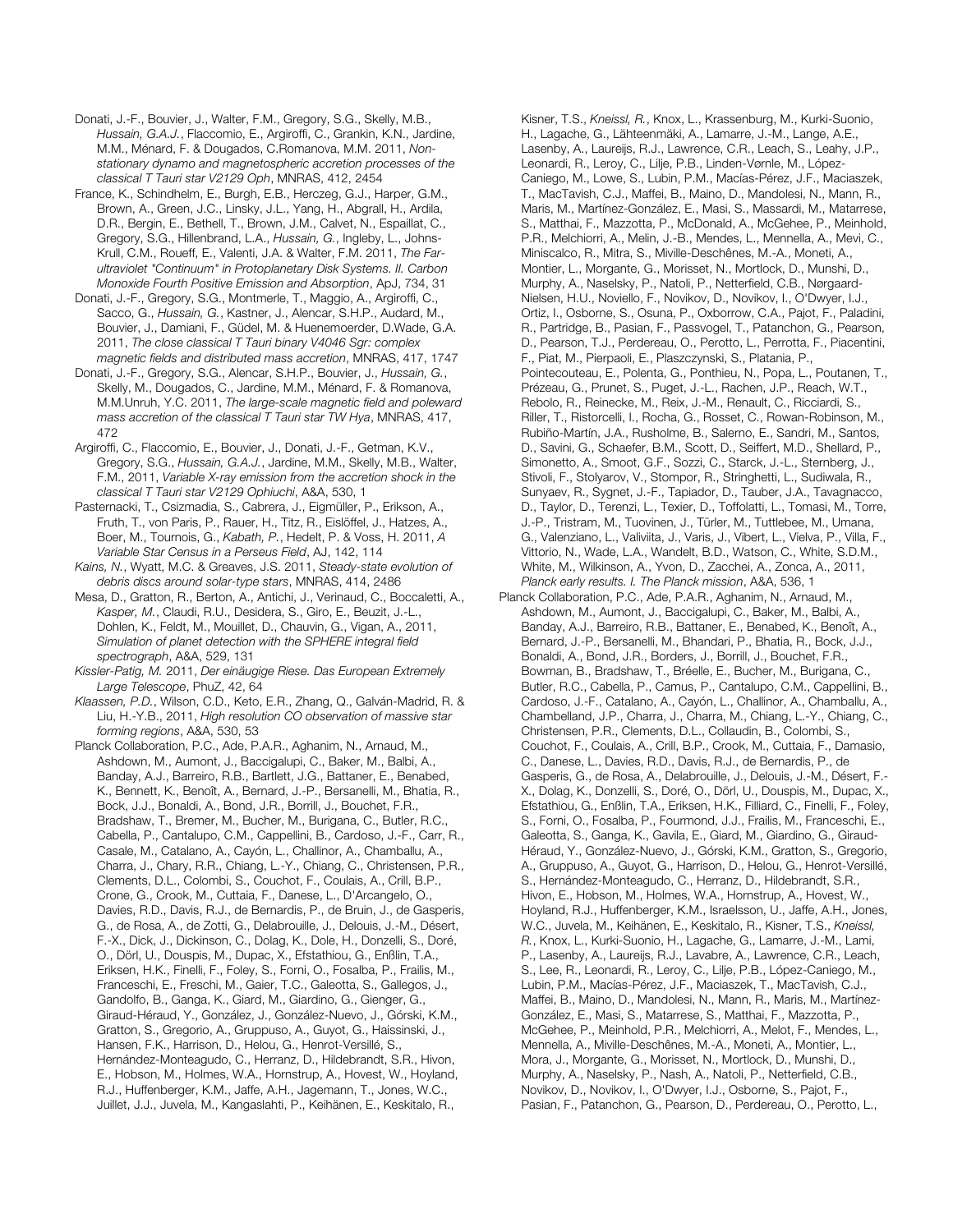Donati, J.-F., Bouvier, J., Walter, F.M., Gregory, S.G., Skelly, M.B., *Hussain, G.A.J.*, Flaccomio, E., Argiroffi, C., Grankin, K.N., Jardine, M.M., Ménard, F. & Dougados, C.Romanova, M.M. 2011, *Nonstationary dynamo and magnetospheric accretion processes of the classical T Tauri star V2129 Oph*, MNRAS, 412, 2454

France, K., Schindhelm, E., Burgh, E.B., Herczeg, G.J., Harper, G.M., Brown, A., Green, J.C., Linsky, J.L., Yang, H., Abgrall, H., Ardila, D.R., Bergin, E., Bethell, T., Brown, J.M., Calvet, N., Espaillat, C., Gregory, S.G., Hillenbrand, L.A., *Hussain, G.*, Ingleby, L., Johns-Krull, C.M., Roueff, E., Valenti, J.A. & Walter, F.M. 2011, *The Farultraviolet "Continuum" in Protoplanetary Disk Systems. II. Carbon Monoxide Fourth Positive Emission and Absorption*, ApJ, 734, 31

Donati, J.-F., Gregory, S.G., Montmerle, T., Maggio, A., Argiroffi, C., Sacco, G., *Hussain, G.*, Kastner, J., Alencar, S.H.P., Audard, M., Bouvier, J., Damiani, F., Güdel, M. & Huenemoerder, D.Wade, G.A. 2011, *The close classical T Tauri binary V4046 Sgr: complex magnetic fields and distributed mass accretion*, MNRAS, 417, 1747

Donati, J.-F., Gregory, S.G., Alencar, S.H.P., Bouvier, J., *Hussain, G.*, Skelly, M., Dougados, C., Jardine, M.M., Ménard, F. & Romanova, M.M.Unruh, Y.C. 2011, *The large-scale magnetic field and poleward mass accretion of the classical T Tauri star TW Hya*, MNRAS, 417, 472

Argiroffi, C., Flaccomio, E., Bouvier, J., Donati, J.-F., Getman, K.V., Gregory, S.G., *Hussain, G.A.J.*, Jardine, M.M., Skelly, M.B., Walter, F.M., 2011, *Variable X-ray emission from the accretion shock in the classical T Tauri star V2129 Ophiuchi*, A&A, 530, 1

Pasternacki, T., Csizmadia, S., Cabrera, J., Eigmüller, P., Erikson, A., Fruth, T., von Paris, P., Rauer, H., Titz, R., Eislöffel, J., Hatzes, A., Boer, M., Tournois, G., *Kabath, P.*, Hedelt, P. & Voss, H. 2011, *A Variable Star Census in a Perseus Field*, AJ, 142, 114

*Kains, N.*, Wyatt, M.C. & Greaves, J.S. 2011, *Steady-state evolution of debris discs around solar-type stars*, MNRAS, 414, 2486

Mesa, D., Gratton, R., Berton, A., Antichi, J., Verinaud, C., Boccaletti, A., *Kasper, M.*, Claudi, R.U., Desidera, S., Giro, E., Beuzit, J.-L., Dohlen, K., Feldt, M., Mouillet, D., Chauvin, G., Vigan, A., 2011, *Simulation of planet detection with the SPHERE integral field spectrograph*, A&A, 529, 131

*Kissler-Patig, M.* 2011, *Der einäugige Riese. Das European Extremely Large Telescope*, PhuZ, 42, 64

*Klaassen, P.D.*, Wilson, C.D., Keto, E.R., Zhang, Q., Galván-Madrid, R. & Liu, H.-Y.B., 2011, *High resolution CO observation of massive star forming regions*, A&A, 530, 53

Planck Collaboration, P.C., Ade, P.A.R., Aghanim, N., Arnaud, M., Ashdown, M., Aumont, J., Baccigalupi, C., Baker, M., Balbi, A., Banday, A.J., Barreiro, R.B., Bartlett, J.G., Battaner, E., Benabed, K., Bennett, K., Benoît, A., Bernard, J.-P., Bersanelli, M., Bhatia, R., Bock, J.J., Bonaldi, A., Bond, J.R., Borrill, J., Bouchet, F.R., Bradshaw, T., Bremer, M., Bucher, M., Burigana, C., Butler, R.C., Cabella, P., Cantalupo, C.M., Cappellini, B., Cardoso, J.-F., Carr, R., Casale, M., Catalano, A., Cayón, L., Challinor, A., Chamballu, A., Charra, J., Chary, R.R., Chiang, L.-Y., Chiang, C., Christensen, P.R., Clements, D.L., Colombi, S., Couchot, F., Coulais, A., Crill, B.P., Crone, G., Crook, M., Cuttaia, F., Danese, L., D'Arcangelo, O., Davies, R.D., Davis, R.J., de Bernardis, P., de Bruin, J., de Gasperis, G., de Rosa, A., de Zotti, G., Delabrouille, J., Delouis, J.-M., Désert, F.-X., Dick, J., Dickinson, C., Dolag, K., Dole, H., Donzelli, S., Doré, O., Dörl, U., Douspis, M., Dupac, X., Efstathiou, G., Enßlin, T.A., Eriksen, H.K., Finelli, F., Foley, S., Forni, O., Fosalba, P., Frailis, M., Franceschi, E., Freschi, M., Gaier, T.C., Galeotta, S., Gallegos, J., Gandolfo, B., Ganga, K., Giard, M., Giardino, G., Gienger, G., Giraud-Héraud, Y., González, J., González-Nuevo, J., Górski, K.M., Gratton, S., Gregorio, A., Gruppuso, A., Guyot, G., Haissinski, J., Hansen, F.K., Harrison, D., Helou, G., Henrot-Versillé, S., Hernández-Monteagudo, C., Herranz, D., Hildebrandt, S.R., Hivon, E., Hobson, M., Holmes, W.A., Hornstrup, A., Hovest, W., Hoyland, R.J., Huffenberger, K.M., Jaffe, A.H., Jagemann, T., Jones, W.C., Juillet, J.J., Juvela, M., Kangaslahti, P., Keihänen, E., Keskitalo, R.,

Kisner, T.S., *Kneissl, R.*, Knox, L., Krassenburg, M., Kurki-Suonio, H., Lagache, G., Lähteenmäki, A., Lamarre, J.-M., Lange, A.E., Lasenby, A., Laureijs, R.J., Lawrence, C.R., Leach, S., Leahy, J.P., Leonardi, R., Leroy, C., Lilje, P.B., Linden-Vørnle, M., López-Caniego, M., Lowe, S., Lubin, P.M., Macías-Pérez, J.F., Maciaszek, T., MacTavish, C.J., Maffei, B., Maino, D., Mandolesi, N., Mann, R., Maris, M., Martínez-González, E., Masi, S., Massardi, M., Matarrese, S., Matthai, F., Mazzotta, P., McDonald, A., McGehee, P., Meinhold, P.R., Melchiorri, A., Melin, J.-B., Mendes, L., Mennella, A., Mevi, C., Miniscalco, R., Mitra, S., Miville-Deschênes, M.-A., Moneti, A., Montier, L., Morgante, G., Morisset, N., Mortlock, D., Munshi, D., Murphy, A., Naselsky, P., Natoli, P., Netterfield, C.B., Nørgaard-Nielsen, H.U., Noviello, F., Novikov, D., Novikov, I., O'Dwyer, I.J., Ortiz, I., Osborne, S., Osuna, P., Oxborrow, C.A., Pajot, F., Paladini, R., Partridge, B., Pasian, F., Passvogel, T., Patanchon, G., Pearson, D., Pearson, T.J., Perdereau, O., Perotto, L., Perrotta, F., Piacentini, F., Piat, M., Pierpaoli, E., Plaszczynski, S., Platania, P., Pointecouteau, E., Polenta, G., Ponthieu, N., Popa, L., Poutanen, T., Prézeau, G., Prunet, S., Puget, J.-L., Rachen, J.P., Reach, W.T., Rebolo, R., Reinecke, M., Reix, J.-M., Renault, C., Ricciardi, S., Riller, T., Ristorcelli, I., Rocha, G., Rosset, C., Rowan-Robinson, M., Rubiño-Martín, J.A., Rusholme, B., Salerno, E., Sandri, M., Santos, D., Savini, G., Schaefer, B.M., Scott, D., Seiffert, M.D., Shellard, P., Simonetto, A., Smoot, G.F., Sozzi, C., Starck, J.-L., Sternberg, J., Stivoli, F., Stolyarov, V., Stompor, R., Stringhetti, L., Sudiwala, R., Sunyaev, R., Sygnet, J.-F., Tapiador, D., Tauber, J.A., Tavagnacco, D., Taylor, D., Terenzi, L., Texier, D., Toffolatti, L., Tomasi, M., Torre, J.-P., Tristram, M., Tuovinen, J., Türler, M., Tuttlebee, M., Umana, G., Valenziano, L., Valiviita, J., Varis, J., Vibert, L., Vielva, P., Villa, F., Vittorio, N., Wade, L.A., Wandelt, B.D., Watson, C., White, S.D.M., White, M., Wilkinson, A., Yvon, D., Zacchei, A., Zonca, A., 2011, *Planck early results. I. The Planck mission*, A&A, 536, 1

Planck Collaboration, P.C., Ade, P.A.R., Aghanim, N., Arnaud, M., Ashdown, M., Aumont, J., Baccigalupi, C., Baker, M., Balbi, A., Banday, A.J., Barreiro, R.B., Battaner, E., Benabed, K., Benoît, A., Bernard, J.-P., Bersanelli, M., Bhandari, P., Bhatia, R., Bock, J.J., Bonaldi, A., Bond, J.R., Borders, J., Borrill, J., Bouchet, F.R., Bowman, B., Bradshaw, T., Bréelle, E., Bucher, M., Burigana, C., Butler, R.C., Cabella, P., Camus, P., Cantalupo, C.M., Cappellini, B., Cardoso, J.-F., Catalano, A., Cayón, L., Challinor, A., Chamballu, A., Chambelland, J.P., Charra, J., Charra, M., Chiang, L.-Y., Chiang, C., Christensen, P.R., Clements, D.L., Collaudin, B., Colombi, S., Couchot, F., Coulais, A., Crill, B.P., Crook, M., Cuttaia, F., Damasio, C., Danese, L., Davies, R.D., Davis, R.J., de Bernardis, P., de Gasperis, G., de Rosa, A., Delabrouille, J., Delouis, J.-M., Désert, F.- X., Dolag, K., Donzelli, S., Doré, O., Dörl, U., Douspis, M., Dupac, X., Efstathiou, G., Enßlin, T.A., Eriksen, H.K., Filliard, C., Finelli, F., Foley, S., Forni, O., Fosalba, P., Fourmond, J.J., Frailis, M., Franceschi, E., Galeotta, S., Ganga, K., Gavila, E., Giard, M., Giardino, G., Giraud-Héraud, Y., González-Nuevo, J., Górski, K.M., Gratton, S., Gregorio, A., Gruppuso, A., Guyot, G., Harrison, D., Helou, G., Henrot-Versillé, S., Hernández-Monteagudo, C., Herranz, D., Hildebrandt, S.R., Hivon, E., Hobson, M., Holmes, W.A., Hornstrup, A., Hovest, W., Hoyland, R.J., Huffenberger, K.M., Israelsson, U., Jaffe, A.H., Jones, W.C., Juvela, M., Keihänen, E., Keskitalo, R., Kisner, T.S., *Kneissl, R.*, Knox, L., Kurki-Suonio, H., Lagache, G., Lamarre, J.-M., Lami, P., Lasenby, A., Laureijs, R.J., Lavabre, A., Lawrence, C.R., Leach, S., Lee, R., Leonardi, R., Leroy, C., Lilje, P.B., López-Caniego, M., Lubin, P.M., Macías-Pérez, J.F., Maciaszek, T., MacTavish, C.J., Maffei, B., Maino, D., Mandolesi, N., Mann, R., Maris, M., Martínez-González, E., Masi, S., Matarrese, S., Matthai, F., Mazzotta, P., McGehee, P., Meinhold, P.R., Melchiorri, A., Melot, F., Mendes, L., Mennella, A., Miville-Deschênes, M.-A., Moneti, A., Montier, L., Mora, J., Morgante, G., Morisset, N., Mortlock, D., Munshi, D., Murphy, A., Naselsky, P., Nash, A., Natoli, P., Netterfield, C.B., Novikov, D., Novikov, I., O'Dwyer, I.J., Osborne, S., Pajot, F., Pasian, F., Patanchon, G., Pearson, D., Perdereau, O., Perotto, L.,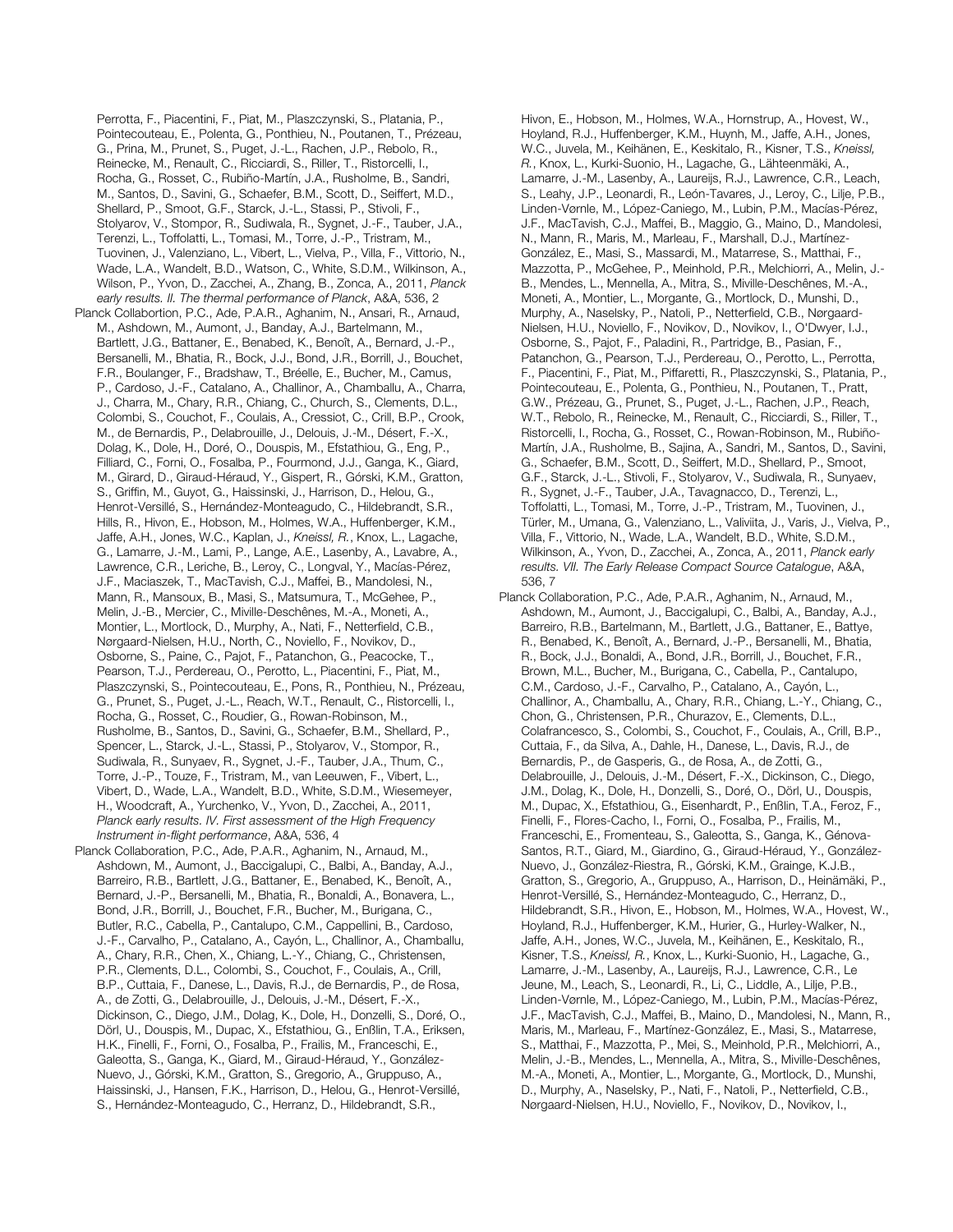Perrotta, F., Piacentini, F., Piat, M., Plaszczynski, S., Platania, P., Pointecouteau, E., Polenta, G., Ponthieu, N., Poutanen, T., Prézeau, G., Prina, M., Prunet, S., Puget, J.-L., Rachen, J.P., Rebolo, R., Reinecke, M., Renault, C., Ricciardi, S., Riller, T., Ristorcelli, I., Rocha, G., Rosset, C., Rubiño-Martín, J.A., Rusholme, B., Sandri, M., Santos, D., Savini, G., Schaefer, B.M., Scott, D., Seiffert, M.D., Shellard, P., Smoot, G.F., Starck, J.-L., Stassi, P., Stivoli, F., Stolyarov, V., Stompor, R., Sudiwala, R., Sygnet, J.-F., Tauber, J.A., Terenzi, L., Toffolatti, L., Tomasi, M., Torre, J.-P., Tristram, M., Tuovinen, J., Valenziano, L., Vibert, L., Vielva, P., Villa, F., Vittorio, N., Wade, L.A., Wandelt, B.D., Watson, C., White, S.D.M., Wilkinson, A., Wilson, P., Yvon, D., Zacchei, A., Zhang, B., Zonca, A., 2011, *Planck early results. II. The thermal performance of Planck*, A&A, 536, 2

Planck Collabortion, P.C., Ade, P.A.R., Aghanim, N., Ansari, R., Arnaud, M., Ashdown, M., Aumont, J., Banday, A.J., Bartelmann, M., Bartlett, J.G., Battaner, E., Benabed, K., Benoît, A., Bernard, J.-P., Bersanelli, M., Bhatia, R., Bock, J.J., Bond, J.R., Borrill, J., Bouchet, F.R., Boulanger, F., Bradshaw, T., Bréelle, E., Bucher, M., Camus, P., Cardoso, J.-F., Catalano, A., Challinor, A., Chamballu, A., Charra, J., Charra, M., Chary, R.R., Chiang, C., Church, S., Clements, D.L., Colombi, S., Couchot, F., Coulais, A., Cressiot, C., Crill, B.P., Crook, M., de Bernardis, P., Delabrouille, J., Delouis, J.-M., Désert, F.-X., Dolag, K., Dole, H., Doré, O., Douspis, M., Efstathiou, G., Eng, P., Filliard, C., Forni, O., Fosalba, P., Fourmond, J.J., Ganga, K., Giard, M., Girard, D., Giraud-Héraud, Y., Gispert, R., Górski, K.M., Gratton, S., Griffin, M., Guyot, G., Haissinski, J., Harrison, D., Helou, G., Henrot-Versillé, S., Hernández-Monteagudo, C., Hildebrandt, S.R., Hills, R., Hivon, E., Hobson, M., Holmes, W.A., Huffenberger, K.M., Jaffe, A.H., Jones, W.C., Kaplan, J., *Kneissl, R.*, Knox, L., Lagache, G., Lamarre, J.-M., Lami, P., Lange, A.E., Lasenby, A., Lavabre, A., Lawrence, C.R., Leriche, B., Leroy, C., Longval, Y., Macías-Pérez, J.F., Maciaszek, T., MacTavish, C.J., Maffei, B., Mandolesi, N., Mann, R., Mansoux, B., Masi, S., Matsumura, T., McGehee, P., Melin, J.-B., Mercier, C., Miville-Deschênes, M.-A., Moneti, A., Montier, L., Mortlock, D., Murphy, A., Nati, F., Netterfield, C.B., Nørgaard-Nielsen, H.U., North, C., Noviello, F., Novikov, D., Osborne, S., Paine, C., Pajot, F., Patanchon, G., Peacocke, T., Pearson, T.J., Perdereau, O., Perotto, L., Piacentini, F., Piat, M., Plaszczynski, S., Pointecouteau, E., Pons, R., Ponthieu, N., Prézeau, G., Prunet, S., Puget, J.-L., Reach, W.T., Renault, C., Ristorcelli, I., Rocha, G., Rosset, C., Roudier, G., Rowan-Robinson, M., Rusholme, B., Santos, D., Savini, G., Schaefer, B.M., Shellard, P., Spencer, L., Starck, J.-L., Stassi, P., Stolyarov, V., Stompor, R., Sudiwala, R., Sunyaev, R., Sygnet, J.-F., Tauber, J.A., Thum, C., Torre, J.-P., Touze, F., Tristram, M., van Leeuwen, F., Vibert, L., Vibert, D., Wade, L.A., Wandelt, B.D., White, S.D.M., Wiesemeyer, H., Woodcraft, A., Yurchenko, V., Yvon, D., Zacchei, A., 2011, *Planck early results. IV. First assessment of the High Frequency Instrument in-flight performance*, A&A, 536, 4

Planck Collaboration, P.C., Ade, P.A.R., Aghanim, N., Arnaud, M., Ashdown, M., Aumont, J., Baccigalupi, C., Balbi, A., Banday, A.J., Barreiro, R.B., Bartlett, J.G., Battaner, E., Benabed, K., Benoît, A., Bernard, J.-P., Bersanelli, M., Bhatia, R., Bonaldi, A., Bonavera, L., Bond, J.R., Borrill, J., Bouchet, F.R., Bucher, M., Burigana, C., Butler, R.C., Cabella, P., Cantalupo, C.M., Cappellini, B., Cardoso, J.-F., Carvalho, P., Catalano, A., Cayón, L., Challinor, A., Chamballu, A., Chary, R.R., Chen, X., Chiang, L.-Y., Chiang, C., Christensen, P.R., Clements, D.L., Colombi, S., Couchot, F., Coulais, A., Crill, B.P., Cuttaia, F., Danese, L., Davis, R.J., de Bernardis, P., de Rosa, A., de Zotti, G., Delabrouille, J., Delouis, J.-M., Désert, F.-X., Dickinson, C., Diego, J.M., Dolag, K., Dole, H., Donzelli, S., Doré, O., Dörl, U., Douspis, M., Dupac, X., Efstathiou, G., Enßlin, T.A., Eriksen, H.K., Finelli, F., Forni, O., Fosalba, P., Frailis, M., Franceschi, E., Galeotta, S., Ganga, K., Giard, M., Giraud-Héraud, Y., González-Nuevo, J., Górski, K.M., Gratton, S., Gregorio, A., Gruppuso, A., Haissinski, J., Hansen, F.K., Harrison, D., Helou, G., Henrot-Versillé, S., Hernández-Monteagudo, C., Herranz, D., Hildebrandt, S.R.,

Hivon, E., Hobson, M., Holmes, W.A., Hornstrup, A., Hovest, W., Hoyland, R.J., Huffenberger, K.M., Huynh, M., Jaffe, A.H., Jones, W.C., Juvela, M., Keihänen, E., Keskitalo, R., Kisner, T.S., *Kneissl, R.*, Knox, L., Kurki-Suonio, H., Lagache, G., Lähteenmäki, A., Lamarre, J.-M., Lasenby, A., Laureijs, R.J., Lawrence, C.R., Leach, S., Leahy, J.P., Leonardi, R., León-Tavares, J., Leroy, C., Lilje, P.B., Linden-Vørnle, M., López-Caniego, M., Lubin, P.M., Macías-Pérez, J.F., MacTavish, C.J., Maffei, B., Maggio, G., Maino, D., Mandolesi, N., Mann, R., Maris, M., Marleau, F., Marshall, D.J., Martínez-González, E., Masi, S., Massardi, M., Matarrese, S., Matthai, F., Mazzotta, P., McGehee, P., Meinhold, P.R., Melchiorri, A., Melin, J.- B., Mendes, L., Mennella, A., Mitra, S., Miville-Deschênes, M.-A., Moneti, A., Montier, L., Morgante, G., Mortlock, D., Munshi, D., Murphy, A., Naselsky, P., Natoli, P., Netterfield, C.B., Nørgaard-Nielsen, H.U., Noviello, F., Novikov, D., Novikov, I., O'Dwyer, I.J., Osborne, S., Pajot, F., Paladini, R., Partridge, B., Pasian, F., Patanchon, G., Pearson, T.J., Perdereau, O., Perotto, L., Perrotta, F., Piacentini, F., Piat, M., Piffaretti, R., Plaszczynski, S., Platania, P., Pointecouteau, E., Polenta, G., Ponthieu, N., Poutanen, T., Pratt, G.W., Prézeau, G., Prunet, S., Puget, J.-L., Rachen, J.P., Reach, W.T., Rebolo, R., Reinecke, M., Renault, C., Ricciardi, S., Riller, T., Ristorcelli, I., Rocha, G., Rosset, C., Rowan-Robinson, M., Rubiño-Martín, J.A., Rusholme, B., Sajina, A., Sandri, M., Santos, D., Savini, G., Schaefer, B.M., Scott, D., Seiffert, M.D., Shellard, P., Smoot, G.F., Starck, J.-L., Stivoli, F., Stolyarov, V., Sudiwala, R., Sunyaev, R., Sygnet, J.-F., Tauber, J.A., Tavagnacco, D., Terenzi, L., Toffolatti, L., Tomasi, M., Torre, J.-P., Tristram, M., Tuovinen, J., Türler, M., Umana, G., Valenziano, L., Valiviita, J., Varis, J., Vielva, P., Villa, F., Vittorio, N., Wade, L.A., Wandelt, B.D., White, S.D.M., Wilkinson, A., Yvon, D., Zacchei, A., Zonca, A., 2011, *Planck early results. VII. The Early Release Compact Source Catalogue*, A&A, 536, 7

Planck Collaboration, P.C., Ade, P.A.R., Aghanim, N., Arnaud, M., Ashdown, M., Aumont, J., Baccigalupi, C., Balbi, A., Banday, A.J., Barreiro, R.B., Bartelmann, M., Bartlett, J.G., Battaner, E., Battye, R., Benabed, K., Benoît, A., Bernard, J.-P., Bersanelli, M., Bhatia, R., Bock, J.J., Bonaldi, A., Bond, J.R., Borrill, J., Bouchet, F.R., Brown, M.L., Bucher, M., Burigana, C., Cabella, P., Cantalupo, C.M., Cardoso, J.-F., Carvalho, P., Catalano, A., Cayón, L., Challinor, A., Chamballu, A., Chary, R.R., Chiang, L.-Y., Chiang, C., Chon, G., Christensen, P.R., Churazov, E., Clements, D.L., Colafrancesco, S., Colombi, S., Couchot, F., Coulais, A., Crill, B.P., Cuttaia, F., da Silva, A., Dahle, H., Danese, L., Davis, R.J., de Bernardis, P., de Gasperis, G., de Rosa, A., de Zotti, G., Delabrouille, J., Delouis, J.-M., Désert, F.-X., Dickinson, C., Diego, J.M., Dolag, K., Dole, H., Donzelli, S., Doré, O., Dörl, U., Douspis, M., Dupac, X., Efstathiou, G., Eisenhardt, P., Enßlin, T.A., Feroz, F., Finelli, F., Flores-Cacho, I., Forni, O., Fosalba, P., Frailis, M., Franceschi, E., Fromenteau, S., Galeotta, S., Ganga, K., Génova-Santos, R.T., Giard, M., Giardino, G., Giraud-Héraud, Y., González-Nuevo, J., González-Riestra, R., Górski, K.M., Grainge, K.J.B., Gratton, S., Gregorio, A., Gruppuso, A., Harrison, D., Heinämäki, P., Henrot-Versillé, S., Hernández-Monteagudo, C., Herranz, D., Hildebrandt, S.R., Hivon, E., Hobson, M., Holmes, W.A., Hovest, W., Hoyland, R.J., Huffenberger, K.M., Hurier, G., Hurley-Walker, N., Jaffe, A.H., Jones, W.C., Juvela, M., Keihänen, E., Keskitalo, R., Kisner, T.S., *Kneissl, R.*, Knox, L., Kurki-Suonio, H., Lagache, G., Lamarre, J.-M., Lasenby, A., Laureijs, R.J., Lawrence, C.R., Le Jeune, M., Leach, S., Leonardi, R., Li, C., Liddle, A., Lilje, P.B., Linden-Vørnle, M., López-Caniego, M., Lubin, P.M., Macías-Pérez, J.F., MacTavish, C.J., Maffei, B., Maino, D., Mandolesi, N., Mann, R., Maris, M., Marleau, F., Martínez-González, E., Masi, S., Matarrese, S., Matthai, F., Mazzotta, P., Mei, S., Meinhold, P.R., Melchiorri, A., Melin, J.-B., Mendes, L., Mennella, A., Mitra, S., Miville-Deschênes, M.-A., Moneti, A., Montier, L., Morgante, G., Mortlock, D., Munshi, D., Murphy, A., Naselsky, P., Nati, F., Natoli, P., Netterfield, C.B., Nørgaard-Nielsen, H.U., Noviello, F., Novikov, D., Novikov, I.,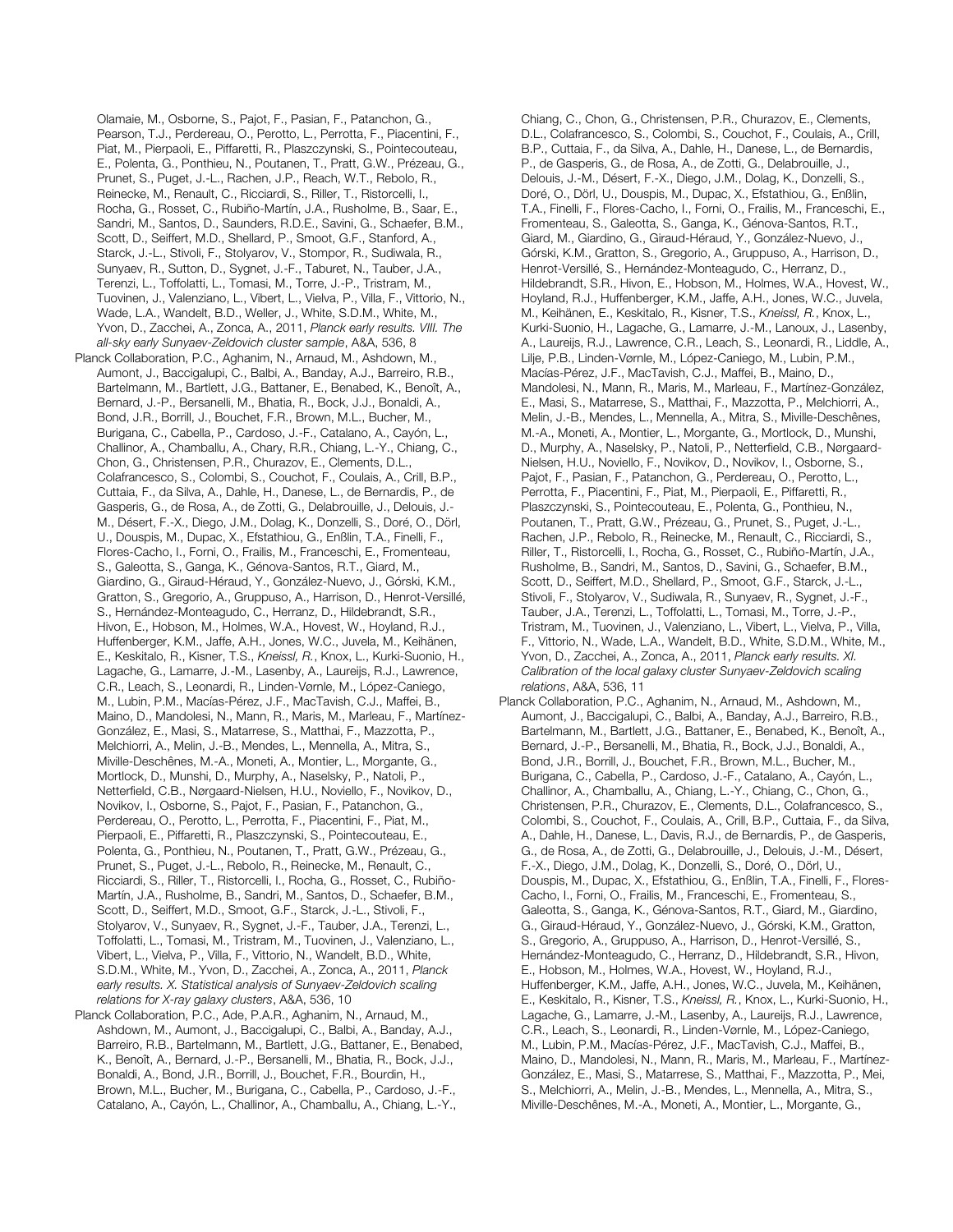Olamaie, M., Osborne, S., Pajot, F., Pasian, F., Patanchon, G., Pearson, T.J., Perdereau, O., Perotto, L., Perrotta, F., Piacentini, F., Piat, M., Pierpaoli, E., Piffaretti, R., Plaszczynski, S., Pointecouteau, E., Polenta, G., Ponthieu, N., Poutanen, T., Pratt, G.W., Prézeau, G., Prunet, S., Puget, J.-L., Rachen, J.P., Reach, W.T., Rebolo, R., Reinecke, M., Renault, C., Ricciardi, S., Riller, T., Ristorcelli, I., Rocha, G., Rosset, C., Rubiño-Martín, J.A., Rusholme, B., Saar, E., Sandri, M., Santos, D., Saunders, R.D.E., Savini, G., Schaefer, B.M., Scott, D., Seiffert, M.D., Shellard, P., Smoot, G.F., Stanford, A., Starck, J.-L., Stivoli, F., Stolyarov, V., Stompor, R., Sudiwala, R., Sunyaev, R., Sutton, D., Sygnet, J.-F., Taburet, N., Tauber, J.A., Terenzi, L., Toffolatti, L., Tomasi, M., Torre, J.-P., Tristram, M., Tuovinen, J., Valenziano, L., Vibert, L., Vielva, P., Villa, F., Vittorio, N., Wade, L.A., Wandelt, B.D., Weller, J., White, S.D.M., White, M., Yvon, D., Zacchei, A., Zonca, A., 2011, *Planck early results. VIII. The all-sky early Sunyaev-Zeldovich cluster sample*, A&A, 536, 8 Planck Collaboration, P.C., Aghanim, N., Arnaud, M., Ashdown, M., Aumont, J., Baccigalupi, C., Balbi, A., Banday, A.J., Barreiro, R.B., Bartelmann, M., Bartlett, J.G., Battaner, E., Benabed, K., Benoît, A., Bernard, J.-P., Bersanelli, M., Bhatia, R., Bock, J.J., Bonaldi, A., Bond, J.R., Borrill, J., Bouchet, F.R., Brown, M.L., Bucher, M., Burigana, C., Cabella, P., Cardoso, J.-F., Catalano, A., Cayón, L., Challinor, A., Chamballu, A., Chary, R.R., Chiang, L.-Y., Chiang, C., Chon, G., Christensen, P.R., Churazov, E., Clements, D.L., Colafrancesco, S., Colombi, S., Couchot, F., Coulais, A., Crill, B.P., Cuttaia, F., da Silva, A., Dahle, H., Danese, L., de Bernardis, P., de Gasperis, G., de Rosa, A., de Zotti, G., Delabrouille, J., Delouis, J.- M., Désert, F.-X., Diego, J.M., Dolag, K., Donzelli, S., Doré, O., Dörl, U., Douspis, M., Dupac, X., Efstathiou, G., Enßlin, T.A., Finelli, F., Flores-Cacho, I., Forni, O., Frailis, M., Franceschi, E., Fromenteau, S., Galeotta, S., Ganga, K., Génova-Santos, R.T., Giard, M., Giardino, G., Giraud-Héraud, Y., González-Nuevo, J., Górski, K.M., Gratton, S., Gregorio, A., Gruppuso, A., Harrison, D., Henrot-Versillé, S., Hernández-Monteagudo, C., Herranz, D., Hildebrandt, S.R., Hivon, E., Hobson, M., Holmes, W.A., Hovest, W., Hoyland, R.J., Huffenberger, K.M., Jaffe, A.H., Jones, W.C., Juvela, M., Keihänen, E., Keskitalo, R., Kisner, T.S., *Kneissl, R.*, Knox, L., Kurki-Suonio, H., Lagache, G., Lamarre, J.-M., Lasenby, A., Laureijs, R.J., Lawrence, C.R., Leach, S., Leonardi, R., Linden-Vørnle, M., López-Caniego, M., Lubin, P.M., Macías-Pérez, J.F., MacTavish, C.J., Maffei, B., Maino, D., Mandolesi, N., Mann, R., Maris, M., Marleau, F., Martínez-González, E., Masi, S., Matarrese, S., Matthai, F., Mazzotta, P., Melchiorri, A., Melin, J.-B., Mendes, L., Mennella, A., Mitra, S., Miville-Deschênes, M.-A., Moneti, A., Montier, L., Morgante, G., Mortlock, D., Munshi, D., Murphy, A., Naselsky, P., Natoli, P., Netterfield, C.B., Nørgaard-Nielsen, H.U., Noviello, F., Novikov, D., Novikov, I., Osborne, S., Pajot, F., Pasian, F., Patanchon, G., Perdereau, O., Perotto, L., Perrotta, F., Piacentini, F., Piat, M., Pierpaoli, E., Piffaretti, R., Plaszczynski, S., Pointecouteau, E., Polenta, G., Ponthieu, N., Poutanen, T., Pratt, G.W., Prézeau, G., Prunet, S., Puget, J.-L., Rebolo, R., Reinecke, M., Renault, C., Ricciardi, S., Riller, T., Ristorcelli, I., Rocha, G., Rosset, C., Rubiño-Martín, J.A., Rusholme, B., Sandri, M., Santos, D., Schaefer, B.M., Scott, D., Seiffert, M.D., Smoot, G.F., Starck, J.-L., Stivoli, F., Stolyarov, V., Sunyaev, R., Sygnet, J.-F., Tauber, J.A., Terenzi, L., Toffolatti, L., Tomasi, M., Tristram, M., Tuovinen, J., Valenziano, L., Vibert, L., Vielva, P., Villa, F., Vittorio, N., Wandelt, B.D., White, S.D.M., White, M., Yvon, D., Zacchei, A., Zonca, A., 2011, *Planck early results. X. Statistical analysis of Sunyaev-Zeldovich scaling relations for X-ray galaxy clusters*, A&A, 536, 10 Planck Collaboration, P.C., Ade, P.A.R., Aghanim, N., Arnaud, M., Ashdown, M., Aumont, J., Baccigalupi, C., Balbi, A., Banday, A.J.,

Barreiro, R.B., Bartelmann, M., Bartlett, J.G., Battaner, E., Benabed, K., Benoît, A., Bernard, J.-P., Bersanelli, M., Bhatia, R., Bock, J.J., Bonaldi, A., Bond, J.R., Borrill, J., Bouchet, F.R., Bourdin, H., Brown, M.L., Bucher, M., Burigana, C., Cabella, P., Cardoso, J.-F., Catalano, A., Cayón, L., Challinor, A., Chamballu, A., Chiang, L.-Y.,

Chiang, C., Chon, G., Christensen, P.R., Churazov, E., Clements, D.L., Colafrancesco, S., Colombi, S., Couchot, F., Coulais, A., Crill, B.P., Cuttaia, F., da Silva, A., Dahle, H., Danese, L., de Bernardis, P., de Gasperis, G., de Rosa, A., de Zotti, G., Delabrouille, J., Delouis, J.-M., Désert, F.-X., Diego, J.M., Dolag, K., Donzelli, S., Doré, O., Dörl, U., Douspis, M., Dupac, X., Efstathiou, G., Enßlin, T.A., Finelli, F., Flores-Cacho, I., Forni, O., Frailis, M., Franceschi, E., Fromenteau, S., Galeotta, S., Ganga, K., Génova-Santos, R.T., Giard, M., Giardino, G., Giraud-Héraud, Y., González-Nuevo, J., Górski, K.M., Gratton, S., Gregorio, A., Gruppuso, A., Harrison, D., Henrot-Versillé, S., Hernández-Monteagudo, C., Herranz, D., Hildebrandt, S.R., Hivon, E., Hobson, M., Holmes, W.A., Hovest, W., Hoyland, R.J., Huffenberger, K.M., Jaffe, A.H., Jones, W.C., Juvela, M., Keihänen, E., Keskitalo, R., Kisner, T.S., *Kneissl, R.*, Knox, L., Kurki-Suonio, H., Lagache, G., Lamarre, J.-M., Lanoux, J., Lasenby, A., Laureijs, R.J., Lawrence, C.R., Leach, S., Leonardi, R., Liddle, A., Lilje, P.B., Linden-Vørnle, M., López-Caniego, M., Lubin, P.M., Macías-Pérez, J.F., MacTavish, C.J., Maffei, B., Maino, D., Mandolesi, N., Mann, R., Maris, M., Marleau, F., Martínez-González, E., Masi, S., Matarrese, S., Matthai, F., Mazzotta, P., Melchiorri, A., Melin, J.-B., Mendes, L., Mennella, A., Mitra, S., Miville-Deschênes, M.-A., Moneti, A., Montier, L., Morgante, G., Mortlock, D., Munshi, D., Murphy, A., Naselsky, P., Natoli, P., Netterfield, C.B., Nørgaard-Nielsen, H.U., Noviello, F., Novikov, D., Novikov, I., Osborne, S., Pajot, F., Pasian, F., Patanchon, G., Perdereau, O., Perotto, L., Perrotta, F., Piacentini, F., Piat, M., Pierpaoli, E., Piffaretti, R., Plaszczynski, S., Pointecouteau, E., Polenta, G., Ponthieu, N., Poutanen, T., Pratt, G.W., Prézeau, G., Prunet, S., Puget, J.-L., Rachen, J.P., Rebolo, R., Reinecke, M., Renault, C., Ricciardi, S., Riller, T., Ristorcelli, I., Rocha, G., Rosset, C., Rubiño-Martín, J.A., Rusholme, B., Sandri, M., Santos, D., Savini, G., Schaefer, B.M., Scott, D., Seiffert, M.D., Shellard, P., Smoot, G.F., Starck, J.-L., Stivoli, F., Stolyarov, V., Sudiwala, R., Sunyaev, R., Sygnet, J.-F., Tauber, J.A., Terenzi, L., Toffolatti, L., Tomasi, M., Torre, J.-P., Tristram, M., Tuovinen, J., Valenziano, L., Vibert, L., Vielva, P., Villa, F., Vittorio, N., Wade, L.A., Wandelt, B.D., White, S.D.M., White, M., Yvon, D., Zacchei, A., Zonca, A., 2011, *Planck early results. XI. Calibration of the local galaxy cluster Sunyaev-Zeldovich scaling relations*, A&A, 536, 11

Planck Collaboration, P.C., Aghanim, N., Arnaud, M., Ashdown, M., Aumont, J., Baccigalupi, C., Balbi, A., Banday, A.J., Barreiro, R.B., Bartelmann, M., Bartlett, J.G., Battaner, E., Benabed, K., Benoît, A., Bernard, J.-P., Bersanelli, M., Bhatia, R., Bock, J.J., Bonaldi, A., Bond, J.R., Borrill, J., Bouchet, F.R., Brown, M.L., Bucher, M., Burigana, C., Cabella, P., Cardoso, J.-F., Catalano, A., Cayón, L., Challinor, A., Chamballu, A., Chiang, L.-Y., Chiang, C., Chon, G., Christensen, P.R., Churazov, E., Clements, D.L., Colafrancesco, S., Colombi, S., Couchot, F., Coulais, A., Crill, B.P., Cuttaia, F., da Silva, A., Dahle, H., Danese, L., Davis, R.J., de Bernardis, P., de Gasperis, G., de Rosa, A., de Zotti, G., Delabrouille, J., Delouis, J.-M., Désert, F.-X., Diego, J.M., Dolag, K., Donzelli, S., Doré, O., Dörl, U., Douspis, M., Dupac, X., Efstathiou, G., Enßlin, T.A., Finelli, F., Flores-Cacho, I., Forni, O., Frailis, M., Franceschi, E., Fromenteau, S., Galeotta, S., Ganga, K., Génova-Santos, R.T., Giard, M., Giardino, G., Giraud-Héraud, Y., González-Nuevo, J., Górski, K.M., Gratton, S., Gregorio, A., Gruppuso, A., Harrison, D., Henrot-Versillé, S., Hernández-Monteagudo, C., Herranz, D., Hildebrandt, S.R., Hivon, E., Hobson, M., Holmes, W.A., Hovest, W., Hoyland, R.J., Huffenberger, K.M., Jaffe, A.H., Jones, W.C., Juvela, M., Keihänen, E., Keskitalo, R., Kisner, T.S., *Kneissl, R.*, Knox, L., Kurki-Suonio, H., Lagache, G., Lamarre, J.-M., Lasenby, A., Laureijs, R.J., Lawrence, C.R., Leach, S., Leonardi, R., Linden-Vørnle, M., López-Caniego, M., Lubin, P.M., Macías-Pérez, J.F., MacTavish, C.J., Maffei, B., Maino, D., Mandolesi, N., Mann, R., Maris, M., Marleau, F., Martínez-González, E., Masi, S., Matarrese, S., Matthai, F., Mazzotta, P., Mei, S., Melchiorri, A., Melin, J.-B., Mendes, L., Mennella, A., Mitra, S., Miville-Deschênes, M.-A., Moneti, A., Montier, L., Morgante, G.,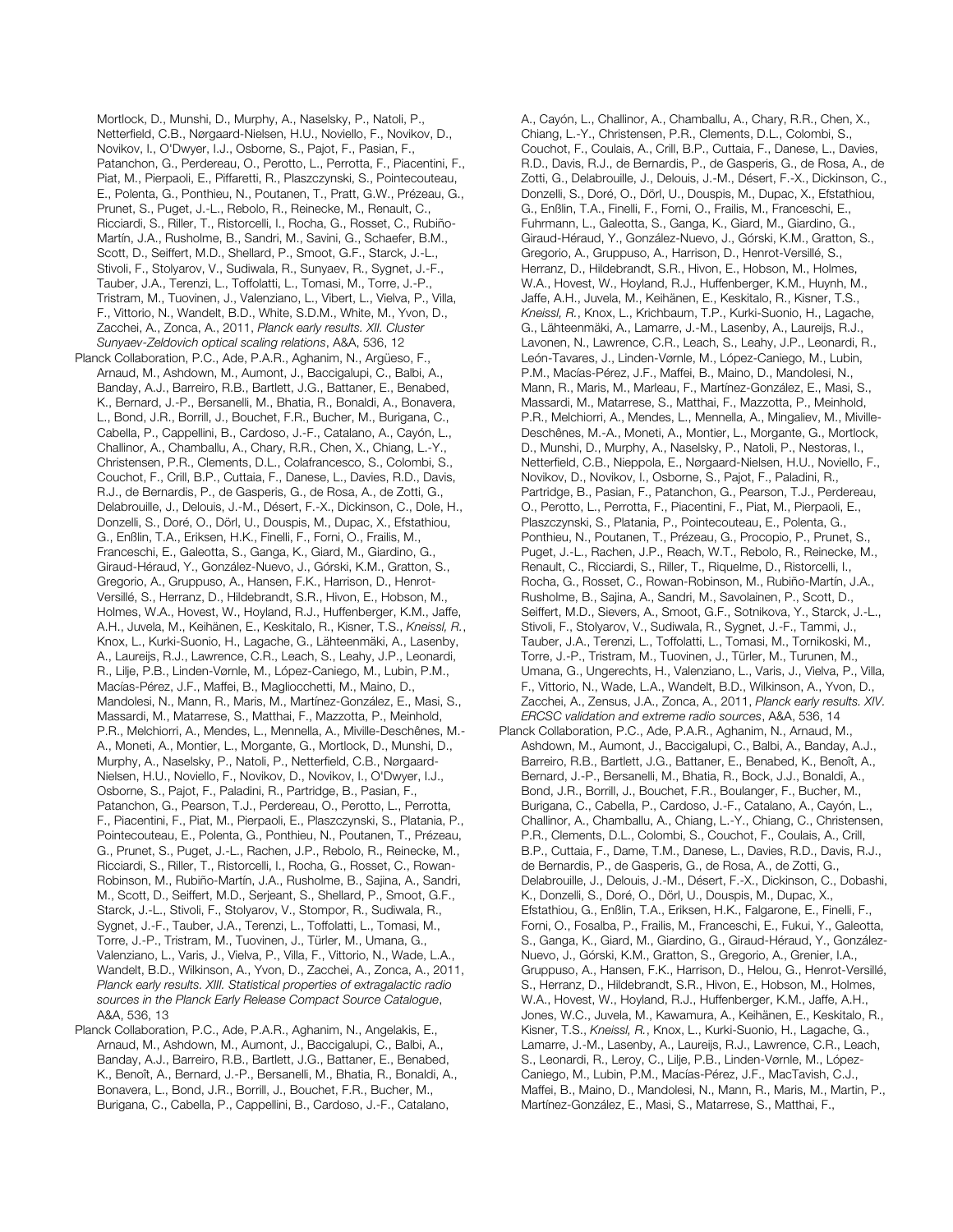Mortlock, D., Munshi, D., Murphy, A., Naselsky, P., Natoli, P., Netterfield, C.B., Nørgaard-Nielsen, H.U., Noviello, F., Novikov, D., Novikov, I., O'Dwyer, I.J., Osborne, S., Pajot, F., Pasian, F., Patanchon, G., Perdereau, O., Perotto, L., Perrotta, F., Piacentini, F., Piat, M., Pierpaoli, E., Piffaretti, R., Plaszczynski, S., Pointecouteau, E., Polenta, G., Ponthieu, N., Poutanen, T., Pratt, G.W., Prézeau, G., Prunet, S., Puget, J.-L., Rebolo, R., Reinecke, M., Renault, C., Ricciardi, S., Riller, T., Ristorcelli, I., Rocha, G., Rosset, C., Rubiño-Martín, J.A., Rusholme, B., Sandri, M., Savini, G., Schaefer, B.M., Scott, D., Seiffert, M.D., Shellard, P., Smoot, G.F., Starck, J.-L., Stivoli, F., Stolyarov, V., Sudiwala, R., Sunyaev, R., Sygnet, J.-F., Tauber, J.A., Terenzi, L., Toffolatti, L., Tomasi, M., Torre, J.-P., Tristram, M., Tuovinen, J., Valenziano, L., Vibert, L., Vielva, P., Villa, F., Vittorio, N., Wandelt, B.D., White, S.D.M., White, M., Yvon, D., Zacchei, A., Zonca, A., 2011, *Planck early results. XII. Cluster Sunyaev-Zeldovich optical scaling relations*, A&A, 536, 12 Planck Collaboration, P.C., Ade, P.A.R., Aghanim, N., Argüeso, F., Arnaud, M., Ashdown, M., Aumont, J., Baccigalupi, C., Balbi, A., Banday, A.J., Barreiro, R.B., Bartlett, J.G., Battaner, E., Benabed, K., Bernard, J.-P., Bersanelli, M., Bhatia, R., Bonaldi, A., Bonavera, L., Bond, J.R., Borrill, J., Bouchet, F.R., Bucher, M., Burigana, C., Cabella, P., Cappellini, B., Cardoso, J.-F., Catalano, A., Cayón, L., Challinor, A., Chamballu, A., Chary, R.R., Chen, X., Chiang, L.-Y., Christensen, P.R., Clements, D.L., Colafrancesco, S., Colombi, S., Couchot, F., Crill, B.P., Cuttaia, F., Danese, L., Davies, R.D., Davis, R.J., de Bernardis, P., de Gasperis, G., de Rosa, A., de Zotti, G., Delabrouille, J., Delouis, J.-M., Désert, F.-X., Dickinson, C., Dole, H., Donzelli, S., Doré, O., Dörl, U., Douspis, M., Dupac, X., Efstathiou, G., Enßlin, T.A., Eriksen, H.K., Finelli, F., Forni, O., Frailis, M., Franceschi, E., Galeotta, S., Ganga, K., Giard, M., Giardino, G., Giraud-Héraud, Y., González-Nuevo, J., Górski, K.M., Gratton, S., Gregorio, A., Gruppuso, A., Hansen, F.K., Harrison, D., Henrot-Versillé, S., Herranz, D., Hildebrandt, S.R., Hivon, E., Hobson, M., Holmes, W.A., Hovest, W., Hoyland, R.J., Huffenberger, K.M., Jaffe, A.H., Juvela, M., Keihänen, E., Keskitalo, R., Kisner, T.S., *Kneissl, R.*, Knox, L., Kurki-Suonio, H., Lagache, G., Lähteenmäki, A., Lasenby, A., Laureijs, R.J., Lawrence, C.R., Leach, S., Leahy, J.P., Leonardi, R., Lilje, P.B., Linden-Vørnle, M., López-Caniego, M., Lubin, P.M., Macías-Pérez, J.F., Maffei, B., Magliocchetti, M., Maino, D., Mandolesi, N., Mann, R., Maris, M., Martínez-González, E., Masi, S., Massardi, M., Matarrese, S., Matthai, F., Mazzotta, P., Meinhold, P.R., Melchiorri, A., Mendes, L., Mennella, A., Miville-Deschênes, M.- A., Moneti, A., Montier, L., Morgante, G., Mortlock, D., Munshi, D., Murphy, A., Naselsky, P., Natoli, P., Netterfield, C.B., Nørgaard-Nielsen, H.U., Noviello, F., Novikov, D., Novikov, I., O'Dwyer, I.J., Osborne, S., Pajot, F., Paladini, R., Partridge, B., Pasian, F., Patanchon, G., Pearson, T.J., Perdereau, O., Perotto, L., Perrotta, F., Piacentini, F., Piat, M., Pierpaoli, E., Plaszczynski, S., Platania, P., Pointecouteau, E., Polenta, G., Ponthieu, N., Poutanen, T., Prézeau, G., Prunet, S., Puget, J.-L., Rachen, J.P., Rebolo, R., Reinecke, M., Ricciardi, S., Riller, T., Ristorcelli, I., Rocha, G., Rosset, C., Rowan-Robinson, M., Rubiño-Martín, J.A., Rusholme, B., Sajina, A., Sandri, M., Scott, D., Seiffert, M.D., Serjeant, S., Shellard, P., Smoot, G.F., Starck, J.-L., Stivoli, F., Stolyarov, V., Stompor, R., Sudiwala, R., Sygnet, J.-F., Tauber, J.A., Terenzi, L., Toffolatti, L., Tomasi, M., Torre, J.-P., Tristram, M., Tuovinen, J., Türler, M., Umana, G., Valenziano, L., Varis, J., Vielva, P., Villa, F., Vittorio, N., Wade, L.A., Wandelt, B.D., Wilkinson, A., Yvon, D., Zacchei, A., Zonca, A., 2011, *Planck early results. XIII. Statistical properties of extragalactic radio sources in the Planck Early Release Compact Source Catalogue*, A&A, 536, 13

Planck Collaboration, P.C., Ade, P.A.R., Aghanim, N., Angelakis, E., Arnaud, M., Ashdown, M., Aumont, J., Baccigalupi, C., Balbi, A., Banday, A.J., Barreiro, R.B., Bartlett, J.G., Battaner, E., Benabed, K., Benoît, A., Bernard, J.-P., Bersanelli, M., Bhatia, R., Bonaldi, A., Bonavera, L., Bond, J.R., Borrill, J., Bouchet, F.R., Bucher, M., Burigana, C., Cabella, P., Cappellini, B., Cardoso, J.-F., Catalano,

A., Cayón, L., Challinor, A., Chamballu, A., Chary, R.R., Chen, X., Chiang, L.-Y., Christensen, P.R., Clements, D.L., Colombi, S., Couchot, F., Coulais, A., Crill, B.P., Cuttaia, F., Danese, L., Davies, R.D., Davis, R.J., de Bernardis, P., de Gasperis, G., de Rosa, A., de Zotti, G., Delabrouille, J., Delouis, J.-M., Désert, F.-X., Dickinson, C., Donzelli, S., Doré, O., Dörl, U., Douspis, M., Dupac, X., Efstathiou, G., Enßlin, T.A., Finelli, F., Forni, O., Frailis, M., Franceschi, E., Fuhrmann, L., Galeotta, S., Ganga, K., Giard, M., Giardino, G., Giraud-Héraud, Y., González-Nuevo, J., Górski, K.M., Gratton, S., Gregorio, A., Gruppuso, A., Harrison, D., Henrot-Versillé, S., Herranz, D., Hildebrandt, S.R., Hivon, E., Hobson, M., Holmes, W.A., Hovest, W., Hoyland, R.J., Huffenberger, K.M., Huynh, M., Jaffe, A.H., Juvela, M., Keihänen, E., Keskitalo, R., Kisner, T.S., *Kneissl, R.*, Knox, L., Krichbaum, T.P., Kurki-Suonio, H., Lagache, G., Lähteenmäki, A., Lamarre, J.-M., Lasenby, A., Laureijs, R.J., Lavonen, N., Lawrence, C.R., Leach, S., Leahy, J.P., Leonardi, R., León-Tavares, J., Linden-Vørnle, M., López-Caniego, M., Lubin, P.M., Macías-Pérez, J.F., Maffei, B., Maino, D., Mandolesi, N., Mann, R., Maris, M., Marleau, F., Martínez-González, E., Masi, S., Massardi, M., Matarrese, S., Matthai, F., Mazzotta, P., Meinhold, P.R., Melchiorri, A., Mendes, L., Mennella, A., Mingaliev, M., Miville-Deschênes, M.-A., Moneti, A., Montier, L., Morgante, G., Mortlock, D., Munshi, D., Murphy, A., Naselsky, P., Natoli, P., Nestoras, I., Netterfield, C.B., Nieppola, E., Nørgaard-Nielsen, H.U., Noviello, F., Novikov, D., Novikov, I., Osborne, S., Pajot, F., Paladini, R., Partridge, B., Pasian, F., Patanchon, G., Pearson, T.J., Perdereau, O., Perotto, L., Perrotta, F., Piacentini, F., Piat, M., Pierpaoli, E., Plaszczynski, S., Platania, P., Pointecouteau, E., Polenta, G., Ponthieu, N., Poutanen, T., Prézeau, G., Procopio, P., Prunet, S., Puget, J.-L., Rachen, J.P., Reach, W.T., Rebolo, R., Reinecke, M., Renault, C., Ricciardi, S., Riller, T., Riquelme, D., Ristorcelli, I., Rocha, G., Rosset, C., Rowan-Robinson, M., Rubiño-Martín, J.A., Rusholme, B., Sajina, A., Sandri, M., Savolainen, P., Scott, D., Seiffert, M.D., Sievers, A., Smoot, G.F., Sotnikova, Y., Starck, J.-L., Stivoli, F., Stolyarov, V., Sudiwala, R., Sygnet, J.-F., Tammi, J., Tauber, J.A., Terenzi, L., Toffolatti, L., Tomasi, M., Tornikoski, M., Torre, J.-P., Tristram, M., Tuovinen, J., Türler, M., Turunen, M., Umana, G., Ungerechts, H., Valenziano, L., Varis, J., Vielva, P., Villa, F., Vittorio, N., Wade, L.A., Wandelt, B.D., Wilkinson, A., Yvon, D., Zacchei, A., Zensus, J.A., Zonca, A., 2011, *Planck early results. XIV. ERCSC validation and extreme radio sources*, A&A, 536, 14

Planck Collaboration, P.C., Ade, P.A.R., Aghanim, N., Arnaud, M., Ashdown, M., Aumont, J., Baccigalupi, C., Balbi, A., Banday, A.J., Barreiro, R.B., Bartlett, J.G., Battaner, E., Benabed, K., Benoît, A., Bernard, J.-P., Bersanelli, M., Bhatia, R., Bock, J.J., Bonaldi, A., Bond, J.R., Borrill, J., Bouchet, F.R., Boulanger, F., Bucher, M., Burigana, C., Cabella, P., Cardoso, J.-F., Catalano, A., Cayón, L., Challinor, A., Chamballu, A., Chiang, L.-Y., Chiang, C., Christensen, P.R., Clements, D.L., Colombi, S., Couchot, F., Coulais, A., Crill, B.P., Cuttaia, F., Dame, T.M., Danese, L., Davies, R.D., Davis, R.J., de Bernardis, P., de Gasperis, G., de Rosa, A., de Zotti, G., Delabrouille, J., Delouis, J.-M., Désert, F.-X., Dickinson, C., Dobashi, K., Donzelli, S., Doré, O., Dörl, U., Douspis, M., Dupac, X., Efstathiou, G., Enßlin, T.A., Eriksen, H.K., Falgarone, E., Finelli, F., Forni, O., Fosalba, P., Frailis, M., Franceschi, E., Fukui, Y., Galeotta, S., Ganga, K., Giard, M., Giardino, G., Giraud-Héraud, Y., González-Nuevo, J., Górski, K.M., Gratton, S., Gregorio, A., Grenier, I.A., Gruppuso, A., Hansen, F.K., Harrison, D., Helou, G., Henrot-Versillé, S., Herranz, D., Hildebrandt, S.R., Hivon, E., Hobson, M., Holmes, W.A., Hovest, W., Hoyland, R.J., Huffenberger, K.M., Jaffe, A.H., Jones, W.C., Juvela, M., Kawamura, A., Keihänen, E., Keskitalo, R., Kisner, T.S., *Kneissl, R.*, Knox, L., Kurki-Suonio, H., Lagache, G., Lamarre, J.-M., Lasenby, A., Laureijs, R.J., Lawrence, C.R., Leach, S., Leonardi, R., Leroy, C., Lilje, P.B., Linden-Vørnle, M., López-Caniego, M., Lubin, P.M., Macías-Pérez, J.F., MacTavish, C.J., Maffei, B., Maino, D., Mandolesi, N., Mann, R., Maris, M., Martin, P., Martínez-González, E., Masi, S., Matarrese, S., Matthai, F.,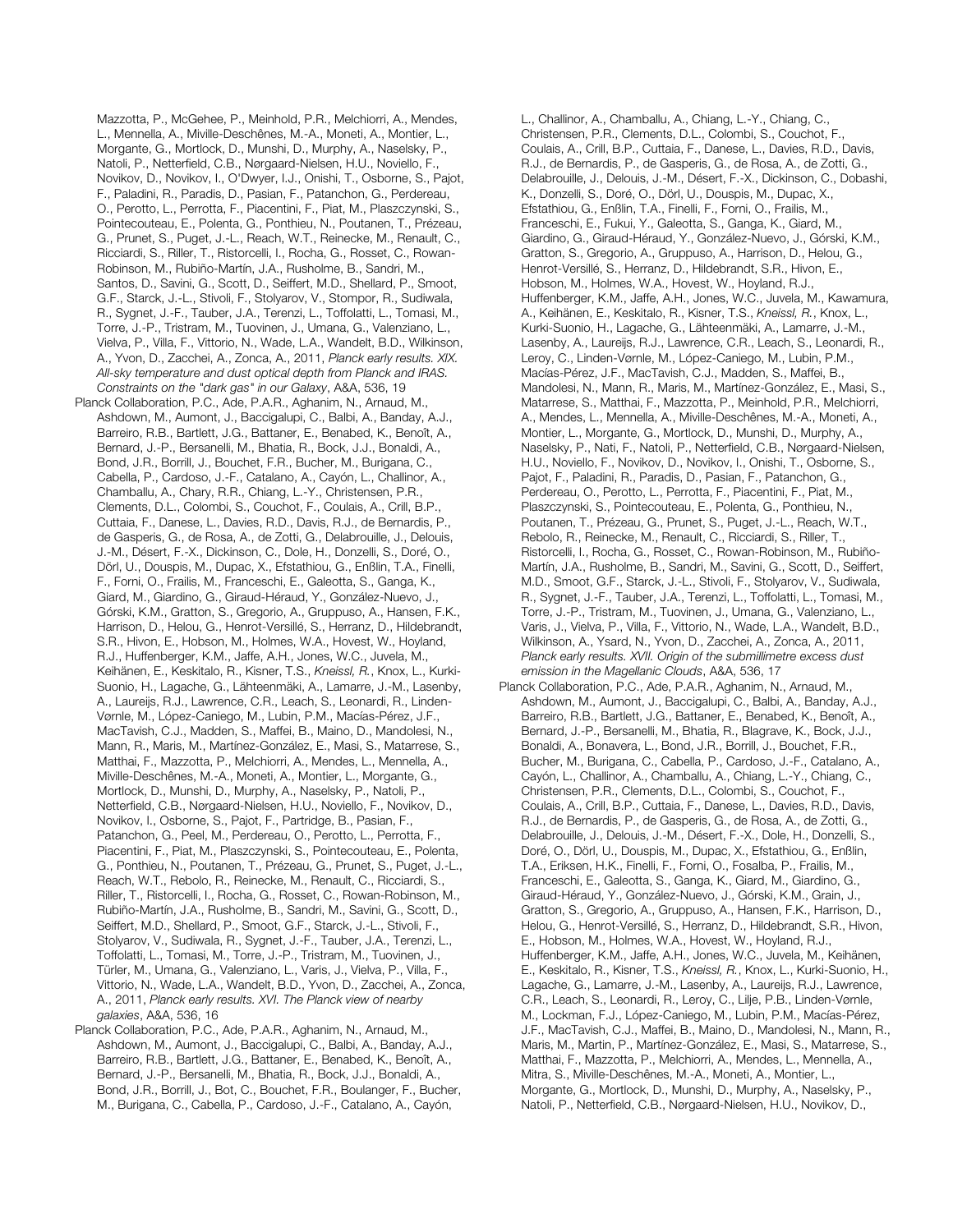Mazzotta, P., McGehee, P., Meinhold, P.R., Melchiorri, A., Mendes, L., Mennella, A., Miville-Deschênes, M.-A., Moneti, A., Montier, L., Morgante, G., Mortlock, D., Munshi, D., Murphy, A., Naselsky, P., Natoli, P., Netterfield, C.B., Nørgaard-Nielsen, H.U., Noviello, F., Novikov, D., Novikov, I., O'Dwyer, I.J., Onishi, T., Osborne, S., Pajot, F., Paladini, R., Paradis, D., Pasian, F., Patanchon, G., Perdereau, O., Perotto, L., Perrotta, F., Piacentini, F., Piat, M., Plaszczynski, S., Pointecouteau, E., Polenta, G., Ponthieu, N., Poutanen, T., Prézeau, G., Prunet, S., Puget, J.-L., Reach, W.T., Reinecke, M., Renault, C., Ricciardi, S., Riller, T., Ristorcelli, I., Rocha, G., Rosset, C., Rowan-Robinson, M., Rubiño-Martín, J.A., Rusholme, B., Sandri, M., Santos, D., Savini, G., Scott, D., Seiffert, M.D., Shellard, P., Smoot, G.F., Starck, J.-L., Stivoli, F., Stolyarov, V., Stompor, R., Sudiwala, R., Sygnet, J.-F., Tauber, J.A., Terenzi, L., Toffolatti, L., Tomasi, M., Torre, J.-P., Tristram, M., Tuovinen, J., Umana, G., Valenziano, L., Vielva, P., Villa, F., Vittorio, N., Wade, L.A., Wandelt, B.D., Wilkinson, A., Yvon, D., Zacchei, A., Zonca, A., 2011, *Planck early results. XIX. All-sky temperature and dust optical depth from Planck and IRAS. Constraints on the "dark gas" in our Galaxy*, A&A, 536, 19 Planck Collaboration, P.C., Ade, P.A.R., Aghanim, N., Arnaud, M., Ashdown, M., Aumont, J., Baccigalupi, C., Balbi, A., Banday, A.J., Barreiro, R.B., Bartlett, J.G., Battaner, E., Benabed, K., Benoît, A., Bernard, J.-P., Bersanelli, M., Bhatia, R., Bock, J.J., Bonaldi, A., Bond, J.R., Borrill, J., Bouchet, F.R., Bucher, M., Burigana, C., Cabella, P., Cardoso, J.-F., Catalano, A., Cayón, L., Challinor, A., Chamballu, A., Chary, R.R., Chiang, L.-Y., Christensen, P.R., Clements, D.L., Colombi, S., Couchot, F., Coulais, A., Crill, B.P., Cuttaia, F., Danese, L., Davies, R.D., Davis, R.J., de Bernardis, P., de Gasperis, G., de Rosa, A., de Zotti, G., Delabrouille, J., Delouis, J.-M., Désert, F.-X., Dickinson, C., Dole, H., Donzelli, S., Doré, O., Dörl, U., Douspis, M., Dupac, X., Efstathiou, G., Enßlin, T.A., Finelli, F., Forni, O., Frailis, M., Franceschi, E., Galeotta, S., Ganga, K., Giard, M., Giardino, G., Giraud-Héraud, Y., González-Nuevo, J., Górski, K.M., Gratton, S., Gregorio, A., Gruppuso, A., Hansen, F.K., Harrison, D., Helou, G., Henrot-Versillé, S., Herranz, D., Hildebrandt, S.R., Hivon, E., Hobson, M., Holmes, W.A., Hovest, W., Hoyland, R.J., Huffenberger, K.M., Jaffe, A.H., Jones, W.C., Juvela, M., Keihänen, E., Keskitalo, R., Kisner, T.S., *Kneissl, R.*, Knox, L., Kurki-Suonio, H., Lagache, G., Lähteenmäki, A., Lamarre, J.-M., Lasenby, A., Laureijs, R.J., Lawrence, C.R., Leach, S., Leonardi, R., Linden-Vørnle, M., López-Caniego, M., Lubin, P.M., Macías-Pérez, J.F., MacTavish, C.J., Madden, S., Maffei, B., Maino, D., Mandolesi, N., Mann, R., Maris, M., Martínez-González, E., Masi, S., Matarrese, S., Matthai, F., Mazzotta, P., Melchiorri, A., Mendes, L., Mennella, A., Miville-Deschênes, M.-A., Moneti, A., Montier, L., Morgante, G., Mortlock, D., Munshi, D., Murphy, A., Naselsky, P., Natoli, P., Netterfield, C.B., Nørgaard-Nielsen, H.U., Noviello, F., Novikov, D., Novikov, I., Osborne, S., Pajot, F., Partridge, B., Pasian, F., Patanchon, G., Peel, M., Perdereau, O., Perotto, L., Perrotta, F., Piacentini, F., Piat, M., Plaszczynski, S., Pointecouteau, E., Polenta, G., Ponthieu, N., Poutanen, T., Prézeau, G., Prunet, S., Puget, J.-L., Reach, W.T., Rebolo, R., Reinecke, M., Renault, C., Ricciardi, S., Riller, T., Ristorcelli, I., Rocha, G., Rosset, C., Rowan-Robinson, M., Rubiño-Martín, J.A., Rusholme, B., Sandri, M., Savini, G., Scott, D., Seiffert, M.D., Shellard, P., Smoot, G.F., Starck, J.-L., Stivoli, F., Stolyarov, V., Sudiwala, R., Sygnet, J.-F., Tauber, J.A., Terenzi, L., Toffolatti, L., Tomasi, M., Torre, J.-P., Tristram, M., Tuovinen, J., Türler, M., Umana, G., Valenziano, L., Varis, J., Vielva, P., Villa, F., Vittorio, N., Wade, L.A., Wandelt, B.D., Yvon, D., Zacchei, A., Zonca, A., 2011, *Planck early results. XVI. The Planck view of nearby galaxies*, A&A, 536, 16

Planck Collaboration, P.C., Ade, P.A.R., Aghanim, N., Arnaud, M., Ashdown, M., Aumont, J., Baccigalupi, C., Balbi, A., Banday, A.J., Barreiro, R.B., Bartlett, J.G., Battaner, E., Benabed, K., Benoît, A., Bernard, J.-P., Bersanelli, M., Bhatia, R., Bock, J.J., Bonaldi, A., Bond, J.R., Borrill, J., Bot, C., Bouchet, F.R., Boulanger, F., Bucher, M., Burigana, C., Cabella, P., Cardoso, J.-F., Catalano, A., Cayón,

L., Challinor, A., Chamballu, A., Chiang, L.-Y., Chiang, C., Christensen, P.R., Clements, D.L., Colombi, S., Couchot, F., Coulais, A., Crill, B.P., Cuttaia, F., Danese, L., Davies, R.D., Davis, R.J., de Bernardis, P., de Gasperis, G., de Rosa, A., de Zotti, G., Delabrouille, J., Delouis, J.-M., Désert, F.-X., Dickinson, C., Dobashi, K., Donzelli, S., Doré, O., Dörl, U., Douspis, M., Dupac, X., Efstathiou, G., Enßlin, T.A., Finelli, F., Forni, O., Frailis, M., Franceschi, E., Fukui, Y., Galeotta, S., Ganga, K., Giard, M., Giardino, G., Giraud-Héraud, Y., González-Nuevo, J., Górski, K.M., Gratton, S., Gregorio, A., Gruppuso, A., Harrison, D., Helou, G., Henrot-Versillé, S., Herranz, D., Hildebrandt, S.R., Hivon, E., Hobson, M., Holmes, W.A., Hovest, W., Hoyland, R.J., Huffenberger, K.M., Jaffe, A.H., Jones, W.C., Juvela, M., Kawamura, A., Keihänen, E., Keskitalo, R., Kisner, T.S., *Kneissl, R.*, Knox, L., Kurki-Suonio, H., Lagache, G., Lähteenmäki, A., Lamarre, J.-M., Lasenby, A., Laureijs, R.J., Lawrence, C.R., Leach, S., Leonardi, R., Leroy, C., Linden-Vørnle, M., López-Caniego, M., Lubin, P.M., Macías-Pérez, J.F., MacTavish, C.J., Madden, S., Maffei, B., Mandolesi, N., Mann, R., Maris, M., Martínez-González, E., Masi, S., Matarrese, S., Matthai, F., Mazzotta, P., Meinhold, P.R., Melchiorri, A., Mendes, L., Mennella, A., Miville-Deschênes, M.-A., Moneti, A., Montier, L., Morgante, G., Mortlock, D., Munshi, D., Murphy, A., Naselsky, P., Nati, F., Natoli, P., Netterfield, C.B., Nørgaard-Nielsen, H.U., Noviello, F., Novikov, D., Novikov, I., Onishi, T., Osborne, S., Pajot, F., Paladini, R., Paradis, D., Pasian, F., Patanchon, G., Perdereau, O., Perotto, L., Perrotta, F., Piacentini, F., Piat, M., Plaszczynski, S., Pointecouteau, E., Polenta, G., Ponthieu, N., Poutanen, T., Prézeau, G., Prunet, S., Puget, J.-L., Reach, W.T., Rebolo, R., Reinecke, M., Renault, C., Ricciardi, S., Riller, T., Ristorcelli, I., Rocha, G., Rosset, C., Rowan-Robinson, M., Rubiño-Martín, J.A., Rusholme, B., Sandri, M., Savini, G., Scott, D., Seiffert, M.D., Smoot, G.F., Starck, J.-L., Stivoli, F., Stolyarov, V., Sudiwala, R., Sygnet, J.-F., Tauber, J.A., Terenzi, L., Toffolatti, L., Tomasi, M., Torre, J.-P., Tristram, M., Tuovinen, J., Umana, G., Valenziano, L., Varis, J., Vielva, P., Villa, F., Vittorio, N., Wade, L.A., Wandelt, B.D., Wilkinson, A., Ysard, N., Yvon, D., Zacchei, A., Zonca, A., 2011, *Planck early results. XVII. Origin of the submillimetre excess dust emission in the Magellanic Clouds*, A&A, 536, 17

Planck Collaboration, P.C., Ade, P.A.R., Aghanim, N., Arnaud, M., Ashdown, M., Aumont, J., Baccigalupi, C., Balbi, A., Banday, A.J., Barreiro, R.B., Bartlett, J.G., Battaner, E., Benabed, K., Benoît, A., Bernard, J.-P., Bersanelli, M., Bhatia, R., Blagrave, K., Bock, J.J., Bonaldi, A., Bonavera, L., Bond, J.R., Borrill, J., Bouchet, F.R., Bucher, M., Burigana, C., Cabella, P., Cardoso, J.-F., Catalano, A., Cayón, L., Challinor, A., Chamballu, A., Chiang, L.-Y., Chiang, C., Christensen, P.R., Clements, D.L., Colombi, S., Couchot, F., Coulais, A., Crill, B.P., Cuttaia, F., Danese, L., Davies, R.D., Davis, R.J., de Bernardis, P., de Gasperis, G., de Rosa, A., de Zotti, G., Delabrouille, J., Delouis, J.-M., Désert, F.-X., Dole, H., Donzelli, S., Doré, O., Dörl, U., Douspis, M., Dupac, X., Efstathiou, G., Enßlin, T.A., Eriksen, H.K., Finelli, F., Forni, O., Fosalba, P., Frailis, M., Franceschi, E., Galeotta, S., Ganga, K., Giard, M., Giardino, G., Giraud-Héraud, Y., González-Nuevo, J., Górski, K.M., Grain, J., Gratton, S., Gregorio, A., Gruppuso, A., Hansen, F.K., Harrison, D., Helou, G., Henrot-Versillé, S., Herranz, D., Hildebrandt, S.R., Hivon, E., Hobson, M., Holmes, W.A., Hovest, W., Hoyland, R.J., Huffenberger, K.M., Jaffe, A.H., Jones, W.C., Juvela, M., Keihänen, E., Keskitalo, R., Kisner, T.S., *Kneissl, R.*, Knox, L., Kurki-Suonio, H., Lagache, G., Lamarre, J.-M., Lasenby, A., Laureijs, R.J., Lawrence, C.R., Leach, S., Leonardi, R., Leroy, C., Lilje, P.B., Linden-Vørnle, M., Lockman, F.J., López-Caniego, M., Lubin, P.M., Macías-Pérez, J.F., MacTavish, C.J., Maffei, B., Maino, D., Mandolesi, N., Mann, R., Maris, M., Martin, P., Martínez-González, E., Masi, S., Matarrese, S., Matthai, F., Mazzotta, P., Melchiorri, A., Mendes, L., Mennella, A., Mitra, S., Miville-Deschênes, M.-A., Moneti, A., Montier, L., Morgante, G., Mortlock, D., Munshi, D., Murphy, A., Naselsky, P., Natoli, P., Netterfield, C.B., Nørgaard-Nielsen, H.U., Novikov, D.,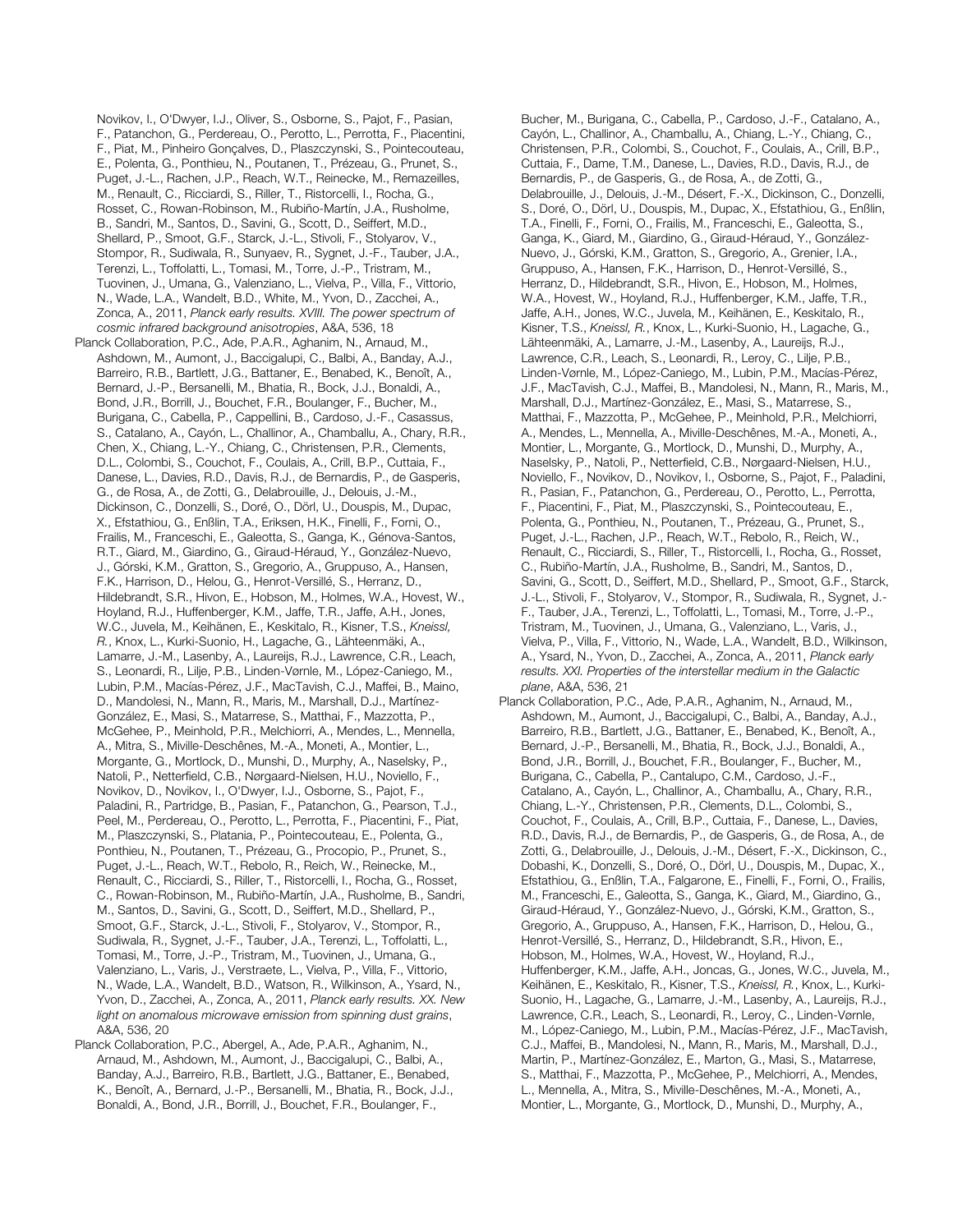Novikov, I., O'Dwyer, I.J., Oliver, S., Osborne, S., Pajot, F., Pasian, F., Patanchon, G., Perdereau, O., Perotto, L., Perrotta, F., Piacentini, F., Piat, M., Pinheiro Gonçalves, D., Plaszczynski, S., Pointecouteau, E., Polenta, G., Ponthieu, N., Poutanen, T., Prézeau, G., Prunet, S., Puget, J.-L., Rachen, J.P., Reach, W.T., Reinecke, M., Remazeilles, M., Renault, C., Ricciardi, S., Riller, T., Ristorcelli, I., Rocha, G., Rosset, C., Rowan-Robinson, M., Rubiño-Martín, J.A., Rusholme, B., Sandri, M., Santos, D., Savini, G., Scott, D., Seiffert, M.D., Shellard, P., Smoot, G.F., Starck, J.-L., Stivoli, F., Stolyarov, V., Stompor, R., Sudiwala, R., Sunyaev, R., Sygnet, J.-F., Tauber, J.A., Terenzi, L., Toffolatti, L., Tomasi, M., Torre, J.-P., Tristram, M., Tuovinen, J., Umana, G., Valenziano, L., Vielva, P., Villa, F., Vittorio, N., Wade, L.A., Wandelt, B.D., White, M., Yvon, D., Zacchei, A., Zonca, A., 2011, *Planck early results. XVIII. The power spectrum of cosmic infrared background anisotropies*, A&A, 536, 18

Planck Collaboration, P.C., Ade, P.A.R., Aghanim, N., Arnaud, M., Ashdown, M., Aumont, J., Baccigalupi, C., Balbi, A., Banday, A.J., Barreiro, R.B., Bartlett, J.G., Battaner, E., Benabed, K., Benoît, A., Bernard, J.-P., Bersanelli, M., Bhatia, R., Bock, J.J., Bonaldi, A., Bond, J.R., Borrill, J., Bouchet, F.R., Boulanger, F., Bucher, M., Burigana, C., Cabella, P., Cappellini, B., Cardoso, J.-F., Casassus, S., Catalano, A., Cayón, L., Challinor, A., Chamballu, A., Chary, R.R., Chen, X., Chiang, L.-Y., Chiang, C., Christensen, P.R., Clements, D.L., Colombi, S., Couchot, F., Coulais, A., Crill, B.P., Cuttaia, F., Danese, L., Davies, R.D., Davis, R.J., de Bernardis, P., de Gasperis, G., de Rosa, A., de Zotti, G., Delabrouille, J., Delouis, J.-M., Dickinson, C., Donzelli, S., Doré, O., Dörl, U., Douspis, M., Dupac, X., Efstathiou, G., Enßlin, T.A., Eriksen, H.K., Finelli, F., Forni, O., Frailis, M., Franceschi, E., Galeotta, S., Ganga, K., Génova-Santos, R.T., Giard, M., Giardino, G., Giraud-Héraud, Y., González-Nuevo, J., Górski, K.M., Gratton, S., Gregorio, A., Gruppuso, A., Hansen, F.K., Harrison, D., Helou, G., Henrot-Versillé, S., Herranz, D., Hildebrandt, S.R., Hivon, E., Hobson, M., Holmes, W.A., Hovest, W., Hoyland, R.J., Huffenberger, K.M., Jaffe, T.R., Jaffe, A.H., Jones, W.C., Juvela, M., Keihänen, E., Keskitalo, R., Kisner, T.S., *Kneissl, R.*, Knox, L., Kurki-Suonio, H., Lagache, G., Lähteenmäki, A., Lamarre, J.-M., Lasenby, A., Laureijs, R.J., Lawrence, C.R., Leach, S., Leonardi, R., Lilje, P.B., Linden-Vørnle, M., López-Caniego, M., Lubin, P.M., Macías-Pérez, J.F., MacTavish, C.J., Maffei, B., Maino, D., Mandolesi, N., Mann, R., Maris, M., Marshall, D.J., Martínez-González, E., Masi, S., Matarrese, S., Matthai, F., Mazzotta, P., McGehee, P., Meinhold, P.R., Melchiorri, A., Mendes, L., Mennella, A., Mitra, S., Miville-Deschênes, M.-A., Moneti, A., Montier, L., Morgante, G., Mortlock, D., Munshi, D., Murphy, A., Naselsky, P., Natoli, P., Netterfield, C.B., Nørgaard-Nielsen, H.U., Noviello, F., Novikov, D., Novikov, I., O'Dwyer, I.J., Osborne, S., Pajot, F., Paladini, R., Partridge, B., Pasian, F., Patanchon, G., Pearson, T.J., Peel, M., Perdereau, O., Perotto, L., Perrotta, F., Piacentini, F., Piat, M., Plaszczynski, S., Platania, P., Pointecouteau, E., Polenta, G., Ponthieu, N., Poutanen, T., Prézeau, G., Procopio, P., Prunet, S., Puget, J.-L., Reach, W.T., Rebolo, R., Reich, W., Reinecke, M., Renault, C., Ricciardi, S., Riller, T., Ristorcelli, I., Rocha, G., Rosset, C., Rowan-Robinson, M., Rubiño-Martín, J.A., Rusholme, B., Sandri, M., Santos, D., Savini, G., Scott, D., Seiffert, M.D., Shellard, P., Smoot, G.F., Starck, J.-L., Stivoli, F., Stolyarov, V., Stompor, R., Sudiwala, R., Sygnet, J.-F., Tauber, J.A., Terenzi, L., Toffolatti, L., Tomasi, M., Torre, J.-P., Tristram, M., Tuovinen, J., Umana, G., Valenziano, L., Varis, J., Verstraete, L., Vielva, P., Villa, F., Vittorio, N., Wade, L.A., Wandelt, B.D., Watson, R., Wilkinson, A., Ysard, N., Yvon, D., Zacchei, A., Zonca, A., 2011, *Planck early results. XX. New light on anomalous microwave emission from spinning dust grains*, A&A, 536, 20

Planck Collaboration, P.C., Abergel, A., Ade, P.A.R., Aghanim, N., Arnaud, M., Ashdown, M., Aumont, J., Baccigalupi, C., Balbi, A., Banday, A.J., Barreiro, R.B., Bartlett, J.G., Battaner, E., Benabed, K., Benoît, A., Bernard, J.-P., Bersanelli, M., Bhatia, R., Bock, J.J., Bonaldi, A., Bond, J.R., Borrill, J., Bouchet, F.R., Boulanger, F.,

Bucher, M., Burigana, C., Cabella, P., Cardoso, J.-F., Catalano, A., Cayón, L., Challinor, A., Chamballu, A., Chiang, L.-Y., Chiang, C., Christensen, P.R., Colombi, S., Couchot, F., Coulais, A., Crill, B.P., Cuttaia, F., Dame, T.M., Danese, L., Davies, R.D., Davis, R.J., de Bernardis, P., de Gasperis, G., de Rosa, A., de Zotti, G., Delabrouille, J., Delouis, J.-M., Désert, F.-X., Dickinson, C., Donzelli, S., Doré, O., Dörl, U., Douspis, M., Dupac, X., Efstathiou, G., Enßlin, T.A., Finelli, F., Forni, O., Frailis, M., Franceschi, E., Galeotta, S., Ganga, K., Giard, M., Giardino, G., Giraud-Héraud, Y., González-Nuevo, J., Górski, K.M., Gratton, S., Gregorio, A., Grenier, I.A., Gruppuso, A., Hansen, F.K., Harrison, D., Henrot-Versillé, S., Herranz, D., Hildebrandt, S.R., Hivon, E., Hobson, M., Holmes, W.A., Hovest, W., Hoyland, R.J., Huffenberger, K.M., Jaffe, T.R., Jaffe, A.H., Jones, W.C., Juvela, M., Keihänen, E., Keskitalo, R., Kisner, T.S., *Kneissl, R.*, Knox, L., Kurki-Suonio, H., Lagache, G., Lähteenmäki, A., Lamarre, J.-M., Lasenby, A., Laureijs, R.J., Lawrence, C.R., Leach, S., Leonardi, R., Leroy, C., Lilje, P.B., Linden-Vørnle, M., López-Caniego, M., Lubin, P.M., Macías-Pérez, J.F., MacTavish, C.J., Maffei, B., Mandolesi, N., Mann, R., Maris, M., Marshall, D.J., Martínez-González, E., Masi, S., Matarrese, S., Matthai, F., Mazzotta, P., McGehee, P., Meinhold, P.R., Melchiorri, A., Mendes, L., Mennella, A., Miville-Deschênes, M.-A., Moneti, A., Montier, L., Morgante, G., Mortlock, D., Munshi, D., Murphy, A., Naselsky, P., Natoli, P., Netterfield, C.B., Nørgaard-Nielsen, H.U., Noviello, F., Novikov, D., Novikov, I., Osborne, S., Pajot, F., Paladini, R., Pasian, F., Patanchon, G., Perdereau, O., Perotto, L., Perrotta, F., Piacentini, F., Piat, M., Plaszczynski, S., Pointecouteau, E., Polenta, G., Ponthieu, N., Poutanen, T., Prézeau, G., Prunet, S., Puget, J.-L., Rachen, J.P., Reach, W.T., Rebolo, R., Reich, W., Renault, C., Ricciardi, S., Riller, T., Ristorcelli, I., Rocha, G., Rosset, C., Rubiño-Martín, J.A., Rusholme, B., Sandri, M., Santos, D., Savini, G., Scott, D., Seiffert, M.D., Shellard, P., Smoot, G.F., Starck, J.-L., Stivoli, F., Stolyarov, V., Stompor, R., Sudiwala, R., Sygnet, J.- F., Tauber, J.A., Terenzi, L., Toffolatti, L., Tomasi, M., Torre, J.-P., Tristram, M., Tuovinen, J., Umana, G., Valenziano, L., Varis, J., Vielva, P., Villa, F., Vittorio, N., Wade, L.A., Wandelt, B.D., Wilkinson, A., Ysard, N., Yvon, D., Zacchei, A., Zonca, A., 2011, *Planck early results. XXI. Properties of the interstellar medium in the Galactic plane*, A&A, 536, 21

Planck Collaboration, P.C., Ade, P.A.R., Aghanim, N., Arnaud, M., Ashdown, M., Aumont, J., Baccigalupi, C., Balbi, A., Banday, A.J., Barreiro, R.B., Bartlett, J.G., Battaner, E., Benabed, K., Benoît, A., Bernard, J.-P., Bersanelli, M., Bhatia, R., Bock, J.J., Bonaldi, A., Bond, J.R., Borrill, J., Bouchet, F.R., Boulanger, F., Bucher, M., Burigana, C., Cabella, P., Cantalupo, C.M., Cardoso, J.-F., Catalano, A., Cayón, L., Challinor, A., Chamballu, A., Chary, R.R., Chiang, L.-Y., Christensen, P.R., Clements, D.L., Colombi, S., Couchot, F., Coulais, A., Crill, B.P., Cuttaia, F., Danese, L., Davies, R.D., Davis, R.J., de Bernardis, P., de Gasperis, G., de Rosa, A., de Zotti, G., Delabrouille, J., Delouis, J.-M., Désert, F.-X., Dickinson, C., Dobashi, K., Donzelli, S., Doré, O., Dörl, U., Douspis, M., Dupac, X., Efstathiou, G., Enßlin, T.A., Falgarone, E., Finelli, F., Forni, O., Frailis, M., Franceschi, E., Galeotta, S., Ganga, K., Giard, M., Giardino, G., Giraud-Héraud, Y., González-Nuevo, J., Górski, K.M., Gratton, S., Gregorio, A., Gruppuso, A., Hansen, F.K., Harrison, D., Helou, G., Henrot-Versillé, S., Herranz, D., Hildebrandt, S.R., Hivon, E., Hobson, M., Holmes, W.A., Hovest, W., Hoyland, R.J., Huffenberger, K.M., Jaffe, A.H., Joncas, G., Jones, W.C., Juvela, M., Keihänen, E., Keskitalo, R., Kisner, T.S., *Kneissl, R.*, Knox, L., Kurki-Suonio, H., Lagache, G., Lamarre, J.-M., Lasenby, A., Laureijs, R.J., Lawrence, C.R., Leach, S., Leonardi, R., Leroy, C., Linden-Vørnle, M., López-Caniego, M., Lubin, P.M., Macías-Pérez, J.F., MacTavish, C.J., Maffei, B., Mandolesi, N., Mann, R., Maris, M., Marshall, D.J., Martin, P., Martínez-González, E., Marton, G., Masi, S., Matarrese, S., Matthai, F., Mazzotta, P., McGehee, P., Melchiorri, A., Mendes, L., Mennella, A., Mitra, S., Miville-Deschênes, M.-A., Moneti, A., Montier, L., Morgante, G., Mortlock, D., Munshi, D., Murphy, A.,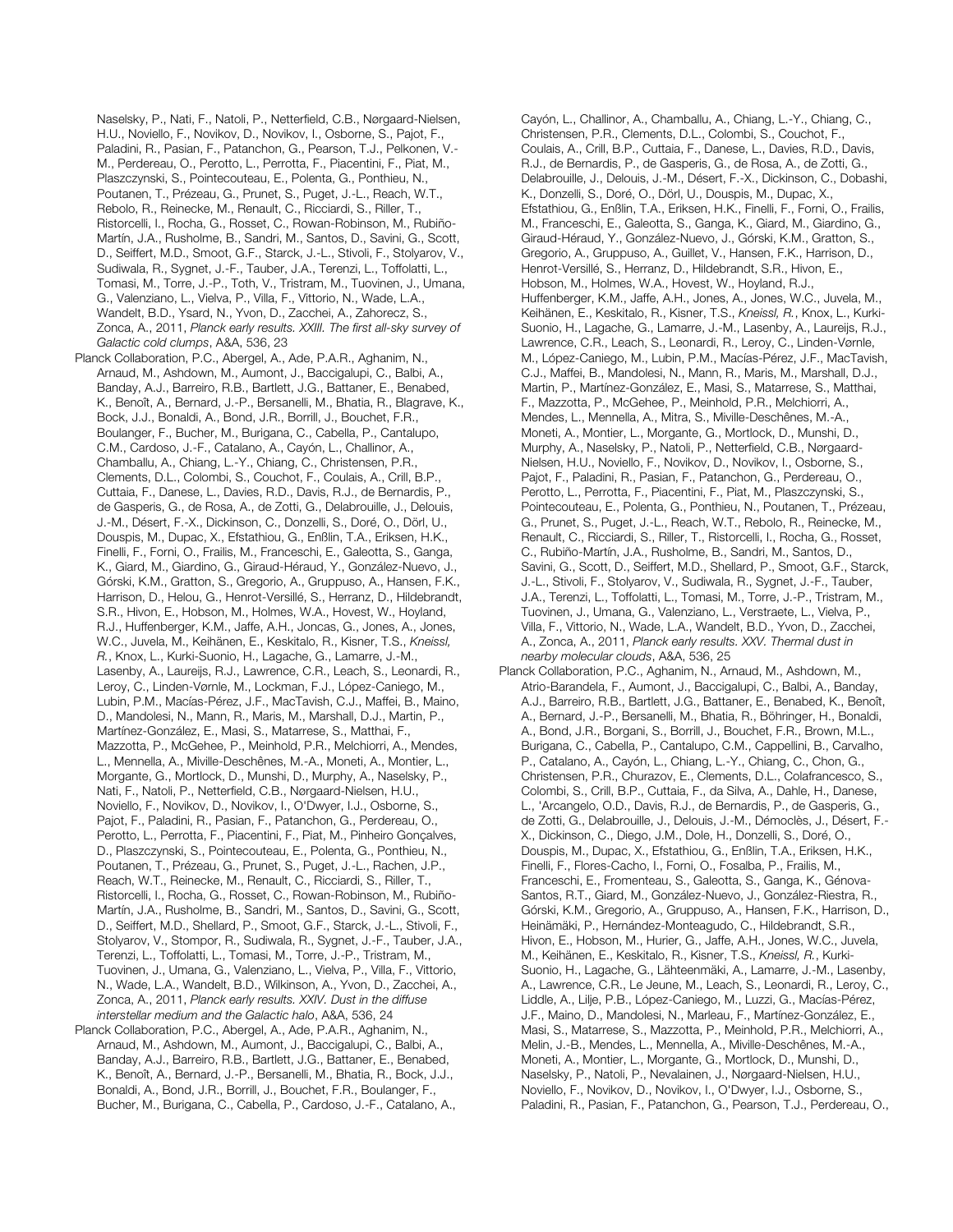Naselsky, P., Nati, F., Natoli, P., Netterfield, C.B., Nørgaard-Nielsen, H.U., Noviello, F., Novikov, D., Novikov, I., Osborne, S., Pajot, F., Paladini, R., Pasian, F., Patanchon, G., Pearson, T.J., Pelkonen, V.- M., Perdereau, O., Perotto, L., Perrotta, F., Piacentini, F., Piat, M., Plaszczynski, S., Pointecouteau, E., Polenta, G., Ponthieu, N., Poutanen, T., Prézeau, G., Prunet, S., Puget, J.-L., Reach, W.T., Rebolo, R., Reinecke, M., Renault, C., Ricciardi, S., Riller, T., Ristorcelli, I., Rocha, G., Rosset, C., Rowan-Robinson, M., Rubiño-Martín, J.A., Rusholme, B., Sandri, M., Santos, D., Savini, G., Scott, D., Seiffert, M.D., Smoot, G.F., Starck, J.-L., Stivoli, F., Stolyarov, V., Sudiwala, R., Sygnet, J.-F., Tauber, J.A., Terenzi, L., Toffolatti, L., Tomasi, M., Torre, J.-P., Toth, V., Tristram, M., Tuovinen, J., Umana, G., Valenziano, L., Vielva, P., Villa, F., Vittorio, N., Wade, L.A., Wandelt, B.D., Ysard, N., Yvon, D., Zacchei, A., Zahorecz, S., Zonca, A., 2011, *Planck early results. XXIII. The first all-sky survey of Galactic cold clumps*, A&A, 536, 23

Planck Collaboration, P.C., Abergel, A., Ade, P.A.R., Aghanim, N., Arnaud, M., Ashdown, M., Aumont, J., Baccigalupi, C., Balbi, A., Banday, A.J., Barreiro, R.B., Bartlett, J.G., Battaner, E., Benabed, K., Benoît, A., Bernard, J.-P., Bersanelli, M., Bhatia, R., Blagrave, K., Bock, J.J., Bonaldi, A., Bond, J.R., Borrill, J., Bouchet, F.R., Boulanger, F., Bucher, M., Burigana, C., Cabella, P., Cantalupo, C.M., Cardoso, J.-F., Catalano, A., Cayón, L., Challinor, A., Chamballu, A., Chiang, L.-Y., Chiang, C., Christensen, P.R., Clements, D.L., Colombi, S., Couchot, F., Coulais, A., Crill, B.P., Cuttaia, F., Danese, L., Davies, R.D., Davis, R.J., de Bernardis, P., de Gasperis, G., de Rosa, A., de Zotti, G., Delabrouille, J., Delouis, J.-M., Désert, F.-X., Dickinson, C., Donzelli, S., Doré, O., Dörl, U., Douspis, M., Dupac, X., Efstathiou, G., Enßlin, T.A., Eriksen, H.K., Finelli, F., Forni, O., Frailis, M., Franceschi, E., Galeotta, S., Ganga, K., Giard, M., Giardino, G., Giraud-Héraud, Y., González-Nuevo, J., Górski, K.M., Gratton, S., Gregorio, A., Gruppuso, A., Hansen, F.K., Harrison, D., Helou, G., Henrot-Versillé, S., Herranz, D., Hildebrandt, S.R., Hivon, E., Hobson, M., Holmes, W.A., Hovest, W., Hoyland, R.J., Huffenberger, K.M., Jaffe, A.H., Joncas, G., Jones, A., Jones, W.C., Juvela, M., Keihänen, E., Keskitalo, R., Kisner, T.S., *Kneissl, R.*, Knox, L., Kurki-Suonio, H., Lagache, G., Lamarre, J.-M., Lasenby, A., Laureijs, R.J., Lawrence, C.R., Leach, S., Leonardi, R., Leroy, C., Linden-Vørnle, M., Lockman, F.J., López-Caniego, M., Lubin, P.M., Macías-Pérez, J.F., MacTavish, C.J., Maffei, B., Maino, D., Mandolesi, N., Mann, R., Maris, M., Marshall, D.J., Martin, P., Martínez-González, E., Masi, S., Matarrese, S., Matthai, F., Mazzotta, P., McGehee, P., Meinhold, P.R., Melchiorri, A., Mendes, L., Mennella, A., Miville-Deschênes, M.-A., Moneti, A., Montier, L., Morgante, G., Mortlock, D., Munshi, D., Murphy, A., Naselsky, P., Nati, F., Natoli, P., Netterfield, C.B., Nørgaard-Nielsen, H.U., Noviello, F., Novikov, D., Novikov, I., O'Dwyer, I.J., Osborne, S., Pajot, F., Paladini, R., Pasian, F., Patanchon, G., Perdereau, O., Perotto, L., Perrotta, F., Piacentini, F., Piat, M., Pinheiro Gonçalves, D., Plaszczynski, S., Pointecouteau, E., Polenta, G., Ponthieu, N., Poutanen, T., Prézeau, G., Prunet, S., Puget, J.-L., Rachen, J.P., Reach, W.T., Reinecke, M., Renault, C., Ricciardi, S., Riller, T., Ristorcelli, I., Rocha, G., Rosset, C., Rowan-Robinson, M., Rubiño-Martín, J.A., Rusholme, B., Sandri, M., Santos, D., Savini, G., Scott, D., Seiffert, M.D., Shellard, P., Smoot, G.F., Starck, J.-L., Stivoli, F., Stolyarov, V., Stompor, R., Sudiwala, R., Sygnet, J.-F., Tauber, J.A., Terenzi, L., Toffolatti, L., Tomasi, M., Torre, J.-P., Tristram, M., Tuovinen, J., Umana, G., Valenziano, L., Vielva, P., Villa, F., Vittorio, N., Wade, L.A., Wandelt, B.D., Wilkinson, A., Yvon, D., Zacchei, A., Zonca, A., 2011, *Planck early results. XXIV. Dust in the diffuse interstellar medium and the Galactic halo*, A&A, 536, 24

Planck Collaboration, P.C., Abergel, A., Ade, P.A.R., Aghanim, N., Arnaud, M., Ashdown, M., Aumont, J., Baccigalupi, C., Balbi, A., Banday, A.J., Barreiro, R.B., Bartlett, J.G., Battaner, E., Benabed, K., Benoît, A., Bernard, J.-P., Bersanelli, M., Bhatia, R., Bock, J.J., Bonaldi, A., Bond, J.R., Borrill, J., Bouchet, F.R., Boulanger, F., Bucher, M., Burigana, C., Cabella, P., Cardoso, J.-F., Catalano, A.,

Cayón, L., Challinor, A., Chamballu, A., Chiang, L.-Y., Chiang, C., Christensen, P.R., Clements, D.L., Colombi, S., Couchot, F., Coulais, A., Crill, B.P., Cuttaia, F., Danese, L., Davies, R.D., Davis, R.J., de Bernardis, P., de Gasperis, G., de Rosa, A., de Zotti, G., Delabrouille, J., Delouis, J.-M., Désert, F.-X., Dickinson, C., Dobashi, K., Donzelli, S., Doré, O., Dörl, U., Douspis, M., Dupac, X., Efstathiou, G., Enßlin, T.A., Eriksen, H.K., Finelli, F., Forni, O., Frailis, M., Franceschi, E., Galeotta, S., Ganga, K., Giard, M., Giardino, G., Giraud-Héraud, Y., González-Nuevo, J., Górski, K.M., Gratton, S., Gregorio, A., Gruppuso, A., Guillet, V., Hansen, F.K., Harrison, D., Henrot-Versillé, S., Herranz, D., Hildebrandt, S.R., Hivon, E., Hobson, M., Holmes, W.A., Hovest, W., Hoyland, R.J., Huffenberger, K.M., Jaffe, A.H., Jones, A., Jones, W.C., Juvela, M., Keihänen, E., Keskitalo, R., Kisner, T.S., *Kneissl, R.*, Knox, L., Kurki-Suonio, H., Lagache, G., Lamarre, J.-M., Lasenby, A., Laureijs, R.J., Lawrence, C.R., Leach, S., Leonardi, R., Leroy, C., Linden-Vørnle, M., López-Caniego, M., Lubin, P.M., Macías-Pérez, J.F., MacTavish, C.J., Maffei, B., Mandolesi, N., Mann, R., Maris, M., Marshall, D.J., Martin, P., Martínez-González, E., Masi, S., Matarrese, S., Matthai, F., Mazzotta, P., McGehee, P., Meinhold, P.R., Melchiorri, A., Mendes, L., Mennella, A., Mitra, S., Miville-Deschênes, M.-A., Moneti, A., Montier, L., Morgante, G., Mortlock, D., Munshi, D., Murphy, A., Naselsky, P., Natoli, P., Netterfield, C.B., Nørgaard-Nielsen, H.U., Noviello, F., Novikov, D., Novikov, I., Osborne, S., Pajot, F., Paladini, R., Pasian, F., Patanchon, G., Perdereau, O., Perotto, L., Perrotta, F., Piacentini, F., Piat, M., Plaszczynski, S., Pointecouteau, E., Polenta, G., Ponthieu, N., Poutanen, T., Prézeau, G., Prunet, S., Puget, J.-L., Reach, W.T., Rebolo, R., Reinecke, M., Renault, C., Ricciardi, S., Riller, T., Ristorcelli, I., Rocha, G., Rosset, C., Rubiño-Martín, J.A., Rusholme, B., Sandri, M., Santos, D., Savini, G., Scott, D., Seiffert, M.D., Shellard, P., Smoot, G.F., Starck, J.-L., Stivoli, F., Stolyarov, V., Sudiwala, R., Sygnet, J.-F., Tauber, J.A., Terenzi, L., Toffolatti, L., Tomasi, M., Torre, J.-P., Tristram, M., Tuovinen, J., Umana, G., Valenziano, L., Verstraete, L., Vielva, P., Villa, F., Vittorio, N., Wade, L.A., Wandelt, B.D., Yvon, D., Zacchei, A., Zonca, A., 2011, *Planck early results. XXV. Thermal dust in nearby molecular clouds*, A&A, 536, 25

Planck Collaboration, P.C., Aghanim, N., Arnaud, M., Ashdown, M., Atrio-Barandela, F., Aumont, J., Baccigalupi, C., Balbi, A., Banday, A.J., Barreiro, R.B., Bartlett, J.G., Battaner, E., Benabed, K., Benoît, A., Bernard, J.-P., Bersanelli, M., Bhatia, R., Böhringer, H., Bonaldi, A., Bond, J.R., Borgani, S., Borrill, J., Bouchet, F.R., Brown, M.L., Burigana, C., Cabella, P., Cantalupo, C.M., Cappellini, B., Carvalho, P., Catalano, A., Cayón, L., Chiang, L.-Y., Chiang, C., Chon, G., Christensen, P.R., Churazov, E., Clements, D.L., Colafrancesco, S., Colombi, S., Crill, B.P., Cuttaia, F., da Silva, A., Dahle, H., Danese, L., 'Arcangelo, O.D., Davis, R.J., de Bernardis, P., de Gasperis, G., de Zotti, G., Delabrouille, J., Delouis, J.-M., Démoclès, J., Désert, F.- X., Dickinson, C., Diego, J.M., Dole, H., Donzelli, S., Doré, O., Douspis, M., Dupac, X., Efstathiou, G., Enßlin, T.A., Eriksen, H.K., Finelli, F., Flores-Cacho, I., Forni, O., Fosalba, P., Frailis, M., Franceschi, E., Fromenteau, S., Galeotta, S., Ganga, K., Génova-Santos, R.T., Giard, M., González-Nuevo, J., González-Riestra, R., Górski, K.M., Gregorio, A., Gruppuso, A., Hansen, F.K., Harrison, D., Heinämäki, P., Hernández-Monteagudo, C., Hildebrandt, S.R., Hivon, E., Hobson, M., Hurier, G., Jaffe, A.H., Jones, W.C., Juvela, M., Keihänen, E., Keskitalo, R., Kisner, T.S., *Kneissl, R.*, Kurki-Suonio, H., Lagache, G., Lähteenmäki, A., Lamarre, J.-M., Lasenby, A., Lawrence, C.R., Le Jeune, M., Leach, S., Leonardi, R., Leroy, C., Liddle, A., Lilje, P.B., López-Caniego, M., Luzzi, G., Macías-Pérez, J.F., Maino, D., Mandolesi, N., Marleau, F., Martínez-González, E., Masi, S., Matarrese, S., Mazzotta, P., Meinhold, P.R., Melchiorri, A., Melin, J.-B., Mendes, L., Mennella, A., Miville-Deschênes, M.-A., Moneti, A., Montier, L., Morgante, G., Mortlock, D., Munshi, D., Naselsky, P., Natoli, P., Nevalainen, J., Nørgaard-Nielsen, H.U., Noviello, F., Novikov, D., Novikov, I., O'Dwyer, I.J., Osborne, S., Paladini, R., Pasian, F., Patanchon, G., Pearson, T.J., Perdereau, O.,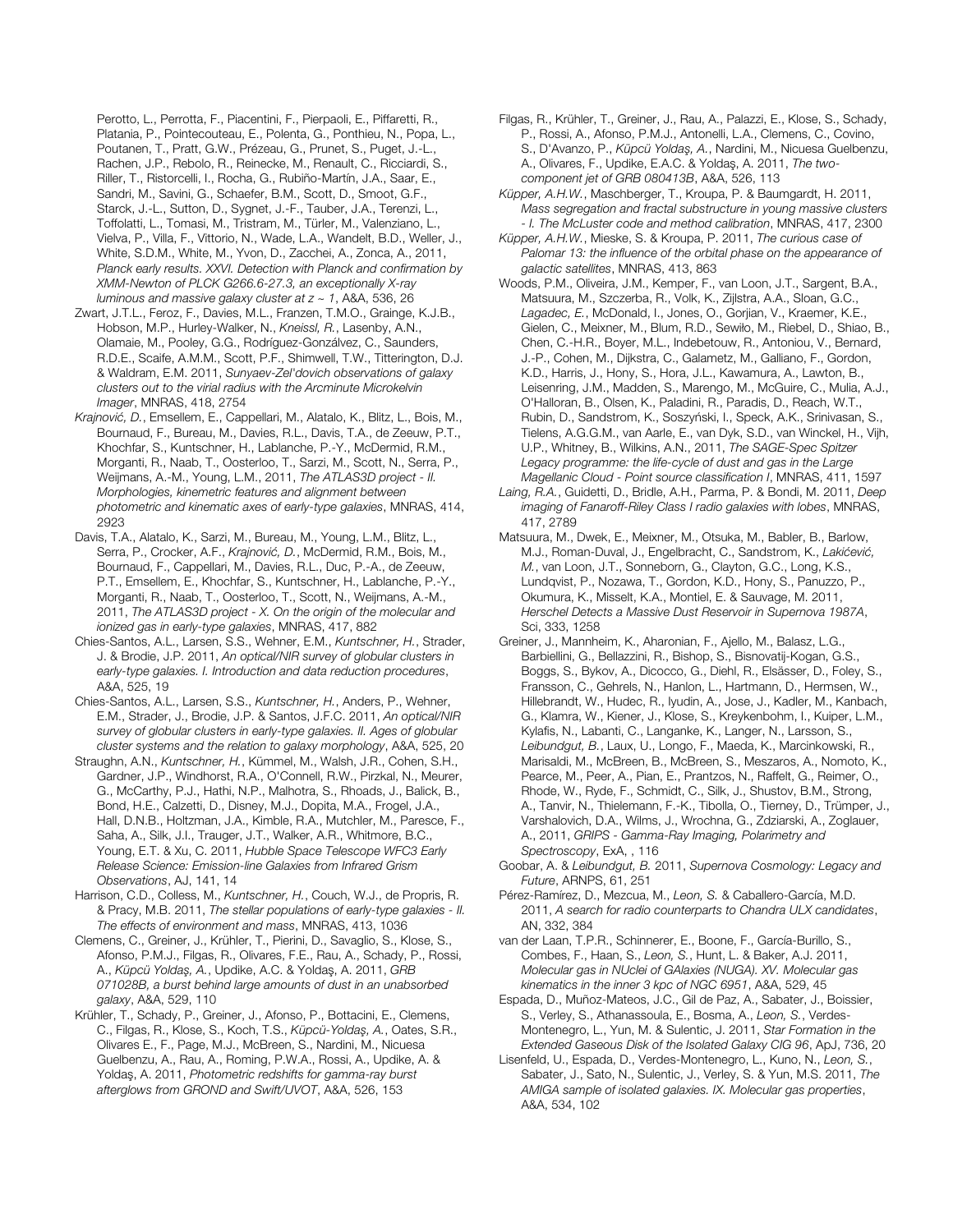Perotto, L., Perrotta, F., Piacentini, F., Pierpaoli, E., Piffaretti, R., Platania, P., Pointecouteau, E., Polenta, G., Ponthieu, N., Popa, L., Poutanen, T., Pratt, G.W., Prézeau, G., Prunet, S., Puget, J.-L., Rachen, J.P., Rebolo, R., Reinecke, M., Renault, C., Ricciardi, S., Riller, T., Ristorcelli, I., Rocha, G., Rubiño-Martín, J.A., Saar, E., Sandri, M., Savini, G., Schaefer, B.M., Scott, D., Smoot, G.F., Starck, J.-L., Sutton, D., Sygnet, J.-F., Tauber, J.A., Terenzi, L., Toffolatti, L., Tomasi, M., Tristram, M., Türler, M., Valenziano, L., Vielva, P., Villa, F., Vittorio, N., Wade, L.A., Wandelt, B.D., Weller, J., White, S.D.M., White, M., Yvon, D., Zacchei, A., Zonca, A., 2011, *Planck early results. XXVI. Detection with Planck and confirmation by XMM-Newton of PLCK G266.6-27.3, an exceptionally X-ray luminous and massive galaxy cluster at z ~ 1*, A&A, 536, 26

Zwart, J.T.L., Feroz, F., Davies, M.L., Franzen, T.M.O., Grainge, K.J.B., Hobson, M.P., Hurley-Walker, N., *Kneissl, R.*, Lasenby, A.N., Olamaie, M., Pooley, G.G., Rodríguez-Gonzálvez, C., Saunders, R.D.E., Scaife, A.M.M., Scott, P.F., Shimwell, T.W., Titterington, D.J. & Waldram, E.M. 2011, *Sunyaev-Zel'dovich observations of galaxy clusters out to the virial radius with the Arcminute Microkelvin Imager*, MNRAS, 418, 2754

*Krajnovi*ć*, D.*, Emsellem, E., Cappellari, M., Alatalo, K., Blitz, L., Bois, M., Bournaud, F., Bureau, M., Davies, R.L., Davis, T.A., de Zeeuw, P.T., Khochfar, S., Kuntschner, H., Lablanche, P.-Y., McDermid, R.M., Morganti, R., Naab, T., Oosterloo, T., Sarzi, M., Scott, N., Serra, P., Weijmans, A.-M., Young, L.M., 2011, *The ATLAS3D project - II. Morphologies, kinemetric features and alignment between photometric and kinematic axes of early-type galaxies*, MNRAS, 414, 2923

Davis, T.A., Alatalo, K., Sarzi, M., Bureau, M., Young, L.M., Blitz, L., Serra, P., Crocker, A.F., *Krajnovi*ć*, D.*, McDermid, R.M., Bois, M., Bournaud, F., Cappellari, M., Davies, R.L., Duc, P.-A., de Zeeuw, P.T., Emsellem, E., Khochfar, S., Kuntschner, H., Lablanche, P.-Y., Morganti, R., Naab, T., Oosterloo, T., Scott, N., Weijmans, A.-M., 2011, *The ATLAS3D project - X. On the origin of the molecular and ionized gas in early-type galaxies*, MNRAS, 417, 882

Chies-Santos, A.L., Larsen, S.S., Wehner, E.M., *Kuntschner, H.*, Strader, J. & Brodie, J.P. 2011, *An optical/NIR survey of globular clusters in early-type galaxies. I. Introduction and data reduction procedures*, A&A, 525, 19

Chies-Santos, A.L., Larsen, S.S., *Kuntschner, H.*, Anders, P., Wehner, E.M., Strader, J., Brodie, J.P. & Santos, J.F.C. 2011, *An optical/NIR survey of globular clusters in early-type galaxies. II. Ages of globular cluster systems and the relation to galaxy morphology*, A&A, 525, 20

Straughn, A.N., *Kuntschner, H.*, Kümmel, M., Walsh, J.R., Cohen, S.H., Gardner, J.P., Windhorst, R.A., O'Connell, R.W., Pirzkal, N., Meurer, G., McCarthy, P.J., Hathi, N.P., Malhotra, S., Rhoads, J., Balick, B., Bond, H.E., Calzetti, D., Disney, M.J., Dopita, M.A., Frogel, J.A., Hall, D.N.B., Holtzman, J.A., Kimble, R.A., Mutchler, M., Paresce, F., Saha, A., Silk, J.I., Trauger, J.T., Walker, A.R., Whitmore, B.C., Young, E.T. & Xu, C. 2011, *Hubble Space Telescope WFC3 Early Release Science: Emission-line Galaxies from Infrared Grism Observations*, AJ, 141, 14

Harrison, C.D., Colless, M., *Kuntschner, H.*, Couch, W.J., de Propris, R. & Pracy, M.B. 2011, *The stellar populations of early-type galaxies - II. The effects of environment and mass*, MNRAS, 413, 1036

Clemens, C., Greiner, J., Krühler, T., Pierini, D., Savaglio, S., Klose, S., Afonso, P.M.J., Filgas, R., Olivares, F.E., Rau, A., Schady, P., Rossi, A., *Küpcü Yolda*ş*, A.*, Updike, A.C. & Yoldaş, A. 2011, *GRB 071028B, a burst behind large amounts of dust in an unabsorbed galaxy*, A&A, 529, 110

Krühler, T., Schady, P., Greiner, J., Afonso, P., Bottacini, E., Clemens, C., Filgas, R., Klose, S., Koch, T.S., *Küpcü-Yolda*ş*, A.*, Oates, S.R., Olivares E., F., Page, M.J., McBreen, S., Nardini, M., Nicuesa Guelbenzu, A., Rau, A., Roming, P.W.A., Rossi, A., Updike, A. & Yoldaş, A. 2011, *Photometric redshifts for gamma-ray burst afterglows from GROND and Swift/UVOT*, A&A, 526, 153

Filgas, R., Krühler, T., Greiner, J., Rau, A., Palazzi, E., Klose, S., Schady, P., Rossi, A., Afonso, P.M.J., Antonelli, L.A., Clemens, C., Covino, S., D'Avanzo, P., *Küpcü Yolda*ş*, A.*, Nardini, M., Nicuesa Guelbenzu, A., Olivares, F., Updike, E.A.C. & Yoldaş, A. 2011, *The twocomponent jet of GRB 080413B*, A&A, 526, 113

*Küpper, A.H.W.*, Maschberger, T., Kroupa, P. & Baumgardt, H. 2011, *Mass segregation and fractal substructure in young massive clusters - I. The McLuster code and method calibration*, MNRAS, 417, 2300

*Küpper, A.H.W.*, Mieske, S. & Kroupa, P. 2011, *The curious case of Palomar 13: the influence of the orbital phase on the appearance of galactic satellites*, MNRAS, 413, 863

Woods, P.M., Oliveira, J.M., Kemper, F., van Loon, J.T., Sargent, B.A., Matsuura, M., Szczerba, R., Volk, K., Zijlstra, A.A., Sloan, G.C., *Lagadec, E.*, McDonald, I., Jones, O., Gorjian, V., Kraemer, K.E., Gielen, C., Meixner, M., Blum, R.D., Sewiło, M., Riebel, D., Shiao, B., Chen, C.-H.R., Boyer, M.L., Indebetouw, R., Antoniou, V., Bernard, J.-P., Cohen, M., Dijkstra, C., Galametz, M., Galliano, F., Gordon, K.D., Harris, J., Hony, S., Hora, J.L., Kawamura, A., Lawton, B., Leisenring, J.M., Madden, S., Marengo, M., McGuire, C., Mulia, A.J., O'Halloran, B., Olsen, K., Paladini, R., Paradis, D., Reach, W.T., Rubin, D., Sandstrom, K., Soszyński, I., Speck, A.K., Srinivasan, S., Tielens, A.G.G.M., van Aarle, E., van Dyk, S.D., van Winckel, H., Vijh, U.P., Whitney, B., Wilkins, A.N., 2011, *The SAGE-Spec Spitzer Legacy programme: the life-cycle of dust and gas in the Large Magellanic Cloud - Point source classification I*, MNRAS, 411, 1597

*Laing, R.A.*, Guidetti, D., Bridle, A.H., Parma, P. & Bondi, M. 2011, *Deep imaging of Fanaroff-Riley Class I radio galaxies with lobes*, MNRAS, 417, 2789

Matsuura, M., Dwek, E., Meixner, M., Otsuka, M., Babler, B., Barlow, M.J., Roman-Duval, J., Engelbracht, C., Sandstrom, K., *Laki*ć*evi*ć*, M.*, van Loon, J.T., Sonneborn, G., Clayton, G.C., Long, K.S., Lundqvist, P., Nozawa, T., Gordon, K.D., Hony, S., Panuzzo, P., Okumura, K., Misselt, K.A., Montiel, E. & Sauvage, M. 2011, *Herschel Detects a Massive Dust Reservoir in Supernova 1987A*, Sci, 333, 1258

Greiner, J., Mannheim, K., Aharonian, F., Ajello, M., Balasz, L.G., Barbiellini, G., Bellazzini, R., Bishop, S., Bisnovatij-Kogan, G.S., Boggs, S., Bykov, A., Dicocco, G., Diehl, R., Elsässer, D., Foley, S., Fransson, C., Gehrels, N., Hanlon, L., Hartmann, D., Hermsen, W., Hillebrandt, W., Hudec, R., Iyudin, A., Jose, J., Kadler, M., Kanbach, G., Klamra, W., Kiener, J., Klose, S., Kreykenbohm, I., Kuiper, L.M., Kylafis, N., Labanti, C., Langanke, K., Langer, N., Larsson, S., *Leibundgut, B.*, Laux, U., Longo, F., Maeda, K., Marcinkowski, R., Marisaldi, M., McBreen, B., McBreen, S., Meszaros, A., Nomoto, K., Pearce, M., Peer, A., Pian, E., Prantzos, N., Raffelt, G., Reimer, O., Rhode, W., Ryde, F., Schmidt, C., Silk, J., Shustov, B.M., Strong, A., Tanvir, N., Thielemann, F.-K., Tibolla, O., Tierney, D., Trümper, J., Varshalovich, D.A., Wilms, J., Wrochna, G., Zdziarski, A., Zoglauer, A., 2011, *GRIPS - Gamma-Ray Imaging, Polarimetry and Spectroscopy*, ExA, , 116

Goobar, A. & *Leibundgut, B.* 2011, *Supernova Cosmology: Legacy and Future*, ARNPS, 61, 251

Pérez-Ramírez, D., Mezcua, M., *Leon, S.* & Caballero-García, M.D. 2011, *A search for radio counterparts to Chandra ULX candidates*, AN, 332, 384

van der Laan, T.P.R., Schinnerer, E., Boone, F., García-Burillo, S., Combes, F., Haan, S., *Leon, S.*, Hunt, L. & Baker, A.J. 2011, *Molecular gas in NUclei of GAlaxies (NUGA). XV. Molecular gas kinematics in the inner 3 kpc of NGC 6951*, A&A, 529, 45

Espada, D., Muñoz-Mateos, J.C., Gil de Paz, A., Sabater, J., Boissier, S., Verley, S., Athanassoula, E., Bosma, A., *Leon, S.*, Verdes-Montenegro, L., Yun, M. & Sulentic, J. 2011, *Star Formation in the Extended Gaseous Disk of the Isolated Galaxy CIG 96*, ApJ, 736, 20

Lisenfeld, U., Espada, D., Verdes-Montenegro, L., Kuno, N., *Leon, S.*, Sabater, J., Sato, N., Sulentic, J., Verley, S. & Yun, M.S. 2011, *The AMIGA sample of isolated galaxies. IX. Molecular gas properties*, A&A, 534, 102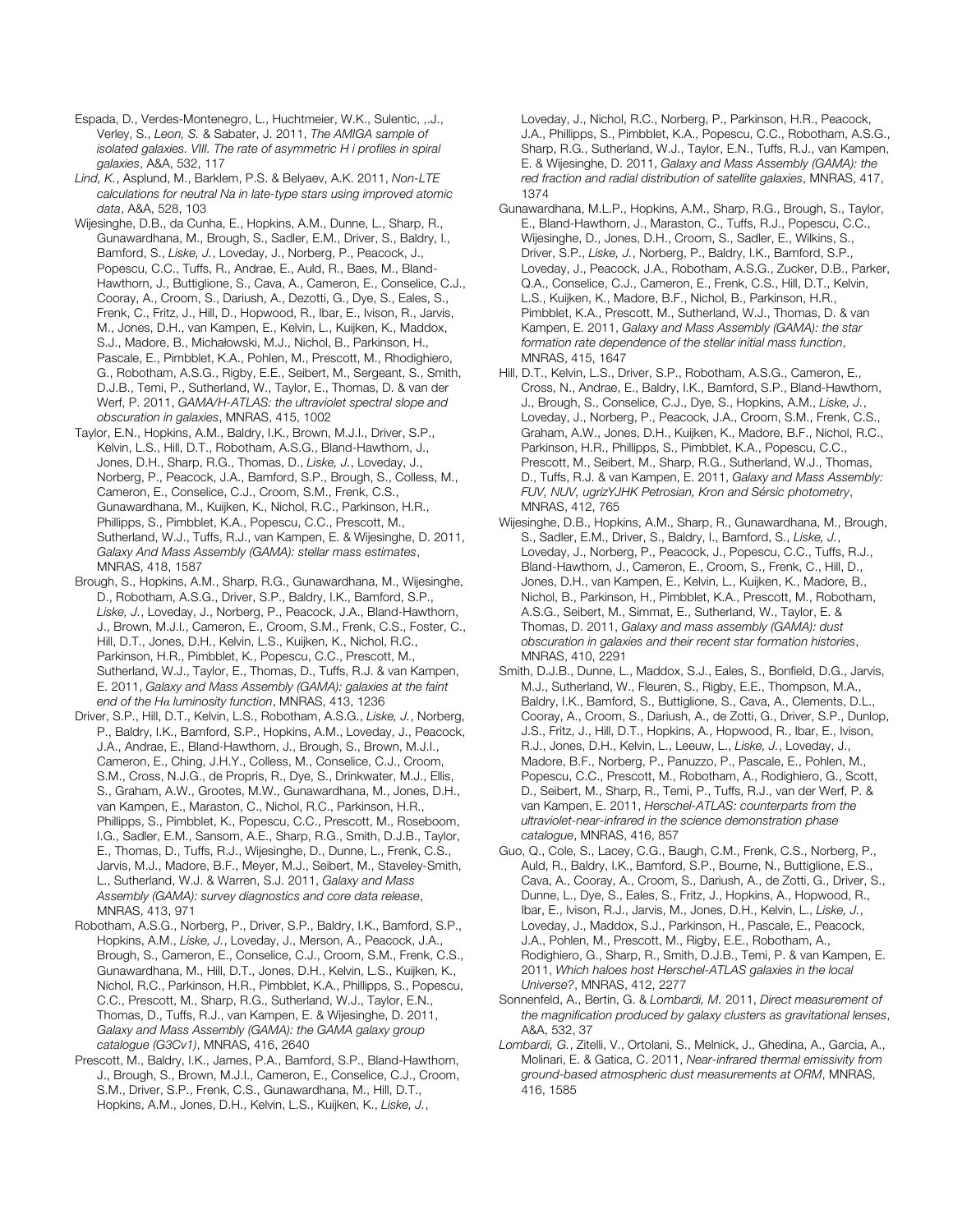Espada, D., Verdes-Montenegro, L., Huchtmeier, W.K., Sulentic, ,.J., Verley, S., *Leon, S.* & Sabater, J. 2011, *The AMIGA sample of isolated galaxies. VIII. The rate of asymmetric H i profiles in spiral galaxies*, A&A, 532, 117

*Lind, K.*, Asplund, M., Barklem, P.S. & Belyaev, A.K. 2011, *Non-LTE calculations for neutral Na in late-type stars using improved atomic data*, A&A, 528, 103

Wijesinghe, D.B., da Cunha, E., Hopkins, A.M., Dunne, L., Sharp, R., Gunawardhana, M., Brough, S., Sadler, E.M., Driver, S., Baldry, I., Bamford, S., *Liske, J.*, Loveday, J., Norberg, P., Peacock, J., Popescu, C.C., Tuffs, R., Andrae, E., Auld, R., Baes, M., Bland-Hawthorn, J., Buttiglione, S., Cava, A., Cameron, E., Conselice, C.J., Cooray, A., Croom, S., Dariush, A., Dezotti, G., Dye, S., Eales, S., Frenk, C., Fritz, J., Hill, D., Hopwood, R., Ibar, E., Ivison, R., Jarvis, M., Jones, D.H., van Kampen, E., Kelvin, L., Kuijken, K., Maddox, S.J., Madore, B., Michałowski, M.J., Nichol, B., Parkinson, H., Pascale, E., Pimbblet, K.A., Pohlen, M., Prescott, M., Rhodighiero, G., Robotham, A.S.G., Rigby, E.E., Seibert, M., Sergeant, S., Smith, D.J.B., Temi, P., Sutherland, W., Taylor, E., Thomas, D. & van der Werf, P. 2011, *GAMA/H-ATLAS: the ultraviolet spectral slope and obscuration in galaxies*, MNRAS, 415, 1002

Taylor, E.N., Hopkins, A.M., Baldry, I.K., Brown, M.J.I., Driver, S.P., Kelvin, L.S., Hill, D.T., Robotham, A.S.G., Bland-Hawthorn, J., Jones, D.H., Sharp, R.G., Thomas, D., *Liske, J.*, Loveday, J., Norberg, P., Peacock, J.A., Bamford, S.P., Brough, S., Colless, M., Cameron, E., Conselice, C.J., Croom, S.M., Frenk, C.S., Gunawardhana, M., Kuijken, K., Nichol, R.C., Parkinson, H.R., Phillipps, S., Pimbblet, K.A., Popescu, C.C., Prescott, M., Sutherland, W.J., Tuffs, R.J., van Kampen, E. & Wijesinghe, D. 2011, *Galaxy And Mass Assembly (GAMA): stellar mass estimates*, MNRAS, 418, 1587

Brough, S., Hopkins, A.M., Sharp, R.G., Gunawardhana, M., Wijesinghe, D., Robotham, A.S.G., Driver, S.P., Baldry, I.K., Bamford, S.P., *Liske, J.*, Loveday, J., Norberg, P., Peacock, J.A., Bland-Hawthorn, J., Brown, M.J.I., Cameron, E., Croom, S.M., Frenk, C.S., Foster, C., Hill, D.T., Jones, D.H., Kelvin, L.S., Kuijken, K., Nichol, R.C., Parkinson, H.R., Pimbblet, K., Popescu, C.C., Prescott, M., Sutherland, W.J., Taylor, E., Thomas, D., Tuffs, R.J. & van Kampen, E. 2011, *Galaxy and Mass Assembly (GAMA): galaxies at the faint end of the Hα luminosity function*, MNRAS, 413, 1236

Driver, S.P., Hill, D.T., Kelvin, L.S., Robotham, A.S.G., *Liske, J.*, Norberg, P., Baldry, I.K., Bamford, S.P., Hopkins, A.M., Loveday, J., Peacock, J.A., Andrae, E., Bland-Hawthorn, J., Brough, S., Brown, M.J.I., Cameron, E., Ching, J.H.Y., Colless, M., Conselice, C.J., Croom, S.M., Cross, N.J.G., de Propris, R., Dye, S., Drinkwater, M.J., Ellis, S., Graham, A.W., Grootes, M.W., Gunawardhana, M., Jones, D.H., van Kampen, E., Maraston, C., Nichol, R.C., Parkinson, H.R., Phillipps, S., Pimbblet, K., Popescu, C.C., Prescott, M., Roseboom, I.G., Sadler, E.M., Sansom, A.E., Sharp, R.G., Smith, D.J.B., Taylor, E., Thomas, D., Tuffs, R.J., Wijesinghe, D., Dunne, L., Frenk, C.S., Jarvis, M.J., Madore, B.F., Meyer, M.J., Seibert, M., Staveley-Smith, L., Sutherland, W.J. & Warren, S.J. 2011, *Galaxy and Mass Assembly (GAMA): survey diagnostics and core data release*, MNRAS, 413, 971

Robotham, A.S.G., Norberg, P., Driver, S.P., Baldry, I.K., Bamford, S.P., Hopkins, A.M., *Liske, J.*, Loveday, J., Merson, A., Peacock, J.A., Brough, S., Cameron, E., Conselice, C.J., Croom, S.M., Frenk, C.S., Gunawardhana, M., Hill, D.T., Jones, D.H., Kelvin, L.S., Kuijken, K., Nichol, R.C., Parkinson, H.R., Pimbblet, K.A., Phillipps, S., Popescu, C.C., Prescott, M., Sharp, R.G., Sutherland, W.J., Taylor, E.N., Thomas, D., Tuffs, R.J., van Kampen, E. & Wijesinghe, D. 2011, *Galaxy and Mass Assembly (GAMA): the GAMA galaxy group catalogue (G3Cv1)*, MNRAS, 416, 2640

Prescott, M., Baldry, I.K., James, P.A., Bamford, S.P., Bland-Hawthorn, J., Brough, S., Brown, M.J.I., Cameron, E., Conselice, C.J., Croom, S.M., Driver, S.P., Frenk, C.S., Gunawardhana, M., Hill, D.T., Hopkins, A.M., Jones, D.H., Kelvin, L.S., Kuijken, K., *Liske, J.*,

Loveday, J., Nichol, R.C., Norberg, P., Parkinson, H.R., Peacock, J.A., Phillipps, S., Pimbblet, K.A., Popescu, C.C., Robotham, A.S.G., Sharp, R.G., Sutherland, W.J., Taylor, E.N., Tuffs, R.J., van Kampen, E. & Wijesinghe, D. 2011, *Galaxy and Mass Assembly (GAMA): the red fraction and radial distribution of satellite galaxies*, MNRAS, 417, 1374

Gunawardhana, M.L.P., Hopkins, A.M., Sharp, R.G., Brough, S., Taylor, E., Bland-Hawthorn, J., Maraston, C., Tuffs, R.J., Popescu, C.C., Wijesinghe, D., Jones, D.H., Croom, S., Sadler, E., Wilkins, S., Driver, S.P., *Liske, J.*, Norberg, P., Baldry, I.K., Bamford, S.P., Loveday, J., Peacock, J.A., Robotham, A.S.G., Zucker, D.B., Parker, Q.A., Conselice, C.J., Cameron, E., Frenk, C.S., Hill, D.T., Kelvin, L.S., Kuijken, K., Madore, B.F., Nichol, B., Parkinson, H.R., Pimbblet, K.A., Prescott, M., Sutherland, W.J., Thomas, D. & van Kampen, E. 2011, *Galaxy and Mass Assembly (GAMA): the star formation rate dependence of the stellar initial mass function*, MNRAS, 415, 1647

Hill, D.T., Kelvin, L.S., Driver, S.P., Robotham, A.S.G., Cameron, E., Cross, N., Andrae, E., Baldry, I.K., Bamford, S.P., Bland-Hawthorn, J., Brough, S., Conselice, C.J., Dye, S., Hopkins, A.M., *Liske, J.*, Loveday, J., Norberg, P., Peacock, J.A., Croom, S.M., Frenk, C.S., Graham, A.W., Jones, D.H., Kuijken, K., Madore, B.F., Nichol, R.C., Parkinson, H.R., Phillipps, S., Pimbblet, K.A., Popescu, C.C., Prescott, M., Seibert, M., Sharp, R.G., Sutherland, W.J., Thomas, D., Tuffs, R.J. & van Kampen, E. 2011, *Galaxy and Mass Assembly: FUV, NUV, ugrizYJHK Petrosian, Kron and Sérsic photometry*, MNRAS, 412, 765

Wijesinghe, D.B., Hopkins, A.M., Sharp, R., Gunawardhana, M., Brough, S., Sadler, E.M., Driver, S., Baldry, I., Bamford, S., *Liske, J.*, Loveday, J., Norberg, P., Peacock, J., Popescu, C.C., Tuffs, R.J., Bland-Hawthorn, J., Cameron, E., Croom, S., Frenk, C., Hill, D., Jones, D.H., van Kampen, E., Kelvin, L., Kuijken, K., Madore, B., Nichol, B., Parkinson, H., Pimbblet, K.A., Prescott, M., Robotham, A.S.G., Seibert, M., Simmat, E., Sutherland, W., Taylor, E. & Thomas, D. 2011, *Galaxy and mass assembly (GAMA): dust obscuration in galaxies and their recent star formation histories*, MNRAS, 410, 2291

Smith, D.J.B., Dunne, L., Maddox, S.J., Eales, S., Bonfield, D.G., Jarvis, M.J., Sutherland, W., Fleuren, S., Rigby, E.E., Thompson, M.A., Baldry, I.K., Bamford, S., Buttiglione, S., Cava, A., Clements, D.L., Cooray, A., Croom, S., Dariush, A., de Zotti, G., Driver, S.P., Dunlop, J.S., Fritz, J., Hill, D.T., Hopkins, A., Hopwood, R., Ibar, E., Ivison, R.J., Jones, D.H., Kelvin, L., Leeuw, L., *Liske, J.*, Loveday, J., Madore, B.F., Norberg, P., Panuzzo, P., Pascale, E., Pohlen, M., Popescu, C.C., Prescott, M., Robotham, A., Rodighiero, G., Scott, D., Seibert, M., Sharp, R., Temi, P., Tuffs, R.J., van der Werf, P. & van Kampen, E. 2011, *Herschel-ATLAS: counterparts from the ultraviolet-near-infrared in the science demonstration phase catalogue*, MNRAS, 416, 857

Guo, Q., Cole, S., Lacey, C.G., Baugh, C.M., Frenk, C.S., Norberg, P., Auld, R., Baldry, I.K., Bamford, S.P., Bourne, N., Buttiglione, E.S., Cava, A., Cooray, A., Croom, S., Dariush, A., de Zotti, G., Driver, S., Dunne, L., Dye, S., Eales, S., Fritz, J., Hopkins, A., Hopwood, R., Ibar, E., Ivison, R.J., Jarvis, M., Jones, D.H., Kelvin, L., *Liske, J.*, Loveday, J., Maddox, S.J., Parkinson, H., Pascale, E., Peacock, J.A., Pohlen, M., Prescott, M., Rigby, E.E., Robotham, A., Rodighiero, G., Sharp, R., Smith, D.J.B., Temi, P. & van Kampen, E. 2011, *Which haloes host Herschel-ATLAS galaxies in the local Universe?*, MNRAS, 412, 2277

Sonnenfeld, A., Bertin, G. & *Lombardi, M.* 2011, *Direct measurement of the magnification produced by galaxy clusters as gravitational lenses*, A&A, 532, 37

*Lombardi, G.*, Zitelli, V., Ortolani, S., Melnick, J., Ghedina, A., Garcia, A., Molinari, E. & Gatica, C. 2011, *Near-infrared thermal emissivity from ground-based atmospheric dust measurements at ORM*, MNRAS, 416, 1585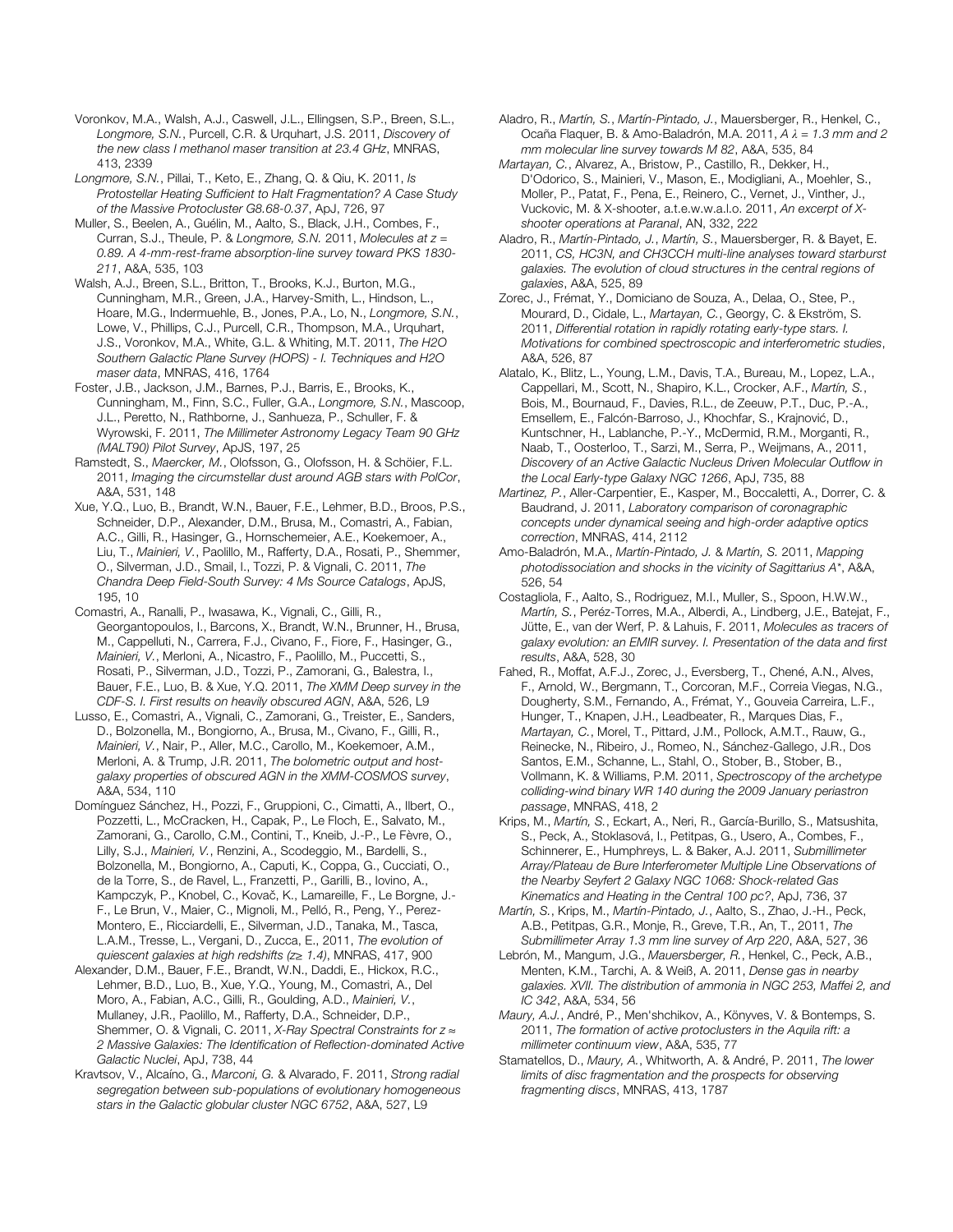Voronkov, M.A., Walsh, A.J., Caswell, J.L., Ellingsen, S.P., Breen, S.L., *Longmore, S.N.*, Purcell, C.R. & Urquhart, J.S. 2011, *Discovery of the new class I methanol maser transition at 23.4 GHz*, MNRAS, 413, 2339

*Longmore, S.N.*, Pillai, T., Keto, E., Zhang, Q. & Qiu, K. 2011, *Is Protostellar Heating Sufficient to Halt Fragmentation? A Case Study of the Massive Protocluster G8.68-0.37*, ApJ, 726, 97

Muller, S., Beelen, A., Guélin, M., Aalto, S., Black, J.H., Combes, F., Curran, S.J., Theule, P. & *Longmore, S.N.* 2011, *Molecules at z = 0.89. A 4-mm-rest-frame absorption-line survey toward PKS 1830- 211*, A&A, 535, 103

Walsh, A.J., Breen, S.L., Britton, T., Brooks, K.J., Burton, M.G., Cunningham, M.R., Green, J.A., Harvey-Smith, L., Hindson, L., Hoare, M.G., Indermuehle, B., Jones, P.A., Lo, N., *Longmore, S.N.*, Lowe, V., Phillips, C.J., Purcell, C.R., Thompson, M.A., Urquhart, J.S., Voronkov, M.A., White, G.L. & Whiting, M.T. 2011, *The H2O Southern Galactic Plane Survey (HOPS) - I. Techniques and H2O maser data*, MNRAS, 416, 1764

Foster, J.B., Jackson, J.M., Barnes, P.J., Barris, E., Brooks, K., Cunningham, M., Finn, S.C., Fuller, G.A., *Longmore, S.N.*, Mascoop, J.L., Peretto, N., Rathborne, J., Sanhueza, P., Schuller, F. & Wyrowski, F. 2011, *The Millimeter Astronomy Legacy Team 90 GHz (MALT90) Pilot Survey*, ApJS, 197, 25

Ramstedt, S., *Maercker, M.*, Olofsson, G., Olofsson, H. & Schöier, F.L. 2011, *Imaging the circumstellar dust around AGB stars with PolCor*, A&A, 531, 148

Xue, Y.Q., Luo, B., Brandt, W.N., Bauer, F.E., Lehmer, B.D., Broos, P.S., Schneider, D.P., Alexander, D.M., Brusa, M., Comastri, A., Fabian, A.C., Gilli, R., Hasinger, G., Hornschemeier, A.E., Koekemoer, A., Liu, T., *Mainieri, V.*, Paolillo, M., Rafferty, D.A., Rosati, P., Shemmer, O., Silverman, J.D., Smail, I., Tozzi, P. & Vignali, C. 2011, *The Chandra Deep Field-South Survey: 4 Ms Source Catalogs*, ApJS, 195, 10

Comastri, A., Ranalli, P., Iwasawa, K., Vignali, C., Gilli, R., Georgantopoulos, I., Barcons, X., Brandt, W.N., Brunner, H., Brusa, M., Cappelluti, N., Carrera, F.J., Civano, F., Fiore, F., Hasinger, G., *Mainieri, V.*, Merloni, A., Nicastro, F., Paolillo, M., Puccetti, S., Rosati, P., Silverman, J.D., Tozzi, P., Zamorani, G., Balestra, I., Bauer, F.E., Luo, B. & Xue, Y.Q. 2011, *The XMM Deep survey in the CDF-S. I. First results on heavily obscured AGN*, A&A, 526, L9

Lusso, E., Comastri, A., Vignali, C., Zamorani, G., Treister, E., Sanders, D., Bolzonella, M., Bongiorno, A., Brusa, M., Civano, F., Gilli, R., *Mainieri, V.*, Nair, P., Aller, M.C., Carollo, M., Koekemoer, A.M., Merloni, A. & Trump, J.R. 2011, *The bolometric output and hostgalaxy properties of obscured AGN in the XMM-COSMOS survey*, A&A, 534, 110

Domínguez Sánchez, H., Pozzi, F., Gruppioni, C., Cimatti, A., Ilbert, O., Pozzetti, L., McCracken, H., Capak, P., Le Floch, E., Salvato, M., Zamorani, G., Carollo, C.M., Contini, T., Kneib, J.-P., Le Fèvre, O., Lilly, S.J., *Mainieri, V.*, Renzini, A., Scodeggio, M., Bardelli, S., Bolzonella, M., Bongiorno, A., Caputi, K., Coppa, G., Cucciati, O., de la Torre, S., de Ravel, L., Franzetti, P., Garilli, B., Iovino, A., Kampczyk, P., Knobel, C., Kovač, K., Lamareille, F., Le Borgne, J.- F., Le Brun, V., Maier, C., Mignoli, M., Pelló, R., Peng, Y., Perez-Montero, E., Ricciardelli, E., Silverman, J.D., Tanaka, M., Tasca, L.A.M., Tresse, L., Vergani, D., Zucca, E., 2011, *The evolution of quiescent galaxies at high redshifts (z*≥ *1.4)*, MNRAS, 417, 900

Alexander, D.M., Bauer, F.E., Brandt, W.N., Daddi, E., Hickox, R.C., Lehmer, B.D., Luo, B., Xue, Y.Q., Young, M., Comastri, A., Del Moro, A., Fabian, A.C., Gilli, R., Goulding, A.D., *Mainieri, V.*, Mullaney, J.R., Paolillo, M., Rafferty, D.A., Schneider, D.P., Shemmer, O. & Vignali, C. 2011, *X-Ray Spectral Constraints for z* ≈ *2 Massive Galaxies: The Identification of Reflection-dominated Active Galactic Nuclei*, ApJ, 738, 44

Kravtsov, V., Alcaíno, G., *Marconi, G.* & Alvarado, F. 2011, *Strong radial segregation between sub-populations of evolutionary homogeneous stars in the Galactic globular cluster NGC 6752*, A&A, 527, L9

Aladro, R., *Martín, S.*, *Martín-Pintado, J.*, Mauersberger, R., Henkel, C., Ocaña Flaquer, B. & Amo-Baladrón, M.A. 2011, *A λ = 1.3 mm and 2 mm molecular line survey towards M 82*, A&A, 535, 84

*Martayan, C.*, Alvarez, A., Bristow, P., Castillo, R., Dekker, H., D'Odorico, S., Mainieri, V., Mason, E., Modigliani, A., Moehler, S., Moller, P., Patat, F., Pena, E., Reinero, C., Vernet, J., Vinther, J., Vuckovic, M. & X-shooter, a.t.e.w.w.a.l.o. 2011, *An excerpt of Xshooter operations at Paranal*, AN, 332, 222

Aladro, R., *Martín-Pintado, J.*, *Martín, S.*, Mauersberger, R. & Bayet, E. 2011, *CS, HC3N, and CH3CCH multi-line analyses toward starburst galaxies. The evolution of cloud structures in the central regions of galaxies*, A&A, 525, 89

Zorec, J., Frémat, Y., Domiciano de Souza, A., Delaa, O., Stee, P., Mourard, D., Cidale, L., *Martayan, C.*, Georgy, C. & Ekström, S. 2011, *Differential rotation in rapidly rotating early-type stars. I. Motivations for combined spectroscopic and interferometric studies*, A&A, 526, 87

Alatalo, K., Blitz, L., Young, L.M., Davis, T.A., Bureau, M., Lopez, L.A., Cappellari, M., Scott, N., Shapiro, K.L., Crocker, A.F., *Martín, S.*, Bois, M., Bournaud, F., Davies, R.L., de Zeeuw, P.T., Duc, P.-A., Emsellem, E., Falcón-Barroso, J., Khochfar, S., Krajnović, D., Kuntschner, H., Lablanche, P.-Y., McDermid, R.M., Morganti, R., Naab, T., Oosterloo, T., Sarzi, M., Serra, P., Weijmans, A., 2011, *Discovery of an Active Galactic Nucleus Driven Molecular Outflow in the Local Early-type Galaxy NGC 1266*, ApJ, 735, 88

*Martinez, P.*, Aller-Carpentier, E., Kasper, M., Boccaletti, A., Dorrer, C. & Baudrand, J. 2011, *Laboratory comparison of coronagraphic concepts under dynamical seeing and high-order adaptive optics correction*, MNRAS, 414, 2112

Amo-Baladrón, M.A., *Martín-Pintado, J.* & *Martín, S.* 2011, *Mapping photodissociation and shocks in the vicinity of Sagittarius A\**, A&A, 526, 54

Costagliola, F., Aalto, S., Rodriguez, M.I., Muller, S., Spoon, H.W.W., *Martín, S.*, Peréz-Torres, M.A., Alberdi, A., Lindberg, J.E., Batejat, F., Jütte, E., van der Werf, P. & Lahuis, F. 2011, *Molecules as tracers of galaxy evolution: an EMIR survey. I. Presentation of the data and first results*, A&A, 528, 30

Fahed, R., Moffat, A.F.J., Zorec, J., Eversberg, T., Chené, A.N., Alves, F., Arnold, W., Bergmann, T., Corcoran, M.F., Correia Viegas, N.G., Dougherty, S.M., Fernando, A., Frémat, Y., Gouveia Carreira, L.F., Hunger, T., Knapen, J.H., Leadbeater, R., Marques Dias, F., *Martayan, C.*, Morel, T., Pittard, J.M., Pollock, A.M.T., Rauw, G., Reinecke, N., Ribeiro, J., Romeo, N., Sánchez-Gallego, J.R., Dos Santos, E.M., Schanne, L., Stahl, O., Stober, B., Stober, B., Vollmann, K. & Williams, P.M. 2011, *Spectroscopy of the archetype colliding-wind binary WR 140 during the 2009 January periastron passage*, MNRAS, 418, 2

Krips, M., *Martín, S.*, Eckart, A., Neri, R., García-Burillo, S., Matsushita, S., Peck, A., Stoklasová, I., Petitpas, G., Usero, A., Combes, F., Schinnerer, E., Humphreys, L. & Baker, A.J. 2011, *Submillimeter Array/Plateau de Bure Interferometer Multiple Line Observations of the Nearby Seyfert 2 Galaxy NGC 1068: Shock-related Gas Kinematics and Heating in the Central 100 pc?*, ApJ, 736, 37

*Martín, S.*, Krips, M., *Martín-Pintado, J.*, Aalto, S., Zhao, J.-H., Peck, A.B., Petitpas, G.R., Monje, R., Greve, T.R., An, T., 2011, *The Submillimeter Array 1.3 mm line survey of Arp 220*, A&A, 527, 36

Lebrón, M., Mangum, J.G., *Mauersberger, R.*, Henkel, C., Peck, A.B., Menten, K.M., Tarchi, A. & Weiß, A. 2011, *Dense gas in nearby galaxies. XVII. The distribution of ammonia in NGC 253, Maffei 2, and IC 342*, A&A, 534, 56

*Maury, A.J.*, André, P., Men'shchikov, A., Könyves, V. & Bontemps, S. 2011, *The formation of active protoclusters in the Aquila rift: a millimeter continuum view*, A&A, 535, 77

Stamatellos, D., *Maury, A.*, Whitworth, A. & André, P. 2011, *The lower limits of disc fragmentation and the prospects for observing fragmenting discs*, MNRAS, 413, 1787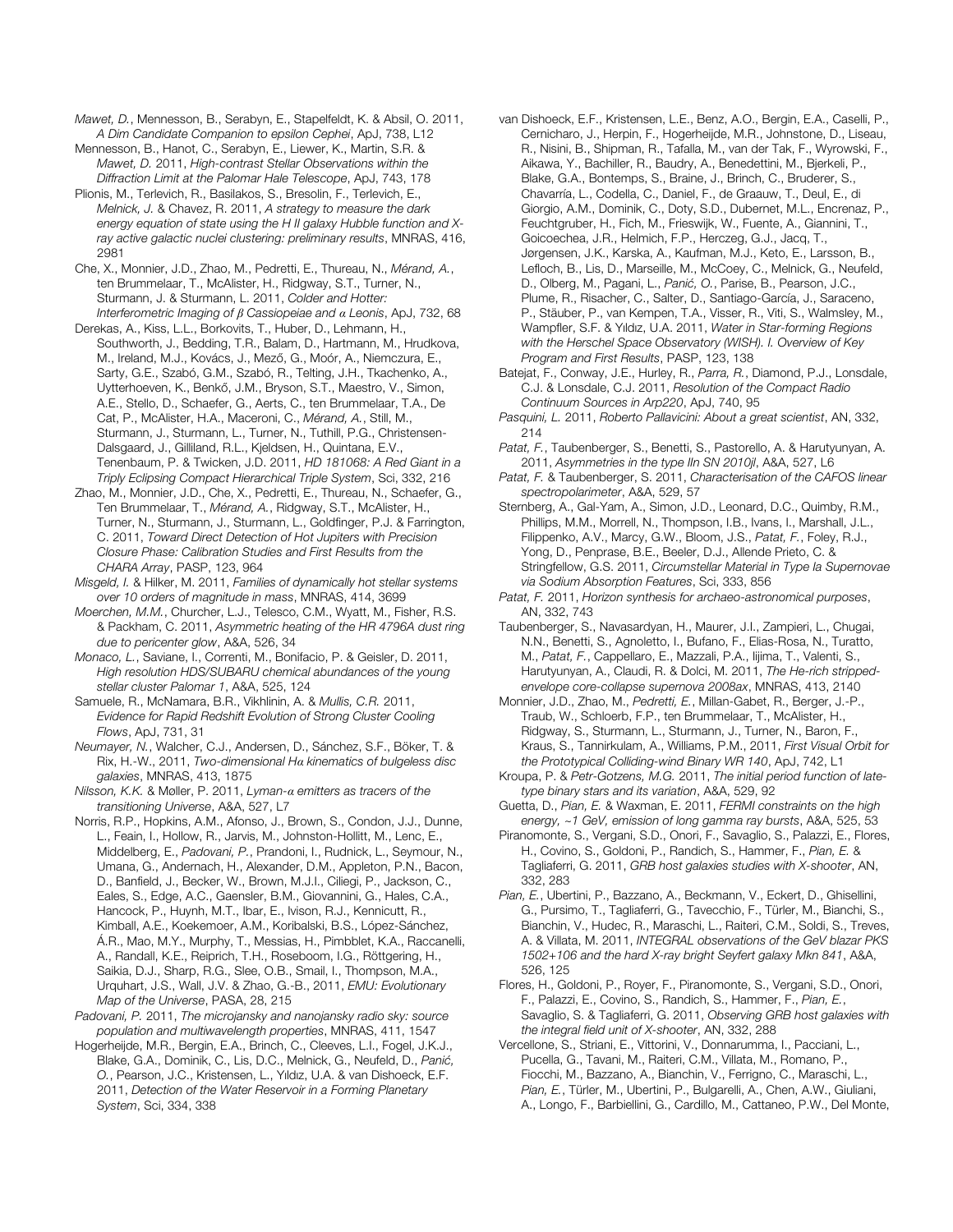*Mawet, D.*, Mennesson, B., Serabyn, E., Stapelfeldt, K. & Absil, O. 2011, *A Dim Candidate Companion to epsilon Cephei*, ApJ, 738, L12

Mennesson, B., Hanot, C., Serabyn, E., Liewer, K., Martin, S.R. & *Mawet, D.* 2011, *High-contrast Stellar Observations within the Diffraction Limit at the Palomar Hale Telescope*, ApJ, 743, 178

Plionis, M., Terlevich, R., Basilakos, S., Bresolin, F., Terlevich, E., *Melnick, J.* & Chavez, R. 2011, *A strategy to measure the dark energy equation of state using the H II galaxy Hubble function and Xray active galactic nuclei clustering: preliminary results*, MNRAS, 416, 2981

Che, X., Monnier, J.D., Zhao, M., Pedretti, E., Thureau, N., *Mérand, A.*, ten Brummelaar, T., McAlister, H., Ridgway, S.T., Turner, N., Sturmann, J. & Sturmann, L. 2011, *Colder and Hotter: Interferometric Imaging of β Cassiopeiae and α Leonis*, ApJ, 732, 68

Derekas, A., Kiss, L.L., Borkovits, T., Huber, D., Lehmann, H., Southworth, J., Bedding, T.R., Balam, D., Hartmann, M., Hrudkova, M., Ireland, M.J., Kovács, J., Mező, G., Moór, A., Niemczura, E., Sarty, G.E., Szabó, G.M., Szabó, R., Telting, J.H., Tkachenko, A., Uytterhoeven, K., Benkő, J.M., Bryson, S.T., Maestro, V., Simon, A.E., Stello, D., Schaefer, G., Aerts, C., ten Brummelaar, T.A., De Cat, P., McAlister, H.A., Maceroni, C., *Mérand, A.*, Still, M., Sturmann, J., Sturmann, L., Turner, N., Tuthill, P.G., Christensen-Dalsgaard, J., Gilliland, R.L., Kjeldsen, H., Quintana, E.V., Tenenbaum, P. & Twicken, J.D. 2011, *HD 181068: A Red Giant in a Triply Eclipsing Compact Hierarchical Triple System*, Sci, 332, 216

Zhao, M., Monnier, J.D., Che, X., Pedretti, E., Thureau, N., Schaefer, G., Ten Brummelaar, T., *Mérand, A.*, Ridgway, S.T., McAlister, H., Turner, N., Sturmann, J., Sturmann, L., Goldfinger, P.J. & Farrington, C. 2011, *Toward Direct Detection of Hot Jupiters with Precision Closure Phase: Calibration Studies and First Results from the CHARA Array*, PASP, 123, 964

*Misgeld, I.* & Hilker, M. 2011, *Families of dynamically hot stellar systems over 10 orders of magnitude in mass*, MNRAS, 414, 3699

*Moerchen, M.M.*, Churcher, L.J., Telesco, C.M., Wyatt, M., Fisher, R.S. & Packham, C. 2011, *Asymmetric heating of the HR 4796A dust ring due to pericenter glow*, A&A, 526, 34

*Monaco, L.*, Saviane, I., Correnti, M., Bonifacio, P. & Geisler, D. 2011, *High resolution HDS/SUBARU chemical abundances of the young stellar cluster Palomar 1*, A&A, 525, 124

Samuele, R., McNamara, B.R., Vikhlinin, A. & *Mullis, C.R.* 2011, *Evidence for Rapid Redshift Evolution of Strong Cluster Cooling Flows*, ApJ, 731, 31

*Neumayer, N.*, Walcher, C.J., Andersen, D., Sánchez, S.F., Böker, T. & Rix, H.-W., 2011, *Two-dimensional Hα kinematics of bulgeless disc galaxies*, MNRAS, 413, 1875

*Nilsson, K.K.* & Møller, P. 2011, *Lyman-α emitters as tracers of the transitioning Universe*, A&A, 527, L7

Norris, R.P., Hopkins, A.M., Afonso, J., Brown, S., Condon, J.J., Dunne, L., Feain, I., Hollow, R., Jarvis, M., Johnston-Hollitt, M., Lenc, E., Middelberg, E., *Padovani, P.*, Prandoni, I., Rudnick, L., Seymour, N., Umana, G., Andernach, H., Alexander, D.M., Appleton, P.N., Bacon, D., Banfield, J., Becker, W., Brown, M.J.I., Ciliegi, P., Jackson, C., Eales, S., Edge, A.C., Gaensler, B.M., Giovannini, G., Hales, C.A., Hancock, P., Huynh, M.T., Ibar, E., Ivison, R.J., Kennicutt, R., Kimball, A.E., Koekemoer, A.M., Koribalski, B.S., López-Sánchez, Á.R., Mao, M.Y., Murphy, T., Messias, H., Pimbblet, K.A., Raccanelli, A., Randall, K.E., Reiprich, T.H., Roseboom, I.G., Röttgering, H., Saikia, D.J., Sharp, R.G., Slee, O.B., Smail, I., Thompson, M.A., Urquhart, J.S., Wall, J.V. & Zhao, G.-B., 2011, *EMU: Evolutionary Map of the Universe*, PASA, 28, 215

*Padovani, P.* 2011, *The microjansky and nanojansky radio sky: source population and multiwavelength properties*, MNRAS, 411, 1547

Hogerheijde, M.R., Bergin, E.A., Brinch, C., Cleeves, L.I., Fogel, J.K.J., Blake, G.A., Dominik, C., Lis, D.C., Melnick, G., Neufeld, D., *Pani*ć*, O.*, Pearson, J.C., Kristensen, L., Yıldız, U.A. & van Dishoeck, E.F. 2011, *Detection of the Water Reservoir in a Forming Planetary System*, Sci, 334, 338

van Dishoeck, E.F., Kristensen, L.E., Benz, A.O., Bergin, E.A., Caselli, P., Cernicharo, J., Herpin, F., Hogerheijde, M.R., Johnstone, D., Liseau, R., Nisini, B., Shipman, R., Tafalla, M., van der Tak, F., Wyrowski, F., Aikawa, Y., Bachiller, R., Baudry, A., Benedettini, M., Bjerkeli, P., Blake, G.A., Bontemps, S., Braine, J., Brinch, C., Bruderer, S., Chavarría, L., Codella, C., Daniel, F., de Graauw, T., Deul, E., di Giorgio, A.M., Dominik, C., Doty, S.D., Dubernet, M.L., Encrenaz, P., Feuchtgruber, H., Fich, M., Frieswijk, W., Fuente, A., Giannini, T., Goicoechea, J.R., Helmich, F.P., Herczeg, G.J., Jacq, T., Jørgensen, J.K., Karska, A., Kaufman, M.J., Keto, E., Larsson, B., Lefloch, B., Lis, D., Marseille, M., McCoey, C., Melnick, G., Neufeld, D., Olberg, M., Pagani, L., *Pani*ć*, O.*, Parise, B., Pearson, J.C., Plume, R., Risacher, C., Salter, D., Santiago-García, J., Saraceno, P., Stäuber, P., van Kempen, T.A., Visser, R., Viti, S., Walmsley, M., Wampfler, S.F. & Yıldız, U.A. 2011, *Water in Star-forming Regions with the Herschel Space Observatory (WISH). I. Overview of Key Program and First Results*, PASP, 123, 138

Batejat, F., Conway, J.E., Hurley, R., *Parra, R.*, Diamond, P.J., Lonsdale, C.J. & Lonsdale, C.J. 2011, *Resolution of the Compact Radio Continuum Sources in Arp220*, ApJ, 740, 95

*Pasquini, L.* 2011, *Roberto Pallavicini: About a great scientist*, AN, 332, 214

*Patat, F.*, Taubenberger, S., Benetti, S., Pastorello, A. & Harutyunyan, A. 2011, *Asymmetries in the type IIn SN 2010jl*, A&A, 527, L6

*Patat, F.* & Taubenberger, S. 2011, *Characterisation of the CAFOS linear spectropolarimeter*, A&A, 529, 57

Sternberg, A., Gal-Yam, A., Simon, J.D., Leonard, D.C., Quimby, R.M., Phillips, M.M., Morrell, N., Thompson, I.B., Ivans, I., Marshall, J.L., Filippenko, A.V., Marcy, G.W., Bloom, J.S., *Patat, F.*, Foley, R.J., Yong, D., Penprase, B.E., Beeler, D.J., Allende Prieto, C. & Stringfellow, G.S. 2011, *Circumstellar Material in Type Ia Supernovae via Sodium Absorption Features*, Sci, 333, 856

*Patat, F.* 2011, *Horizon synthesis for archaeo-astronomical purposes*, AN, 332, 743

Taubenberger, S., Navasardyan, H., Maurer, J.I., Zampieri, L., Chugai, N.N., Benetti, S., Agnoletto, I., Bufano, F., Elias-Rosa, N., Turatto, M., *Patat, F.*, Cappellaro, E., Mazzali, P.A., Iijima, T., Valenti, S., Harutyunyan, A., Claudi, R. & Dolci, M. 2011, *The He-rich strippedenvelope core-collapse supernova 2008ax*, MNRAS, 413, 2140

Monnier, J.D., Zhao, M., *Pedretti, E.*, Millan-Gabet, R., Berger, J.-P., Traub, W., Schloerb, F.P., ten Brummelaar, T., McAlister, H., Ridgway, S., Sturmann, L., Sturmann, J., Turner, N., Baron, F., Kraus, S., Tannirkulam, A., Williams, P.M., 2011, *First Visual Orbit for the Prototypical Colliding-wind Binary WR 140*, ApJ, 742, L1

Kroupa, P. & *Petr-Gotzens, M.G.* 2011, *The initial period function of latetype binary stars and its variation*, A&A, 529, 92

Guetta, D., *Pian, E.* & Waxman, E. 2011, *FERMI constraints on the high energy, ~1 GeV, emission of long gamma ray bursts*, A&A, 525, 53

Piranomonte, S., Vergani, S.D., Onori, F., Savaglio, S., Palazzi, E., Flores, H., Covino, S., Goldoni, P., Randich, S., Hammer, F., *Pian, E.* & Tagliaferri, G. 2011, *GRB host galaxies studies with X-shooter*, AN, 332, 283

*Pian, E.*, Ubertini, P., Bazzano, A., Beckmann, V., Eckert, D., Ghisellini, G., Pursimo, T., Tagliaferri, G., Tavecchio, F., Türler, M., Bianchi, S., Bianchin, V., Hudec, R., Maraschi, L., Raiteri, C.M., Soldi, S., Treves, A. & Villata, M. 2011, *INTEGRAL observations of the GeV blazar PKS 1502+106 and the hard X-ray bright Seyfert galaxy Mkn 841*, A&A, 526, 125

Flores, H., Goldoni, P., Royer, F., Piranomonte, S., Vergani, S.D., Onori, F., Palazzi, E., Covino, S., Randich, S., Hammer, F., *Pian, E.*, Savaglio, S. & Tagliaferri, G. 2011, *Observing GRB host galaxies with the integral field unit of X-shooter*, AN, 332, 288

Vercellone, S., Striani, E., Vittorini, V., Donnarumma, I., Pacciani, L., Pucella, G., Tavani, M., Raiteri, C.M., Villata, M., Romano, P., Fiocchi, M., Bazzano, A., Bianchin, V., Ferrigno, C., Maraschi, L., *Pian, E.*, Türler, M., Ubertini, P., Bulgarelli, A., Chen, A.W., Giuliani, A., Longo, F., Barbiellini, G., Cardillo, M., Cattaneo, P.W., Del Monte,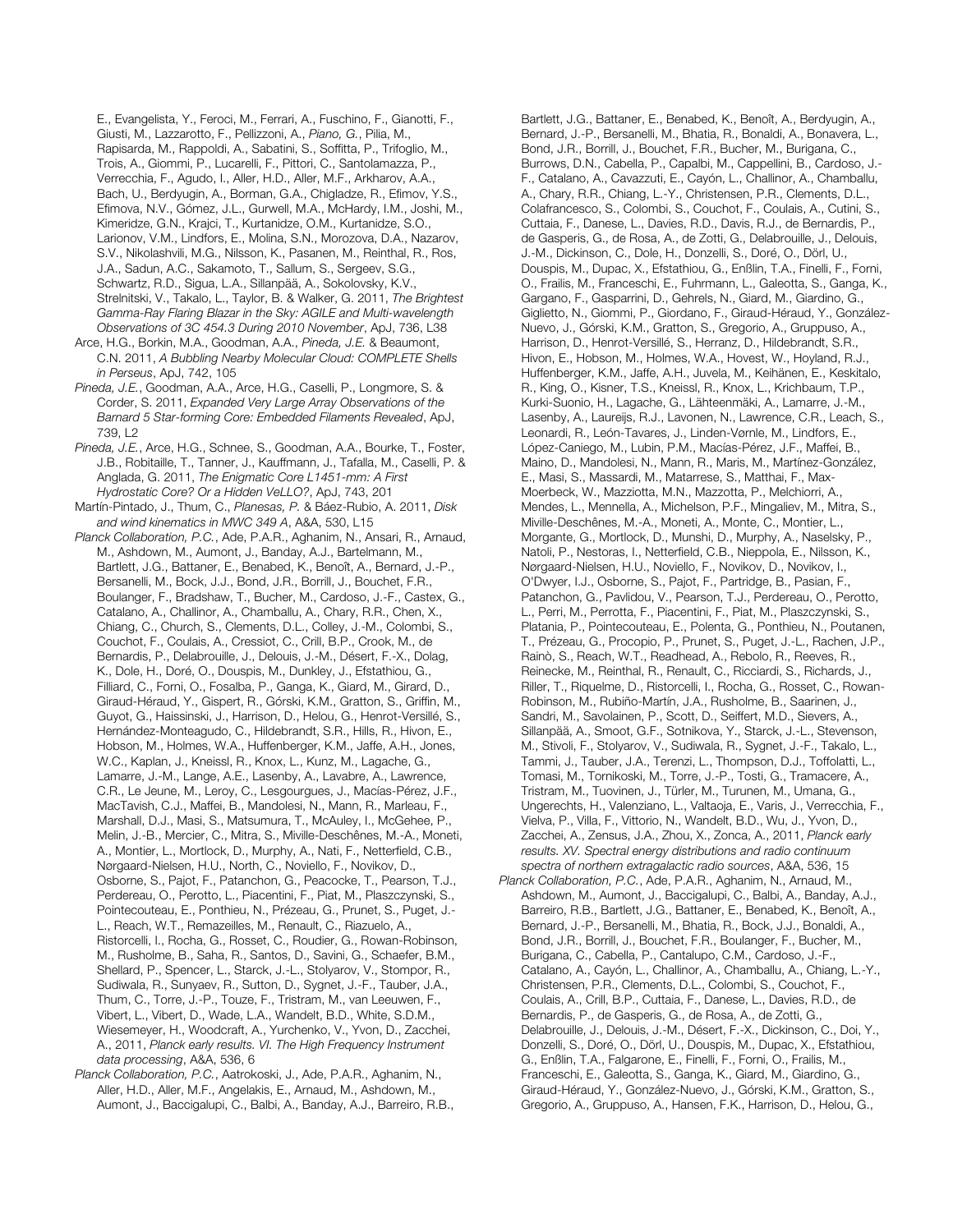E., Evangelista, Y., Feroci, M., Ferrari, A., Fuschino, F., Gianotti, F., Giusti, M., Lazzarotto, F., Pellizzoni, A., *Piano, G.*, Pilia, M., Rapisarda, M., Rappoldi, A., Sabatini, S., Soffitta, P., Trifoglio, M., Trois, A., Giommi, P., Lucarelli, F., Pittori, C., Santolamazza, P., Verrecchia, F., Agudo, I., Aller, H.D., Aller, M.F., Arkharov, A.A., Bach, U., Berdyugin, A., Borman, G.A., Chigladze, R., Efimov, Y.S., Efimova, N.V., Gómez, J.L., Gurwell, M.A., McHardy, I.M., Joshi, M., Kimeridze, G.N., Krajci, T., Kurtanidze, O.M., Kurtanidze, S.O., Larionov, V.M., Lindfors, E., Molina, S.N., Morozova, D.A., Nazarov, S.V., Nikolashvili, M.G., Nilsson, K., Pasanen, M., Reinthal, R., Ros, J.A., Sadun, A.C., Sakamoto, T., Sallum, S., Sergeev, S.G., Schwartz, R.D., Sigua, L.A., Sillanpää, A., Sokolovsky, K.V., Strelnitski, V., Takalo, L., Taylor, B. & Walker, G. 2011, *The Brightest Gamma-Ray Flaring Blazar in the Sky: AGILE and Multi-wavelength Observations of 3C 454.3 During 2010 November*, ApJ, 736, L38

Arce, H.G., Borkin, M.A., Goodman, A.A., *Pineda, J.E.* & Beaumont, C.N. 2011, *A Bubbling Nearby Molecular Cloud: COMPLETE Shells in Perseus*, ApJ, 742, 105

*Pineda, J.E.*, Goodman, A.A., Arce, H.G., Caselli, P., Longmore, S. & Corder, S. 2011, *Expanded Very Large Array Observations of the Barnard 5 Star-forming Core: Embedded Filaments Revealed*, ApJ, 739, L2

*Pineda, J.E.*, Arce, H.G., Schnee, S., Goodman, A.A., Bourke, T., Foster, J.B., Robitaille, T., Tanner, J., Kauffmann, J., Tafalla, M., Caselli, P. & Anglada, G. 2011, *The Enigmatic Core L1451-mm: A First Hydrostatic Core? Or a Hidden VeLLO?*, ApJ, 743, 201

Martín-Pintado, J., Thum, C., *Planesas, P.* & Báez-Rubio, A. 2011, *Disk and wind kinematics in MWC 349 A*, A&A, 530, L15

*Planck Collaboration, P.C.*, Ade, P.A.R., Aghanim, N., Ansari, R., Arnaud, M., Ashdown, M., Aumont, J., Banday, A.J., Bartelmann, M., Bartlett, J.G., Battaner, E., Benabed, K., Benoît, A., Bernard, J.-P., Bersanelli, M., Bock, J.J., Bond, J.R., Borrill, J., Bouchet, F.R., Boulanger, F., Bradshaw, T., Bucher, M., Cardoso, J.-F., Castex, G., Catalano, A., Challinor, A., Chamballu, A., Chary, R.R., Chen, X., Chiang, C., Church, S., Clements, D.L., Colley, J.-M., Colombi, S., Couchot, F., Coulais, A., Cressiot, C., Crill, B.P., Crook, M., de Bernardis, P., Delabrouille, J., Delouis, J.-M., Désert, F.-X., Dolag, K., Dole, H., Doré, O., Douspis, M., Dunkley, J., Efstathiou, G., Filliard, C., Forni, O., Fosalba, P., Ganga, K., Giard, M., Girard, D., Giraud-Héraud, Y., Gispert, R., Górski, K.M., Gratton, S., Griffin, M., Guyot, G., Haissinski, J., Harrison, D., Helou, G., Henrot-Versillé, S., Hernández-Monteagudo, C., Hildebrandt, S.R., Hills, R., Hivon, E., Hobson, M., Holmes, W.A., Huffenberger, K.M., Jaffe, A.H., Jones, W.C., Kaplan, J., Kneissl, R., Knox, L., Kunz, M., Lagache, G., Lamarre, J.-M., Lange, A.E., Lasenby, A., Lavabre, A., Lawrence, C.R., Le Jeune, M., Leroy, C., Lesgourgues, J., Macías-Pérez, J.F., MacTavish, C.J., Maffei, B., Mandolesi, N., Mann, R., Marleau, F., Marshall, D.J., Masi, S., Matsumura, T., McAuley, I., McGehee, P., Melin, J.-B., Mercier, C., Mitra, S., Miville-Deschênes, M.-A., Moneti, A., Montier, L., Mortlock, D., Murphy, A., Nati, F., Netterfield, C.B., Nørgaard-Nielsen, H.U., North, C., Noviello, F., Novikov, D., Osborne, S., Pajot, F., Patanchon, G., Peacocke, T., Pearson, T.J., Perdereau, O., Perotto, L., Piacentini, F., Piat, M., Plaszczynski, S., Pointecouteau, E., Ponthieu, N., Prézeau, G., Prunet, S., Puget, J.- L., Reach, W.T., Remazeilles, M., Renault, C., Riazuelo, A., Ristorcelli, I., Rocha, G., Rosset, C., Roudier, G., Rowan-Robinson, M., Rusholme, B., Saha, R., Santos, D., Savini, G., Schaefer, B.M., Shellard, P., Spencer, L., Starck, J.-L., Stolyarov, V., Stompor, R., Sudiwala, R., Sunyaev, R., Sutton, D., Sygnet, J.-F., Tauber, J.A., Thum, C., Torre, J.-P., Touze, F., Tristram, M., van Leeuwen, F., Vibert, L., Vibert, D., Wade, L.A., Wandelt, B.D., White, S.D.M., Wiesemeyer, H., Woodcraft, A., Yurchenko, V., Yvon, D., Zacchei, A., 2011, *Planck early results. VI. The High Frequency Instrument data processing*, A&A, 536, 6

*Planck Collaboration, P.C.*, Aatrokoski, J., Ade, P.A.R., Aghanim, N., Aller, H.D., Aller, M.F., Angelakis, E., Arnaud, M., Ashdown, M., Aumont, J., Baccigalupi, C., Balbi, A., Banday, A.J., Barreiro, R.B., Bartlett, J.G., Battaner, E., Benabed, K., Benoît, A., Berdyugin, A., Bernard, J.-P., Bersanelli, M., Bhatia, R., Bonaldi, A., Bonavera, L., Bond, J.R., Borrill, J., Bouchet, F.R., Bucher, M., Burigana, C., Burrows, D.N., Cabella, P., Capalbi, M., Cappellini, B., Cardoso, J.- F., Catalano, A., Cavazzuti, E., Cayón, L., Challinor, A., Chamballu, A., Chary, R.R., Chiang, L.-Y., Christensen, P.R., Clements, D.L., Colafrancesco, S., Colombi, S., Couchot, F., Coulais, A., Cutini, S., Cuttaia, F., Danese, L., Davies, R.D., Davis, R.J., de Bernardis, P., de Gasperis, G., de Rosa, A., de Zotti, G., Delabrouille, J., Delouis, J.-M., Dickinson, C., Dole, H., Donzelli, S., Doré, O., Dörl, U., Douspis, M., Dupac, X., Efstathiou, G., Enßlin, T.A., Finelli, F., Forni, O., Frailis, M., Franceschi, E., Fuhrmann, L., Galeotta, S., Ganga, K., Gargano, F., Gasparrini, D., Gehrels, N., Giard, M., Giardino, G., Giglietto, N., Giommi, P., Giordano, F., Giraud-Héraud, Y., González-Nuevo, J., Górski, K.M., Gratton, S., Gregorio, A., Gruppuso, A., Harrison, D., Henrot-Versillé, S., Herranz, D., Hildebrandt, S.R., Hivon, E., Hobson, M., Holmes, W.A., Hovest, W., Hoyland, R.J., Huffenberger, K.M., Jaffe, A.H., Juvela, M., Keihänen, E., Keskitalo, R., King, O., Kisner, T.S., Kneissl, R., Knox, L., Krichbaum, T.P., Kurki-Suonio, H., Lagache, G., Lähteenmäki, A., Lamarre, J.-M., Lasenby, A., Laureijs, R.J., Lavonen, N., Lawrence, C.R., Leach, S., Leonardi, R., León-Tavares, J., Linden-Vørnle, M., Lindfors, E., López-Caniego, M., Lubin, P.M., Macías-Pérez, J.F., Maffei, B., Maino, D., Mandolesi, N., Mann, R., Maris, M., Martínez-González, E., Masi, S., Massardi, M., Matarrese, S., Matthai, F., Max-Moerbeck, W., Mazziotta, M.N., Mazzotta, P., Melchiorri, A., Mendes, L., Mennella, A., Michelson, P.F., Mingaliev, M., Mitra, S., Miville-Deschênes, M.-A., Moneti, A., Monte, C., Montier, L., Morgante, G., Mortlock, D., Munshi, D., Murphy, A., Naselsky, P., Natoli, P., Nestoras, I., Netterfield, C.B., Nieppola, E., Nilsson, K., Nørgaard-Nielsen, H.U., Noviello, F., Novikov, D., Novikov, I., O'Dwyer, I.J., Osborne, S., Pajot, F., Partridge, B., Pasian, F., Patanchon, G., Pavlidou, V., Pearson, T.J., Perdereau, O., Perotto, L., Perri, M., Perrotta, F., Piacentini, F., Piat, M., Plaszczynski, S., Platania, P., Pointecouteau, E., Polenta, G., Ponthieu, N., Poutanen, T., Prézeau, G., Procopio, P., Prunet, S., Puget, J.-L., Rachen, J.P., Rainò, S., Reach, W.T., Readhead, A., Rebolo, R., Reeves, R., Reinecke, M., Reinthal, R., Renault, C., Ricciardi, S., Richards, J., Riller, T., Riquelme, D., Ristorcelli, I., Rocha, G., Rosset, C., Rowan-Robinson, M., Rubiño-Martín, J.A., Rusholme, B., Saarinen, J., Sandri, M., Savolainen, P., Scott, D., Seiffert, M.D., Sievers, A., Sillanpää, A., Smoot, G.F., Sotnikova, Y., Starck, J.-L., Stevenson, M., Stivoli, F., Stolyarov, V., Sudiwala, R., Sygnet, J.-F., Takalo, L., Tammi, J., Tauber, J.A., Terenzi, L., Thompson, D.J., Toffolatti, L., Tomasi, M., Tornikoski, M., Torre, J.-P., Tosti, G., Tramacere, A., Tristram, M., Tuovinen, J., Türler, M., Turunen, M., Umana, G., Ungerechts, H., Valenziano, L., Valtaoja, E., Varis, J., Verrecchia, F., Vielva, P., Villa, F., Vittorio, N., Wandelt, B.D., Wu, J., Yvon, D., Zacchei, A., Zensus, J.A., Zhou, X., Zonca, A., 2011, *Planck early results. XV. Spectral energy distributions and radio continuum spectra of northern extragalactic radio sources*, A&A, 536, 15

*Planck Collaboration, P.C.*, Ade, P.A.R., Aghanim, N., Arnaud, M., Ashdown, M., Aumont, J., Baccigalupi, C., Balbi, A., Banday, A.J., Barreiro, R.B., Bartlett, J.G., Battaner, E., Benabed, K., Benoît, A., Bernard, J.-P., Bersanelli, M., Bhatia, R., Bock, J.J., Bonaldi, A., Bond, J.R., Borrill, J., Bouchet, F.R., Boulanger, F., Bucher, M., Burigana, C., Cabella, P., Cantalupo, C.M., Cardoso, J.-F., Catalano, A., Cayón, L., Challinor, A., Chamballu, A., Chiang, L.-Y., Christensen, P.R., Clements, D.L., Colombi, S., Couchot, F., Coulais, A., Crill, B.P., Cuttaia, F., Danese, L., Davies, R.D., de Bernardis, P., de Gasperis, G., de Rosa, A., de Zotti, G., Delabrouille, J., Delouis, J.-M., Désert, F.-X., Dickinson, C., Doi, Y., Donzelli, S., Doré, O., Dörl, U., Douspis, M., Dupac, X., Efstathiou, G., Enßlin, T.A., Falgarone, E., Finelli, F., Forni, O., Frailis, M., Franceschi, E., Galeotta, S., Ganga, K., Giard, M., Giardino, G., Giraud-Héraud, Y., González-Nuevo, J., Górski, K.M., Gratton, S., Gregorio, A., Gruppuso, A., Hansen, F.K., Harrison, D., Helou, G.,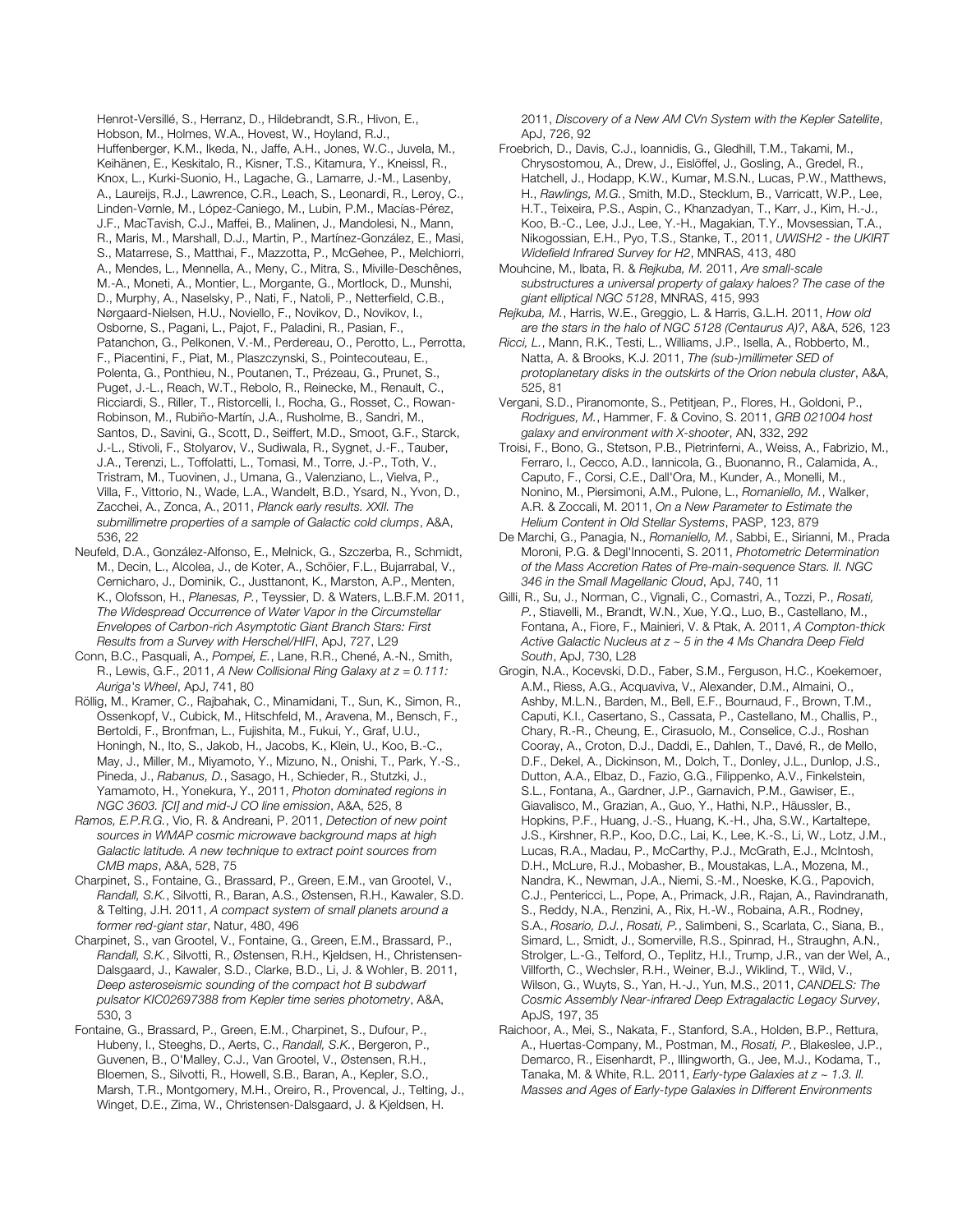Henrot-Versillé, S., Herranz, D., Hildebrandt, S.R., Hivon, E., Hobson, M., Holmes, W.A., Hovest, W., Hoyland, R.J., Huffenberger, K.M., Ikeda, N., Jaffe, A.H., Jones, W.C., Juvela, M., Keihänen, E., Keskitalo, R., Kisner, T.S., Kitamura, Y., Kneissl, R., Knox, L., Kurki-Suonio, H., Lagache, G., Lamarre, J.-M., Lasenby, A., Laureijs, R.J., Lawrence, C.R., Leach, S., Leonardi, R., Leroy, C., Linden-Vørnle, M., López-Caniego, M., Lubin, P.M., Macías-Pérez, J.F., MacTavish, C.J., Maffei, B., Malinen, J., Mandolesi, N., Mann, R., Maris, M., Marshall, D.J., Martin, P., Martínez-González, E., Masi, S., Matarrese, S., Matthai, F., Mazzotta, P., McGehee, P., Melchiorri, A., Mendes, L., Mennella, A., Meny, C., Mitra, S., Miville-Deschênes, M.-A., Moneti, A., Montier, L., Morgante, G., Mortlock, D., Munshi, D., Murphy, A., Naselsky, P., Nati, F., Natoli, P., Netterfield, C.B., Nørgaard-Nielsen, H.U., Noviello, F., Novikov, D., Novikov, I., Osborne, S., Pagani, L., Pajot, F., Paladini, R., Pasian, F., Patanchon, G., Pelkonen, V.-M., Perdereau, O., Perotto, L., Perrotta, F., Piacentini, F., Piat, M., Plaszczynski, S., Pointecouteau, E., Polenta, G., Ponthieu, N., Poutanen, T., Prézeau, G., Prunet, S., Puget, J.-L., Reach, W.T., Rebolo, R., Reinecke, M., Renault, C., Ricciardi, S., Riller, T., Ristorcelli, I., Rocha, G., Rosset, C., Rowan-Robinson, M., Rubiño-Martín, J.A., Rusholme, B., Sandri, M., Santos, D., Savini, G., Scott, D., Seiffert, M.D., Smoot, G.F., Starck, J.-L., Stivoli, F., Stolyarov, V., Sudiwala, R., Sygnet, J.-F., Tauber, J.A., Terenzi, L., Toffolatti, L., Tomasi, M., Torre, J.-P., Toth, V., Tristram, M., Tuovinen, J., Umana, G., Valenziano, L., Vielva, P., Villa, F., Vittorio, N., Wade, L.A., Wandelt, B.D., Ysard, N., Yvon, D., Zacchei, A., Zonca, A., 2011, *Planck early results. XXII. The submillimetre properties of a sample of Galactic cold clumps*, A&A, 536, 22

- Neufeld, D.A., González-Alfonso, E., Melnick, G., Szczerba, R., Schmidt, M., Decin, L., Alcolea, J., de Koter, A., Schöier, F.L., Bujarrabal, V., Cernicharo, J., Dominik, C., Justtanont, K., Marston, A.P., Menten, K., Olofsson, H., *Planesas, P.*, Teyssier, D. & Waters, L.B.F.M. 2011, *The Widespread Occurrence of Water Vapor in the Circumstellar Envelopes of Carbon-rich Asymptotic Giant Branch Stars: First Results from a Survey with Herschel/HIFI*, ApJ, 727, L29
- Conn, B.C., Pasquali, A., *Pompei, E.*, Lane, R.R., Chené, A.-N., Smith, R., Lewis, G.F., 2011, *A New Collisional Ring Galaxy at z = 0.111: Auriga's Wheel*, ApJ, 741, 80
- Röllig, M., Kramer, C., Rajbahak, C., Minamidani, T., Sun, K., Simon, R., Ossenkopf, V., Cubick, M., Hitschfeld, M., Aravena, M., Bensch, F., Bertoldi, F., Bronfman, L., Fujishita, M., Fukui, Y., Graf, U.U., Honingh, N., Ito, S., Jakob, H., Jacobs, K., Klein, U., Koo, B.-C. May, J., Miller, M., Miyamoto, Y., Mizuno, N., Onishi, T., Park, Y.-S., Pineda, J., *Rabanus, D.*, Sasago, H., Schieder, R., Stutzki, J., Yamamoto, H., Yonekura, Y., 2011, *Photon dominated regions in NGC 3603. [CI] and mid-J CO line emission*, A&A, 525, 8
- *Ramos, E.P.R.G.*, Vio, R. & Andreani, P. 2011, *Detection of new point sources in WMAP cosmic microwave background maps at high Galactic latitude. A new technique to extract point sources from CMB maps*, A&A, 528, 75
- Charpinet, S., Fontaine, G., Brassard, P., Green, E.M., van Grootel, V., *Randall, S.K.*, Silvotti, R., Baran, A.S., Østensen, R.H., Kawaler, S.D. & Telting, J.H. 2011, *A compact system of small planets around a former red-giant star*, Natur, 480, 496
- Charpinet, S., van Grootel, V., Fontaine, G., Green, E.M., Brassard, P., *Randall, S.K.*, Silvotti, R., Østensen, R.H., Kjeldsen, H., Christensen-Dalsgaard, J., Kawaler, S.D., Clarke, B.D., Li, J. & Wohler, B. 2011, *Deep asteroseismic sounding of the compact hot B subdwarf pulsator KIC02697388 from Kepler time series photometry*, A&A, 530, 3
- Fontaine, G., Brassard, P., Green, E.M., Charpinet, S., Dufour, P., Hubeny, I., Steeghs, D., Aerts, C., *Randall, S.K.*, Bergeron, P., Guvenen, B., O'Malley, C.J., Van Grootel, V., Østensen, R.H., Bloemen, S., Silvotti, R., Howell, S.B., Baran, A., Kepler, S.O., Marsh, T.R., Montgomery, M.H., Oreiro, R., Provencal, J., Telting, J., Winget, D.E., Zima, W., Christensen-Dalsgaard, J. & Kjeldsen, H.

2011, *Discovery of a New AM CVn System with the Kepler Satellite*, ApJ, 726, 92

- Froebrich, D., Davis, C.J., Ioannidis, G., Gledhill, T.M., Takami, M., Chrysostomou, A., Drew, J., Eislöffel, J., Gosling, A., Gredel, R., Hatchell, J., Hodapp, K.W., Kumar, M.S.N., Lucas, P.W., Matthews, H., *Rawlings, M.G.*, Smith, M.D., Stecklum, B., Varricatt, W.P., Lee, H.T., Teixeira, P.S., Aspin, C., Khanzadyan, T., Karr, J., Kim, H.-J., Koo, B.-C., Lee, J.J., Lee, Y.-H., Magakian, T.Y., Movsessian, T.A., Nikogossian, E.H., Pyo, T.S., Stanke, T., 2011, *UWISH2 - the UKIRT Widefield Infrared Survey for H2*, MNRAS, 413, 480
- Mouhcine, M., Ibata, R. & *Rejkuba, M.* 2011, *Are small-scale substructures a universal property of galaxy haloes? The case of the giant elliptical NGC 5128*, MNRAS, 415, 993
- *Rejkuba, M.*, Harris, W.E., Greggio, L. & Harris, G.L.H. 2011, *How old are the stars in the halo of NGC 5128 (Centaurus A)?*, A&A, 526, 123
- *Ricci, L.*, Mann, R.K., Testi, L., Williams, J.P., Isella, A., Robberto, M., Natta, A. & Brooks, K.J. 2011, *The (sub-)millimeter SED of protoplanetary disks in the outskirts of the Orion nebula cluster*, A&A, 525, 81
- Vergani, S.D., Piranomonte, S., Petitjean, P., Flores, H., Goldoni, P., *Rodrigues, M.*, Hammer, F. & Covino, S. 2011, *GRB 021004 host galaxy and environment with X-shooter*, AN, 332, 292
- Troisi, F., Bono, G., Stetson, P.B., Pietrinferni, A., Weiss, A., Fabrizio, M., Ferraro, I., Cecco, A.D., Iannicola, G., Buonanno, R., Calamida, A., Caputo, F., Corsi, C.E., Dall'Ora, M., Kunder, A., Monelli, M., Nonino, M., Piersimoni, A.M., Pulone, L., *Romaniello, M.*, Walker, A.R. & Zoccali, M. 2011, *On a New Parameter to Estimate the Helium Content in Old Stellar Systems*, PASP, 123, 879
- De Marchi, G., Panagia, N., *Romaniello, M.*, Sabbi, E., Sirianni, M., Prada Moroni, P.G. & Degl'Innocenti, S. 2011, *Photometric Determination of the Mass Accretion Rates of Pre-main-sequence Stars. II. NGC 346 in the Small Magellanic Cloud*, ApJ, 740, 11
- Gilli, R., Su, J., Norman, C., Vignali, C., Comastri, A., Tozzi, P., *Rosati, P.*, Stiavelli, M., Brandt, W.N., Xue, Y.Q., Luo, B., Castellano, M., Fontana, A., Fiore, F., Mainieri, V. & Ptak, A. 2011, *A Compton-thick Active Galactic Nucleus at z ~ 5 in the 4 Ms Chandra Deep Field South*, ApJ, 730, L28
- Grogin, N.A., Kocevski, D.D., Faber, S.M., Ferguson, H.C., Koekemoer, A.M., Riess, A.G., Acquaviva, V., Alexander, D.M., Almaini, O., Ashby, M.L.N., Barden, M., Bell, E.F., Bournaud, F., Brown, T.M., Caputi, K.I., Casertano, S., Cassata, P., Castellano, M., Challis, P., Chary, R.-R., Cheung, E., Cirasuolo, M., Conselice, C.J., Roshan Cooray, A., Croton, D.J., Daddi, E., Dahlen, T., Davé, R., de Mello, D.F., Dekel, A., Dickinson, M., Dolch, T., Donley, J.L., Dunlop, J.S., Dutton, A.A., Elbaz, D., Fazio, G.G., Filippenko, A.V., Finkelstein, S.L., Fontana, A., Gardner, J.P., Garnavich, P.M., Gawiser, E., Giavalisco, M., Grazian, A., Guo, Y., Hathi, N.P., Häussler, B., Hopkins, P.F., Huang, J.-S., Huang, K.-H., Jha, S.W., Kartaltepe, J.S., Kirshner, R.P., Koo, D.C., Lai, K., Lee, K.-S., Li, W., Lotz, J.M., Lucas, R.A., Madau, P., McCarthy, P.J., McGrath, E.J., McIntosh, D.H., McLure, R.J., Mobasher, B., Moustakas, L.A., Mozena, M., Nandra, K., Newman, J.A., Niemi, S.-M., Noeske, K.G., Papovich, C.J., Pentericci, L., Pope, A., Primack, J.R., Rajan, A., Ravindranath, S., Reddy, N.A., Renzini, A., Rix, H.-W., Robaina, A.R., Rodney, S.A., *Rosario, D.J.*, *Rosati, P.*, Salimbeni, S., Scarlata, C., Siana, B., Simard, L., Smidt, J., Somerville, R.S., Spinrad, H., Straughn, A.N., Strolger, L.-G., Telford, O., Teplitz, H.I., Trump, J.R., van der Wel, A., Villforth, C., Wechsler, R.H., Weiner, B.J., Wiklind, T., Wild, V., Wilson, G., Wuyts, S., Yan, H.-J., Yun, M.S., 2011, *CANDELS: The Cosmic Assembly Near-infrared Deep Extragalactic Legacy Survey*, ApJS, 197, 35
- Raichoor, A., Mei, S., Nakata, F., Stanford, S.A., Holden, B.P., Rettura, A., Huertas-Company, M., Postman, M., *Rosati, P.*, Blakeslee, J.P., Demarco, R., Eisenhardt, P., Illingworth, G., Jee, M.J., Kodama, T., Tanaka, M. & White, R.L. 2011, *Early-type Galaxies at z ~ 1.3. II. Masses and Ages of Early-type Galaxies in Different Environments*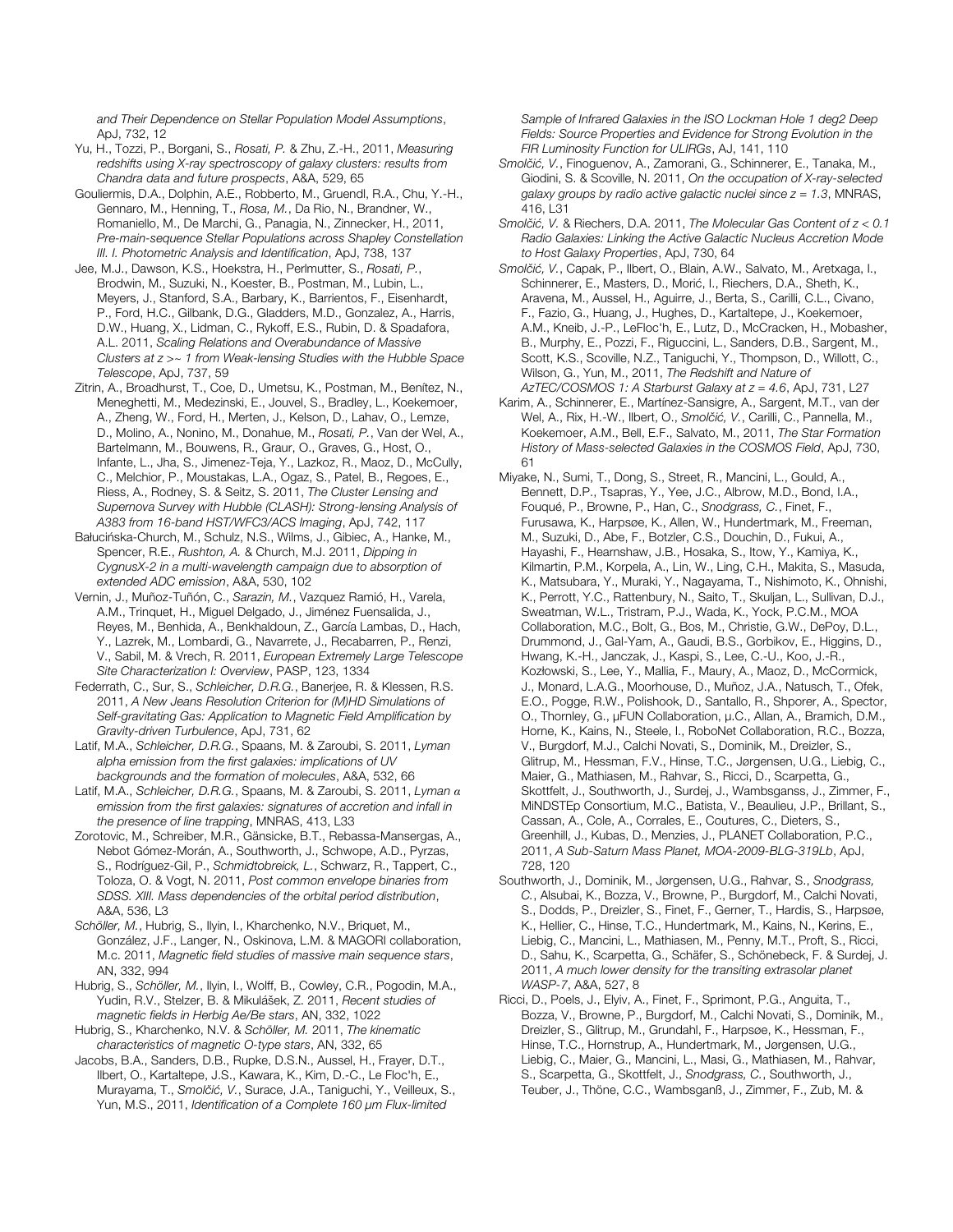*and Their Dependence on Stellar Population Model Assumptions*, ApJ, 732, 12

Yu, H., Tozzi, P., Borgani, S., *Rosati, P.* & Zhu, Z.-H., 2011, *Measuring redshifts using X-ray spectroscopy of galaxy clusters: results from Chandra data and future prospects*, A&A, 529, 65

Gouliermis, D.A., Dolphin, A.E., Robberto, M., Gruendl, R.A., Chu, Y.-H., Gennaro, M., Henning, T., *Rosa, M.*, Da Rio, N., Brandner, W., Romaniello, M., De Marchi, G., Panagia, N., Zinnecker, H., 2011, *Pre-main-sequence Stellar Populations across Shapley Constellation III. I. Photometric Analysis and Identification*, ApJ, 738, 137

Jee, M.J., Dawson, K.S., Hoekstra, H., Perlmutter, S., *Rosati, P.*, Brodwin, M., Suzuki, N., Koester, B., Postman, M., Lubin, L., Meyers, J., Stanford, S.A., Barbary, K., Barrientos, F., Eisenhardt, P., Ford, H.C., Gilbank, D.G., Gladders, M.D., Gonzalez, A., Harris, D.W., Huang, X., Lidman, C., Rykoff, E.S., Rubin, D. & Spadafora, A.L. 2011, *Scaling Relations and Overabundance of Massive Clusters at z >~ 1 from Weak-lensing Studies with the Hubble Space Telescope*, ApJ, 737, 59

Zitrin, A., Broadhurst, T., Coe, D., Umetsu, K., Postman, M., Benítez, N., Meneghetti, M., Medezinski, E., Jouvel, S., Bradley, L., Koekemoer, A., Zheng, W., Ford, H., Merten, J., Kelson, D., Lahav, O., Lemze, D., Molino, A., Nonino, M., Donahue, M., *Rosati, P.*, Van der Wel, A., Bartelmann, M., Bouwens, R., Graur, O., Graves, G., Host, O., Infante, L., Jha, S., Jimenez-Teja, Y., Lazkoz, R., Maoz, D., McCully, C., Melchior, P., Moustakas, L.A., Ogaz, S., Patel, B., Regoes, E., Riess, A., Rodney, S. & Seitz, S. 2011, *The Cluster Lensing and Supernova Survey with Hubble (CLASH): Strong-lensing Analysis of A383 from 16-band HST/WFC3/ACS Imaging*, ApJ, 742, 117

Bałucińska-Church, M., Schulz, N.S., Wilms, J., Gibiec, A., Hanke, M., Spencer, R.E., *Rushton, A.* & Church, M.J. 2011, *Dipping in CygnusX-2 in a multi-wavelength campaign due to absorption of extended ADC emission*, A&A, 530, 102

Vernin, J., Muñoz-Tuñón, C., *Sarazin, M.*, Vazquez Ramió, H., Varela, A.M., Trinquet, H., Miguel Delgado, J., Jiménez Fuensalida, J., Reyes, M., Benhida, A., Benkhaldoun, Z., García Lambas, D., Hach, Y., Lazrek, M., Lombardi, G., Navarrete, J., Recabarren, P., Renzi, V., Sabil, M. & Vrech, R. 2011, *European Extremely Large Telescope Site Characterization I: Overview*, PASP, 123, 1334

Federrath, C., Sur, S., *Schleicher, D.R.G.*, Banerjee, R. & Klessen, R.S. 2011, *A New Jeans Resolution Criterion for (M)HD Simulations of Self-gravitating Gas: Application to Magnetic Field Amplification by Gravity-driven Turbulence*, ApJ, 731, 62

Latif, M.A., *Schleicher, D.R.G.*, Spaans, M. & Zaroubi, S. 2011, *Lyman alpha emission from the first galaxies: implications of UV backgrounds and the formation of molecules*, A&A, 532, 66

Latif, M.A., *Schleicher, D.R.G.*, Spaans, M. & Zaroubi, S. 2011, *Lyman α emission from the first galaxies: signatures of accretion and infall in the presence of line trapping*, MNRAS, 413, L33

Zorotovic, M., Schreiber, M.R., Gänsicke, B.T., Rebassa-Mansergas, A., Nebot Gómez-Morán, A., Southworth, J., Schwope, A.D., Pyrzas, S., Rodríguez-Gil, P., *Schmidtobreick, L.*, Schwarz, R., Tappert, C., Toloza, O. & Vogt, N. 2011, *Post common envelope binaries from SDSS. XIII. Mass dependencies of the orbital period distribution*, A&A, 536, L3

*Schöller, M.*, Hubrig, S., Ilyin, I., Kharchenko, N.V., Briquet, M., González, J.F., Langer, N., Oskinova, L.M. & MAGORI collaboration, M.c. 2011, *Magnetic field studies of massive main sequence stars*, AN, 332, 994

Hubrig, S., *Schöller, M.*, Ilyin, I., Wolff, B., Cowley, C.R., Pogodin, M.A., Yudin, R.V., Stelzer, B. & Mikulášek, Z. 2011, *Recent studies of magnetic fields in Herbig Ae/Be stars*, AN, 332, 1022

Hubrig, S., Kharchenko, N.V. & *Schöller, M.* 2011, *The kinematic characteristics of magnetic O-type stars*, AN, 332, 65

Jacobs, B.A., Sanders, D.B., Rupke, D.S.N., Aussel, H., Frayer, D.T., Ilbert, O., Kartaltepe, J.S., Kawara, K., Kim, D.-C., Le Floc'h, E., Murayama, T., *Smol*č*i*ć*, V.*, Surace, J.A., Taniguchi, Y., Veilleux, S., Yun, M.S., 2011, *Identification of a Complete 160* μ*m Flux-limited* 

*Sample of Infrared Galaxies in the ISO Lockman Hole 1 deg2 Deep Fields: Source Properties and Evidence for Strong Evolution in the FIR Luminosity Function for ULIRGs*, AJ, 141, 110

*Smol*č*i*ć*, V.*, Finoguenov, A., Zamorani, G., Schinnerer, E., Tanaka, M., Giodini, S. & Scoville, N. 2011, *On the occupation of X-ray-selected galaxy groups by radio active galactic nuclei since z = 1.3*, MNRAS, 416, L31

*Smol*č*i*ć*, V.* & Riechers, D.A. 2011, *The Molecular Gas Content of z < 0.1 Radio Galaxies: Linking the Active Galactic Nucleus Accretion Mode to Host Galaxy Properties*, ApJ, 730, 64

*Smol*č*i*ć*, V.*, Capak, P., Ilbert, O., Blain, A.W., Salvato, M., Aretxaga, I., Schinnerer, E., Masters, D., Morić, I., Riechers, D.A., Sheth, K., Aravena, M., Aussel, H., Aguirre, J., Berta, S., Carilli, C.L., Civano, F., Fazio, G., Huang, J., Hughes, D., Kartaltepe, J., Koekemoer, A.M., Kneib, J.-P., LeFloc'h, E., Lutz, D., McCracken, H., Mobasher, B., Murphy, E., Pozzi, F., Riguccini, L., Sanders, D.B., Sargent, M., Scott, K.S., Scoville, N.Z., Taniguchi, Y., Thompson, D., Willott, C., Wilson, G., Yun, M., 2011, *The Redshift and Nature of AzTEC/COSMOS 1: A Starburst Galaxy at z = 4.6*, ApJ, 731, L27

Karim, A., Schinnerer, E., Martínez-Sansigre, A., Sargent, M.T., van der Wel, A., Rix, H.-W., Ilbert, O., *Smol*č*i*ć*, V.*, Carilli, C., Pannella, M., Koekemoer, A.M., Bell, E.F., Salvato, M., 2011, *The Star Formation History of Mass-selected Galaxies in the COSMOS Field*, ApJ, 730, 61

Miyake, N., Sumi, T., Dong, S., Street, R., Mancini, L., Gould, A., Bennett, D.P., Tsapras, Y., Yee, J.C., Albrow, M.D., Bond, I.A., Fouqué, P., Browne, P., Han, C., *Snodgrass, C.*, Finet, F., Furusawa, K., Harpsøe, K., Allen, W., Hundertmark, M., Freeman, M., Suzuki, D., Abe, F., Botzler, C.S., Douchin, D., Fukui, A., Hayashi, F., Hearnshaw, J.B., Hosaka, S., Itow, Y., Kamiya, K., Kilmartin, P.M., Korpela, A., Lin, W., Ling, C.H., Makita, S., Masuda, K., Matsubara, Y., Muraki, Y., Nagayama, T., Nishimoto, K., Ohnishi, K., Perrott, Y.C., Rattenbury, N., Saito, T., Skuljan, L., Sullivan, D.J., Sweatman, W.L., Tristram, P.J., Wada, K., Yock, P.C.M., MOA Collaboration, M.C., Bolt, G., Bos, M., Christie, G.W., DePoy, D.L., Drummond, J., Gal-Yam, A., Gaudi, B.S., Gorbikov, E., Higgins, D., Hwang, K.-H., Janczak, J., Kaspi, S., Lee, C.-U., Koo, J.-R., Kozłowski, S., Lee, Y., Mallia, F., Maury, A., Maoz, D., McCormick, J., Monard, L.A.G., Moorhouse, D., Muñoz, J.A., Natusch, T., Ofek, E.O., Pogge, R.W., Polishook, D., Santallo, R., Shporer, A., Spector, O., Thornley, G., μFUN Collaboration, μ.C., Allan, A., Bramich, D.M., Horne, K., Kains, N., Steele, I., RoboNet Collaboration, R.C., Bozza, V., Burgdorf, M.J., Calchi Novati, S., Dominik, M., Dreizler, S., Glitrup, M., Hessman, F.V., Hinse, T.C., Jørgensen, U.G., Liebig, C., Maier, G., Mathiasen, M., Rahvar, S., Ricci, D., Scarpetta, G., Skottfelt, J., Southworth, J., Surdej, J., Wambsganss, J., Zimmer, F., MiNDSTEp Consortium, M.C., Batista, V., Beaulieu, J.P., Brillant, S., Cassan, A., Cole, A., Corrales, E., Coutures, C., Dieters, S., Greenhill, J., Kubas, D., Menzies, J., PLANET Collaboration, P.C., 2011, *A Sub-Saturn Mass Planet, MOA-2009-BLG-319Lb*, ApJ, 728, 120

Southworth, J., Dominik, M., Jørgensen, U.G., Rahvar, S., *Snodgrass, C.*, Alsubai, K., Bozza, V., Browne, P., Burgdorf, M., Calchi Novati, S., Dodds, P., Dreizler, S., Finet, F., Gerner, T., Hardis, S., Harpsøe, K., Hellier, C., Hinse, T.C., Hundertmark, M., Kains, N., Kerins, E., Liebig, C., Mancini, L., Mathiasen, M., Penny, M.T., Proft, S., Ricci, D., Sahu, K., Scarpetta, G., Schäfer, S., Schönebeck, F. & Surdej, J. 2011, *A much lower density for the transiting extrasolar planet WASP-7*, A&A, 527, 8

Ricci, D., Poels, J., Elyiv, A., Finet, F., Sprimont, P.G., Anguita, T., Bozza, V., Browne, P., Burgdorf, M., Calchi Novati, S., Dominik, M., Dreizler, S., Glitrup, M., Grundahl, F., Harpsøe, K., Hessman, F., Hinse, T.C., Hornstrup, A., Hundertmark, M., Jørgensen, U.G., Liebig, C., Maier, G., Mancini, L., Masi, G., Mathiasen, M., Rahvar, S., Scarpetta, G., Skottfelt, J., *Snodgrass, C.*, Southworth, J., Teuber, J., Thöne, C.C., Wambsganß, J., Zimmer, F., Zub, M. &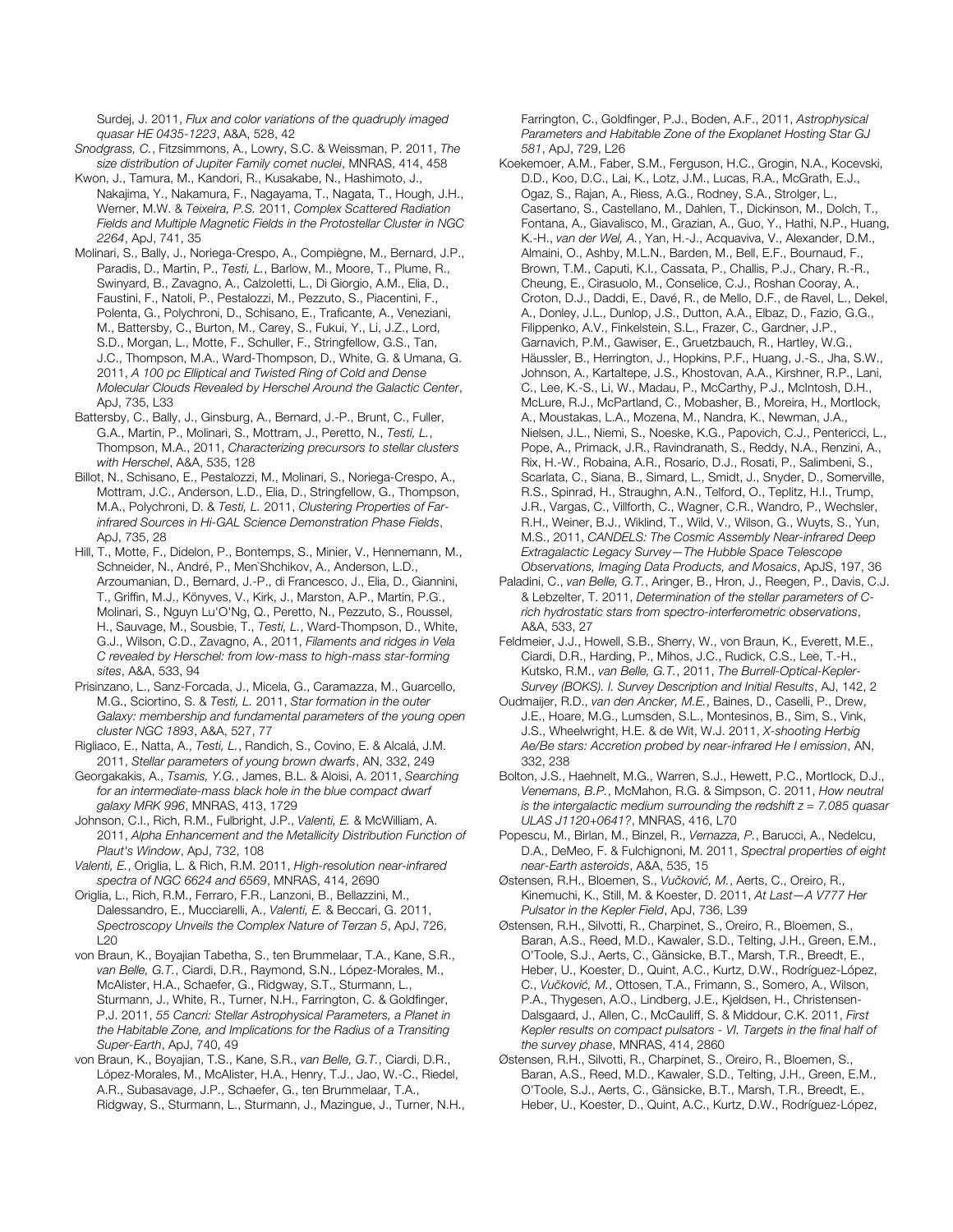Surdej, J. 2011, *Flux and color variations of the quadruply imaged quasar HE 0435-1223*, A&A, 528, 42

*Snodgrass, C.*, Fitzsimmons, A., Lowry, S.C. & Weissman, P. 2011, *The size distribution of Jupiter Family comet nuclei*, MNRAS, 414, 458

- Kwon, J., Tamura, M., Kandori, R., Kusakabe, N., Hashimoto, J., Nakajima, Y., Nakamura, F., Nagayama, T., Nagata, T., Hough, J.H., Werner, M.W. & *Teixeira, P.S.* 2011, *Complex Scattered Radiation Fields and Multiple Magnetic Fields in the Protostellar Cluster in NGC 2264*, ApJ, 741, 35
- Molinari, S., Bally, J., Noriega-Crespo, A., Compiègne, M., Bernard, J.P., Paradis, D., Martin, P., *Testi, L.*, Barlow, M., Moore, T., Plume, R., Swinyard, B., Zavagno, A., Calzoletti, L., Di Giorgio, A.M., Elia, D., Faustini, F., Natoli, P., Pestalozzi, M., Pezzuto, S., Piacentini, F., Polenta, G., Polychroni, D., Schisano, E., Traficante, A., Veneziani, M., Battersby, C., Burton, M., Carey, S., Fukui, Y., Li, J.Z., Lord, S.D., Morgan, L., Motte, F., Schuller, F., Stringfellow, G.S., Tan, J.C., Thompson, M.A., Ward-Thompson, D., White, G. & Umana, G. 2011, *A 100 pc Elliptical and Twisted Ring of Cold and Dense Molecular Clouds Revealed by Herschel Around the Galactic Center*, ApJ, 735, L33
- Battersby, C., Bally, J., Ginsburg, A., Bernard, J.-P., Brunt, C., Fuller, G.A., Martin, P., Molinari, S., Mottram, J., Peretto, N., *Testi, L.*, Thompson, M.A., 2011, *Characterizing precursors to stellar clusters with Herschel*, A&A, 535, 128
- Billot, N., Schisano, E., Pestalozzi, M., Molinari, S., Noriega-Crespo, A., Mottram, J.C., Anderson, L.D., Elia, D., Stringfellow, G., Thompson, M.A., Polychroni, D. & *Testi, L.* 2011, *Clustering Properties of Farinfrared Sources in Hi-GAL Science Demonstration Phase Fields*, ApJ, 735, 28
- Hill, T., Motte, F., Didelon, P., Bontemps, S., Minier, V., Hennemann, M., Schneider, N., André, P., Men`Shchikov, A., Anderson, L.D., Arzoumanian, D., Bernard, J.-P., di Francesco, J., Elia, D., Giannini, T., Griffin, M.J., Könyves, V., Kirk, J., Marston, A.P., Martin, P.G., Molinari, S., Nguyn Lu'O'Ng, Q., Peretto, N., Pezzuto, S., Roussel, H., Sauvage, M., Sousbie, T., *Testi, L.*, Ward-Thompson, D., White, G.J., Wilson, C.D., Zavagno, A., 2011, *Filaments and ridges in Vela C revealed by Herschel: from low-mass to high-mass star-forming sites*, A&A, 533, 94
- Prisinzano, L., Sanz-Forcada, J., Micela, G., Caramazza, M., Guarcello, M.G., Sciortino, S. & *Testi, L.* 2011, *Star formation in the outer Galaxy: membership and fundamental parameters of the young open cluster NGC 1893*, A&A, 527, 77
- Rigliaco, E., Natta, A., *Testi, L.*, Randich, S., Covino, E. & Alcalá, J.M. 2011, *Stellar parameters of young brown dwarfs*, AN, 332, 249
- Georgakakis, A., *Tsamis, Y.G.*, James, B.L. & Aloisi, A. 2011, *Searching for an intermediate-mass black hole in the blue compact dwarf galaxy MRK 996*, MNRAS, 413, 1729
- Johnson, C.I., Rich, R.M., Fulbright, J.P., *Valenti, E.* & McWilliam, A. 2011, *Alpha Enhancement and the Metallicity Distribution Function of Plaut's Window*, ApJ, 732, 108
- *Valenti, E.*, Origlia, L. & Rich, R.M. 2011, *High-resolution near-infrared spectra of NGC 6624 and 6569*, MNRAS, 414, 2690
- Origlia, L., Rich, R.M., Ferraro, F.R., Lanzoni, B., Bellazzini, M., Dalessandro, E., Mucciarelli, A., *Valenti, E.* & Beccari, G. 2011, *Spectroscopy Unveils the Complex Nature of Terzan 5*, ApJ, 726,  $L20$
- von Braun, K., Boyajian Tabetha, S., ten Brummelaar, T.A., Kane, S.R., *van Belle, G.T.*, Ciardi, D.R., Raymond, S.N., López-Morales, M., McAlister, H.A., Schaefer, G., Ridgway, S.T., Sturmann, L., Sturmann, J., White, R., Turner, N.H., Farrington, C. & Goldfinger, P.J. 2011, *55 Cancri: Stellar Astrophysical Parameters, a Planet in the Habitable Zone, and Implications for the Radius of a Transiting Super-Earth*, ApJ, 740, 49
- von Braun, K., Boyajian, T.S., Kane, S.R., *van Belle, G.T.*, Ciardi, D.R., López-Morales, M., McAlister, H.A., Henry, T.J., Jao, W.-C., Riedel, A.R., Subasavage, J.P., Schaefer, G., ten Brummelaar, T.A., Ridgway, S., Sturmann, L., Sturmann, J., Mazingue, J., Turner, N.H.,

Farrington, C., Goldfinger, P.J., Boden, A.F., 2011, *Astrophysical Parameters and Habitable Zone of the Exoplanet Hosting Star GJ 581*, ApJ, 729, L26

- Koekemoer, A.M., Faber, S.M., Ferguson, H.C., Grogin, N.A., Kocevski, D.D., Koo, D.C., Lai, K., Lotz, J.M., Lucas, R.A., McGrath, E.J., Ogaz, S., Rajan, A., Riess, A.G., Rodney, S.A., Strolger, L., Casertano, S., Castellano, M., Dahlen, T., Dickinson, M., Dolch, T., Fontana, A., Giavalisco, M., Grazian, A., Guo, Y., Hathi, N.P., Huang, K.-H., *van der Wel, A.*, Yan, H.-J., Acquaviva, V., Alexander, D.M., Almaini, O., Ashby, M.L.N., Barden, M., Bell, E.F., Bournaud, F., Brown, T.M., Caputi, K.I., Cassata, P., Challis, P.J., Chary, R.-R., Cheung, E., Cirasuolo, M., Conselice, C.J., Roshan Cooray, A., Croton, D.J., Daddi, E., Davé, R., de Mello, D.F., de Ravel, L., Dekel, A., Donley, J.L., Dunlop, J.S., Dutton, A.A., Elbaz, D., Fazio, G.G., Filippenko, A.V., Finkelstein, S.L., Frazer, C., Gardner, J.P., Garnavich, P.M., Gawiser, E., Gruetzbauch, R., Hartley, W.G., Häussler, B., Herrington, J., Hopkins, P.F., Huang, J.-S., Jha, S.W., Johnson, A., Kartaltepe, J.S., Khostovan, A.A., Kirshner, R.P., Lani, C., Lee, K.-S., Li, W., Madau, P., McCarthy, P.J., McIntosh, D.H., McLure, R.J., McPartland, C., Mobasher, B., Moreira, H., Mortlock, A., Moustakas, L.A., Mozena, M., Nandra, K., Newman, J.A., Nielsen, J.L., Niemi, S., Noeske, K.G., Papovich, C.J., Pentericci, L., Pope, A., Primack, J.R., Ravindranath, S., Reddy, N.A., Renzini, A., Rix, H.-W., Robaina, A.R., Rosario, D.J., Rosati, P., Salimbeni, S., Scarlata, C., Siana, B., Simard, L., Smidt, J., Snyder, D., Somerville, R.S., Spinrad, H., Straughn, A.N., Telford, O., Teplitz, H.I., Trump, J.R., Vargas, C., Villforth, C., Wagner, C.R., Wandro, P., Wechsler, R.H., Weiner, B.J., Wiklind, T., Wild, V., Wilson, G., Wuyts, S., Yun, M.S., 2011, *CANDELS: The Cosmic Assembly Near-infrared Deep Extragalactic Legacy Survey—The Hubble Space Telescope Observations, Imaging Data Products, and Mosaics*, ApJS, 197, 36
- Paladini, C., *van Belle, G.T.*, Aringer, B., Hron, J., Reegen, P., Davis, C.J. & Lebzelter, T. 2011, *Determination of the stellar parameters of Crich hydrostatic stars from spectro-interferometric observations*, A&A, 533, 27
- Feldmeier, J.J., Howell, S.B., Sherry, W., von Braun, K., Everett, M.E., Ciardi, D.R., Harding, P., Mihos, J.C., Rudick, C.S., Lee, T.-H., Kutsko, R.M., *van Belle, G.T.*, 2011, *The Burrell-Optical-Kepler-Survey (BOKS). I. Survey Description and Initial Results*, AJ, 142, 2
- Oudmaijer, R.D., *van den Ancker, M.E.*, Baines, D., Caselli, P., Drew, J.E., Hoare, M.G., Lumsden, S.L., Montesinos, B., Sim, S., Vink, J.S., Wheelwright, H.E. & de Wit, W.J. 2011, *X-shooting Herbig Ae/Be stars: Accretion probed by near-infrared He I emission*, AN, 332, 238
- Bolton, J.S., Haehnelt, M.G., Warren, S.J., Hewett, P.C., Mortlock, D.J., *Venemans, B.P.*, McMahon, R.G. & Simpson, C. 2011, *How neutral is the intergalactic medium surrounding the redshift z = 7.085 quasar ULAS J1120+0641?*, MNRAS, 416, L70
- Popescu, M., Birlan, M., Binzel, R., *Vernazza, P.*, Barucci, A., Nedelcu, D.A., DeMeo, F. & Fulchignoni, M. 2011, *Spectral properties of eight near-Earth asteroids*, A&A, 535, 15
- Østensen, R.H., Bloemen, S., *Vu*č*kovi*ć*, M.*, Aerts, C., Oreiro, R., Kinemuchi, K., Still, M. & Koester, D. 2011, *At Last—A V777 Her Pulsator in the Kepler Field*, ApJ, 736, L39
- Østensen, R.H., Silvotti, R., Charpinet, S., Oreiro, R., Bloemen, S., Baran, A.S., Reed, M.D., Kawaler, S.D., Telting, J.H., Green, E.M., O'Toole, S.J., Aerts, C., Gänsicke, B.T., Marsh, T.R., Breedt, E., Heber, U., Koester, D., Quint, A.C., Kurtz, D.W., Rodríguez-López, C., *Vu*č*kovi*ć*, M.*, Ottosen, T.A., Frimann, S., Somero, A., Wilson, P.A., Thygesen, A.O., Lindberg, J.E., Kjeldsen, H., Christensen-Dalsgaard, J., Allen, C., McCauliff, S. & Middour, C.K. 2011, *First Kepler results on compact pulsators - VI. Targets in the final half of the survey phase*, MNRAS, 414, 2860
- Østensen, R.H., Silvotti, R., Charpinet, S., Oreiro, R., Bloemen, S., Baran, A.S., Reed, M.D., Kawaler, S.D., Telting, J.H., Green, E.M., O'Toole, S.J., Aerts, C., Gänsicke, B.T., Marsh, T.R., Breedt, E., Heber, U., Koester, D., Quint, A.C., Kurtz, D.W., Rodríguez-López,